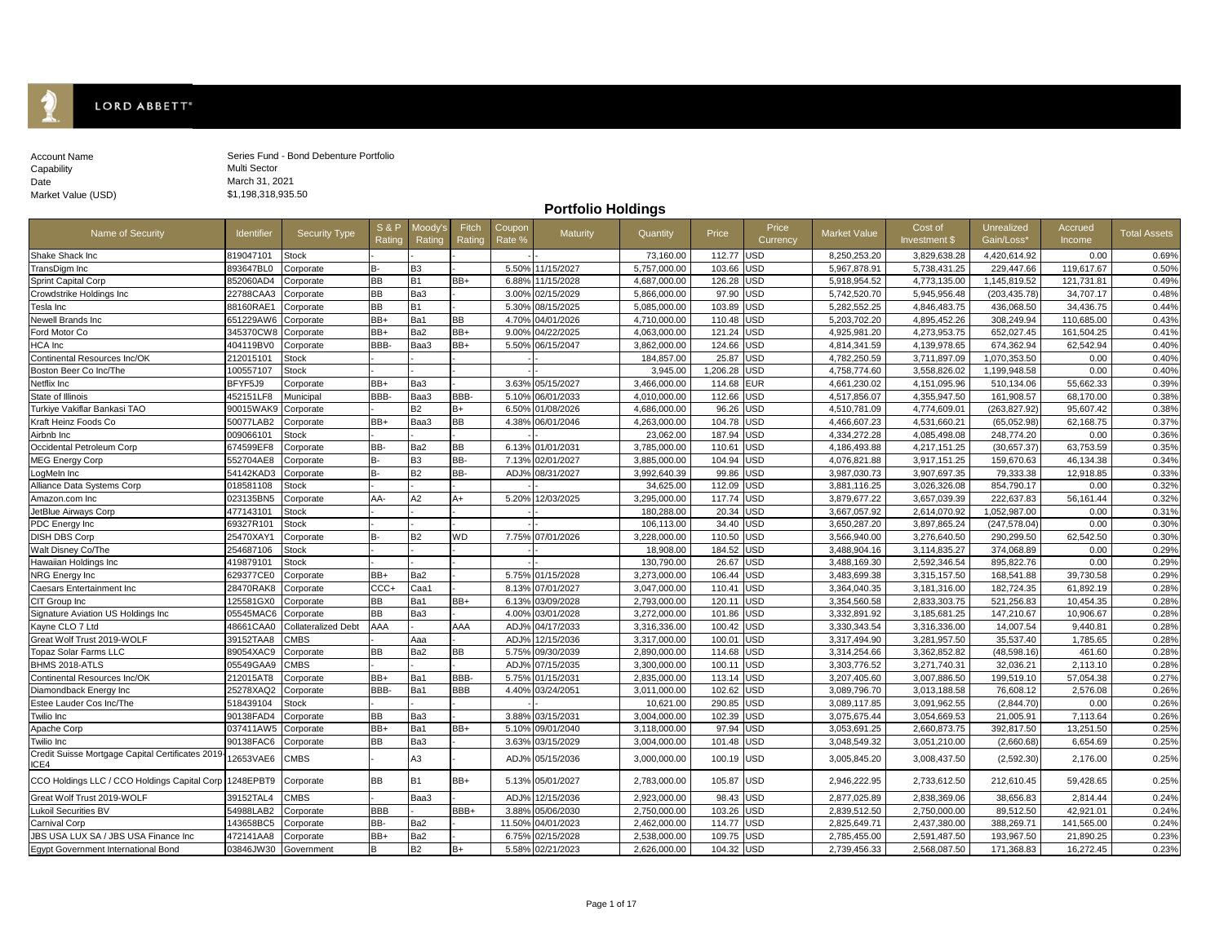

| Account Name       | Series Fu |
|--------------------|-----------|
| Capability         | Multi Sec |
| Date               | March 31  |
| Market Value (USD) | \$1.198.3 |

und - Bond Debenture Portfolio tor 1, 2021  $318,935.50$ 

**Portfolio Holdings**

| Name of Security                                         | <b>Identifier</b> | Security Type       | S&P<br>Rating | Moody's<br>Rating | Fitch<br>Rating | Coupon<br>Rate %   | Maturity   | Quantity     | Price      | Price<br>Currency | <b>Market Value</b> | Cost of<br>Investment \$ | Unrealized<br>Gain/Loss* | Accrued<br>Income | <b>Total Assets</b> |
|----------------------------------------------------------|-------------------|---------------------|---------------|-------------------|-----------------|--------------------|------------|--------------|------------|-------------------|---------------------|--------------------------|--------------------------|-------------------|---------------------|
| Shake Shack Inc                                          | 819047101         | <b>Stock</b>        |               |                   |                 |                    |            | 73,160.00    | 112.77     | <b>USD</b>        | 8,250,253.20        | 3,829,638.28             | 4,420,614.92             | 0.00              | 0.69%               |
| TransDigm Inc                                            | 893647BL0         | Corporate           | B-            | B <sub>3</sub>    |                 | 5.50%              | 11/15/2027 | 5,757,000.00 | 103.66     | USD               | 5,967,878.91        | 5,738,431.25             | 229,447.66               | 119,617.67        | 0.50%               |
| <b>Sprint Capital Corp</b>                               | 852060AD4         | Corporate           | <b>BB</b>     | B <sub>1</sub>    | BB+             | 6.88%              | 11/15/2028 | 4,687,000.00 | 126.28     | USD               | 5,918,954.52        | 4,773,135.00             | 1,145,819.52             | 121,731.81        | 0.49%               |
| Crowdstrike Holdings Inc                                 | 22788CAA3         | Corporate           | BB            | Ba3               |                 | 3.00%              | 02/15/2029 | 5,866,000.00 | 97.90      | USD               | 5,742,520.70        | 5,945,956.48             | (203, 435.78)            | 34,707.17         | 0.48%               |
| Tesla Inc                                                | 88160RAE1         | Corporate           | <b>BB</b>     | <b>B1</b>         |                 | 5.30 <sup>°</sup>  | 08/15/2025 | 5,085,000.00 | 103.89     | USD               | 5,282,552.25        | 4,846,483.75             | 436,068.50               | 34,436.75         | 0.44%               |
| Newell Brands Inc                                        | 651229AW6         | Corporate           | BB+           | Ba1               | <b>BB</b>       | 4.70%              | 04/01/2026 | 4,710,000.00 | 110.48     | <b>USD</b>        | 5,203,702.20        | 4.895.452.26             | 308,249.94               | 110.685.00        | 0.43%               |
| Ford Motor Co                                            | 345370CW8         | Corporate           | BB+           | Ba2               | BB+             | 9.00%              | 04/22/2025 | 4,063,000.00 | 121.24     | USD               | 4,925,981.20        | 4,273,953.75             | 652,027.45               | 161,504.25        | 0.41%               |
| <b>HCA</b> Inc                                           | 404119BV0         | Corporate           | BBB-          | Baa3              | BB+             | 5.50%              | 06/15/2047 | 3,862,000.00 | 124.66     | USD               | 4,814,341.59        | 4,139,978.65             | 674,362.94               | 62,542.94         | 0.40%               |
| Continental Resources Inc/OK                             | 212015101         | <b>Stock</b>        |               |                   |                 |                    |            | 184,857.00   | 25.87      | USD               | 4,782,250.59        | 3,711,897.09             | 1,070,353.50             | 0.00              | 0.40%               |
| Boston Beer Co Inc/The                                   | 100557107         | <b>Stock</b>        |               |                   |                 |                    |            | 3,945.00     | 1,206.28   | USD               | 4,758,774.60        | 3,558,826.02             | 1,199,948.58             | 0.00              | 0.40%               |
| Netflix Inc                                              | BFYF5J9           | Corporate           | BB+           | Ba3               |                 | 3.63%              | 05/15/2027 | 3,466,000.00 | 114.68     | EUR               | 4,661,230.02        | 4,151,095.96             | 510,134.06               | 55,662.33         | 0.39%               |
| State of Illinois                                        | 452151LF8         | Municipal           | BBB-          | Baa3              | BBB-            | 5.109              | 06/01/2033 | 4,010,000.00 | 112.66     | USD               | 4,517,856.07        | 4,355,947.50             | 161,908.57               | 68,170.00         | 0.38%               |
| Turkiye Vakiflar Bankasi TAO                             | 90015WAK9         | Corporate           |               | <b>B2</b>         | B+              | 6.50 <sup>°</sup>  | 01/08/2026 | 4,686,000.00 | 96.26      | USD               | 4,510,781.09        | 4,774,609.01             | (263, 827.92)            | 95,607.42         | 0.38%               |
| Kraft Heinz Foods Co                                     | 50077LAB2         | Corporate           | BB+           | Baa3              | <b>BB</b>       | 4.38%              | 06/01/2046 | 4,263,000.00 | 104.78     | USD               | 4,466,607.23        | 4,531,660.21             | (65,052.98)              | 62,168.75         | 0.37%               |
| Airbnb Inc                                               | 009066101         | <b>Stock</b>        |               |                   |                 |                    |            | 23,062.00    | 187.94     | USD               | 4,334,272.28        | 4,085,498.08             | 248,774.20               | 0.00              | 0.36%               |
| Occidental Petroleum Corp                                | 674599EF8         | Corporate           | BB-           | Ba2               | <b>BB</b>       | 6.139              | 01/01/2031 | 3,785,000.00 | 110.61     | JSD               | 4,186,493.88        | 4,217,151.25             | (30,657.37)              | 63,753.59         | 0.35%               |
| <b>MEG Energy Corp</b>                                   | 552704AE8         | Corporate           | <b>B-</b>     | B <sub>3</sub>    | BB-             | 7.139              | 02/01/2027 | 3,885,000.00 | 104.94     | JSD               | 4,076,821.88        | 3,917,151.25             | 159,670.63               | 46.134.38         | 0.34%               |
| LogMeln Inc                                              | 54142KAD3         | Corporate           | <b>B-</b>     | <b>B2</b>         | BB-             | ADJ <sup>o</sup>   | 08/31/2027 | 3,992,640.39 | 99.86      | JSD               | 3,987,030.73        | 3,907,697.35             | 79,333.38                | 12,918.85         | 0.33%               |
| Alliance Data Systems Corp                               | 018581108         | Stock               |               |                   |                 |                    |            | 34,625.00    | 112.09     | JSD               | 3,881,116.25        | 3,026,326.08             | 854,790.17               | 0.00              | 0.32%               |
| Amazon.com Inc                                           | 023135BN5         | Corporate           | AA-           | A <sub>2</sub>    | $A+$            | 5.20%              | 12/03/2025 | 3,295,000.00 | 117.74     | USD               | 3,879,677.22        | 3,657,039.39             | 222,637.83               | 56,161.44         | 0.32%               |
| JetBlue Airways Corp                                     | 477143101         | <b>Stock</b>        |               |                   |                 |                    |            | 180,288.00   | 20.34      | JSD               | 3,667,057.92        | 2,614,070.92             | 1,052,987.00             | 0.00              | 0.31%               |
| PDC Energy Inc                                           | 69327R101         | Stock               |               |                   |                 |                    |            | 106,113.00   | 34.40      | <b>JSD</b>        | 3,650,287.20        | 3,897,865.24             | (247, 578.04)            | 0.00              | 0.30%               |
| <b>DISH DBS Corp</b>                                     | 25470XAY1         | Corporate           | <b>B-</b>     | <b>B2</b>         | <b>WD</b>       | 7.75%              | 07/01/2026 | 3,228,000.00 | 110.50     | USD               | 3,566,940.00        | 3,276,640.50             | 290,299.50               | 62,542.50         | 0.30%               |
| Walt Disney Co/The                                       | 254687106         | <b>Stock</b>        |               |                   |                 |                    |            | 18,908.00    | 184.52     | JSD               | 3,488,904.16        | 3,114,835.27             | 374,068.89               | 0.00              | 0.29%               |
| Hawaiian Holdings Inc                                    | 419879101         | Stock               |               |                   |                 |                    |            | 130,790.00   | 26.67      | USD               | 3,488,169.30        | 2,592,346.54             | 895,822.76               | 0.00              | 0.29%               |
| NRG Energy Inc                                           | 629377CE0         | Corporate           | BB+           | Ba2               |                 | 5.75%              | 01/15/2028 | 3,273,000.00 | 106.44     | USD               | 3,483,699.38        | 3,315,157.50             | 168,541.88               | 39,730.58         | 0.29%               |
| <b>Caesars Entertainment Inc</b>                         | 28470RAK8         | Corporate           | CCC+          | Caa1              |                 | 8.13%              | 07/01/2027 | 3,047,000.00 | 110.41     | USD               | 3,364,040.35        | 3,181,316.00             | 182,724.35               | 61,892.19         | 0.28%               |
| CIT Group Inc                                            | 125581GX0         | Corporate           | <b>BB</b>     | Ba1               | BB+             | 6.139              | 03/09/2028 | 2,793,000.00 | 120.1'     | USD               | 3,354,560.58        | 2,833,303.75             | 521,256.83               | 10.454.35         | 0.28%               |
| Signature Aviation US Holdings Inc                       | 05545MAC6         | Corporate           | <b>BB</b>     | Ba3               |                 | 4.00%              | 03/01/2028 | 3,272,000.00 | 101.86     | USD               | 3,332,891.92        | 3,185,681.25             | 147,210.67               | 10,906.67         | 0.28%               |
| Kayne CLO 7 Ltd                                          | 48661CAA0         | Collateralized Debt | AAA           |                   | AAA             | ADJ <sup>o</sup>   | 04/17/2033 | 3,316,336.00 | 100.42     | JSD               | 3.330.343.54        | 3,316,336.00             | 14.007.54                | 9.440.81          | 0.28%               |
| Great Wolf Trust 2019-WOLF                               | 39152TAA8         | CMBS                |               | Aaa               |                 | ADJ <sup>o</sup>   | 12/15/2036 | 3,317,000.00 | 100.01     | USD               | 3,317,494.90        | 3,281,957.50             | 35,537.40                | 1,785.65          | 0.28%               |
| <b>Topaz Solar Farms LLC</b>                             | 89054XAC9         | Corporate           | <b>BB</b>     | Ba2               | <b>BB</b>       | 5.75%              | 09/30/2039 | 2,890,000.00 | 114.68     | USD               | 3,314,254.66        | 3,362,852.82             | (48,598.16)              | 461.60            | 0.28%               |
| BHMS 2018-ATLS                                           | 05549GAA9         | CMBS                |               |                   |                 | ADJ <sup>o</sup>   | 07/15/2035 | 3,300,000.00 | 100.1'     | USD               | 3,303,776.52        | 3,271,740.31             | 32,036.21                | 2,113.10          | 0.28%               |
| Continental Resources Inc/OK                             | 212015AT8         | Corporate           | BB+           | Ba1               | BBB-            | 5.75%              | 01/15/2031 | 2,835,000.00 | 113.14     | USD               | 3,207,405.60        | 3,007,886.50             | 199,519.10               | 57.054.38         | 0.27%               |
| Diamondback Energy Inc                                   | 25278XAQ2         | Corporate           | BBB-          | Ba1               | <b>BBB</b>      | 4.40%              | 03/24/2051 | 3,011,000.00 | 102.62     | USD               | 3,089,796.70        | 3,013,188.58             | 76,608.12                | 2.576.08          | 0.26%               |
| Estee Lauder Cos Inc/The                                 | 518439104         | Stock               |               |                   |                 |                    |            | 10,621.00    | 290.85     | USD               | 3.089.117.85        | 3.091.962.55             | (2.844.70)               | 0.00              | 0.26%               |
| Twilio Inc                                               | 90138FAD4         | Corporate           | <b>BB</b>     | Ba3               |                 | 3.88%              | 03/15/2031 | 3,004,000.00 | 102.39     | USD               | 3,075,675.44        | 3,054,669.53             | 21,005.91                | 7,113.64          | 0.26%               |
| Apache Corp                                              | 037411AW5         | Corporate           | BB+           | Ba1               | BB+             | 5.109              | 09/01/2040 | 3,118,000.00 | 97.94      | USD               | 3,053,691.25        | 2,660,873.75             | 392,817.50               | 13,251.50         | 0.25%               |
| Twilio Inc                                               | 90138FAC6         | Corporate           | <b>BB</b>     | Ba3               |                 | 3.63%              | 03/15/2029 | 3,004,000.00 | 101.48     | USD               | 3,048,549.32        | 3,051,210.00             | (2,660.68)               | 6,654.69          | 0.25%               |
| Credit Suisse Mortgage Capital Certificates 2019<br>ICE4 | 12653VAE6         | CMBS                |               | A <sub>3</sub>    |                 | ADJ <sub>9</sub>   | 05/15/2036 | 3,000,000.00 | 100.19     | <b>USD</b>        | 3,005,845.20        | 3,008,437.50             | (2,592.30)               | 2.176.00          | 0.25%               |
| CCO Holdings LLC / CCO Holdings Capital Corp             | 1248EPBT9         | Corporate           | <b>BB</b>     | <b>B1</b>         | BB+             | 5.13%              | 05/01/2027 | 2,783,000.00 | 105.87     | <b>USD</b>        | 2,946,222.95        | 2,733,612.50             | 212,610.45               | 59,428.65         | 0.25%               |
| Great Wolf Trust 2019-WOLF                               | 39152TAL4         | CMBS                |               | Baa3              |                 | ADJ <sup>o</sup>   | 12/15/2036 | 2,923,000.00 | 98.43      | USD               | 2,877,025.89        | 2,838,369.06             | 38,656.83                | 2,814.44          | 0.24%               |
| <b>Lukoil Securities BV</b>                              | 54988LAB2         | Corporate           | <b>BBB</b>    |                   | BBB+            | 3.88 <sup>°</sup>  | 05/06/2030 | 2,750,000.00 | 103.26     | USD               | 2,839,512.50        | 2,750,000.00             | 89,512.50                | 42,921.01         | 0.24%               |
| <b>Carnival Corp</b>                                     | 143658BC5         | Corporate           | BB-           | Ba2               |                 | 11.50 <sup>°</sup> | 04/01/2023 | 2,462,000.00 | 114.77     | USD               | 2,825,649.71        | 2,437,380.00             | 388,269.71               | 141.565.00        | 0.24%               |
| JBS USA LUX SA / JBS USA Finance Inc                     | 472141AA8         | Corporate           | BB+           | Ba2               |                 | 6.75%              | 12/15/2028 | 2,538,000.00 | 109.75     | USD               | 2,785,455.00        | 2,591,487.50             | 193,967.50               | 21.890.25         | 0.23%               |
| <b>Egypt Government International Bond</b>               | 03846JW30         | Government          | B             | <b>B2</b>         | $B+$            | 5.58%              | 02/21/2023 | 2,626,000.00 | 104.32 USD |                   | 2,739,456.33        | 2,568,087.50             | 171,368.83               | 16,272.45         | 0.23%               |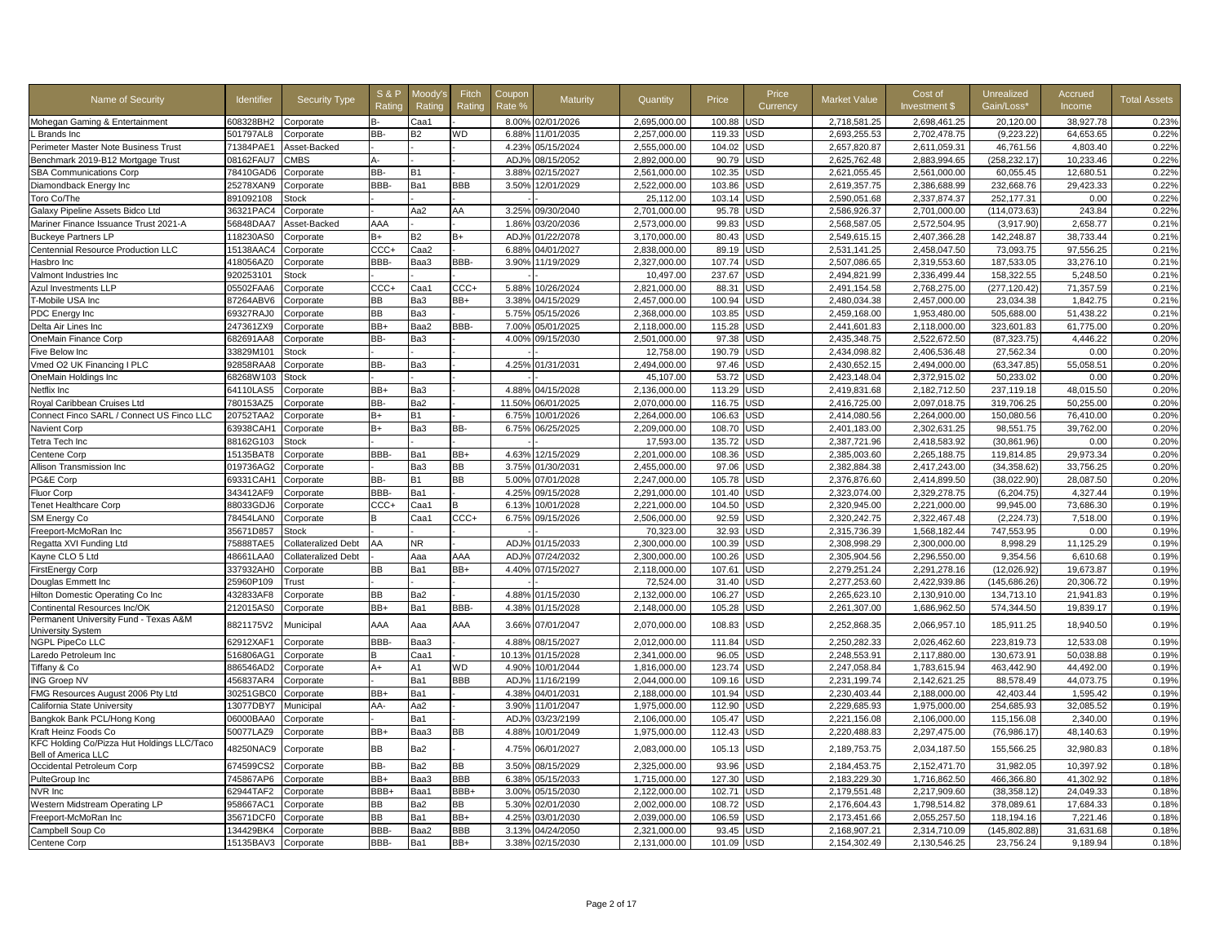| Name of Security                                                  | Identifier | <b>Security Type</b>       | <b>S&amp;P</b><br>Ratino | <b>Moodv</b><br>Rating | Fitch<br>Rating | Coupor<br>Rate % | Maturity         | Quantity     | Price      | Price<br>Currency | Market Value | Cost of<br>Investment \$ | Unrealized<br>Gain/Loss* | Accrued<br>Income | <b>Total Assets</b> |
|-------------------------------------------------------------------|------------|----------------------------|--------------------------|------------------------|-----------------|------------------|------------------|--------------|------------|-------------------|--------------|--------------------------|--------------------------|-------------------|---------------------|
| Mohegan Gaming & Entertainment                                    | 608328BH2  | Corporate                  | В-                       | Caa1                   |                 | 8.00%            | 02/01/2026       | 2,695,000.00 | 100.88     | JSD               | 2,718,581.25 | 2,698,461.25             | 20,120.00                | 38,927.78         | 0.23%               |
| Brands Inc                                                        | 501797AL8  | Corporate                  | BB-                      | B2                     | WD              | 6.88%            | 11/01/2035       | 2,257,000.00 | 119.33     | <b>JSD</b>        | 2,693,255.53 | 2,702,478.75             | (9, 223.22)              | 64,653.65         | 0.22%               |
| Perimeter Master Note Business Trust                              | 71384PAE1  | Asset-Backed               |                          |                        |                 | 4.23%            | 05/15/2024       | 2,555,000.00 | 104.02     | <b>JSD</b>        | 2,657,820.87 | 2,611,059.31             | 46,761.56                | 4,803.40          | 0.22%               |
| Benchmark 2019-B12 Mortgage Trust                                 | 08162FAU7  | <b>CMBS</b>                | А-                       |                        |                 | ADJ%             | 08/15/2052       | 2,892,000.00 | 90.79      | USD               | 2,625,762.48 | 2,883,994.65             | (258, 232.17)            | 10,233.46         | 0.22%               |
| <b>SBA Communications Corp</b>                                    | 78410GAD6  | Corporate                  | BB-                      | <b>B1</b>              |                 | 3.88%            | 02/15/2027       | 2,561,000.00 | 102.35     | <b>JSD</b>        | 2,621,055.45 | 2,561,000.00             | 60,055.45                | 12,680.51         | 0.22%               |
| Diamondback Energy Inc                                            | 25278XAN9  | Corporate                  | BBB-                     | Ba1                    | BBB             | 3.50%            | 12/01/2029       | 2,522,000.00 | 103.86     | <b>JSD</b>        | 2,619,357.75 | 2,386,688.99             | 232,668.76               | 29,423.33         | 0.22%               |
| Toro Co/The                                                       | 891092108  | Stock                      |                          |                        |                 |                  |                  | 25.112.00    | 103.14     | <b>USD</b>        | 2.590.051.68 | 2.337.874.37             | 252.177.31               | 0.00              | 0.22%               |
| Galaxy Pipeline Assets Bidco Ltd                                  | 36321PAC4  | Corporate                  |                          | Aa2                    | AA              | 3.25%            | 09/30/2040       | 2,701,000.00 | 95.78      | USD               | 2,586,926.37 | 2,701,000.00             | (114, 073.63)            | 243.84            | 0.22%               |
| Mariner Finance Issuance Trust 2021-A                             | 56848DAA7  | Asset-Backed               | AAA                      |                        |                 | 1.86%            | 03/20/2036       | 2,573,000.00 | 99.83      | <b>USD</b>        | 2,568,587.05 | 2,572,504.95             | (3,917.90)               | 2,658.77          | 0.21%               |
| <b>Buckeye Partners LP</b>                                        | 118230AS0  | Corporate                  | $B+$                     | B2                     | B+              | ADJ%             | 01/22/2078       | 3,170,000.00 | 80.43      | USD               | 2,549,615.15 | 2,407,366.28             | 142,248.87               | 38,733.44         | 0.21%               |
| Centennial Resource Production LLC                                | 15138AAC4  | Corporate                  | CCC+                     | Caa2                   |                 | 6.88%            | 04/01/2027       | 2,838,000.00 | 89.19      | JSD               | 2,531,141.25 | 2,458,047.50             | 73,093.75                | 97,556.25         | 0.21%               |
| Hasbro Inc                                                        | 418056AZ0  | Corporate                  | BBB-                     | Baa3                   | BBB-            | 3.90%            | 11/19/2029       | 2,327,000.00 | 107.74     | <b>JSD</b>        | 2,507,086.65 | 2,319,553.60             | 187,533.05               | 33,276.10         | 0.21%               |
| Valmont Industries Inc                                            | 920253101  | <b>Stock</b>               |                          |                        |                 |                  |                  | 10,497.00    | 237.67     | USD               | 2,494,821.99 | 2,336,499.44             | 158.322.55               | 5.248.50          | 0.21%               |
| <b>Azul Investments LLP</b>                                       | 05502FAA6  | Corporate                  | CCC+                     | Caa1                   | CCC+            | 5.889            | 10/26/2024       | 2,821,000.00 | 88.31      | <b>JSD</b>        | 2.491.154.58 | 2.768.275.00             | (277, 120.42)            | 71,357.59         | 0.21%               |
| T-Mobile USA Inc                                                  | 87264ABV6  | Corporate                  | BB                       | Ba3                    | BB+             | 3.38%            | 04/15/2029       | 2,457,000.00 | 100.94     | <b>JSD</b>        | 2,480,034.38 | 2,457,000.00             | 23,034.38                | 1,842.75          | 0.21%               |
| PDC Energy Inc                                                    | 69327RAJ0  | Corporate                  | <b>BB</b>                | Ba3                    |                 | 5.75%            | 05/15/2026       | 2,368,000.00 | 103.85     | <b>JSD</b>        | 2,459,168.00 | 1,953,480.00             | 505,688.00               | 51,438.22         | 0.21%               |
| Delta Air Lines Inc                                               | 247361ZX9  | Corporate                  | BB+                      | Baa2                   | BBB-            | 7.00%            | 05/01/2025       | 2,118,000.00 | 115.28     | <b>JSD</b>        | 2,441,601.83 | 2,118,000.00             | 323,601.83               | 61,775.00         | 0.20%               |
| OneMain Finance Corp                                              | 682691AA8  | Corporate                  | BB-                      | Ba3                    |                 | 4.00%            | 09/15/2030       | 2,501,000.00 | 97.38      | JSD               | 2,435,348.75 | 2,522,672.50             | (87, 323.75)             | 4,446.22          | 0.20%               |
| Five Below Inc                                                    | 33829M101  | Stock                      |                          |                        |                 |                  |                  | 12,758.00    | 190.79     | JSD               | 2,434,098.82 | 2,406,536.48             | 27,562.34                | 0.00              | 0.20%               |
| Vmed O2 UK Financing I PLC                                        | 92858RAA8  | Corporate                  | BB-                      | Ba3                    |                 | 4.25%            | 01/31/2031       | 2,494,000.00 | 97.46      | <b>JSD</b>        | 2,430,652.15 | 2,494,000.00             | (63, 347.85)             | 55,058.51         | 0.20%               |
| OneMain Holdings Inc                                              | 68268W103  | <b>Stock</b>               |                          |                        |                 |                  |                  | 45,107.00    | 53.72      | <b>JSD</b>        | 2,423,148.04 | 2,372,915.02             | 50,233.02                | 0.00              | 0.20%               |
| Netflix Inc                                                       | 64110LAS5  | Corporate                  | BB+                      | Ba3                    |                 | 4.88%            | 04/15/2028       | 2,136,000.00 | 113.29     | JSD               | 2,419,831.68 | 2,182,712.50             | 237,119.18               | 48,015.50         | 0.20%               |
| Royal Caribbean Cruises Ltd                                       | 780153AZ5  | Corporate                  | BB-                      | Ba2                    |                 | 11.50%           | 06/01/2025       | 2,070,000.00 | 116.75     | <b>JSD</b>        | 2,416,725.00 | 2,097,018.75             | 319,706.25               | 50,255.00         | 0.20%               |
| Connect Finco SARL / Connect US Finco LLC                         | 20752TAA2  | Corporate                  | $B+$                     | <b>B1</b>              |                 | 6.75%            | 10/01/2026       | 2,264,000.00 | 106.63     | JSD               | 2,414,080.56 | 2,264,000.00             | 150,080.56               | 76,410.00         | 0.20%               |
| <b>Navient Corp</b>                                               | 63938CAH1  | Corporate                  | $B+$                     | Ba3                    | BB-             | 6.75%            | 06/25/2025       | 2,209,000.00 | 108.70     | JSD               | 2,401,183.00 | 2,302,631.25             | 98,551.75                | 39,762.00         | 0.20%               |
| Tetra Tech Inc                                                    | 88162G103  | Stock                      |                          |                        |                 |                  |                  | 17,593.00    | 135.72     | <b>JSD</b>        | 2,387,721.96 | 2,418,583.92             | (30, 861.96)             | 0.00              | 0.20%               |
| Centene Corp                                                      | 15135BAT8  | Corporate                  | BBB-                     | Ba1                    | BB+             | 4.63%            | 12/15/2029       | 2,201,000.00 | 108.36     | <b>JSD</b>        | 2,385,003.60 | 2,265,188.75             | 119,814.85               | 29,973.34         | 0.20%               |
| Allison Transmission Inc                                          | 019736AG2  | Corporate                  |                          | Ba3                    | BВ              | 3.75%            | 01/30/2031       | 2,455,000.00 | 97.06      | JSD               | 2,382,884.38 | 2,417,243.00             | (34, 358.62)             | 33,756.25         | 0.20%               |
| PG&E Corp                                                         | 69331CAH1  | Corporate                  | BB-                      | <b>B1</b>              | ЗB              | 5.00%            | 07/01/2028       | 2,247,000.00 | 105.78     | <b>JSD</b>        | 2,376,876.60 | 2,414,899.50             | (38,022.90)              | 28,087.50         | 0.20%               |
| Fluor Corp                                                        | 343412AF9  | Corporate                  | BBB-                     | Ba1                    |                 | 4.25%            | 09/15/2028       | 2,291,000.00 | 101.40     | <b>JSD</b>        | 2,323,074.00 | 2,329,278.75             | (6, 204.75)              | 4,327.44          | 0.19%               |
| <b>Tenet Healthcare Corp</b>                                      | 88033GDJ6  | Corporate                  | CCC+                     | Caa1                   |                 | 6.13%            | 10/01/2028       | 2,221,000.00 | 104.50     | <b>JSD</b>        | 2,320,945.00 | 2,221,000.00             | 99,945.00                | 73,686.30         | 0.19%               |
| SM Energy Co                                                      | 78454LAN0  | Corporate                  | B                        | Caa1                   | CCC+            | 6.75%            | 09/15/2026       | 2,506,000.00 | 92.59      | JSD               | 2,320,242.75 | 2,322,467.48             | (2, 224.73)              | 7,518.00          | 0.19%               |
| Freeport-McMoRan Inc                                              | 35671D857  | Stock                      |                          |                        |                 |                  |                  | 70,323.00    | 32.93      | <b>JSD</b>        | 2,315,736.39 | 1,568,182.44             | 747,553.95               | 0.00              | 0.19%               |
| Regatta XVI Funding Ltd                                           | 75888TAE5  | Collateralized Debt        | AA                       | <b>NR</b>              |                 | ADJ <sub>9</sub> | 01/15/2033       | 2,300,000.00 | 100.39     | <b>JSD</b>        | 2,308,998.29 | 2,300,000.00             | 8,998.29                 | 11,125.29         | 0.19%               |
| Kayne CLO 5 Ltd                                                   | 48661LAA0  | <b>Collateralized Debt</b> |                          | Aaa                    | AAA             | ADJ%             | 07/24/2032       | 2.300.000.00 | 100.26     | <b>JSD</b>        | 2,305,904.56 | 2.296.550.00             | 9.354.56                 | 6.610.68          | 0.19%               |
| FirstEnergy Corp                                                  | 337932AH0  | Corporate                  | <b>BB</b>                | Ba1                    | BB+             | 4.40%            | 07/15/2027       | 2,118,000.00 | 107.61     | <b>JSD</b>        | 2,279,251.24 | 2,291,278.16             | (12,026.92)              | 19,673.87         | 0.19%               |
| Douglas Emmett Inc                                                | 25960P109  | Trust                      |                          |                        |                 |                  |                  | 72,524.00    | 31.40      | <b>JSD</b>        | 2,277,253.60 | 2,422,939.86             | (145, 686.26)            | 20,306.72         | 0.19%               |
| Hilton Domestic Operating Co Inc                                  | 432833AF8  | Corporate                  | <b>BB</b>                | Ba2                    |                 | 4.88%            | 01/15/2030       | 2,132,000.00 | 106.27     | JSD               | 2,265,623.10 | 2,130,910.00             | 134,713.10               | 21,941.83         | 0.19%               |
| Continental Resources Inc/OK                                      | 212015AS0  | Corporate                  | BB+                      | Ba1                    | BBB-            |                  | 4.38% 01/15/2028 | 2,148,000.00 | 105.28     | JSD               | 2,261,307.00 | 1,686,962.50             | 574,344.50               | 19,839.17         | 0.19%               |
| Permanent University Fund - Texas A&M<br>University System        | 8821175V2  | Municipal                  | AAA                      | Aaa                    | AAA             | 3.66%            | 07/01/2047       | 2,070,000.00 | 108.83     | <b>JSD</b>        | 2,252,868.35 | 2,066,957.10             | 185,911.25               | 18,940.50         | 0.19%               |
| NGPL PipeCo LLC                                                   | 62912XAF1  | Corporate                  | BBB-                     | Baa3                   |                 | 4.88%            | 08/15/2027       | 2,012,000.00 | 111.84     | USD               | 2,250,282.33 | 2,026,462.60             | 223,819.73               | 12,533.08         | 0.19%               |
| Laredo Petroleum Inc                                              | 516806AG1  | Corporate                  | B                        | Caa1                   |                 | 10.13%           | 01/15/2028       | 2,341,000.00 | 96.05      | <b>JSD</b>        | 2,248,553.91 | 2,117,880.00             | 130,673.91               | 50,038.88         | 0.19%               |
| Tiffany & Co                                                      | 886546AD2  | Corporate                  | A+                       | A1                     | WD              | 4.90%            | 10/01/2044       | 1,816,000.00 | 123.74     | <b>JSD</b>        | 2,247,058.84 | 1,783,615.94             | 463,442.90               | 44.492.00         | 0.19%               |
| <b>ING Groep NV</b>                                               | 456837AR4  | Corporate                  |                          | Ba1                    | BBB             | ADJ%             | 11/16/2199       | 2.044.000.00 | 109.16     | <b>USD</b>        | 2,231,199.74 | 2.142.621.25             | 88.578.49                | 44.073.75         | 0.19%               |
| FMG Resources August 2006 Pty Ltd                                 | 30251GBC0  | Corporate                  | BB+                      | Ba1                    |                 | 4.38%            | 04/01/2031       | 2,188,000.00 | 101.94     | <b>JSD</b>        | 2,230,403.44 | 2,188,000.00             | 42,403.44                | 1,595.42          | 0.19%               |
| California State University                                       | 13077DBY7  | Municipal                  | AA-                      | Aa2                    |                 | 3.90%            | 11/01/2047       | 1,975,000.00 | 112.90     | <b>JSD</b>        | 2,229,685.93 | 1,975,000.00             | 254,685.93               | 32,085.52         | 0.19%               |
| Bangkok Bank PCL/Hong Kong                                        | 06000BAA0  | Corporate                  |                          | Ba1                    |                 | ADJ%             | 03/23/2199       | 2,106,000.00 | 105.47     | <b>JSD</b>        | 2,221,156.08 | 2,106,000.00             | 115,156.08               | 2,340.00          | 0.19%               |
| Kraft Heinz Foods Co                                              | 50077LAZ9  | Corporate                  | BB+                      | Baa3                   | ВB              | 4.88%            | 10/01/2049       | 1,975,000.00 | 112.43     | JSD               | 2,220,488.83 | 2,297,475.00             | (76,986.17)              | 48,140.63         | 0.19%               |
| KFC Holding Co/Pizza Hut Holdings LLC/Taco<br>Bell of America LLC | 48250NAC9  | Corporate                  | BB                       | Ba2                    |                 | 4.75%            | 06/01/2027       | 2,083,000.00 | 105.13     | JSD               | 2,189,753.75 | 2,034,187.50             | 155,566.25               | 32,980.83         | 0.18%               |
| Occidental Petroleum Corp                                         | 674599CS2  | Corporate                  | BB-                      | Ba2                    | BВ              | 3.50%            | 08/15/2029       | 2,325,000.00 | 93.96      | <b>JSD</b>        | 2,184,453.75 | 2,152,471.70             | 31,982.05                | 10,397.92         | 0.18%               |
| PulteGroup Inc                                                    | 745867AP6  | Corporate                  | BB+                      | Baa3                   | BBB             | 6.38%            | 05/15/2033       | 1,715,000.00 | 127.30     | <b>JSD</b>        | 2,183,229.30 | 1,716,862.50             | 466,366.80               | 41.302.92         | 0.18%               |
| NVR Inc                                                           | 62944TAF2  | Corporate                  | BBB+                     | Baa1                   | BBB+            | 3.00%            | 05/15/2030       | 2,122,000.00 | 102.71     | JSD               | 2,179,551.48 | 2,217,909.60             | (38, 358.12)             | 24.049.33         | 0.18%               |
| Western Midstream Operating LP                                    | 958667AC1  | Corporate                  | <b>BB</b>                | Ba2                    | BВ              | 5.30%            | 02/01/2030       | 2.002.000.00 | 108.72     | <b>JSD</b>        | 2,176,604.43 | 1.798.514.82             | 378.089.61               | 17.684.33         | 0.18%               |
| Freeport-McMoRan Inc                                              | 35671DCF0  | Corporate                  | <b>BB</b>                | Ba1                    | BB+             | 4.25%            | 03/01/2030       | 2,039,000.00 | 106.59     | <b>JSD</b>        | 2,173,451.66 | 2,055,257.50             | 118.194.16               | 7.221.46          | 0.18%               |
| Campbell Soup Co                                                  | 134429BK4  | Corporate                  | BBB-                     | Baa2                   | BBB             | 3.13%            | 04/24/2050       | 2.321.000.00 | 93.45      | <b>JSD</b>        | 2,168,907.21 | 2.314.710.09             | (145.802.88)             | 31.631.68         | 0.18%               |
| Centene Corp                                                      | 15135BAV3  | Corporate                  | BBB-                     | Ba1                    | BB+             | 3.38%            | 02/15/2030       | 2,131,000.00 | 101.09 USD |                   | 2,154,302.49 | 2,130,546.25             | 23,756.24                | 9.189.94          | 0.18%               |
|                                                                   |            |                            |                          |                        |                 |                  |                  |              |            |                   |              |                          |                          |                   |                     |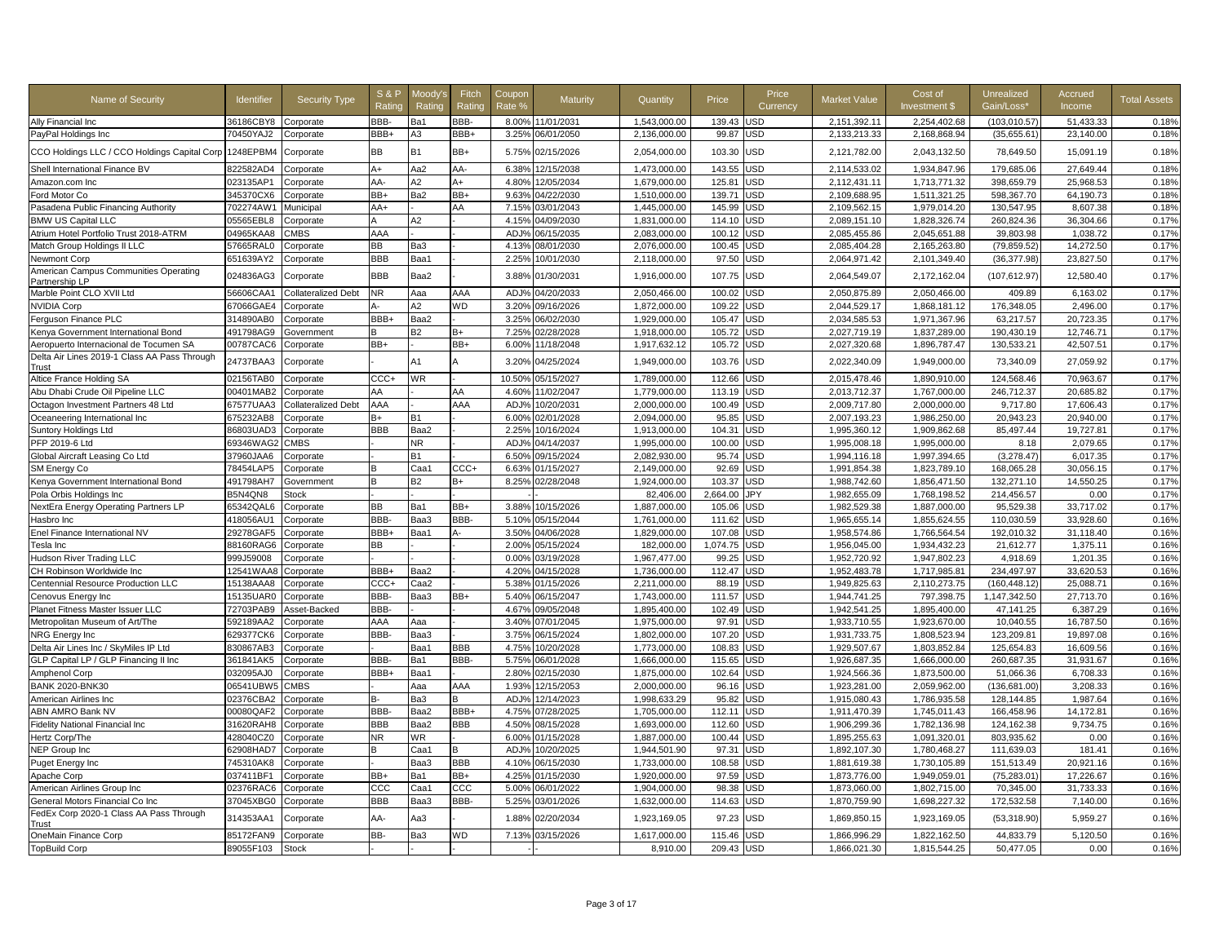| Name of Security                                      | Identifier | <b>Security Type</b> | <b>S&amp;P</b><br>Ratino | Moodv's<br>Rating | Fitch<br>Rating | Coupon<br>Rate % | Maturity   | Quantity     | Price      | Price<br>Currency | <b>Market Value</b> | Cost of<br>Investment \$ | <b>Unrealized</b><br>Gain/Loss' | Accrued<br>Income | <b>Total Assets</b> |
|-------------------------------------------------------|------------|----------------------|--------------------------|-------------------|-----------------|------------------|------------|--------------|------------|-------------------|---------------------|--------------------------|---------------------------------|-------------------|---------------------|
| Ally Financial Inc                                    | 36186CBY8  | Corporate            | BBB-                     | Ba1               | BBB-            | 8.00%            | 11/01/2031 | 1.543.000.00 | 139.43     | <b>JSD</b>        | 2.151.392.11        | 2.254.402.68             | (103.010.57)                    | 51.433.33         | 0.18%               |
| PayPal Holdings Inc                                   | 70450YAJ2  | Corporate            | BBB+                     | A3                | BBB+            | 3.25%            | 06/01/2050 | 2.136.000.00 | 99.87      | <b>JSD</b>        | 2,133,213.33        | 2,168,868.94             | (35,655.61)                     | 23.140.00         | 0.18%               |
| CCO Holdings LLC / CCO Holdings Capital Corp          | 1248EPBM4  | Corporate            | <b>BB</b>                | <b>B1</b>         | BB+             | 5.75%            | 02/15/2026 | 2,054,000.00 | 103.30     | USD               | 2,121,782.00        | 2,043,132.50             | 78,649.50                       | 15,091.19         | 0.18%               |
| Shell International Finance BV                        | 822582AD4  | Corporate            | $A+$                     | Aa2               | AA-             | 6.38%            | 12/15/2038 | 1.473.000.00 | 143.55     | <b>JSD</b>        | 2,114,533.02        | 1.934.847.96             | 179.685.06                      | 27.649.44         | 0.18%               |
| Amazon.com Inc                                        | 023135AP1  | Corporate            | AA                       | A2                | A+              | 4.80%            | 12/05/2034 | 1,679,000.00 | 125.81     | <b>JSD</b>        | 2,112,431.11        | 1,713,771.32             | 398,659.79                      | 25,968.53         | 0.18%               |
| Ford Motor Co                                         | 345370CX6  | Corporate            | BB+                      | Ba2               | BB+             | 9.63%            | 04/22/2030 | 1,510,000.00 | 139.71     | JSD               | 2,109,688.95        | 1,511,321.25             | 598,367.70                      | 64,190.73         | 0.18%               |
| Pasadena Public Financing Authority                   | 702274AW1  | Municipal            | AA+                      |                   | AA              | 7.15%            | 03/01/2043 | 1,445,000.00 | 145.99     | JSD               | 2,109,562.15        | 1,979,014.20             | 130.547.95                      | 8,607.38          | 0.18%               |
| <b>BMW US Capital LLC</b>                             | 05565EBL8  | Corporate            | A                        | A2                |                 | 4.15%            | 04/09/2030 | 1,831,000.00 | 114.10     | <b>JSD</b>        | 2,089,151.10        | 1,828,326.74             | 260,824.36                      | 36,304.66         | 0.17%               |
| Atrium Hotel Portfolio Trust 2018-ATRM                | 04965KAA8  | CMBS                 | AAA                      |                   |                 | ADJ%             | 06/15/2035 | 2,083,000.00 | 100.12     | <b>JSD</b>        | 2,085,455.86        | 2,045,651.88             | 39.803.98                       | 1,038.72          | 0.17%               |
| Match Group Holdings II LLC                           | 57665RAL0  | Corporate            | <b>BB</b>                | Ba3               |                 | 4.13%            | 08/01/2030 | 2,076,000.00 | 100.45     | JSD               | 2,085,404.28        | 2,165,263.80             | (79, 859.52)                    | 14,272.50         | 0.17%               |
| Newmont Corp                                          | 651639AY2  | Corporate            | <b>BBB</b>               | Baa1              |                 | 2.25%            | 10/01/2030 | 2,118,000.00 | 97.50      | USD               | 2,064,971.42        | 2,101,349.40             | (36, 377.98)                    | 23,827.50         | 0.17%               |
| American Campus Communities Operating                 | 024836AG3  | Corporate            | <b>BBB</b>               | Baa2              |                 | 3.88%            | 01/30/2031 | 1,916,000.00 | 107.75     | JSD               | 2,064,549.07        | 2,172,162.04             | (107,612.97)                    | 12,580.40         | 0.17%               |
| Partnership LP<br>Marble Point CLO XVII Ltd           | 56606CAA1  | Collateralized Debt  | <b>NR</b>                | Aaa               | AAA             | ADJ <sup>o</sup> | 04/20/2033 | 2,050,466.00 | 100.02     | <b>JSD</b>        | 2,050,875.89        | 2,050,466.00             | 409.89                          | 6,163.02          | 0.17%               |
|                                                       |            |                      |                          |                   | WD              |                  |            |              |            | <b>JSD</b>        |                     |                          |                                 |                   | 0.17%               |
| <b>NVIDIA Corp</b>                                    | 67066GAE4  | Corporate            | д.<br>BBB+               | A2                |                 | 3.20%            | 09/16/2026 | 1,872,000.00 | 109.22     |                   | 2,044,529.17        | 1,868,181.12             | 176,348.05                      | 2,496.00          |                     |
| Ferguson Finance PLC                                  | 314890AB0  | Corporate            |                          | Baa2              |                 | 3.25%            | 06/02/2030 | 1,929,000.00 | 105.47     | <b>JSD</b>        | 2,034,585.53        | 1,971,367.96             | 63,217.57                       | 20,723.35         | 0.17%               |
| Kenya Government International Bond                   | 491798AG9  | Government           | в                        | B2                | R+              | 7.25%            | 02/28/2028 | 1,918,000.00 | 105.72     | JSD               | 2,027,719.19        | 1,837,289.00             | 190,430.19                      | 12,746.71         | 0.17%               |
| Aeropuerto Internacional de Tocumen SA                | 00787CAC6  | Corporate            | BB+                      |                   | BB+             | 6.00%            | 11/18/2048 | 1,917,632.12 | 105.72     | <b>JSD</b>        | 2,027,320.68        | 1,896,787.47             | 130,533.21                      | 42,507.51         | 0.17%               |
| Delta Air Lines 2019-1 Class AA Pass Through<br>Trust | 24737BAA3  | Corporate            |                          | A1                |                 | 3.20%            | 04/25/2024 | 1,949,000.00 | 103.76     | USD               | 2,022,340.09        | 1,949,000.00             | 73,340.09                       | 27,059.92         | 0.17%               |
| Altice France Holding SA                              | 02156TAB0  | Corporate            | CCC+                     | WR                |                 | 10.50%           | 05/15/2027 | 1,789,000.00 | 112.66     | <b>JSD</b>        | 2,015,478.46        | 1,890,910.00             | 124,568.46                      | 70,963.67         | 0.17%               |
| Abu Dhabi Crude Oil Pipeline LLC                      | 00401MAB2  | Corporate            | AA                       |                   | AA              | 4.60%            | 11/02/2047 | 1,779,000.00 | 113.19     | <b>JSD</b>        | 2,013,712.37        | 1,767,000.00             | 246,712.37                      | 20,685.82         | 0.17%               |
| Octagon Investment Partners 48 Ltd                    | 67577UAA3  | Collateralized Debt  | AAA                      |                   | AAA             | ADJ%             | 10/20/2031 | 2.000.000.00 | 100.49     | <b>JSD</b>        | 2.009.717.80        | 2.000.000.00             | 9,717.80                        | 17,606.43         | 0.17%               |
| Oceaneering International Inc                         | 675232AB8  | Corporate            | B+                       | B <sub>1</sub>    |                 | 6.00%            | 02/01/2028 | 2,094,000.00 | 95.85      | JSD               | 2,007,193.23        | 1,986,250.00             | 20,943.23                       | 20,940.00         | 0.17%               |
| Suntory Holdings Ltd                                  | 86803UAD3  | Corporate            | <b>BBB</b>               | Baa2              |                 | 2.25%            | 10/16/2024 | 1,913,000.00 | 104.31     | <b>JSD</b>        | 1,995,360.12        | 1,909,862.68             | 85,497.44                       | 19,727.81         | 0.17%               |
| PFP 2019-6 Ltd                                        | 69346WAG2  | <b>CMBS</b>          |                          | <b>NR</b>         |                 | ADJ <sub>9</sub> | 04/14/2037 | 1,995,000.00 | 100.00     | <b>JSD</b>        | 1,995,008.18        | 1,995,000.00             | 8.18                            | 2,079.65          | 0.17%               |
| Global Aircraft Leasing Co Ltd                        | 37960JAA6  | Corporate            |                          | <b>B1</b>         |                 | 6.50%            | 09/15/2024 | 2,082,930.00 | 95.74      | <b>JSD</b>        | 1,994,116.18        | 1,997,394.65             | (3,278.47)                      | 6,017.35          | 0.17%               |
| SM Energy Co                                          | 78454LAP5  | Corporate            | B                        | Caa1              | CCC+            | 6.63%            | 01/15/2027 | 2,149,000.00 | 92.69      | <b>JSD</b>        | 1,991,854.38        | 1,823,789.10             | 168,065.28                      | 30,056.15         | 0.17%               |
| Kenya Government International Bond                   | 491798AH7  | Government           | B                        | B2                | B+              | 8.25%            | 02/28/2048 | 1,924,000.00 | 103.37     | USD               | 1,988,742.60        | 1,856,471.50             | 132,271.10                      | 14,550.25         | 0.17%               |
| Pola Orbis Holdings Inc                               | B5N4QN8    | <b>Stock</b>         |                          |                   |                 |                  |            | 82,406.00    | 2,664.00   | JPY               | 1,982,655.09        | 1,768,198.52             | 214,456.57                      | 0.00              | 0.17%               |
| NextEra Energy Operating Partners LP                  | 65342QAL6  | Corporate            | <b>BB</b>                | Ba1               | BB+             | 3.88%            | 10/15/2026 | 1,887,000.00 | 105.06     | <b>JSD</b>        | 1,982,529.38        | 1,887,000.00             | 95,529.38                       | 33,717.02         | 0.17%               |
| Hasbro Inc                                            | 418056AU1  | Corporate            | BBB-                     | Baa3              | BBB-            | 5.10%            | 05/15/2044 | 1,761,000.00 | 111.62     | JSD               | 1,965,655.14        | 1,855,624.55             | 110.030.59                      | 33.928.60         | 0.16%               |
| Enel Finance International NV                         | 29278GAF5  | Corporate            | BBB+                     | Baa1              |                 | 3.50%            | 04/06/2028 | 1,829,000.00 | 107.08     | <b>JSD</b>        | 1.958.574.86        | 1.766.564.54             | 192.010.32                      | 31.118.40         | 0.16%               |
| Tesla Inc                                             | 88160RAG6  | Corporate            | <b>BB</b>                |                   |                 | 2.00%            | 05/15/2024 | 182,000.00   | 1,074.75   | JSD               | 1,956,045.00        | 1,934,432.23             | 21,612.77                       | 1,375.11          | 0.16%               |
| Hudson River Trading LLC                              | 999J59008  | Corporate            |                          |                   |                 | 0.00%            | 03/19/2028 | 1,967,477.00 | 99.25      | JSD               | 1,952,720.92        | 1,947,802.23             | 4,918.69                        | 1,201.35          | 0.16%               |
| CH Robinson Worldwide Inc                             | 12541WAA8  | Corporate            | BBB+                     | Baa2              |                 | 4.20%            | 04/15/2028 | 1,736,000.00 | 112.47     | <b>JSD</b>        | 1,952,483.78        | 1,717,985.81             | 234.497.97                      | 33.620.53         | 0.16%               |
| Centennial Resource Production LLC                    | 15138AAA8  | Corporate            | CCC+                     | Caa2              |                 | 5.38%            | 01/15/2026 | 2.211.000.00 | 88.19      | <b>JSD</b>        | 1.949.825.63        | 2.110.273.75             | (160.448.12)                    | 25.088.71         | 0.16%               |
| Cenovus Energy Inc                                    | 15135UAR0  | Corporate            | BBB-                     | Baa3              | BB+             | 5.40%            | 06/15/2047 | 1,743,000.00 | 111.57     | USD               | 1,944,741.25        | 797,398.75               | 1,147,342.50                    | 27,713.70         | 0.16%               |
| Planet Fitness Master Issuer LLC                      | 72703PAB9  | Asset-Backed         | BBB-                     |                   |                 | 4.67%            | 09/05/2048 | 1,895,400.00 | 102.49     | JSD               | 1,942,541.25        | 1,895,400.00             | 47,141.25                       | 6,387.29          | 0.16%               |
| Metropolitan Museum of Art/The                        | 592189AA2  | Corporate            | AAA                      | Ааа               |                 | 3.40%            | 07/01/2045 | 1,975,000.00 | 97.91      | <b>JSD</b>        | 1,933,710.55        | 1.923.670.00             | 10.040.55                       | 16,787.50         | 0.16%               |
| NRG Energy Inc                                        | 629377CK6  | Corporate            | BBB-                     | Baa3              |                 | 3.75%            | 06/15/2024 | 1,802,000.00 | 107.20     | <b>JSD</b>        | 1,931,733.75        | 1,808,523.94             | 123,209.81                      | 19,897.08         | 0.16%               |
| Delta Air Lines Inc / SkyMiles IP Ltd                 | 830867AB3  | Corporate            |                          | Baa1              | BBB             | 4.75%            | 10/20/2028 | 1,773,000.00 | 108.83     | <b>JSD</b>        | 1,929,507.67        | 1,803,852.84             | 125,654.83                      | 16,609.56         | 0.16%               |
| GLP Capital LP / GLP Financing II Inc                 | 361841AK5  | Corporate            | BBB-                     | Ba1               | BBB-            | 5.75%            | 06/01/2028 | 1,666,000.00 | 115.65     | <b>JSD</b>        | 1,926,687.35        | 1,666,000.00             | 260,687.35                      | 31,931.67         | 0.16%               |
| Amphenol Corp                                         | 032095AJ0  | Corporate            | BBB+                     | Baa1              |                 | 2.80%            | 02/15/2030 | 1,875,000.00 | 102.64     | JSD               | 1,924,566.36        | 1,873,500.00             | 51,066.36                       | 6,708.33          | 0.16%               |
| <b>BANK 2020-BNK30</b>                                | 06541UBW5  | CMBS                 |                          | Aaa               | AAA             | 1.93%            | 12/15/2053 | 2,000,000.00 | 96.16      | JSD               | 1,923,281.00        | 2,059,962.00             | (136, 681.00)                   | 3,208.33          | 0.16%               |
| American Airlines Inc                                 | 02376CBA2  | Corporate            | B-                       | Ba3               |                 | ADJ%             | 12/14/2023 | 1,998,633.29 | 95.82      | JSD               | 1,915,080.43        | 1,786,935.58             | 128,144.85                      | 1,987.64          | 0.16%               |
| ABN AMRO Bank NV                                      | 00080QAF2  | Corporate            | BBB-                     | Baa2              | BBB+            | 4.75%            | 07/28/2025 | 1,705,000.00 | 112.11     | <b>JSD</b>        | 1,911,470.39        | 1,745,011.43             | 166,458.96                      | 14,172.81         | 0.16%               |
| Fidelity National Financial Inc                       | 31620RAH8  | Corporate            | <b>BBB</b>               | Baa2              | <b>BBB</b>      | 4.50%            | 08/15/2028 | 1,693,000.00 | 112.60     | <b>JSD</b>        | 1,906,299.36        | 1,782,136.98             | 124,162.38                      | 9,734.75          | 0.16%               |
| Hertz Corp/The                                        | 428040CZ0  | Corporate            | <b>NR</b>                | WR                |                 | 6.00%            | 01/15/2028 | 1,887,000.00 | 100.44     | <b>JSD</b>        | 1,895,255.63        | 1,091,320.01             | 803,935.62                      | 0.00              | 0.16%               |
| NEP Group Inc                                         | 62908HAD7  | Corporate            | B                        | Caa1              |                 | ADJ%             | 10/20/2025 | 1,944,501.90 | 97.31      | <b>JSD</b>        | 1,892,107.30        | 1,780,468.27             | 111,639.03                      | 181.41            | 0.16%               |
| Puget Energy Inc                                      | 745310AK8  | Corporate            |                          | Baa3              | BBB             | 4.10%            | 06/15/2030 | 1,733,000.00 | 108.58     | JSD               | 1,881,619.38        | 1,730,105.89             | 151,513.49                      | 20.921.16         | 0.16%               |
| Apache Corp                                           | 037411BF1  | Corporate            | BB+                      | Ba1               | BB+             | 4.25%            | 01/15/2030 | 1,920,000.00 | 97.59      | JSD               | 1,873,776.00        | 1,949,059.01             | (75, 283.01)                    | 17,226.67         | 0.16%               |
| American Airlines Group Inc                           | 02376RAC6  | Corporate            | CCC                      | Caa1              | ccc             | 5.00%            | 06/01/2022 | 1,904,000.00 | 98.38      | <b>JSD</b>        | 1,873,060.00        | 1,802,715.00             | 70,345.00                       | 31,733.33         | 0.16%               |
| General Motors Financial Co Inc                       | 37045XBG0  | Corporate            | <b>BBB</b>               | Baa3              | BBB-            | 5.25%            | 03/01/2026 | 1,632,000.00 | 114.63     | JSD               | 1,870,759.90        | 1,698,227.32             | 172,532.58                      | 7,140.00          | 0.16%               |
| FedEx Corp 2020-1 Class AA Pass Through<br>Trust      | 314353AA1  | Corporate            | AA-                      | Aa3               |                 | 1.88%            | 02/20/2034 | 1,923,169.05 | 97.23      | JSD               | 1,869,850.15        | 1,923,169.05             | (53,318.90)                     | 5,959.27          | 0.16%               |
| OneMain Finance Corp                                  | 85172FAN9  | Corporate            | BB-                      | Ba3               | WD              | 7.13%            | 03/15/2026 | 1,617,000.00 | 115.46     | <b>JSD</b>        | 1,866,996.29        | 1,822,162.50             | 44,833.79                       | 5,120.50          | 0.16%               |
| <b>TopBuild Corp</b>                                  | 89055F103  | <b>Stock</b>         |                          |                   |                 |                  |            | 8,910.00     | 209.43 USD |                   | 1,866,021.30        | 1,815,544.25             | 50,477.05                       | 0.00              | 0.16%               |
|                                                       |            |                      |                          |                   |                 |                  |            |              |            |                   |                     |                          |                                 |                   |                     |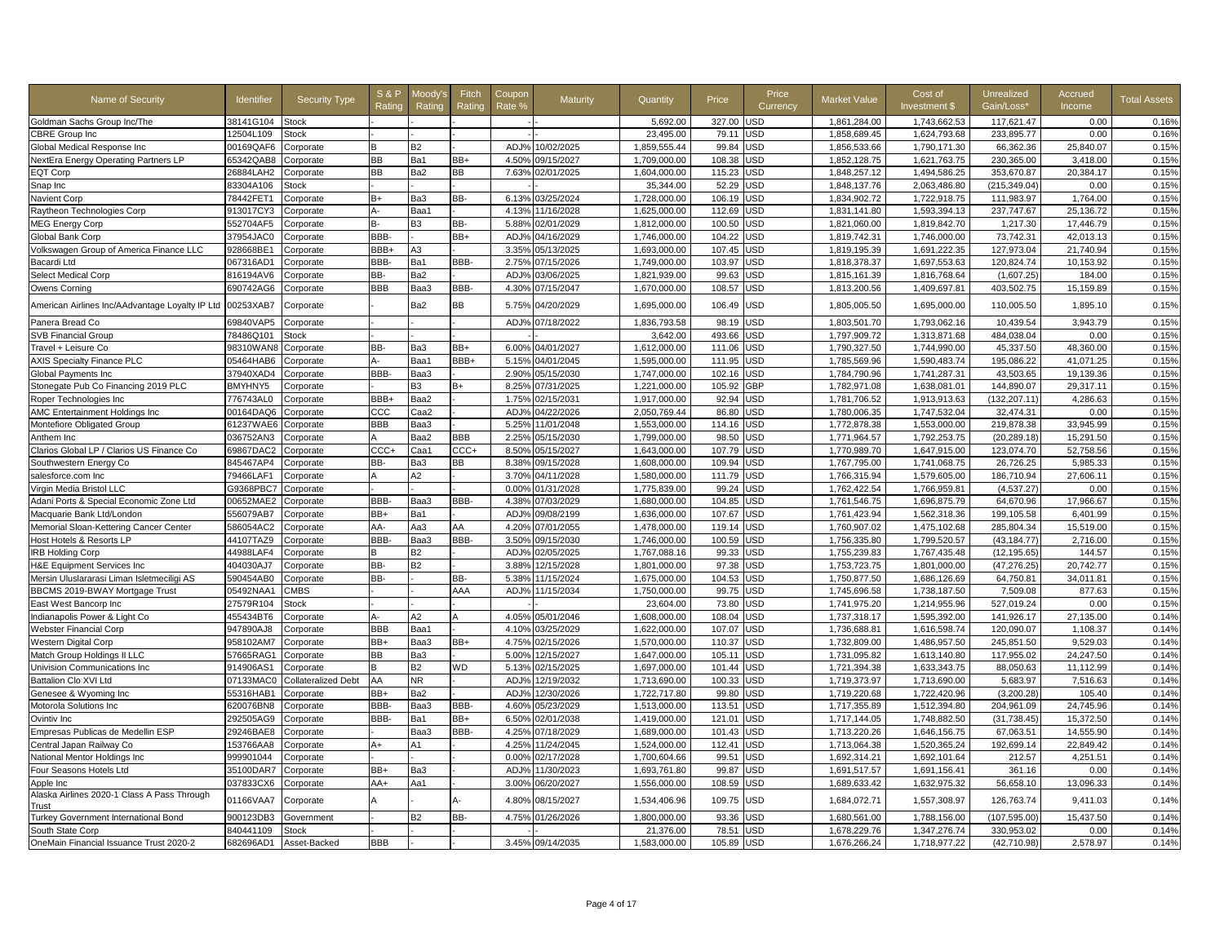| Goldman Sachs Group Inc/The<br>38141G104<br><b>Stock</b><br>5.692.00<br>327.00<br><b>JSD</b><br>1.861.284.00<br>1.743.662.53<br>117,621.47<br>0.00<br>0.16%<br><b>CBRE Group Inc</b><br>12504L109<br><b>Stock</b><br>23,495.00<br>79.11<br>JSD<br>1,858,689.45<br>1,624,793.68<br>233,895.77<br>0.00<br>0.16%<br>1,859,555.44<br>99.84<br><b>JSD</b><br>1,856,533.66<br>25,840.07<br>0.15%<br>Global Medical Response Inc<br>00169QAF6<br>Corporate<br>В2<br>ADJ%<br>10/02/2025<br>1,790,171.30<br>66,362.36<br>B<br><b>BB</b><br>Ba1<br>BB+<br>108.38<br>JSD<br>1,852,128.75<br>230,365.00<br>0.15%<br>NextEra Energy Operating Partners LP<br>65342QAB8<br>Corporate<br>4.50%<br>09/15/2027<br>1,709,000.00<br>1,621,763.75<br>3,418.00<br><b>EQT Corp</b><br>26884LAH2<br><b>BB</b><br>Ba2<br><b>BB</b><br>1,604,000.00<br>JSD<br>1,848,257.12<br>353,670.87<br>20.384.17<br>0.15%<br>Corporate<br>7.63%<br>02/01/2025<br>115.23<br>1,494,586.25<br>0.15%<br>83304A106<br>35,344.00<br>52.29<br>JSD<br>1,848,137.76<br>2,063,486.80<br>(215, 349.04)<br>0.00<br>Snap Inc<br>Stock<br>78442FET1<br>BB-<br>03/25/2024<br>1,728,000.00<br>106.19<br>USD<br>1,834,902.72<br>1,722,918.75<br>111,983.97<br>1,764.00<br>0.15%<br><b>Navient Corp</b><br>Corporate<br>$B+$<br>Ba3<br>6.13%<br>USD<br>913017CY3<br>А-<br>Baa1<br>11/16/2028<br>1,625,000.00<br>112.69<br>1,831,141.80<br>1,593,394.13<br>237,747.67<br>25,136.72<br>0.15%<br>Raytheon Technologies Corp<br>Corporate<br>4.13%<br>5.88%<br>100.50<br>USD<br>0.15%<br>552704AF5<br>В3<br>BB-<br>02/01/2029<br>1,812,000.00<br>1,821,060.00<br>1,819,842.70<br>1,217.30<br>17,446.79<br><b>MEG Energy Corp</b><br>Corporate<br>в-<br>37954JAC0<br>BBB-<br>BB+<br>104.22<br>USD<br>73,742.31<br>0.15%<br>ADJ%<br>04/16/2029<br>1,746,000.00<br>1,819,742.31<br>1,746,000.00<br>42.013.13<br>Global Bank Corp<br>Corporate<br>BBB+<br>107.45<br><b>JSD</b><br>1,819,195.39<br>1,691,222.35<br>127,973.04<br>0.15%<br>Volkswagen Group of America Finance LLC<br>928668BE1<br>Corporate<br>A3<br>3.35%<br>05/13/2025<br>1,693,000.00<br>21,740.94<br>BBB-<br>BBB-<br>067316AD1<br>Ba1<br>2.75%<br>103.97<br>JSD<br>1,818,378.37<br>1,697,553.63<br>120,824.74<br>10,153.92<br>0.15%<br>Bacardi Ltd<br>Corporate<br>07/15/2026<br>1,749,000.00<br>BB-<br>Ba2<br>1,821,939.00<br>JSD<br>0.15%<br>Select Medical Corp<br>816194AV6<br>Corporate<br>ADJ%<br>03/06/2025<br>99.63<br>1,815,161.39<br>1,816,768.64<br>(1,607.25)<br>184.00<br>BBB<br>690742AG6<br>Baa3<br>BBB-<br>07/15/2047<br>1,670,000.00<br>108.57<br>USD<br>1,813,200.56<br>403,502.75<br>15,159.89<br>0.15%<br>Owens Corning<br>Corporate<br>4.30%<br>1,409,697.81<br>Ba2<br><b>BB</b><br>USD<br>American Airlines Inc/AAdvantage Loyalty IP Ltc<br>00253XAB7<br>04/20/2029<br>1,695,000.00<br>106.49<br>1,805,005.50<br>1,695,000.00<br>110,005.50<br>1,895.10<br>0.15%<br>Corporate<br>5.75%<br>ADJ%<br>1,836,793.58<br>98.19<br><b>JSD</b><br>1,803,501.70<br>1,793,062.16<br>10,439.54<br>3.943.79<br>0.15%<br>Panera Bread Co<br>69840VAP5<br>07/18/2022<br>Corporate<br>78486Q101<br>3,642.00<br>493.66<br><b>JSD</b><br>1,797,909.72<br>484,038.04<br>0.15%<br><b>SVB Financial Group</b><br><b>Stock</b><br>1,313,871.68<br>0.00<br>98310WAN8<br>BB-<br>Ba3<br>BB+<br>6.00%<br>04/01/2027<br>1,612,000.00<br>111.06<br>JSD<br>1,790,327.50<br>1,744,990.00<br>45,337.50<br>48,360.00<br>0.15%<br>Travel + Leisure Co<br>Corporate<br><b>AXIS Specialty Finance PLC</b><br>05464HAB6<br>Baa1<br>BBB+<br>5.15%<br>04/01/2045<br>1,595,000.00<br>111.95<br>JSD<br>1,785,569.96<br>1,590,483.74<br>195,086.22<br>41.071.25<br>0.15%<br>Corporate<br>37940XAD4<br>BBB-<br>Baa3<br>2.90%<br>05/15/2030<br>1,747,000.00<br>102.16<br>JSD<br>1,784,790.96<br>1,741,287.31<br>43,503.65<br>19,139.36<br>0.15%<br>Global Payments Inc<br>Corporate<br>GBP<br>Stonegate Pub Co Financing 2019 PLC<br>BMYHNY5<br>B3<br>B+<br>8.25%<br>07/31/2025<br>1,221,000.00<br>105.92<br>1,782,971.08<br>1,638,081.01<br>144,890.07<br>29,317.11<br>0.15%<br>Corporate<br>Roper Technologies Inc<br>776743AL0<br>BBB+<br>Baa2<br>1.75%<br>02/15/2031<br>1,917,000.00<br>92.94<br>JSD<br>1,781,706.52<br>1,913,913.63<br>(132, 207.11)<br>4,286.63<br>0.15%<br>Corporate<br>ADJ <sub>9</sub><br>1,780,006.35<br>1,747,532.04<br>32,474.31<br>0.15%<br>AMC Entertainment Holdings Inc<br>00164DAQ6<br>ccc<br>Caa2<br>04/22/2026<br>2,050,769.44<br>86.80<br>JSD<br>0.00<br>Corporate<br>33,945.99<br>0.15%<br>Montefiore Obligated Group<br>61237WAE6<br><b>BBB</b><br>Baa3<br>5.25%<br>11/01/2048<br>1,553,000.00<br>114.16<br>JSD<br>1,772,878.38<br>1,553,000.00<br>219,878.38<br>Corporate<br><b>BBB</b><br>98.50<br><b>JSD</b><br>1,792,253.75<br>0.15%<br>Anthem Inc<br>036752AN3<br>Corporate<br>Baa2<br>2.25%<br>05/15/2030<br>1,799,000.00<br>1,771,964.57<br>(20, 289.18)<br>15,291.50<br>CCC+<br>CCC+<br><b>JSD</b><br>0.15%<br>Clarios Global LP / Clarios US Finance Co<br>69867DAC2<br>Corporate<br>Caa1<br>8.50%<br>05/15/2027<br>1,643,000.00<br>107.79<br>1,770,989.70<br>1,647,915.00<br>123,074.70<br>52,758.56<br>BB-<br>1,608,000.00<br>109.94<br>JSD<br>1,767,795.00<br>1,741,068.75<br>5,985.33<br>0.15%<br>Southwestern Energy Co<br>845467AP4<br>Corporate<br>Ba3<br>BB<br>8.38%<br>09/15/2028<br>26,726.25<br>79466LAF1<br>A2<br>3.70%<br>1,580,000.00<br>111.79<br>JSD<br>1,766,315.94<br>1,579,605.00<br>186,710.94<br>27,606.11<br>0.15%<br>salesforce.com Inc<br>Corporate<br>04/11/2028<br>G9368PBC7<br>0.00%<br>01/31/2028<br>1,775,839.00<br>99.24<br><b>JSD</b><br>1,762,422.54<br>1,766,959.81<br>(4,537.27)<br>0.00<br>0.15%<br>Virgin Media Bristol LLC<br>Corporate<br><b>JSD</b><br>1,761,546.75<br>17,966.67<br>0.15%<br>Adani Ports & Special Economic Zone Ltd<br>00652MAE2<br>BBB-<br>Baa3<br>BBB-<br>4.38%<br>07/03/2029<br>1,680,000.00<br>104.85<br>1,696,875.79<br>64,670.96<br>Corporate<br>Macquarie Bank Ltd/London<br>556079AB7<br>BB+<br>Ba1<br>ADJ <sub>9</sub><br>09/08/2199<br>1,636,000.00<br>107.67<br>JSD<br>1,761,423.94<br>1,562,318.36<br>199,105.58<br>6.401.99<br>0.15%<br>Corporate<br>AA-<br>Memorial Sloan-Kettering Cancer Center<br>586054AC2<br>Aa3<br>AA<br>4.20%<br>07/01/2055<br>1,478,000.00<br>119.14<br>JSD<br>1,760,907.02<br>1,475,102.68<br>285,804.34<br>15,519.00<br>0.15%<br>Corporate<br>BBB-<br>BBB-<br>1,756,335.80<br>0.15%<br>Host Hotels & Resorts LP<br>44107TAZ9<br>Baa3<br>3.50%<br>09/15/2030<br>1,746,000.00<br>100.59<br>JSD<br>1,799,520.57<br>(43, 184.77)<br>2,716.00<br>Corporate<br>44988LAF4<br><b>JSD</b><br>0.15%<br><b>IRB Holding Corp</b><br>Corporate<br>B<br>B2<br>ADJ <sub>9</sub><br>02/05/2025<br>1,767,088.16<br>99.33<br>1,755,239.83<br>1,767,435.48<br>(12, 195.65)<br>144.57<br>BB-<br>B2<br>1,801,000.00<br>97.38<br><b>JSD</b><br>1,753,723.75<br>1,801,000.00<br>(47, 276.25)<br>20,742.77<br>0.15%<br><b>H&amp;E Equipment Services Inc</b><br>404030AJ7<br>Corporate<br>3.88%<br>12/15/2028<br>BB-<br>104.53<br>JSD<br>64,750.81<br>34,011.81<br>0.15%<br>Mersin Uluslararasi Liman Isletmeciligi AS<br>590454AB0<br>Corporate<br>BB-<br>5.38%<br>1/15/2024<br>1,675,000.00<br>1,750,877.50<br>1,686,126.69<br>05492NAA1<br>CMBS<br>AAA<br>ADJ <sub>9</sub><br>11/15/2034<br>1,750,000.00<br>99.75<br>JSD<br>1,745,696.58<br>1,738,187.50<br>7,509.08<br>877.63<br>0.15%<br>BBCMS 2019-BWAY Mortgage Trust<br>27579R104<br>23,604.00<br>73.80<br>JSD<br>1,741,975.20<br>1,214,955.96<br>527.019.24<br>0.00<br>0.15%<br>East West Bancorp Inc<br>Stock<br>455434BT6<br>A2<br>4.05%<br>05/01/2046<br>1.608.000.00<br>108.04<br>JSD<br>1.737.318.17<br>1,595,392.00<br>141.926.17<br>27.135.00<br>0.14%<br>Indianapolis Power & Light Co<br>Corporate<br>A<br>947890AJ8<br><b>BBB</b><br>Baa1<br>4.10%<br>1,622,000.00<br>107.07<br>JSD<br>1,736,688.81<br>1.616.598.74<br>120.090.07<br>1.108.37<br>0.14%<br><b>Webster Financial Corp</b><br>Corporate<br>03/25/2029<br>958102AM7<br>BB+<br>Baa3<br>BB+<br>4.75%<br>02/15/2026<br>1.570.000.00<br>110.37<br>JSD<br>1.732.809.00<br>1.486.957.50<br>245,851.50<br>9.529.03<br>0.14%<br>Western Digital Corp<br>Corporate<br><b>BB</b><br>105.1<br>24,247.50<br>0.14%<br>Match Group Holdings II LLC<br>57665RAG1<br>Ba3<br>5.00%<br>12/15/2027<br>1,647,000.00<br>JSD<br>1,731,095.82<br>1,613,140.80<br>117,955.02<br>Corporate<br>B2<br><b>WD</b><br>1,697,000.00<br><b>JSD</b><br>1,721,394.38<br>1,633,343.75<br>88,050.63<br>0.14%<br>Univision Communications Inc<br>914906AS1<br>5.13%<br>02/15/2025<br>101.44<br>11,112.99<br>Corporate<br>AA<br>NR.<br>ADJ%<br>100.33<br>JSD<br>1,719,373.97<br>1,713,690.00<br>5,683.97<br>0.14%<br>Battalion Clo XVI Ltd<br>07133MAC0<br>Collateralized Debt<br>12/19/2032<br>1,713,690.00<br>7,516.63<br>55316HAB1<br>BB+<br>Ba2<br>ADJ <sub>9</sub><br>1,722,717.80<br>99.80<br>JSD<br>1,719,220.68<br>1,722,420.96<br>(3,200.28)<br>105.40<br>0.14%<br>Genesee & Wyoming Inc<br>Corporate<br>12/30/2026<br>BBB-<br>BBB-<br>05/23/2029<br>1,513,000.00<br>113.51<br>JSD<br>1,717,355.89<br>1.512.394.80<br>204,961.09<br>24,745.96<br>0.14%<br>Motorola Solutions Inc<br>620076BN8<br>Corporate<br>Baa3<br>4.60%<br>292505AG9<br>BBB-<br>Ba1<br>BB+<br>6.50%<br>02/01/2038<br>1.419.000.00<br>121.01<br>JSD<br>1.717.144.05<br>1.748.882.50<br>(31.738.45)<br>15.372.50<br>0.14%<br>Ovintiv Inc<br>Corporate<br>BBB-<br>Empresas Publicas de Medellin ESP<br>29246BAE8<br>Baa3<br>4.25%<br>07/18/2029<br>1.689.000.00<br>101.43<br>JSD<br>1.713.220.26<br>1.646.156.75<br>67,063.51<br>14.555.90<br>0.14%<br>Corporate<br>Central Japan Railway Co<br>153766AA8<br>A+<br>A1<br>4.25%<br>11/24/2045<br>1.524.000.00<br>112.41<br><b>JSD</b><br>1,713,064.38<br>1.520.365.24<br>192,699.14<br>22.849.42<br>0.14%<br>Corporate<br>National Mentor Holdings Inc<br>999901044<br>0.00%<br>02/17/2028<br>1,700,604.66<br>99.51<br>JSD<br>1.692.314.21<br>1.692.101.64<br>212.57<br>4.251.51<br>0.14%<br>Corporate<br>361.16<br>Four Seasons Hotels Ltd<br>35100DAR7<br>BB+<br>Ba3<br>ADJ <sup>9</sup><br>1/30/2023<br>1,693,761.80<br>99.87<br>JSD<br>1,691,517.57<br>1,691,156.41<br>0.00<br>0.14%<br>Corporate<br>Apple Inc<br>037833CX6<br>AA+<br>Aa1<br>3.00%<br>06/20/2027<br>1,556,000.00<br>108.59<br>JSD<br>1,689,633.42<br>1,632,975.32<br>56,658.10<br>13,096.33<br>0.14%<br>Corporate<br>Alaska Airlines 2020-1 Class A Pass Through<br>USD<br>01166VAA7<br>1,534,406.96<br>109.75<br>126,763.74<br>0.14%<br>Corporate<br>4.80%<br>08/15/2027<br>1,684,072.71<br>1,557,308.97<br>9,411.03<br>Trust<br>1.800.000.00<br>JSD<br>(107, 595.00)<br>15,437.50<br>0.14%<br>900123DB3<br>B2<br>BB-<br>4.75%<br>01/26/2026<br>93.36<br>1,680,561.00<br>1.788.156.00<br>Turkey Government International Bond<br>Government<br>840441109<br>21,376.00<br>78.51<br>JSD<br>1,678,229.76<br>1,347,276.74<br>330,953.02<br>0.00<br>0.14%<br>South State Corp<br>Stock<br>682696AD1<br><b>BBB</b><br>3.45% 09/14/2035<br>1,583,000.00<br>105.89<br>USD<br>1,676,266.24<br>1,718,977.22<br>(42, 710.98)<br>2,578.97<br>0.14%<br>OneMain Financial Issuance Trust 2020-2<br>Asset-Backed | Name of Security | <b>Identifier</b> | <b>Security Type</b> | <b>S&amp;P</b><br>Rating | 100dv<br>Rating | Fitch<br>Rating | Coupor<br>Rate 9 | <b>Maturity</b> | Quantity | Price | Price<br>Currency | <b>Market Value</b> | Cost of<br>Investment \$ | Unrealized<br>Gain/Loss* | Accrued<br>Income | <b>Total Assets</b> |
|--------------------------------------------------------------------------------------------------------------------------------------------------------------------------------------------------------------------------------------------------------------------------------------------------------------------------------------------------------------------------------------------------------------------------------------------------------------------------------------------------------------------------------------------------------------------------------------------------------------------------------------------------------------------------------------------------------------------------------------------------------------------------------------------------------------------------------------------------------------------------------------------------------------------------------------------------------------------------------------------------------------------------------------------------------------------------------------------------------------------------------------------------------------------------------------------------------------------------------------------------------------------------------------------------------------------------------------------------------------------------------------------------------------------------------------------------------------------------------------------------------------------------------------------------------------------------------------------------------------------------------------------------------------------------------------------------------------------------------------------------------------------------------------------------------------------------------------------------------------------------------------------------------------------------------------------------------------------------------------------------------------------------------------------------------------------------------------------------------------------------------------------------------------------------------------------------------------------------------------------------------------------------------------------------------------------------------------------------------------------------------------------------------------------------------------------------------------------------------------------------------------------------------------------------------------------------------------------------------------------------------------------------------------------------------------------------------------------------------------------------------------------------------------------------------------------------------------------------------------------------------------------------------------------------------------------------------------------------------------------------------------------------------------------------------------------------------------------------------------------------------------------------------------------------------------------------------------------------------------------------------------------------------------------------------------------------------------------------------------------------------------------------------------------------------------------------------------------------------------------------------------------------------------------------------------------------------------------------------------------------------------------------------------------------------------------------------------------------------------------------------------------------------------------------------------------------------------------------------------------------------------------------------------------------------------------------------------------------------------------------------------------------------------------------------------------------------------------------------------------------------------------------------------------------------------------------------------------------------------------------------------------------------------------------------------------------------------------------------------------------------------------------------------------------------------------------------------------------------------------------------------------------------------------------------------------------------------------------------------------------------------------------------------------------------------------------------------------------------------------------------------------------------------------------------------------------------------------------------------------------------------------------------------------------------------------------------------------------------------------------------------------------------------------------------------------------------------------------------------------------------------------------------------------------------------------------------------------------------------------------------------------------------------------------------------------------------------------------------------------------------------------------------------------------------------------------------------------------------------------------------------------------------------------------------------------------------------------------------------------------------------------------------------------------------------------------------------------------------------------------------------------------------------------------------------------------------------------------------------------------------------------------------------------------------------------------------------------------------------------------------------------------------------------------------------------------------------------------------------------------------------------------------------------------------------------------------------------------------------------------------------------------------------------------------------------------------------------------------------------------------------------------------------------------------------------------------------------------------------------------------------------------------------------------------------------------------------------------------------------------------------------------------------------------------------------------------------------------------------------------------------------------------------------------------------------------------------------------------------------------------------------------------------------------------------------------------------------------------------------------------------------------------------------------------------------------------------------------------------------------------------------------------------------------------------------------------------------------------------------------------------------------------------------------------------------------------------------------------------------------------------------------------------------------------------------------------------------------------------------------------------------------------------------------------------------------------------------------------------------------------------------------------------------------------------------------------------------------------------------------------------------------------------------------------------------------------------------------------------------------------------------------------------------------------------------------------------------------------------------------------------------------------------------------------------------------------------------------------------------------------------------------------------------------------------------------------------------------------------------------------------------------------------------------------------------------------------------------------------------------------------------------------------------------------------------------------------------------------------------------------------------------------------------------------------------------------------------------------------------------------------------------------------------------------------------------------------------------------------------------------------------------------------------------------------------------------------------------------------------------------------------------------------------------------------------------------------------------------------------------------------------------------------------------------------------------------------------------------------------------------------------------------------------------------------------------------------------------------------------------------------------------------------------------------------------------------------------------------------------------------------------------------------------------------------------------------------------------------------------------------------------------------------------------------------------------------------------------------------------------------------------------------------------------------------------------------------------------------------------------------------------------------------------------------------------------------------------------------------------------------------------------------------------------------------------------------------------------------------------------------------------------------------------------------------------------------------------------------------------------------------------------------------------------------------------------------------------------------------------------------------------------------------------------------------------------------------------------------------------------------------------------------------------------------------------------------------------------------------------------------------------------------------------------------------------------------------------------------------------------------------------------------------------------------------------------------------------------------------------------------------------------------------------------------------------------------------------------------------------------------------------------------------------------------------------------------------------------------------------------------------------------------------------------------------------------------------------------------------------------------------------------------------------------------------------------|------------------|-------------------|----------------------|--------------------------|-----------------|-----------------|------------------|-----------------|----------|-------|-------------------|---------------------|--------------------------|--------------------------|-------------------|---------------------|
|                                                                                                                                                                                                                                                                                                                                                                                                                                                                                                                                                                                                                                                                                                                                                                                                                                                                                                                                                                                                                                                                                                                                                                                                                                                                                                                                                                                                                                                                                                                                                                                                                                                                                                                                                                                                                                                                                                                                                                                                                                                                                                                                                                                                                                                                                                                                                                                                                                                                                                                                                                                                                                                                                                                                                                                                                                                                                                                                                                                                                                                                                                                                                                                                                                                                                                                                                                                                                                                                                                                                                                                                                                                                                                                                                                                                                                                                                                                                                                                                                                                                                                                                                                                                                                                                                                                                                                                                                                                                                                                                                                                                                                                                                                                                                                                                                                                                                                                                                                                                                                                                                                                                                                                                                                                                                                                                                                                                                                                                                                                                                                                                                                                                                                                                                                                                                                                                                                                                                                                                                                                                                                                                                                                                                                                                                                                                                                                                                                                                                                                                                                                                                                                                                                                                                                                                                                                                                                                                                                                                                                                                                                                                                                                                                                                                                                                                                                                                                                                                                                                                                                                                                                                                                                                                                                                                                                                                                                                                                                                                                                                                                                                                                                                                                                                                                                                                                                                                                                                                                                                                                                                                                                                                                                                                                                                                                                                                                                                                                                                                                                                                                                                                                                                                                                                                                                                                                                                                                                                                                                                                                                                                                                                                                                                                                                                                                                                                                                                                                                                                                                                                                                                                                                                                                                                                                                                                                                                                                                                                                                                                                                                                                                                                                                                                                                                                                                                                                                                                                                                                                                                                                                                                                                                                  |                  |                   |                      |                          |                 |                 |                  |                 |          |       |                   |                     |                          |                          |                   |                     |
|                                                                                                                                                                                                                                                                                                                                                                                                                                                                                                                                                                                                                                                                                                                                                                                                                                                                                                                                                                                                                                                                                                                                                                                                                                                                                                                                                                                                                                                                                                                                                                                                                                                                                                                                                                                                                                                                                                                                                                                                                                                                                                                                                                                                                                                                                                                                                                                                                                                                                                                                                                                                                                                                                                                                                                                                                                                                                                                                                                                                                                                                                                                                                                                                                                                                                                                                                                                                                                                                                                                                                                                                                                                                                                                                                                                                                                                                                                                                                                                                                                                                                                                                                                                                                                                                                                                                                                                                                                                                                                                                                                                                                                                                                                                                                                                                                                                                                                                                                                                                                                                                                                                                                                                                                                                                                                                                                                                                                                                                                                                                                                                                                                                                                                                                                                                                                                                                                                                                                                                                                                                                                                                                                                                                                                                                                                                                                                                                                                                                                                                                                                                                                                                                                                                                                                                                                                                                                                                                                                                                                                                                                                                                                                                                                                                                                                                                                                                                                                                                                                                                                                                                                                                                                                                                                                                                                                                                                                                                                                                                                                                                                                                                                                                                                                                                                                                                                                                                                                                                                                                                                                                                                                                                                                                                                                                                                                                                                                                                                                                                                                                                                                                                                                                                                                                                                                                                                                                                                                                                                                                                                                                                                                                                                                                                                                                                                                                                                                                                                                                                                                                                                                                                                                                                                                                                                                                                                                                                                                                                                                                                                                                                                                                                                                                                                                                                                                                                                                                                                                                                                                                                                                                                                                                                  |                  |                   |                      |                          |                 |                 |                  |                 |          |       |                   |                     |                          |                          |                   |                     |
|                                                                                                                                                                                                                                                                                                                                                                                                                                                                                                                                                                                                                                                                                                                                                                                                                                                                                                                                                                                                                                                                                                                                                                                                                                                                                                                                                                                                                                                                                                                                                                                                                                                                                                                                                                                                                                                                                                                                                                                                                                                                                                                                                                                                                                                                                                                                                                                                                                                                                                                                                                                                                                                                                                                                                                                                                                                                                                                                                                                                                                                                                                                                                                                                                                                                                                                                                                                                                                                                                                                                                                                                                                                                                                                                                                                                                                                                                                                                                                                                                                                                                                                                                                                                                                                                                                                                                                                                                                                                                                                                                                                                                                                                                                                                                                                                                                                                                                                                                                                                                                                                                                                                                                                                                                                                                                                                                                                                                                                                                                                                                                                                                                                                                                                                                                                                                                                                                                                                                                                                                                                                                                                                                                                                                                                                                                                                                                                                                                                                                                                                                                                                                                                                                                                                                                                                                                                                                                                                                                                                                                                                                                                                                                                                                                                                                                                                                                                                                                                                                                                                                                                                                                                                                                                                                                                                                                                                                                                                                                                                                                                                                                                                                                                                                                                                                                                                                                                                                                                                                                                                                                                                                                                                                                                                                                                                                                                                                                                                                                                                                                                                                                                                                                                                                                                                                                                                                                                                                                                                                                                                                                                                                                                                                                                                                                                                                                                                                                                                                                                                                                                                                                                                                                                                                                                                                                                                                                                                                                                                                                                                                                                                                                                                                                                                                                                                                                                                                                                                                                                                                                                                                                                                                                                                  |                  |                   |                      |                          |                 |                 |                  |                 |          |       |                   |                     |                          |                          |                   |                     |
|                                                                                                                                                                                                                                                                                                                                                                                                                                                                                                                                                                                                                                                                                                                                                                                                                                                                                                                                                                                                                                                                                                                                                                                                                                                                                                                                                                                                                                                                                                                                                                                                                                                                                                                                                                                                                                                                                                                                                                                                                                                                                                                                                                                                                                                                                                                                                                                                                                                                                                                                                                                                                                                                                                                                                                                                                                                                                                                                                                                                                                                                                                                                                                                                                                                                                                                                                                                                                                                                                                                                                                                                                                                                                                                                                                                                                                                                                                                                                                                                                                                                                                                                                                                                                                                                                                                                                                                                                                                                                                                                                                                                                                                                                                                                                                                                                                                                                                                                                                                                                                                                                                                                                                                                                                                                                                                                                                                                                                                                                                                                                                                                                                                                                                                                                                                                                                                                                                                                                                                                                                                                                                                                                                                                                                                                                                                                                                                                                                                                                                                                                                                                                                                                                                                                                                                                                                                                                                                                                                                                                                                                                                                                                                                                                                                                                                                                                                                                                                                                                                                                                                                                                                                                                                                                                                                                                                                                                                                                                                                                                                                                                                                                                                                                                                                                                                                                                                                                                                                                                                                                                                                                                                                                                                                                                                                                                                                                                                                                                                                                                                                                                                                                                                                                                                                                                                                                                                                                                                                                                                                                                                                                                                                                                                                                                                                                                                                                                                                                                                                                                                                                                                                                                                                                                                                                                                                                                                                                                                                                                                                                                                                                                                                                                                                                                                                                                                                                                                                                                                                                                                                                                                                                                                                                  |                  |                   |                      |                          |                 |                 |                  |                 |          |       |                   |                     |                          |                          |                   |                     |
|                                                                                                                                                                                                                                                                                                                                                                                                                                                                                                                                                                                                                                                                                                                                                                                                                                                                                                                                                                                                                                                                                                                                                                                                                                                                                                                                                                                                                                                                                                                                                                                                                                                                                                                                                                                                                                                                                                                                                                                                                                                                                                                                                                                                                                                                                                                                                                                                                                                                                                                                                                                                                                                                                                                                                                                                                                                                                                                                                                                                                                                                                                                                                                                                                                                                                                                                                                                                                                                                                                                                                                                                                                                                                                                                                                                                                                                                                                                                                                                                                                                                                                                                                                                                                                                                                                                                                                                                                                                                                                                                                                                                                                                                                                                                                                                                                                                                                                                                                                                                                                                                                                                                                                                                                                                                                                                                                                                                                                                                                                                                                                                                                                                                                                                                                                                                                                                                                                                                                                                                                                                                                                                                                                                                                                                                                                                                                                                                                                                                                                                                                                                                                                                                                                                                                                                                                                                                                                                                                                                                                                                                                                                                                                                                                                                                                                                                                                                                                                                                                                                                                                                                                                                                                                                                                                                                                                                                                                                                                                                                                                                                                                                                                                                                                                                                                                                                                                                                                                                                                                                                                                                                                                                                                                                                                                                                                                                                                                                                                                                                                                                                                                                                                                                                                                                                                                                                                                                                                                                                                                                                                                                                                                                                                                                                                                                                                                                                                                                                                                                                                                                                                                                                                                                                                                                                                                                                                                                                                                                                                                                                                                                                                                                                                                                                                                                                                                                                                                                                                                                                                                                                                                                                                                                                  |                  |                   |                      |                          |                 |                 |                  |                 |          |       |                   |                     |                          |                          |                   |                     |
|                                                                                                                                                                                                                                                                                                                                                                                                                                                                                                                                                                                                                                                                                                                                                                                                                                                                                                                                                                                                                                                                                                                                                                                                                                                                                                                                                                                                                                                                                                                                                                                                                                                                                                                                                                                                                                                                                                                                                                                                                                                                                                                                                                                                                                                                                                                                                                                                                                                                                                                                                                                                                                                                                                                                                                                                                                                                                                                                                                                                                                                                                                                                                                                                                                                                                                                                                                                                                                                                                                                                                                                                                                                                                                                                                                                                                                                                                                                                                                                                                                                                                                                                                                                                                                                                                                                                                                                                                                                                                                                                                                                                                                                                                                                                                                                                                                                                                                                                                                                                                                                                                                                                                                                                                                                                                                                                                                                                                                                                                                                                                                                                                                                                                                                                                                                                                                                                                                                                                                                                                                                                                                                                                                                                                                                                                                                                                                                                                                                                                                                                                                                                                                                                                                                                                                                                                                                                                                                                                                                                                                                                                                                                                                                                                                                                                                                                                                                                                                                                                                                                                                                                                                                                                                                                                                                                                                                                                                                                                                                                                                                                                                                                                                                                                                                                                                                                                                                                                                                                                                                                                                                                                                                                                                                                                                                                                                                                                                                                                                                                                                                                                                                                                                                                                                                                                                                                                                                                                                                                                                                                                                                                                                                                                                                                                                                                                                                                                                                                                                                                                                                                                                                                                                                                                                                                                                                                                                                                                                                                                                                                                                                                                                                                                                                                                                                                                                                                                                                                                                                                                                                                                                                                                                                                  |                  |                   |                      |                          |                 |                 |                  |                 |          |       |                   |                     |                          |                          |                   |                     |
|                                                                                                                                                                                                                                                                                                                                                                                                                                                                                                                                                                                                                                                                                                                                                                                                                                                                                                                                                                                                                                                                                                                                                                                                                                                                                                                                                                                                                                                                                                                                                                                                                                                                                                                                                                                                                                                                                                                                                                                                                                                                                                                                                                                                                                                                                                                                                                                                                                                                                                                                                                                                                                                                                                                                                                                                                                                                                                                                                                                                                                                                                                                                                                                                                                                                                                                                                                                                                                                                                                                                                                                                                                                                                                                                                                                                                                                                                                                                                                                                                                                                                                                                                                                                                                                                                                                                                                                                                                                                                                                                                                                                                                                                                                                                                                                                                                                                                                                                                                                                                                                                                                                                                                                                                                                                                                                                                                                                                                                                                                                                                                                                                                                                                                                                                                                                                                                                                                                                                                                                                                                                                                                                                                                                                                                                                                                                                                                                                                                                                                                                                                                                                                                                                                                                                                                                                                                                                                                                                                                                                                                                                                                                                                                                                                                                                                                                                                                                                                                                                                                                                                                                                                                                                                                                                                                                                                                                                                                                                                                                                                                                                                                                                                                                                                                                                                                                                                                                                                                                                                                                                                                                                                                                                                                                                                                                                                                                                                                                                                                                                                                                                                                                                                                                                                                                                                                                                                                                                                                                                                                                                                                                                                                                                                                                                                                                                                                                                                                                                                                                                                                                                                                                                                                                                                                                                                                                                                                                                                                                                                                                                                                                                                                                                                                                                                                                                                                                                                                                                                                                                                                                                                                                                                                                  |                  |                   |                      |                          |                 |                 |                  |                 |          |       |                   |                     |                          |                          |                   |                     |
|                                                                                                                                                                                                                                                                                                                                                                                                                                                                                                                                                                                                                                                                                                                                                                                                                                                                                                                                                                                                                                                                                                                                                                                                                                                                                                                                                                                                                                                                                                                                                                                                                                                                                                                                                                                                                                                                                                                                                                                                                                                                                                                                                                                                                                                                                                                                                                                                                                                                                                                                                                                                                                                                                                                                                                                                                                                                                                                                                                                                                                                                                                                                                                                                                                                                                                                                                                                                                                                                                                                                                                                                                                                                                                                                                                                                                                                                                                                                                                                                                                                                                                                                                                                                                                                                                                                                                                                                                                                                                                                                                                                                                                                                                                                                                                                                                                                                                                                                                                                                                                                                                                                                                                                                                                                                                                                                                                                                                                                                                                                                                                                                                                                                                                                                                                                                                                                                                                                                                                                                                                                                                                                                                                                                                                                                                                                                                                                                                                                                                                                                                                                                                                                                                                                                                                                                                                                                                                                                                                                                                                                                                                                                                                                                                                                                                                                                                                                                                                                                                                                                                                                                                                                                                                                                                                                                                                                                                                                                                                                                                                                                                                                                                                                                                                                                                                                                                                                                                                                                                                                                                                                                                                                                                                                                                                                                                                                                                                                                                                                                                                                                                                                                                                                                                                                                                                                                                                                                                                                                                                                                                                                                                                                                                                                                                                                                                                                                                                                                                                                                                                                                                                                                                                                                                                                                                                                                                                                                                                                                                                                                                                                                                                                                                                                                                                                                                                                                                                                                                                                                                                                                                                                                                                                                  |                  |                   |                      |                          |                 |                 |                  |                 |          |       |                   |                     |                          |                          |                   |                     |
|                                                                                                                                                                                                                                                                                                                                                                                                                                                                                                                                                                                                                                                                                                                                                                                                                                                                                                                                                                                                                                                                                                                                                                                                                                                                                                                                                                                                                                                                                                                                                                                                                                                                                                                                                                                                                                                                                                                                                                                                                                                                                                                                                                                                                                                                                                                                                                                                                                                                                                                                                                                                                                                                                                                                                                                                                                                                                                                                                                                                                                                                                                                                                                                                                                                                                                                                                                                                                                                                                                                                                                                                                                                                                                                                                                                                                                                                                                                                                                                                                                                                                                                                                                                                                                                                                                                                                                                                                                                                                                                                                                                                                                                                                                                                                                                                                                                                                                                                                                                                                                                                                                                                                                                                                                                                                                                                                                                                                                                                                                                                                                                                                                                                                                                                                                                                                                                                                                                                                                                                                                                                                                                                                                                                                                                                                                                                                                                                                                                                                                                                                                                                                                                                                                                                                                                                                                                                                                                                                                                                                                                                                                                                                                                                                                                                                                                                                                                                                                                                                                                                                                                                                                                                                                                                                                                                                                                                                                                                                                                                                                                                                                                                                                                                                                                                                                                                                                                                                                                                                                                                                                                                                                                                                                                                                                                                                                                                                                                                                                                                                                                                                                                                                                                                                                                                                                                                                                                                                                                                                                                                                                                                                                                                                                                                                                                                                                                                                                                                                                                                                                                                                                                                                                                                                                                                                                                                                                                                                                                                                                                                                                                                                                                                                                                                                                                                                                                                                                                                                                                                                                                                                                                                                                                                  |                  |                   |                      |                          |                 |                 |                  |                 |          |       |                   |                     |                          |                          |                   |                     |
|                                                                                                                                                                                                                                                                                                                                                                                                                                                                                                                                                                                                                                                                                                                                                                                                                                                                                                                                                                                                                                                                                                                                                                                                                                                                                                                                                                                                                                                                                                                                                                                                                                                                                                                                                                                                                                                                                                                                                                                                                                                                                                                                                                                                                                                                                                                                                                                                                                                                                                                                                                                                                                                                                                                                                                                                                                                                                                                                                                                                                                                                                                                                                                                                                                                                                                                                                                                                                                                                                                                                                                                                                                                                                                                                                                                                                                                                                                                                                                                                                                                                                                                                                                                                                                                                                                                                                                                                                                                                                                                                                                                                                                                                                                                                                                                                                                                                                                                                                                                                                                                                                                                                                                                                                                                                                                                                                                                                                                                                                                                                                                                                                                                                                                                                                                                                                                                                                                                                                                                                                                                                                                                                                                                                                                                                                                                                                                                                                                                                                                                                                                                                                                                                                                                                                                                                                                                                                                                                                                                                                                                                                                                                                                                                                                                                                                                                                                                                                                                                                                                                                                                                                                                                                                                                                                                                                                                                                                                                                                                                                                                                                                                                                                                                                                                                                                                                                                                                                                                                                                                                                                                                                                                                                                                                                                                                                                                                                                                                                                                                                                                                                                                                                                                                                                                                                                                                                                                                                                                                                                                                                                                                                                                                                                                                                                                                                                                                                                                                                                                                                                                                                                                                                                                                                                                                                                                                                                                                                                                                                                                                                                                                                                                                                                                                                                                                                                                                                                                                                                                                                                                                                                                                                                                                  |                  |                   |                      |                          |                 |                 |                  |                 |          |       |                   |                     |                          |                          |                   |                     |
|                                                                                                                                                                                                                                                                                                                                                                                                                                                                                                                                                                                                                                                                                                                                                                                                                                                                                                                                                                                                                                                                                                                                                                                                                                                                                                                                                                                                                                                                                                                                                                                                                                                                                                                                                                                                                                                                                                                                                                                                                                                                                                                                                                                                                                                                                                                                                                                                                                                                                                                                                                                                                                                                                                                                                                                                                                                                                                                                                                                                                                                                                                                                                                                                                                                                                                                                                                                                                                                                                                                                                                                                                                                                                                                                                                                                                                                                                                                                                                                                                                                                                                                                                                                                                                                                                                                                                                                                                                                                                                                                                                                                                                                                                                                                                                                                                                                                                                                                                                                                                                                                                                                                                                                                                                                                                                                                                                                                                                                                                                                                                                                                                                                                                                                                                                                                                                                                                                                                                                                                                                                                                                                                                                                                                                                                                                                                                                                                                                                                                                                                                                                                                                                                                                                                                                                                                                                                                                                                                                                                                                                                                                                                                                                                                                                                                                                                                                                                                                                                                                                                                                                                                                                                                                                                                                                                                                                                                                                                                                                                                                                                                                                                                                                                                                                                                                                                                                                                                                                                                                                                                                                                                                                                                                                                                                                                                                                                                                                                                                                                                                                                                                                                                                                                                                                                                                                                                                                                                                                                                                                                                                                                                                                                                                                                                                                                                                                                                                                                                                                                                                                                                                                                                                                                                                                                                                                                                                                                                                                                                                                                                                                                                                                                                                                                                                                                                                                                                                                                                                                                                                                                                                                                                                                                  |                  |                   |                      |                          |                 |                 |                  |                 |          |       |                   |                     |                          |                          |                   |                     |
|                                                                                                                                                                                                                                                                                                                                                                                                                                                                                                                                                                                                                                                                                                                                                                                                                                                                                                                                                                                                                                                                                                                                                                                                                                                                                                                                                                                                                                                                                                                                                                                                                                                                                                                                                                                                                                                                                                                                                                                                                                                                                                                                                                                                                                                                                                                                                                                                                                                                                                                                                                                                                                                                                                                                                                                                                                                                                                                                                                                                                                                                                                                                                                                                                                                                                                                                                                                                                                                                                                                                                                                                                                                                                                                                                                                                                                                                                                                                                                                                                                                                                                                                                                                                                                                                                                                                                                                                                                                                                                                                                                                                                                                                                                                                                                                                                                                                                                                                                                                                                                                                                                                                                                                                                                                                                                                                                                                                                                                                                                                                                                                                                                                                                                                                                                                                                                                                                                                                                                                                                                                                                                                                                                                                                                                                                                                                                                                                                                                                                                                                                                                                                                                                                                                                                                                                                                                                                                                                                                                                                                                                                                                                                                                                                                                                                                                                                                                                                                                                                                                                                                                                                                                                                                                                                                                                                                                                                                                                                                                                                                                                                                                                                                                                                                                                                                                                                                                                                                                                                                                                                                                                                                                                                                                                                                                                                                                                                                                                                                                                                                                                                                                                                                                                                                                                                                                                                                                                                                                                                                                                                                                                                                                                                                                                                                                                                                                                                                                                                                                                                                                                                                                                                                                                                                                                                                                                                                                                                                                                                                                                                                                                                                                                                                                                                                                                                                                                                                                                                                                                                                                                                                                                                                                                  |                  |                   |                      |                          |                 |                 |                  |                 |          |       |                   |                     |                          |                          |                   |                     |
|                                                                                                                                                                                                                                                                                                                                                                                                                                                                                                                                                                                                                                                                                                                                                                                                                                                                                                                                                                                                                                                                                                                                                                                                                                                                                                                                                                                                                                                                                                                                                                                                                                                                                                                                                                                                                                                                                                                                                                                                                                                                                                                                                                                                                                                                                                                                                                                                                                                                                                                                                                                                                                                                                                                                                                                                                                                                                                                                                                                                                                                                                                                                                                                                                                                                                                                                                                                                                                                                                                                                                                                                                                                                                                                                                                                                                                                                                                                                                                                                                                                                                                                                                                                                                                                                                                                                                                                                                                                                                                                                                                                                                                                                                                                                                                                                                                                                                                                                                                                                                                                                                                                                                                                                                                                                                                                                                                                                                                                                                                                                                                                                                                                                                                                                                                                                                                                                                                                                                                                                                                                                                                                                                                                                                                                                                                                                                                                                                                                                                                                                                                                                                                                                                                                                                                                                                                                                                                                                                                                                                                                                                                                                                                                                                                                                                                                                                                                                                                                                                                                                                                                                                                                                                                                                                                                                                                                                                                                                                                                                                                                                                                                                                                                                                                                                                                                                                                                                                                                                                                                                                                                                                                                                                                                                                                                                                                                                                                                                                                                                                                                                                                                                                                                                                                                                                                                                                                                                                                                                                                                                                                                                                                                                                                                                                                                                                                                                                                                                                                                                                                                                                                                                                                                                                                                                                                                                                                                                                                                                                                                                                                                                                                                                                                                                                                                                                                                                                                                                                                                                                                                                                                                                                                                                  |                  |                   |                      |                          |                 |                 |                  |                 |          |       |                   |                     |                          |                          |                   |                     |
|                                                                                                                                                                                                                                                                                                                                                                                                                                                                                                                                                                                                                                                                                                                                                                                                                                                                                                                                                                                                                                                                                                                                                                                                                                                                                                                                                                                                                                                                                                                                                                                                                                                                                                                                                                                                                                                                                                                                                                                                                                                                                                                                                                                                                                                                                                                                                                                                                                                                                                                                                                                                                                                                                                                                                                                                                                                                                                                                                                                                                                                                                                                                                                                                                                                                                                                                                                                                                                                                                                                                                                                                                                                                                                                                                                                                                                                                                                                                                                                                                                                                                                                                                                                                                                                                                                                                                                                                                                                                                                                                                                                                                                                                                                                                                                                                                                                                                                                                                                                                                                                                                                                                                                                                                                                                                                                                                                                                                                                                                                                                                                                                                                                                                                                                                                                                                                                                                                                                                                                                                                                                                                                                                                                                                                                                                                                                                                                                                                                                                                                                                                                                                                                                                                                                                                                                                                                                                                                                                                                                                                                                                                                                                                                                                                                                                                                                                                                                                                                                                                                                                                                                                                                                                                                                                                                                                                                                                                                                                                                                                                                                                                                                                                                                                                                                                                                                                                                                                                                                                                                                                                                                                                                                                                                                                                                                                                                                                                                                                                                                                                                                                                                                                                                                                                                                                                                                                                                                                                                                                                                                                                                                                                                                                                                                                                                                                                                                                                                                                                                                                                                                                                                                                                                                                                                                                                                                                                                                                                                                                                                                                                                                                                                                                                                                                                                                                                                                                                                                                                                                                                                                                                                                                                                                  |                  |                   |                      |                          |                 |                 |                  |                 |          |       |                   |                     |                          |                          |                   |                     |
|                                                                                                                                                                                                                                                                                                                                                                                                                                                                                                                                                                                                                                                                                                                                                                                                                                                                                                                                                                                                                                                                                                                                                                                                                                                                                                                                                                                                                                                                                                                                                                                                                                                                                                                                                                                                                                                                                                                                                                                                                                                                                                                                                                                                                                                                                                                                                                                                                                                                                                                                                                                                                                                                                                                                                                                                                                                                                                                                                                                                                                                                                                                                                                                                                                                                                                                                                                                                                                                                                                                                                                                                                                                                                                                                                                                                                                                                                                                                                                                                                                                                                                                                                                                                                                                                                                                                                                                                                                                                                                                                                                                                                                                                                                                                                                                                                                                                                                                                                                                                                                                                                                                                                                                                                                                                                                                                                                                                                                                                                                                                                                                                                                                                                                                                                                                                                                                                                                                                                                                                                                                                                                                                                                                                                                                                                                                                                                                                                                                                                                                                                                                                                                                                                                                                                                                                                                                                                                                                                                                                                                                                                                                                                                                                                                                                                                                                                                                                                                                                                                                                                                                                                                                                                                                                                                                                                                                                                                                                                                                                                                                                                                                                                                                                                                                                                                                                                                                                                                                                                                                                                                                                                                                                                                                                                                                                                                                                                                                                                                                                                                                                                                                                                                                                                                                                                                                                                                                                                                                                                                                                                                                                                                                                                                                                                                                                                                                                                                                                                                                                                                                                                                                                                                                                                                                                                                                                                                                                                                                                                                                                                                                                                                                                                                                                                                                                                                                                                                                                                                                                                                                                                                                                                                                                  |                  |                   |                      |                          |                 |                 |                  |                 |          |       |                   |                     |                          |                          |                   |                     |
|                                                                                                                                                                                                                                                                                                                                                                                                                                                                                                                                                                                                                                                                                                                                                                                                                                                                                                                                                                                                                                                                                                                                                                                                                                                                                                                                                                                                                                                                                                                                                                                                                                                                                                                                                                                                                                                                                                                                                                                                                                                                                                                                                                                                                                                                                                                                                                                                                                                                                                                                                                                                                                                                                                                                                                                                                                                                                                                                                                                                                                                                                                                                                                                                                                                                                                                                                                                                                                                                                                                                                                                                                                                                                                                                                                                                                                                                                                                                                                                                                                                                                                                                                                                                                                                                                                                                                                                                                                                                                                                                                                                                                                                                                                                                                                                                                                                                                                                                                                                                                                                                                                                                                                                                                                                                                                                                                                                                                                                                                                                                                                                                                                                                                                                                                                                                                                                                                                                                                                                                                                                                                                                                                                                                                                                                                                                                                                                                                                                                                                                                                                                                                                                                                                                                                                                                                                                                                                                                                                                                                                                                                                                                                                                                                                                                                                                                                                                                                                                                                                                                                                                                                                                                                                                                                                                                                                                                                                                                                                                                                                                                                                                                                                                                                                                                                                                                                                                                                                                                                                                                                                                                                                                                                                                                                                                                                                                                                                                                                                                                                                                                                                                                                                                                                                                                                                                                                                                                                                                                                                                                                                                                                                                                                                                                                                                                                                                                                                                                                                                                                                                                                                                                                                                                                                                                                                                                                                                                                                                                                                                                                                                                                                                                                                                                                                                                                                                                                                                                                                                                                                                                                                                                                                                                  |                  |                   |                      |                          |                 |                 |                  |                 |          |       |                   |                     |                          |                          |                   |                     |
|                                                                                                                                                                                                                                                                                                                                                                                                                                                                                                                                                                                                                                                                                                                                                                                                                                                                                                                                                                                                                                                                                                                                                                                                                                                                                                                                                                                                                                                                                                                                                                                                                                                                                                                                                                                                                                                                                                                                                                                                                                                                                                                                                                                                                                                                                                                                                                                                                                                                                                                                                                                                                                                                                                                                                                                                                                                                                                                                                                                                                                                                                                                                                                                                                                                                                                                                                                                                                                                                                                                                                                                                                                                                                                                                                                                                                                                                                                                                                                                                                                                                                                                                                                                                                                                                                                                                                                                                                                                                                                                                                                                                                                                                                                                                                                                                                                                                                                                                                                                                                                                                                                                                                                                                                                                                                                                                                                                                                                                                                                                                                                                                                                                                                                                                                                                                                                                                                                                                                                                                                                                                                                                                                                                                                                                                                                                                                                                                                                                                                                                                                                                                                                                                                                                                                                                                                                                                                                                                                                                                                                                                                                                                                                                                                                                                                                                                                                                                                                                                                                                                                                                                                                                                                                                                                                                                                                                                                                                                                                                                                                                                                                                                                                                                                                                                                                                                                                                                                                                                                                                                                                                                                                                                                                                                                                                                                                                                                                                                                                                                                                                                                                                                                                                                                                                                                                                                                                                                                                                                                                                                                                                                                                                                                                                                                                                                                                                                                                                                                                                                                                                                                                                                                                                                                                                                                                                                                                                                                                                                                                                                                                                                                                                                                                                                                                                                                                                                                                                                                                                                                                                                                                                                                                                                  |                  |                   |                      |                          |                 |                 |                  |                 |          |       |                   |                     |                          |                          |                   |                     |
|                                                                                                                                                                                                                                                                                                                                                                                                                                                                                                                                                                                                                                                                                                                                                                                                                                                                                                                                                                                                                                                                                                                                                                                                                                                                                                                                                                                                                                                                                                                                                                                                                                                                                                                                                                                                                                                                                                                                                                                                                                                                                                                                                                                                                                                                                                                                                                                                                                                                                                                                                                                                                                                                                                                                                                                                                                                                                                                                                                                                                                                                                                                                                                                                                                                                                                                                                                                                                                                                                                                                                                                                                                                                                                                                                                                                                                                                                                                                                                                                                                                                                                                                                                                                                                                                                                                                                                                                                                                                                                                                                                                                                                                                                                                                                                                                                                                                                                                                                                                                                                                                                                                                                                                                                                                                                                                                                                                                                                                                                                                                                                                                                                                                                                                                                                                                                                                                                                                                                                                                                                                                                                                                                                                                                                                                                                                                                                                                                                                                                                                                                                                                                                                                                                                                                                                                                                                                                                                                                                                                                                                                                                                                                                                                                                                                                                                                                                                                                                                                                                                                                                                                                                                                                                                                                                                                                                                                                                                                                                                                                                                                                                                                                                                                                                                                                                                                                                                                                                                                                                                                                                                                                                                                                                                                                                                                                                                                                                                                                                                                                                                                                                                                                                                                                                                                                                                                                                                                                                                                                                                                                                                                                                                                                                                                                                                                                                                                                                                                                                                                                                                                                                                                                                                                                                                                                                                                                                                                                                                                                                                                                                                                                                                                                                                                                                                                                                                                                                                                                                                                                                                                                                                                                                                                  |                  |                   |                      |                          |                 |                 |                  |                 |          |       |                   |                     |                          |                          |                   |                     |
|                                                                                                                                                                                                                                                                                                                                                                                                                                                                                                                                                                                                                                                                                                                                                                                                                                                                                                                                                                                                                                                                                                                                                                                                                                                                                                                                                                                                                                                                                                                                                                                                                                                                                                                                                                                                                                                                                                                                                                                                                                                                                                                                                                                                                                                                                                                                                                                                                                                                                                                                                                                                                                                                                                                                                                                                                                                                                                                                                                                                                                                                                                                                                                                                                                                                                                                                                                                                                                                                                                                                                                                                                                                                                                                                                                                                                                                                                                                                                                                                                                                                                                                                                                                                                                                                                                                                                                                                                                                                                                                                                                                                                                                                                                                                                                                                                                                                                                                                                                                                                                                                                                                                                                                                                                                                                                                                                                                                                                                                                                                                                                                                                                                                                                                                                                                                                                                                                                                                                                                                                                                                                                                                                                                                                                                                                                                                                                                                                                                                                                                                                                                                                                                                                                                                                                                                                                                                                                                                                                                                                                                                                                                                                                                                                                                                                                                                                                                                                                                                                                                                                                                                                                                                                                                                                                                                                                                                                                                                                                                                                                                                                                                                                                                                                                                                                                                                                                                                                                                                                                                                                                                                                                                                                                                                                                                                                                                                                                                                                                                                                                                                                                                                                                                                                                                                                                                                                                                                                                                                                                                                                                                                                                                                                                                                                                                                                                                                                                                                                                                                                                                                                                                                                                                                                                                                                                                                                                                                                                                                                                                                                                                                                                                                                                                                                                                                                                                                                                                                                                                                                                                                                                                                                                                                  |                  |                   |                      |                          |                 |                 |                  |                 |          |       |                   |                     |                          |                          |                   |                     |
|                                                                                                                                                                                                                                                                                                                                                                                                                                                                                                                                                                                                                                                                                                                                                                                                                                                                                                                                                                                                                                                                                                                                                                                                                                                                                                                                                                                                                                                                                                                                                                                                                                                                                                                                                                                                                                                                                                                                                                                                                                                                                                                                                                                                                                                                                                                                                                                                                                                                                                                                                                                                                                                                                                                                                                                                                                                                                                                                                                                                                                                                                                                                                                                                                                                                                                                                                                                                                                                                                                                                                                                                                                                                                                                                                                                                                                                                                                                                                                                                                                                                                                                                                                                                                                                                                                                                                                                                                                                                                                                                                                                                                                                                                                                                                                                                                                                                                                                                                                                                                                                                                                                                                                                                                                                                                                                                                                                                                                                                                                                                                                                                                                                                                                                                                                                                                                                                                                                                                                                                                                                                                                                                                                                                                                                                                                                                                                                                                                                                                                                                                                                                                                                                                                                                                                                                                                                                                                                                                                                                                                                                                                                                                                                                                                                                                                                                                                                                                                                                                                                                                                                                                                                                                                                                                                                                                                                                                                                                                                                                                                                                                                                                                                                                                                                                                                                                                                                                                                                                                                                                                                                                                                                                                                                                                                                                                                                                                                                                                                                                                                                                                                                                                                                                                                                                                                                                                                                                                                                                                                                                                                                                                                                                                                                                                                                                                                                                                                                                                                                                                                                                                                                                                                                                                                                                                                                                                                                                                                                                                                                                                                                                                                                                                                                                                                                                                                                                                                                                                                                                                                                                                                                                                                                                  |                  |                   |                      |                          |                 |                 |                  |                 |          |       |                   |                     |                          |                          |                   |                     |
|                                                                                                                                                                                                                                                                                                                                                                                                                                                                                                                                                                                                                                                                                                                                                                                                                                                                                                                                                                                                                                                                                                                                                                                                                                                                                                                                                                                                                                                                                                                                                                                                                                                                                                                                                                                                                                                                                                                                                                                                                                                                                                                                                                                                                                                                                                                                                                                                                                                                                                                                                                                                                                                                                                                                                                                                                                                                                                                                                                                                                                                                                                                                                                                                                                                                                                                                                                                                                                                                                                                                                                                                                                                                                                                                                                                                                                                                                                                                                                                                                                                                                                                                                                                                                                                                                                                                                                                                                                                                                                                                                                                                                                                                                                                                                                                                                                                                                                                                                                                                                                                                                                                                                                                                                                                                                                                                                                                                                                                                                                                                                                                                                                                                                                                                                                                                                                                                                                                                                                                                                                                                                                                                                                                                                                                                                                                                                                                                                                                                                                                                                                                                                                                                                                                                                                                                                                                                                                                                                                                                                                                                                                                                                                                                                                                                                                                                                                                                                                                                                                                                                                                                                                                                                                                                                                                                                                                                                                                                                                                                                                                                                                                                                                                                                                                                                                                                                                                                                                                                                                                                                                                                                                                                                                                                                                                                                                                                                                                                                                                                                                                                                                                                                                                                                                                                                                                                                                                                                                                                                                                                                                                                                                                                                                                                                                                                                                                                                                                                                                                                                                                                                                                                                                                                                                                                                                                                                                                                                                                                                                                                                                                                                                                                                                                                                                                                                                                                                                                                                                                                                                                                                                                                                                                                  |                  |                   |                      |                          |                 |                 |                  |                 |          |       |                   |                     |                          |                          |                   |                     |
|                                                                                                                                                                                                                                                                                                                                                                                                                                                                                                                                                                                                                                                                                                                                                                                                                                                                                                                                                                                                                                                                                                                                                                                                                                                                                                                                                                                                                                                                                                                                                                                                                                                                                                                                                                                                                                                                                                                                                                                                                                                                                                                                                                                                                                                                                                                                                                                                                                                                                                                                                                                                                                                                                                                                                                                                                                                                                                                                                                                                                                                                                                                                                                                                                                                                                                                                                                                                                                                                                                                                                                                                                                                                                                                                                                                                                                                                                                                                                                                                                                                                                                                                                                                                                                                                                                                                                                                                                                                                                                                                                                                                                                                                                                                                                                                                                                                                                                                                                                                                                                                                                                                                                                                                                                                                                                                                                                                                                                                                                                                                                                                                                                                                                                                                                                                                                                                                                                                                                                                                                                                                                                                                                                                                                                                                                                                                                                                                                                                                                                                                                                                                                                                                                                                                                                                                                                                                                                                                                                                                                                                                                                                                                                                                                                                                                                                                                                                                                                                                                                                                                                                                                                                                                                                                                                                                                                                                                                                                                                                                                                                                                                                                                                                                                                                                                                                                                                                                                                                                                                                                                                                                                                                                                                                                                                                                                                                                                                                                                                                                                                                                                                                                                                                                                                                                                                                                                                                                                                                                                                                                                                                                                                                                                                                                                                                                                                                                                                                                                                                                                                                                                                                                                                                                                                                                                                                                                                                                                                                                                                                                                                                                                                                                                                                                                                                                                                                                                                                                                                                                                                                                                                                                                                                                  |                  |                   |                      |                          |                 |                 |                  |                 |          |       |                   |                     |                          |                          |                   |                     |
|                                                                                                                                                                                                                                                                                                                                                                                                                                                                                                                                                                                                                                                                                                                                                                                                                                                                                                                                                                                                                                                                                                                                                                                                                                                                                                                                                                                                                                                                                                                                                                                                                                                                                                                                                                                                                                                                                                                                                                                                                                                                                                                                                                                                                                                                                                                                                                                                                                                                                                                                                                                                                                                                                                                                                                                                                                                                                                                                                                                                                                                                                                                                                                                                                                                                                                                                                                                                                                                                                                                                                                                                                                                                                                                                                                                                                                                                                                                                                                                                                                                                                                                                                                                                                                                                                                                                                                                                                                                                                                                                                                                                                                                                                                                                                                                                                                                                                                                                                                                                                                                                                                                                                                                                                                                                                                                                                                                                                                                                                                                                                                                                                                                                                                                                                                                                                                                                                                                                                                                                                                                                                                                                                                                                                                                                                                                                                                                                                                                                                                                                                                                                                                                                                                                                                                                                                                                                                                                                                                                                                                                                                                                                                                                                                                                                                                                                                                                                                                                                                                                                                                                                                                                                                                                                                                                                                                                                                                                                                                                                                                                                                                                                                                                                                                                                                                                                                                                                                                                                                                                                                                                                                                                                                                                                                                                                                                                                                                                                                                                                                                                                                                                                                                                                                                                                                                                                                                                                                                                                                                                                                                                                                                                                                                                                                                                                                                                                                                                                                                                                                                                                                                                                                                                                                                                                                                                                                                                                                                                                                                                                                                                                                                                                                                                                                                                                                                                                                                                                                                                                                                                                                                                                                                                                  |                  |                   |                      |                          |                 |                 |                  |                 |          |       |                   |                     |                          |                          |                   |                     |
|                                                                                                                                                                                                                                                                                                                                                                                                                                                                                                                                                                                                                                                                                                                                                                                                                                                                                                                                                                                                                                                                                                                                                                                                                                                                                                                                                                                                                                                                                                                                                                                                                                                                                                                                                                                                                                                                                                                                                                                                                                                                                                                                                                                                                                                                                                                                                                                                                                                                                                                                                                                                                                                                                                                                                                                                                                                                                                                                                                                                                                                                                                                                                                                                                                                                                                                                                                                                                                                                                                                                                                                                                                                                                                                                                                                                                                                                                                                                                                                                                                                                                                                                                                                                                                                                                                                                                                                                                                                                                                                                                                                                                                                                                                                                                                                                                                                                                                                                                                                                                                                                                                                                                                                                                                                                                                                                                                                                                                                                                                                                                                                                                                                                                                                                                                                                                                                                                                                                                                                                                                                                                                                                                                                                                                                                                                                                                                                                                                                                                                                                                                                                                                                                                                                                                                                                                                                                                                                                                                                                                                                                                                                                                                                                                                                                                                                                                                                                                                                                                                                                                                                                                                                                                                                                                                                                                                                                                                                                                                                                                                                                                                                                                                                                                                                                                                                                                                                                                                                                                                                                                                                                                                                                                                                                                                                                                                                                                                                                                                                                                                                                                                                                                                                                                                                                                                                                                                                                                                                                                                                                                                                                                                                                                                                                                                                                                                                                                                                                                                                                                                                                                                                                                                                                                                                                                                                                                                                                                                                                                                                                                                                                                                                                                                                                                                                                                                                                                                                                                                                                                                                                                                                                                                                                  |                  |                   |                      |                          |                 |                 |                  |                 |          |       |                   |                     |                          |                          |                   |                     |
|                                                                                                                                                                                                                                                                                                                                                                                                                                                                                                                                                                                                                                                                                                                                                                                                                                                                                                                                                                                                                                                                                                                                                                                                                                                                                                                                                                                                                                                                                                                                                                                                                                                                                                                                                                                                                                                                                                                                                                                                                                                                                                                                                                                                                                                                                                                                                                                                                                                                                                                                                                                                                                                                                                                                                                                                                                                                                                                                                                                                                                                                                                                                                                                                                                                                                                                                                                                                                                                                                                                                                                                                                                                                                                                                                                                                                                                                                                                                                                                                                                                                                                                                                                                                                                                                                                                                                                                                                                                                                                                                                                                                                                                                                                                                                                                                                                                                                                                                                                                                                                                                                                                                                                                                                                                                                                                                                                                                                                                                                                                                                                                                                                                                                                                                                                                                                                                                                                                                                                                                                                                                                                                                                                                                                                                                                                                                                                                                                                                                                                                                                                                                                                                                                                                                                                                                                                                                                                                                                                                                                                                                                                                                                                                                                                                                                                                                                                                                                                                                                                                                                                                                                                                                                                                                                                                                                                                                                                                                                                                                                                                                                                                                                                                                                                                                                                                                                                                                                                                                                                                                                                                                                                                                                                                                                                                                                                                                                                                                                                                                                                                                                                                                                                                                                                                                                                                                                                                                                                                                                                                                                                                                                                                                                                                                                                                                                                                                                                                                                                                                                                                                                                                                                                                                                                                                                                                                                                                                                                                                                                                                                                                                                                                                                                                                                                                                                                                                                                                                                                                                                                                                                                                                                                                                  |                  |                   |                      |                          |                 |                 |                  |                 |          |       |                   |                     |                          |                          |                   |                     |
|                                                                                                                                                                                                                                                                                                                                                                                                                                                                                                                                                                                                                                                                                                                                                                                                                                                                                                                                                                                                                                                                                                                                                                                                                                                                                                                                                                                                                                                                                                                                                                                                                                                                                                                                                                                                                                                                                                                                                                                                                                                                                                                                                                                                                                                                                                                                                                                                                                                                                                                                                                                                                                                                                                                                                                                                                                                                                                                                                                                                                                                                                                                                                                                                                                                                                                                                                                                                                                                                                                                                                                                                                                                                                                                                                                                                                                                                                                                                                                                                                                                                                                                                                                                                                                                                                                                                                                                                                                                                                                                                                                                                                                                                                                                                                                                                                                                                                                                                                                                                                                                                                                                                                                                                                                                                                                                                                                                                                                                                                                                                                                                                                                                                                                                                                                                                                                                                                                                                                                                                                                                                                                                                                                                                                                                                                                                                                                                                                                                                                                                                                                                                                                                                                                                                                                                                                                                                                                                                                                                                                                                                                                                                                                                                                                                                                                                                                                                                                                                                                                                                                                                                                                                                                                                                                                                                                                                                                                                                                                                                                                                                                                                                                                                                                                                                                                                                                                                                                                                                                                                                                                                                                                                                                                                                                                                                                                                                                                                                                                                                                                                                                                                                                                                                                                                                                                                                                                                                                                                                                                                                                                                                                                                                                                                                                                                                                                                                                                                                                                                                                                                                                                                                                                                                                                                                                                                                                                                                                                                                                                                                                                                                                                                                                                                                                                                                                                                                                                                                                                                                                                                                                                                                                                                                  |                  |                   |                      |                          |                 |                 |                  |                 |          |       |                   |                     |                          |                          |                   |                     |
|                                                                                                                                                                                                                                                                                                                                                                                                                                                                                                                                                                                                                                                                                                                                                                                                                                                                                                                                                                                                                                                                                                                                                                                                                                                                                                                                                                                                                                                                                                                                                                                                                                                                                                                                                                                                                                                                                                                                                                                                                                                                                                                                                                                                                                                                                                                                                                                                                                                                                                                                                                                                                                                                                                                                                                                                                                                                                                                                                                                                                                                                                                                                                                                                                                                                                                                                                                                                                                                                                                                                                                                                                                                                                                                                                                                                                                                                                                                                                                                                                                                                                                                                                                                                                                                                                                                                                                                                                                                                                                                                                                                                                                                                                                                                                                                                                                                                                                                                                                                                                                                                                                                                                                                                                                                                                                                                                                                                                                                                                                                                                                                                                                                                                                                                                                                                                                                                                                                                                                                                                                                                                                                                                                                                                                                                                                                                                                                                                                                                                                                                                                                                                                                                                                                                                                                                                                                                                                                                                                                                                                                                                                                                                                                                                                                                                                                                                                                                                                                                                                                                                                                                                                                                                                                                                                                                                                                                                                                                                                                                                                                                                                                                                                                                                                                                                                                                                                                                                                                                                                                                                                                                                                                                                                                                                                                                                                                                                                                                                                                                                                                                                                                                                                                                                                                                                                                                                                                                                                                                                                                                                                                                                                                                                                                                                                                                                                                                                                                                                                                                                                                                                                                                                                                                                                                                                                                                                                                                                                                                                                                                                                                                                                                                                                                                                                                                                                                                                                                                                                                                                                                                                                                                                                                                  |                  |                   |                      |                          |                 |                 |                  |                 |          |       |                   |                     |                          |                          |                   |                     |
|                                                                                                                                                                                                                                                                                                                                                                                                                                                                                                                                                                                                                                                                                                                                                                                                                                                                                                                                                                                                                                                                                                                                                                                                                                                                                                                                                                                                                                                                                                                                                                                                                                                                                                                                                                                                                                                                                                                                                                                                                                                                                                                                                                                                                                                                                                                                                                                                                                                                                                                                                                                                                                                                                                                                                                                                                                                                                                                                                                                                                                                                                                                                                                                                                                                                                                                                                                                                                                                                                                                                                                                                                                                                                                                                                                                                                                                                                                                                                                                                                                                                                                                                                                                                                                                                                                                                                                                                                                                                                                                                                                                                                                                                                                                                                                                                                                                                                                                                                                                                                                                                                                                                                                                                                                                                                                                                                                                                                                                                                                                                                                                                                                                                                                                                                                                                                                                                                                                                                                                                                                                                                                                                                                                                                                                                                                                                                                                                                                                                                                                                                                                                                                                                                                                                                                                                                                                                                                                                                                                                                                                                                                                                                                                                                                                                                                                                                                                                                                                                                                                                                                                                                                                                                                                                                                                                                                                                                                                                                                                                                                                                                                                                                                                                                                                                                                                                                                                                                                                                                                                                                                                                                                                                                                                                                                                                                                                                                                                                                                                                                                                                                                                                                                                                                                                                                                                                                                                                                                                                                                                                                                                                                                                                                                                                                                                                                                                                                                                                                                                                                                                                                                                                                                                                                                                                                                                                                                                                                                                                                                                                                                                                                                                                                                                                                                                                                                                                                                                                                                                                                                                                                                                                                                                                  |                  |                   |                      |                          |                 |                 |                  |                 |          |       |                   |                     |                          |                          |                   |                     |
|                                                                                                                                                                                                                                                                                                                                                                                                                                                                                                                                                                                                                                                                                                                                                                                                                                                                                                                                                                                                                                                                                                                                                                                                                                                                                                                                                                                                                                                                                                                                                                                                                                                                                                                                                                                                                                                                                                                                                                                                                                                                                                                                                                                                                                                                                                                                                                                                                                                                                                                                                                                                                                                                                                                                                                                                                                                                                                                                                                                                                                                                                                                                                                                                                                                                                                                                                                                                                                                                                                                                                                                                                                                                                                                                                                                                                                                                                                                                                                                                                                                                                                                                                                                                                                                                                                                                                                                                                                                                                                                                                                                                                                                                                                                                                                                                                                                                                                                                                                                                                                                                                                                                                                                                                                                                                                                                                                                                                                                                                                                                                                                                                                                                                                                                                                                                                                                                                                                                                                                                                                                                                                                                                                                                                                                                                                                                                                                                                                                                                                                                                                                                                                                                                                                                                                                                                                                                                                                                                                                                                                                                                                                                                                                                                                                                                                                                                                                                                                                                                                                                                                                                                                                                                                                                                                                                                                                                                                                                                                                                                                                                                                                                                                                                                                                                                                                                                                                                                                                                                                                                                                                                                                                                                                                                                                                                                                                                                                                                                                                                                                                                                                                                                                                                                                                                                                                                                                                                                                                                                                                                                                                                                                                                                                                                                                                                                                                                                                                                                                                                                                                                                                                                                                                                                                                                                                                                                                                                                                                                                                                                                                                                                                                                                                                                                                                                                                                                                                                                                                                                                                                                                                                                                                                                  |                  |                   |                      |                          |                 |                 |                  |                 |          |       |                   |                     |                          |                          |                   |                     |
|                                                                                                                                                                                                                                                                                                                                                                                                                                                                                                                                                                                                                                                                                                                                                                                                                                                                                                                                                                                                                                                                                                                                                                                                                                                                                                                                                                                                                                                                                                                                                                                                                                                                                                                                                                                                                                                                                                                                                                                                                                                                                                                                                                                                                                                                                                                                                                                                                                                                                                                                                                                                                                                                                                                                                                                                                                                                                                                                                                                                                                                                                                                                                                                                                                                                                                                                                                                                                                                                                                                                                                                                                                                                                                                                                                                                                                                                                                                                                                                                                                                                                                                                                                                                                                                                                                                                                                                                                                                                                                                                                                                                                                                                                                                                                                                                                                                                                                                                                                                                                                                                                                                                                                                                                                                                                                                                                                                                                                                                                                                                                                                                                                                                                                                                                                                                                                                                                                                                                                                                                                                                                                                                                                                                                                                                                                                                                                                                                                                                                                                                                                                                                                                                                                                                                                                                                                                                                                                                                                                                                                                                                                                                                                                                                                                                                                                                                                                                                                                                                                                                                                                                                                                                                                                                                                                                                                                                                                                                                                                                                                                                                                                                                                                                                                                                                                                                                                                                                                                                                                                                                                                                                                                                                                                                                                                                                                                                                                                                                                                                                                                                                                                                                                                                                                                                                                                                                                                                                                                                                                                                                                                                                                                                                                                                                                                                                                                                                                                                                                                                                                                                                                                                                                                                                                                                                                                                                                                                                                                                                                                                                                                                                                                                                                                                                                                                                                                                                                                                                                                                                                                                                                                                                                                                  |                  |                   |                      |                          |                 |                 |                  |                 |          |       |                   |                     |                          |                          |                   |                     |
|                                                                                                                                                                                                                                                                                                                                                                                                                                                                                                                                                                                                                                                                                                                                                                                                                                                                                                                                                                                                                                                                                                                                                                                                                                                                                                                                                                                                                                                                                                                                                                                                                                                                                                                                                                                                                                                                                                                                                                                                                                                                                                                                                                                                                                                                                                                                                                                                                                                                                                                                                                                                                                                                                                                                                                                                                                                                                                                                                                                                                                                                                                                                                                                                                                                                                                                                                                                                                                                                                                                                                                                                                                                                                                                                                                                                                                                                                                                                                                                                                                                                                                                                                                                                                                                                                                                                                                                                                                                                                                                                                                                                                                                                                                                                                                                                                                                                                                                                                                                                                                                                                                                                                                                                                                                                                                                                                                                                                                                                                                                                                                                                                                                                                                                                                                                                                                                                                                                                                                                                                                                                                                                                                                                                                                                                                                                                                                                                                                                                                                                                                                                                                                                                                                                                                                                                                                                                                                                                                                                                                                                                                                                                                                                                                                                                                                                                                                                                                                                                                                                                                                                                                                                                                                                                                                                                                                                                                                                                                                                                                                                                                                                                                                                                                                                                                                                                                                                                                                                                                                                                                                                                                                                                                                                                                                                                                                                                                                                                                                                                                                                                                                                                                                                                                                                                                                                                                                                                                                                                                                                                                                                                                                                                                                                                                                                                                                                                                                                                                                                                                                                                                                                                                                                                                                                                                                                                                                                                                                                                                                                                                                                                                                                                                                                                                                                                                                                                                                                                                                                                                                                                                                                                                                                                  |                  |                   |                      |                          |                 |                 |                  |                 |          |       |                   |                     |                          |                          |                   |                     |
|                                                                                                                                                                                                                                                                                                                                                                                                                                                                                                                                                                                                                                                                                                                                                                                                                                                                                                                                                                                                                                                                                                                                                                                                                                                                                                                                                                                                                                                                                                                                                                                                                                                                                                                                                                                                                                                                                                                                                                                                                                                                                                                                                                                                                                                                                                                                                                                                                                                                                                                                                                                                                                                                                                                                                                                                                                                                                                                                                                                                                                                                                                                                                                                                                                                                                                                                                                                                                                                                                                                                                                                                                                                                                                                                                                                                                                                                                                                                                                                                                                                                                                                                                                                                                                                                                                                                                                                                                                                                                                                                                                                                                                                                                                                                                                                                                                                                                                                                                                                                                                                                                                                                                                                                                                                                                                                                                                                                                                                                                                                                                                                                                                                                                                                                                                                                                                                                                                                                                                                                                                                                                                                                                                                                                                                                                                                                                                                                                                                                                                                                                                                                                                                                                                                                                                                                                                                                                                                                                                                                                                                                                                                                                                                                                                                                                                                                                                                                                                                                                                                                                                                                                                                                                                                                                                                                                                                                                                                                                                                                                                                                                                                                                                                                                                                                                                                                                                                                                                                                                                                                                                                                                                                                                                                                                                                                                                                                                                                                                                                                                                                                                                                                                                                                                                                                                                                                                                                                                                                                                                                                                                                                                                                                                                                                                                                                                                                                                                                                                                                                                                                                                                                                                                                                                                                                                                                                                                                                                                                                                                                                                                                                                                                                                                                                                                                                                                                                                                                                                                                                                                                                                                                                                                                                  |                  |                   |                      |                          |                 |                 |                  |                 |          |       |                   |                     |                          |                          |                   |                     |
|                                                                                                                                                                                                                                                                                                                                                                                                                                                                                                                                                                                                                                                                                                                                                                                                                                                                                                                                                                                                                                                                                                                                                                                                                                                                                                                                                                                                                                                                                                                                                                                                                                                                                                                                                                                                                                                                                                                                                                                                                                                                                                                                                                                                                                                                                                                                                                                                                                                                                                                                                                                                                                                                                                                                                                                                                                                                                                                                                                                                                                                                                                                                                                                                                                                                                                                                                                                                                                                                                                                                                                                                                                                                                                                                                                                                                                                                                                                                                                                                                                                                                                                                                                                                                                                                                                                                                                                                                                                                                                                                                                                                                                                                                                                                                                                                                                                                                                                                                                                                                                                                                                                                                                                                                                                                                                                                                                                                                                                                                                                                                                                                                                                                                                                                                                                                                                                                                                                                                                                                                                                                                                                                                                                                                                                                                                                                                                                                                                                                                                                                                                                                                                                                                                                                                                                                                                                                                                                                                                                                                                                                                                                                                                                                                                                                                                                                                                                                                                                                                                                                                                                                                                                                                                                                                                                                                                                                                                                                                                                                                                                                                                                                                                                                                                                                                                                                                                                                                                                                                                                                                                                                                                                                                                                                                                                                                                                                                                                                                                                                                                                                                                                                                                                                                                                                                                                                                                                                                                                                                                                                                                                                                                                                                                                                                                                                                                                                                                                                                                                                                                                                                                                                                                                                                                                                                                                                                                                                                                                                                                                                                                                                                                                                                                                                                                                                                                                                                                                                                                                                                                                                                                                                                                                                  |                  |                   |                      |                          |                 |                 |                  |                 |          |       |                   |                     |                          |                          |                   |                     |
|                                                                                                                                                                                                                                                                                                                                                                                                                                                                                                                                                                                                                                                                                                                                                                                                                                                                                                                                                                                                                                                                                                                                                                                                                                                                                                                                                                                                                                                                                                                                                                                                                                                                                                                                                                                                                                                                                                                                                                                                                                                                                                                                                                                                                                                                                                                                                                                                                                                                                                                                                                                                                                                                                                                                                                                                                                                                                                                                                                                                                                                                                                                                                                                                                                                                                                                                                                                                                                                                                                                                                                                                                                                                                                                                                                                                                                                                                                                                                                                                                                                                                                                                                                                                                                                                                                                                                                                                                                                                                                                                                                                                                                                                                                                                                                                                                                                                                                                                                                                                                                                                                                                                                                                                                                                                                                                                                                                                                                                                                                                                                                                                                                                                                                                                                                                                                                                                                                                                                                                                                                                                                                                                                                                                                                                                                                                                                                                                                                                                                                                                                                                                                                                                                                                                                                                                                                                                                                                                                                                                                                                                                                                                                                                                                                                                                                                                                                                                                                                                                                                                                                                                                                                                                                                                                                                                                                                                                                                                                                                                                                                                                                                                                                                                                                                                                                                                                                                                                                                                                                                                                                                                                                                                                                                                                                                                                                                                                                                                                                                                                                                                                                                                                                                                                                                                                                                                                                                                                                                                                                                                                                                                                                                                                                                                                                                                                                                                                                                                                                                                                                                                                                                                                                                                                                                                                                                                                                                                                                                                                                                                                                                                                                                                                                                                                                                                                                                                                                                                                                                                                                                                                                                                                                                                  |                  |                   |                      |                          |                 |                 |                  |                 |          |       |                   |                     |                          |                          |                   |                     |
|                                                                                                                                                                                                                                                                                                                                                                                                                                                                                                                                                                                                                                                                                                                                                                                                                                                                                                                                                                                                                                                                                                                                                                                                                                                                                                                                                                                                                                                                                                                                                                                                                                                                                                                                                                                                                                                                                                                                                                                                                                                                                                                                                                                                                                                                                                                                                                                                                                                                                                                                                                                                                                                                                                                                                                                                                                                                                                                                                                                                                                                                                                                                                                                                                                                                                                                                                                                                                                                                                                                                                                                                                                                                                                                                                                                                                                                                                                                                                                                                                                                                                                                                                                                                                                                                                                                                                                                                                                                                                                                                                                                                                                                                                                                                                                                                                                                                                                                                                                                                                                                                                                                                                                                                                                                                                                                                                                                                                                                                                                                                                                                                                                                                                                                                                                                                                                                                                                                                                                                                                                                                                                                                                                                                                                                                                                                                                                                                                                                                                                                                                                                                                                                                                                                                                                                                                                                                                                                                                                                                                                                                                                                                                                                                                                                                                                                                                                                                                                                                                                                                                                                                                                                                                                                                                                                                                                                                                                                                                                                                                                                                                                                                                                                                                                                                                                                                                                                                                                                                                                                                                                                                                                                                                                                                                                                                                                                                                                                                                                                                                                                                                                                                                                                                                                                                                                                                                                                                                                                                                                                                                                                                                                                                                                                                                                                                                                                                                                                                                                                                                                                                                                                                                                                                                                                                                                                                                                                                                                                                                                                                                                                                                                                                                                                                                                                                                                                                                                                                                                                                                                                                                                                                                                                                  |                  |                   |                      |                          |                 |                 |                  |                 |          |       |                   |                     |                          |                          |                   |                     |
|                                                                                                                                                                                                                                                                                                                                                                                                                                                                                                                                                                                                                                                                                                                                                                                                                                                                                                                                                                                                                                                                                                                                                                                                                                                                                                                                                                                                                                                                                                                                                                                                                                                                                                                                                                                                                                                                                                                                                                                                                                                                                                                                                                                                                                                                                                                                                                                                                                                                                                                                                                                                                                                                                                                                                                                                                                                                                                                                                                                                                                                                                                                                                                                                                                                                                                                                                                                                                                                                                                                                                                                                                                                                                                                                                                                                                                                                                                                                                                                                                                                                                                                                                                                                                                                                                                                                                                                                                                                                                                                                                                                                                                                                                                                                                                                                                                                                                                                                                                                                                                                                                                                                                                                                                                                                                                                                                                                                                                                                                                                                                                                                                                                                                                                                                                                                                                                                                                                                                                                                                                                                                                                                                                                                                                                                                                                                                                                                                                                                                                                                                                                                                                                                                                                                                                                                                                                                                                                                                                                                                                                                                                                                                                                                                                                                                                                                                                                                                                                                                                                                                                                                                                                                                                                                                                                                                                                                                                                                                                                                                                                                                                                                                                                                                                                                                                                                                                                                                                                                                                                                                                                                                                                                                                                                                                                                                                                                                                                                                                                                                                                                                                                                                                                                                                                                                                                                                                                                                                                                                                                                                                                                                                                                                                                                                                                                                                                                                                                                                                                                                                                                                                                                                                                                                                                                                                                                                                                                                                                                                                                                                                                                                                                                                                                                                                                                                                                                                                                                                                                                                                                                                                                                                                                                  |                  |                   |                      |                          |                 |                 |                  |                 |          |       |                   |                     |                          |                          |                   |                     |
|                                                                                                                                                                                                                                                                                                                                                                                                                                                                                                                                                                                                                                                                                                                                                                                                                                                                                                                                                                                                                                                                                                                                                                                                                                                                                                                                                                                                                                                                                                                                                                                                                                                                                                                                                                                                                                                                                                                                                                                                                                                                                                                                                                                                                                                                                                                                                                                                                                                                                                                                                                                                                                                                                                                                                                                                                                                                                                                                                                                                                                                                                                                                                                                                                                                                                                                                                                                                                                                                                                                                                                                                                                                                                                                                                                                                                                                                                                                                                                                                                                                                                                                                                                                                                                                                                                                                                                                                                                                                                                                                                                                                                                                                                                                                                                                                                                                                                                                                                                                                                                                                                                                                                                                                                                                                                                                                                                                                                                                                                                                                                                                                                                                                                                                                                                                                                                                                                                                                                                                                                                                                                                                                                                                                                                                                                                                                                                                                                                                                                                                                                                                                                                                                                                                                                                                                                                                                                                                                                                                                                                                                                                                                                                                                                                                                                                                                                                                                                                                                                                                                                                                                                                                                                                                                                                                                                                                                                                                                                                                                                                                                                                                                                                                                                                                                                                                                                                                                                                                                                                                                                                                                                                                                                                                                                                                                                                                                                                                                                                                                                                                                                                                                                                                                                                                                                                                                                                                                                                                                                                                                                                                                                                                                                                                                                                                                                                                                                                                                                                                                                                                                                                                                                                                                                                                                                                                                                                                                                                                                                                                                                                                                                                                                                                                                                                                                                                                                                                                                                                                                                                                                                                                                                                                                  |                  |                   |                      |                          |                 |                 |                  |                 |          |       |                   |                     |                          |                          |                   |                     |
|                                                                                                                                                                                                                                                                                                                                                                                                                                                                                                                                                                                                                                                                                                                                                                                                                                                                                                                                                                                                                                                                                                                                                                                                                                                                                                                                                                                                                                                                                                                                                                                                                                                                                                                                                                                                                                                                                                                                                                                                                                                                                                                                                                                                                                                                                                                                                                                                                                                                                                                                                                                                                                                                                                                                                                                                                                                                                                                                                                                                                                                                                                                                                                                                                                                                                                                                                                                                                                                                                                                                                                                                                                                                                                                                                                                                                                                                                                                                                                                                                                                                                                                                                                                                                                                                                                                                                                                                                                                                                                                                                                                                                                                                                                                                                                                                                                                                                                                                                                                                                                                                                                                                                                                                                                                                                                                                                                                                                                                                                                                                                                                                                                                                                                                                                                                                                                                                                                                                                                                                                                                                                                                                                                                                                                                                                                                                                                                                                                                                                                                                                                                                                                                                                                                                                                                                                                                                                                                                                                                                                                                                                                                                                                                                                                                                                                                                                                                                                                                                                                                                                                                                                                                                                                                                                                                                                                                                                                                                                                                                                                                                                                                                                                                                                                                                                                                                                                                                                                                                                                                                                                                                                                                                                                                                                                                                                                                                                                                                                                                                                                                                                                                                                                                                                                                                                                                                                                                                                                                                                                                                                                                                                                                                                                                                                                                                                                                                                                                                                                                                                                                                                                                                                                                                                                                                                                                                                                                                                                                                                                                                                                                                                                                                                                                                                                                                                                                                                                                                                                                                                                                                                                                                                                                                  |                  |                   |                      |                          |                 |                 |                  |                 |          |       |                   |                     |                          |                          |                   |                     |
|                                                                                                                                                                                                                                                                                                                                                                                                                                                                                                                                                                                                                                                                                                                                                                                                                                                                                                                                                                                                                                                                                                                                                                                                                                                                                                                                                                                                                                                                                                                                                                                                                                                                                                                                                                                                                                                                                                                                                                                                                                                                                                                                                                                                                                                                                                                                                                                                                                                                                                                                                                                                                                                                                                                                                                                                                                                                                                                                                                                                                                                                                                                                                                                                                                                                                                                                                                                                                                                                                                                                                                                                                                                                                                                                                                                                                                                                                                                                                                                                                                                                                                                                                                                                                                                                                                                                                                                                                                                                                                                                                                                                                                                                                                                                                                                                                                                                                                                                                                                                                                                                                                                                                                                                                                                                                                                                                                                                                                                                                                                                                                                                                                                                                                                                                                                                                                                                                                                                                                                                                                                                                                                                                                                                                                                                                                                                                                                                                                                                                                                                                                                                                                                                                                                                                                                                                                                                                                                                                                                                                                                                                                                                                                                                                                                                                                                                                                                                                                                                                                                                                                                                                                                                                                                                                                                                                                                                                                                                                                                                                                                                                                                                                                                                                                                                                                                                                                                                                                                                                                                                                                                                                                                                                                                                                                                                                                                                                                                                                                                                                                                                                                                                                                                                                                                                                                                                                                                                                                                                                                                                                                                                                                                                                                                                                                                                                                                                                                                                                                                                                                                                                                                                                                                                                                                                                                                                                                                                                                                                                                                                                                                                                                                                                                                                                                                                                                                                                                                                                                                                                                                                                                                                                                                                  |                  |                   |                      |                          |                 |                 |                  |                 |          |       |                   |                     |                          |                          |                   |                     |
|                                                                                                                                                                                                                                                                                                                                                                                                                                                                                                                                                                                                                                                                                                                                                                                                                                                                                                                                                                                                                                                                                                                                                                                                                                                                                                                                                                                                                                                                                                                                                                                                                                                                                                                                                                                                                                                                                                                                                                                                                                                                                                                                                                                                                                                                                                                                                                                                                                                                                                                                                                                                                                                                                                                                                                                                                                                                                                                                                                                                                                                                                                                                                                                                                                                                                                                                                                                                                                                                                                                                                                                                                                                                                                                                                                                                                                                                                                                                                                                                                                                                                                                                                                                                                                                                                                                                                                                                                                                                                                                                                                                                                                                                                                                                                                                                                                                                                                                                                                                                                                                                                                                                                                                                                                                                                                                                                                                                                                                                                                                                                                                                                                                                                                                                                                                                                                                                                                                                                                                                                                                                                                                                                                                                                                                                                                                                                                                                                                                                                                                                                                                                                                                                                                                                                                                                                                                                                                                                                                                                                                                                                                                                                                                                                                                                                                                                                                                                                                                                                                                                                                                                                                                                                                                                                                                                                                                                                                                                                                                                                                                                                                                                                                                                                                                                                                                                                                                                                                                                                                                                                                                                                                                                                                                                                                                                                                                                                                                                                                                                                                                                                                                                                                                                                                                                                                                                                                                                                                                                                                                                                                                                                                                                                                                                                                                                                                                                                                                                                                                                                                                                                                                                                                                                                                                                                                                                                                                                                                                                                                                                                                                                                                                                                                                                                                                                                                                                                                                                                                                                                                                                                                                                                                                                  |                  |                   |                      |                          |                 |                 |                  |                 |          |       |                   |                     |                          |                          |                   |                     |
|                                                                                                                                                                                                                                                                                                                                                                                                                                                                                                                                                                                                                                                                                                                                                                                                                                                                                                                                                                                                                                                                                                                                                                                                                                                                                                                                                                                                                                                                                                                                                                                                                                                                                                                                                                                                                                                                                                                                                                                                                                                                                                                                                                                                                                                                                                                                                                                                                                                                                                                                                                                                                                                                                                                                                                                                                                                                                                                                                                                                                                                                                                                                                                                                                                                                                                                                                                                                                                                                                                                                                                                                                                                                                                                                                                                                                                                                                                                                                                                                                                                                                                                                                                                                                                                                                                                                                                                                                                                                                                                                                                                                                                                                                                                                                                                                                                                                                                                                                                                                                                                                                                                                                                                                                                                                                                                                                                                                                                                                                                                                                                                                                                                                                                                                                                                                                                                                                                                                                                                                                                                                                                                                                                                                                                                                                                                                                                                                                                                                                                                                                                                                                                                                                                                                                                                                                                                                                                                                                                                                                                                                                                                                                                                                                                                                                                                                                                                                                                                                                                                                                                                                                                                                                                                                                                                                                                                                                                                                                                                                                                                                                                                                                                                                                                                                                                                                                                                                                                                                                                                                                                                                                                                                                                                                                                                                                                                                                                                                                                                                                                                                                                                                                                                                                                                                                                                                                                                                                                                                                                                                                                                                                                                                                                                                                                                                                                                                                                                                                                                                                                                                                                                                                                                                                                                                                                                                                                                                                                                                                                                                                                                                                                                                                                                                                                                                                                                                                                                                                                                                                                                                                                                                                                                                  |                  |                   |                      |                          |                 |                 |                  |                 |          |       |                   |                     |                          |                          |                   |                     |
|                                                                                                                                                                                                                                                                                                                                                                                                                                                                                                                                                                                                                                                                                                                                                                                                                                                                                                                                                                                                                                                                                                                                                                                                                                                                                                                                                                                                                                                                                                                                                                                                                                                                                                                                                                                                                                                                                                                                                                                                                                                                                                                                                                                                                                                                                                                                                                                                                                                                                                                                                                                                                                                                                                                                                                                                                                                                                                                                                                                                                                                                                                                                                                                                                                                                                                                                                                                                                                                                                                                                                                                                                                                                                                                                                                                                                                                                                                                                                                                                                                                                                                                                                                                                                                                                                                                                                                                                                                                                                                                                                                                                                                                                                                                                                                                                                                                                                                                                                                                                                                                                                                                                                                                                                                                                                                                                                                                                                                                                                                                                                                                                                                                                                                                                                                                                                                                                                                                                                                                                                                                                                                                                                                                                                                                                                                                                                                                                                                                                                                                                                                                                                                                                                                                                                                                                                                                                                                                                                                                                                                                                                                                                                                                                                                                                                                                                                                                                                                                                                                                                                                                                                                                                                                                                                                                                                                                                                                                                                                                                                                                                                                                                                                                                                                                                                                                                                                                                                                                                                                                                                                                                                                                                                                                                                                                                                                                                                                                                                                                                                                                                                                                                                                                                                                                                                                                                                                                                                                                                                                                                                                                                                                                                                                                                                                                                                                                                                                                                                                                                                                                                                                                                                                                                                                                                                                                                                                                                                                                                                                                                                                                                                                                                                                                                                                                                                                                                                                                                                                                                                                                                                                                                                                                                  |                  |                   |                      |                          |                 |                 |                  |                 |          |       |                   |                     |                          |                          |                   |                     |
|                                                                                                                                                                                                                                                                                                                                                                                                                                                                                                                                                                                                                                                                                                                                                                                                                                                                                                                                                                                                                                                                                                                                                                                                                                                                                                                                                                                                                                                                                                                                                                                                                                                                                                                                                                                                                                                                                                                                                                                                                                                                                                                                                                                                                                                                                                                                                                                                                                                                                                                                                                                                                                                                                                                                                                                                                                                                                                                                                                                                                                                                                                                                                                                                                                                                                                                                                                                                                                                                                                                                                                                                                                                                                                                                                                                                                                                                                                                                                                                                                                                                                                                                                                                                                                                                                                                                                                                                                                                                                                                                                                                                                                                                                                                                                                                                                                                                                                                                                                                                                                                                                                                                                                                                                                                                                                                                                                                                                                                                                                                                                                                                                                                                                                                                                                                                                                                                                                                                                                                                                                                                                                                                                                                                                                                                                                                                                                                                                                                                                                                                                                                                                                                                                                                                                                                                                                                                                                                                                                                                                                                                                                                                                                                                                                                                                                                                                                                                                                                                                                                                                                                                                                                                                                                                                                                                                                                                                                                                                                                                                                                                                                                                                                                                                                                                                                                                                                                                                                                                                                                                                                                                                                                                                                                                                                                                                                                                                                                                                                                                                                                                                                                                                                                                                                                                                                                                                                                                                                                                                                                                                                                                                                                                                                                                                                                                                                                                                                                                                                                                                                                                                                                                                                                                                                                                                                                                                                                                                                                                                                                                                                                                                                                                                                                                                                                                                                                                                                                                                                                                                                                                                                                                                                                                  |                  |                   |                      |                          |                 |                 |                  |                 |          |       |                   |                     |                          |                          |                   |                     |
|                                                                                                                                                                                                                                                                                                                                                                                                                                                                                                                                                                                                                                                                                                                                                                                                                                                                                                                                                                                                                                                                                                                                                                                                                                                                                                                                                                                                                                                                                                                                                                                                                                                                                                                                                                                                                                                                                                                                                                                                                                                                                                                                                                                                                                                                                                                                                                                                                                                                                                                                                                                                                                                                                                                                                                                                                                                                                                                                                                                                                                                                                                                                                                                                                                                                                                                                                                                                                                                                                                                                                                                                                                                                                                                                                                                                                                                                                                                                                                                                                                                                                                                                                                                                                                                                                                                                                                                                                                                                                                                                                                                                                                                                                                                                                                                                                                                                                                                                                                                                                                                                                                                                                                                                                                                                                                                                                                                                                                                                                                                                                                                                                                                                                                                                                                                                                                                                                                                                                                                                                                                                                                                                                                                                                                                                                                                                                                                                                                                                                                                                                                                                                                                                                                                                                                                                                                                                                                                                                                                                                                                                                                                                                                                                                                                                                                                                                                                                                                                                                                                                                                                                                                                                                                                                                                                                                                                                                                                                                                                                                                                                                                                                                                                                                                                                                                                                                                                                                                                                                                                                                                                                                                                                                                                                                                                                                                                                                                                                                                                                                                                                                                                                                                                                                                                                                                                                                                                                                                                                                                                                                                                                                                                                                                                                                                                                                                                                                                                                                                                                                                                                                                                                                                                                                                                                                                                                                                                                                                                                                                                                                                                                                                                                                                                                                                                                                                                                                                                                                                                                                                                                                                                                                                                                  |                  |                   |                      |                          |                 |                 |                  |                 |          |       |                   |                     |                          |                          |                   |                     |
|                                                                                                                                                                                                                                                                                                                                                                                                                                                                                                                                                                                                                                                                                                                                                                                                                                                                                                                                                                                                                                                                                                                                                                                                                                                                                                                                                                                                                                                                                                                                                                                                                                                                                                                                                                                                                                                                                                                                                                                                                                                                                                                                                                                                                                                                                                                                                                                                                                                                                                                                                                                                                                                                                                                                                                                                                                                                                                                                                                                                                                                                                                                                                                                                                                                                                                                                                                                                                                                                                                                                                                                                                                                                                                                                                                                                                                                                                                                                                                                                                                                                                                                                                                                                                                                                                                                                                                                                                                                                                                                                                                                                                                                                                                                                                                                                                                                                                                                                                                                                                                                                                                                                                                                                                                                                                                                                                                                                                                                                                                                                                                                                                                                                                                                                                                                                                                                                                                                                                                                                                                                                                                                                                                                                                                                                                                                                                                                                                                                                                                                                                                                                                                                                                                                                                                                                                                                                                                                                                                                                                                                                                                                                                                                                                                                                                                                                                                                                                                                                                                                                                                                                                                                                                                                                                                                                                                                                                                                                                                                                                                                                                                                                                                                                                                                                                                                                                                                                                                                                                                                                                                                                                                                                                                                                                                                                                                                                                                                                                                                                                                                                                                                                                                                                                                                                                                                                                                                                                                                                                                                                                                                                                                                                                                                                                                                                                                                                                                                                                                                                                                                                                                                                                                                                                                                                                                                                                                                                                                                                                                                                                                                                                                                                                                                                                                                                                                                                                                                                                                                                                                                                                                                                                                                                  |                  |                   |                      |                          |                 |                 |                  |                 |          |       |                   |                     |                          |                          |                   |                     |
|                                                                                                                                                                                                                                                                                                                                                                                                                                                                                                                                                                                                                                                                                                                                                                                                                                                                                                                                                                                                                                                                                                                                                                                                                                                                                                                                                                                                                                                                                                                                                                                                                                                                                                                                                                                                                                                                                                                                                                                                                                                                                                                                                                                                                                                                                                                                                                                                                                                                                                                                                                                                                                                                                                                                                                                                                                                                                                                                                                                                                                                                                                                                                                                                                                                                                                                                                                                                                                                                                                                                                                                                                                                                                                                                                                                                                                                                                                                                                                                                                                                                                                                                                                                                                                                                                                                                                                                                                                                                                                                                                                                                                                                                                                                                                                                                                                                                                                                                                                                                                                                                                                                                                                                                                                                                                                                                                                                                                                                                                                                                                                                                                                                                                                                                                                                                                                                                                                                                                                                                                                                                                                                                                                                                                                                                                                                                                                                                                                                                                                                                                                                                                                                                                                                                                                                                                                                                                                                                                                                                                                                                                                                                                                                                                                                                                                                                                                                                                                                                                                                                                                                                                                                                                                                                                                                                                                                                                                                                                                                                                                                                                                                                                                                                                                                                                                                                                                                                                                                                                                                                                                                                                                                                                                                                                                                                                                                                                                                                                                                                                                                                                                                                                                                                                                                                                                                                                                                                                                                                                                                                                                                                                                                                                                                                                                                                                                                                                                                                                                                                                                                                                                                                                                                                                                                                                                                                                                                                                                                                                                                                                                                                                                                                                                                                                                                                                                                                                                                                                                                                                                                                                                                                                                                                  |                  |                   |                      |                          |                 |                 |                  |                 |          |       |                   |                     |                          |                          |                   |                     |
|                                                                                                                                                                                                                                                                                                                                                                                                                                                                                                                                                                                                                                                                                                                                                                                                                                                                                                                                                                                                                                                                                                                                                                                                                                                                                                                                                                                                                                                                                                                                                                                                                                                                                                                                                                                                                                                                                                                                                                                                                                                                                                                                                                                                                                                                                                                                                                                                                                                                                                                                                                                                                                                                                                                                                                                                                                                                                                                                                                                                                                                                                                                                                                                                                                                                                                                                                                                                                                                                                                                                                                                                                                                                                                                                                                                                                                                                                                                                                                                                                                                                                                                                                                                                                                                                                                                                                                                                                                                                                                                                                                                                                                                                                                                                                                                                                                                                                                                                                                                                                                                                                                                                                                                                                                                                                                                                                                                                                                                                                                                                                                                                                                                                                                                                                                                                                                                                                                                                                                                                                                                                                                                                                                                                                                                                                                                                                                                                                                                                                                                                                                                                                                                                                                                                                                                                                                                                                                                                                                                                                                                                                                                                                                                                                                                                                                                                                                                                                                                                                                                                                                                                                                                                                                                                                                                                                                                                                                                                                                                                                                                                                                                                                                                                                                                                                                                                                                                                                                                                                                                                                                                                                                                                                                                                                                                                                                                                                                                                                                                                                                                                                                                                                                                                                                                                                                                                                                                                                                                                                                                                                                                                                                                                                                                                                                                                                                                                                                                                                                                                                                                                                                                                                                                                                                                                                                                                                                                                                                                                                                                                                                                                                                                                                                                                                                                                                                                                                                                                                                                                                                                                                                                                                                                                  |                  |                   |                      |                          |                 |                 |                  |                 |          |       |                   |                     |                          |                          |                   |                     |
|                                                                                                                                                                                                                                                                                                                                                                                                                                                                                                                                                                                                                                                                                                                                                                                                                                                                                                                                                                                                                                                                                                                                                                                                                                                                                                                                                                                                                                                                                                                                                                                                                                                                                                                                                                                                                                                                                                                                                                                                                                                                                                                                                                                                                                                                                                                                                                                                                                                                                                                                                                                                                                                                                                                                                                                                                                                                                                                                                                                                                                                                                                                                                                                                                                                                                                                                                                                                                                                                                                                                                                                                                                                                                                                                                                                                                                                                                                                                                                                                                                                                                                                                                                                                                                                                                                                                                                                                                                                                                                                                                                                                                                                                                                                                                                                                                                                                                                                                                                                                                                                                                                                                                                                                                                                                                                                                                                                                                                                                                                                                                                                                                                                                                                                                                                                                                                                                                                                                                                                                                                                                                                                                                                                                                                                                                                                                                                                                                                                                                                                                                                                                                                                                                                                                                                                                                                                                                                                                                                                                                                                                                                                                                                                                                                                                                                                                                                                                                                                                                                                                                                                                                                                                                                                                                                                                                                                                                                                                                                                                                                                                                                                                                                                                                                                                                                                                                                                                                                                                                                                                                                                                                                                                                                                                                                                                                                                                                                                                                                                                                                                                                                                                                                                                                                                                                                                                                                                                                                                                                                                                                                                                                                                                                                                                                                                                                                                                                                                                                                                                                                                                                                                                                                                                                                                                                                                                                                                                                                                                                                                                                                                                                                                                                                                                                                                                                                                                                                                                                                                                                                                                                                                                                                                                  |                  |                   |                      |                          |                 |                 |                  |                 |          |       |                   |                     |                          |                          |                   |                     |
|                                                                                                                                                                                                                                                                                                                                                                                                                                                                                                                                                                                                                                                                                                                                                                                                                                                                                                                                                                                                                                                                                                                                                                                                                                                                                                                                                                                                                                                                                                                                                                                                                                                                                                                                                                                                                                                                                                                                                                                                                                                                                                                                                                                                                                                                                                                                                                                                                                                                                                                                                                                                                                                                                                                                                                                                                                                                                                                                                                                                                                                                                                                                                                                                                                                                                                                                                                                                                                                                                                                                                                                                                                                                                                                                                                                                                                                                                                                                                                                                                                                                                                                                                                                                                                                                                                                                                                                                                                                                                                                                                                                                                                                                                                                                                                                                                                                                                                                                                                                                                                                                                                                                                                                                                                                                                                                                                                                                                                                                                                                                                                                                                                                                                                                                                                                                                                                                                                                                                                                                                                                                                                                                                                                                                                                                                                                                                                                                                                                                                                                                                                                                                                                                                                                                                                                                                                                                                                                                                                                                                                                                                                                                                                                                                                                                                                                                                                                                                                                                                                                                                                                                                                                                                                                                                                                                                                                                                                                                                                                                                                                                                                                                                                                                                                                                                                                                                                                                                                                                                                                                                                                                                                                                                                                                                                                                                                                                                                                                                                                                                                                                                                                                                                                                                                                                                                                                                                                                                                                                                                                                                                                                                                                                                                                                                                                                                                                                                                                                                                                                                                                                                                                                                                                                                                                                                                                                                                                                                                                                                                                                                                                                                                                                                                                                                                                                                                                                                                                                                                                                                                                                                                                                                                                                  |                  |                   |                      |                          |                 |                 |                  |                 |          |       |                   |                     |                          |                          |                   |                     |
|                                                                                                                                                                                                                                                                                                                                                                                                                                                                                                                                                                                                                                                                                                                                                                                                                                                                                                                                                                                                                                                                                                                                                                                                                                                                                                                                                                                                                                                                                                                                                                                                                                                                                                                                                                                                                                                                                                                                                                                                                                                                                                                                                                                                                                                                                                                                                                                                                                                                                                                                                                                                                                                                                                                                                                                                                                                                                                                                                                                                                                                                                                                                                                                                                                                                                                                                                                                                                                                                                                                                                                                                                                                                                                                                                                                                                                                                                                                                                                                                                                                                                                                                                                                                                                                                                                                                                                                                                                                                                                                                                                                                                                                                                                                                                                                                                                                                                                                                                                                                                                                                                                                                                                                                                                                                                                                                                                                                                                                                                                                                                                                                                                                                                                                                                                                                                                                                                                                                                                                                                                                                                                                                                                                                                                                                                                                                                                                                                                                                                                                                                                                                                                                                                                                                                                                                                                                                                                                                                                                                                                                                                                                                                                                                                                                                                                                                                                                                                                                                                                                                                                                                                                                                                                                                                                                                                                                                                                                                                                                                                                                                                                                                                                                                                                                                                                                                                                                                                                                                                                                                                                                                                                                                                                                                                                                                                                                                                                                                                                                                                                                                                                                                                                                                                                                                                                                                                                                                                                                                                                                                                                                                                                                                                                                                                                                                                                                                                                                                                                                                                                                                                                                                                                                                                                                                                                                                                                                                                                                                                                                                                                                                                                                                                                                                                                                                                                                                                                                                                                                                                                                                                                                                                                                                  |                  |                   |                      |                          |                 |                 |                  |                 |          |       |                   |                     |                          |                          |                   |                     |
|                                                                                                                                                                                                                                                                                                                                                                                                                                                                                                                                                                                                                                                                                                                                                                                                                                                                                                                                                                                                                                                                                                                                                                                                                                                                                                                                                                                                                                                                                                                                                                                                                                                                                                                                                                                                                                                                                                                                                                                                                                                                                                                                                                                                                                                                                                                                                                                                                                                                                                                                                                                                                                                                                                                                                                                                                                                                                                                                                                                                                                                                                                                                                                                                                                                                                                                                                                                                                                                                                                                                                                                                                                                                                                                                                                                                                                                                                                                                                                                                                                                                                                                                                                                                                                                                                                                                                                                                                                                                                                                                                                                                                                                                                                                                                                                                                                                                                                                                                                                                                                                                                                                                                                                                                                                                                                                                                                                                                                                                                                                                                                                                                                                                                                                                                                                                                                                                                                                                                                                                                                                                                                                                                                                                                                                                                                                                                                                                                                                                                                                                                                                                                                                                                                                                                                                                                                                                                                                                                                                                                                                                                                                                                                                                                                                                                                                                                                                                                                                                                                                                                                                                                                                                                                                                                                                                                                                                                                                                                                                                                                                                                                                                                                                                                                                                                                                                                                                                                                                                                                                                                                                                                                                                                                                                                                                                                                                                                                                                                                                                                                                                                                                                                                                                                                                                                                                                                                                                                                                                                                                                                                                                                                                                                                                                                                                                                                                                                                                                                                                                                                                                                                                                                                                                                                                                                                                                                                                                                                                                                                                                                                                                                                                                                                                                                                                                                                                                                                                                                                                                                                                                                                                                                                                                  |                  |                   |                      |                          |                 |                 |                  |                 |          |       |                   |                     |                          |                          |                   |                     |
|                                                                                                                                                                                                                                                                                                                                                                                                                                                                                                                                                                                                                                                                                                                                                                                                                                                                                                                                                                                                                                                                                                                                                                                                                                                                                                                                                                                                                                                                                                                                                                                                                                                                                                                                                                                                                                                                                                                                                                                                                                                                                                                                                                                                                                                                                                                                                                                                                                                                                                                                                                                                                                                                                                                                                                                                                                                                                                                                                                                                                                                                                                                                                                                                                                                                                                                                                                                                                                                                                                                                                                                                                                                                                                                                                                                                                                                                                                                                                                                                                                                                                                                                                                                                                                                                                                                                                                                                                                                                                                                                                                                                                                                                                                                                                                                                                                                                                                                                                                                                                                                                                                                                                                                                                                                                                                                                                                                                                                                                                                                                                                                                                                                                                                                                                                                                                                                                                                                                                                                                                                                                                                                                                                                                                                                                                                                                                                                                                                                                                                                                                                                                                                                                                                                                                                                                                                                                                                                                                                                                                                                                                                                                                                                                                                                                                                                                                                                                                                                                                                                                                                                                                                                                                                                                                                                                                                                                                                                                                                                                                                                                                                                                                                                                                                                                                                                                                                                                                                                                                                                                                                                                                                                                                                                                                                                                                                                                                                                                                                                                                                                                                                                                                                                                                                                                                                                                                                                                                                                                                                                                                                                                                                                                                                                                                                                                                                                                                                                                                                                                                                                                                                                                                                                                                                                                                                                                                                                                                                                                                                                                                                                                                                                                                                                                                                                                                                                                                                                                                                                                                                                                                                                                                                                                  |                  |                   |                      |                          |                 |                 |                  |                 |          |       |                   |                     |                          |                          |                   |                     |
|                                                                                                                                                                                                                                                                                                                                                                                                                                                                                                                                                                                                                                                                                                                                                                                                                                                                                                                                                                                                                                                                                                                                                                                                                                                                                                                                                                                                                                                                                                                                                                                                                                                                                                                                                                                                                                                                                                                                                                                                                                                                                                                                                                                                                                                                                                                                                                                                                                                                                                                                                                                                                                                                                                                                                                                                                                                                                                                                                                                                                                                                                                                                                                                                                                                                                                                                                                                                                                                                                                                                                                                                                                                                                                                                                                                                                                                                                                                                                                                                                                                                                                                                                                                                                                                                                                                                                                                                                                                                                                                                                                                                                                                                                                                                                                                                                                                                                                                                                                                                                                                                                                                                                                                                                                                                                                                                                                                                                                                                                                                                                                                                                                                                                                                                                                                                                                                                                                                                                                                                                                                                                                                                                                                                                                                                                                                                                                                                                                                                                                                                                                                                                                                                                                                                                                                                                                                                                                                                                                                                                                                                                                                                                                                                                                                                                                                                                                                                                                                                                                                                                                                                                                                                                                                                                                                                                                                                                                                                                                                                                                                                                                                                                                                                                                                                                                                                                                                                                                                                                                                                                                                                                                                                                                                                                                                                                                                                                                                                                                                                                                                                                                                                                                                                                                                                                                                                                                                                                                                                                                                                                                                                                                                                                                                                                                                                                                                                                                                                                                                                                                                                                                                                                                                                                                                                                                                                                                                                                                                                                                                                                                                                                                                                                                                                                                                                                                                                                                                                                                                                                                                                                                                                                                                                  |                  |                   |                      |                          |                 |                 |                  |                 |          |       |                   |                     |                          |                          |                   |                     |
|                                                                                                                                                                                                                                                                                                                                                                                                                                                                                                                                                                                                                                                                                                                                                                                                                                                                                                                                                                                                                                                                                                                                                                                                                                                                                                                                                                                                                                                                                                                                                                                                                                                                                                                                                                                                                                                                                                                                                                                                                                                                                                                                                                                                                                                                                                                                                                                                                                                                                                                                                                                                                                                                                                                                                                                                                                                                                                                                                                                                                                                                                                                                                                                                                                                                                                                                                                                                                                                                                                                                                                                                                                                                                                                                                                                                                                                                                                                                                                                                                                                                                                                                                                                                                                                                                                                                                                                                                                                                                                                                                                                                                                                                                                                                                                                                                                                                                                                                                                                                                                                                                                                                                                                                                                                                                                                                                                                                                                                                                                                                                                                                                                                                                                                                                                                                                                                                                                                                                                                                                                                                                                                                                                                                                                                                                                                                                                                                                                                                                                                                                                                                                                                                                                                                                                                                                                                                                                                                                                                                                                                                                                                                                                                                                                                                                                                                                                                                                                                                                                                                                                                                                                                                                                                                                                                                                                                                                                                                                                                                                                                                                                                                                                                                                                                                                                                                                                                                                                                                                                                                                                                                                                                                                                                                                                                                                                                                                                                                                                                                                                                                                                                                                                                                                                                                                                                                                                                                                                                                                                                                                                                                                                                                                                                                                                                                                                                                                                                                                                                                                                                                                                                                                                                                                                                                                                                                                                                                                                                                                                                                                                                                                                                                                                                                                                                                                                                                                                                                                                                                                                                                                                                                                                                                  |                  |                   |                      |                          |                 |                 |                  |                 |          |       |                   |                     |                          |                          |                   |                     |
|                                                                                                                                                                                                                                                                                                                                                                                                                                                                                                                                                                                                                                                                                                                                                                                                                                                                                                                                                                                                                                                                                                                                                                                                                                                                                                                                                                                                                                                                                                                                                                                                                                                                                                                                                                                                                                                                                                                                                                                                                                                                                                                                                                                                                                                                                                                                                                                                                                                                                                                                                                                                                                                                                                                                                                                                                                                                                                                                                                                                                                                                                                                                                                                                                                                                                                                                                                                                                                                                                                                                                                                                                                                                                                                                                                                                                                                                                                                                                                                                                                                                                                                                                                                                                                                                                                                                                                                                                                                                                                                                                                                                                                                                                                                                                                                                                                                                                                                                                                                                                                                                                                                                                                                                                                                                                                                                                                                                                                                                                                                                                                                                                                                                                                                                                                                                                                                                                                                                                                                                                                                                                                                                                                                                                                                                                                                                                                                                                                                                                                                                                                                                                                                                                                                                                                                                                                                                                                                                                                                                                                                                                                                                                                                                                                                                                                                                                                                                                                                                                                                                                                                                                                                                                                                                                                                                                                                                                                                                                                                                                                                                                                                                                                                                                                                                                                                                                                                                                                                                                                                                                                                                                                                                                                                                                                                                                                                                                                                                                                                                                                                                                                                                                                                                                                                                                                                                                                                                                                                                                                                                                                                                                                                                                                                                                                                                                                                                                                                                                                                                                                                                                                                                                                                                                                                                                                                                                                                                                                                                                                                                                                                                                                                                                                                                                                                                                                                                                                                                                                                                                                                                                                                                                                                                  |                  |                   |                      |                          |                 |                 |                  |                 |          |       |                   |                     |                          |                          |                   |                     |
|                                                                                                                                                                                                                                                                                                                                                                                                                                                                                                                                                                                                                                                                                                                                                                                                                                                                                                                                                                                                                                                                                                                                                                                                                                                                                                                                                                                                                                                                                                                                                                                                                                                                                                                                                                                                                                                                                                                                                                                                                                                                                                                                                                                                                                                                                                                                                                                                                                                                                                                                                                                                                                                                                                                                                                                                                                                                                                                                                                                                                                                                                                                                                                                                                                                                                                                                                                                                                                                                                                                                                                                                                                                                                                                                                                                                                                                                                                                                                                                                                                                                                                                                                                                                                                                                                                                                                                                                                                                                                                                                                                                                                                                                                                                                                                                                                                                                                                                                                                                                                                                                                                                                                                                                                                                                                                                                                                                                                                                                                                                                                                                                                                                                                                                                                                                                                                                                                                                                                                                                                                                                                                                                                                                                                                                                                                                                                                                                                                                                                                                                                                                                                                                                                                                                                                                                                                                                                                                                                                                                                                                                                                                                                                                                                                                                                                                                                                                                                                                                                                                                                                                                                                                                                                                                                                                                                                                                                                                                                                                                                                                                                                                                                                                                                                                                                                                                                                                                                                                                                                                                                                                                                                                                                                                                                                                                                                                                                                                                                                                                                                                                                                                                                                                                                                                                                                                                                                                                                                                                                                                                                                                                                                                                                                                                                                                                                                                                                                                                                                                                                                                                                                                                                                                                                                                                                                                                                                                                                                                                                                                                                                                                                                                                                                                                                                                                                                                                                                                                                                                                                                                                                                                                                                                                  |                  |                   |                      |                          |                 |                 |                  |                 |          |       |                   |                     |                          |                          |                   |                     |
|                                                                                                                                                                                                                                                                                                                                                                                                                                                                                                                                                                                                                                                                                                                                                                                                                                                                                                                                                                                                                                                                                                                                                                                                                                                                                                                                                                                                                                                                                                                                                                                                                                                                                                                                                                                                                                                                                                                                                                                                                                                                                                                                                                                                                                                                                                                                                                                                                                                                                                                                                                                                                                                                                                                                                                                                                                                                                                                                                                                                                                                                                                                                                                                                                                                                                                                                                                                                                                                                                                                                                                                                                                                                                                                                                                                                                                                                                                                                                                                                                                                                                                                                                                                                                                                                                                                                                                                                                                                                                                                                                                                                                                                                                                                                                                                                                                                                                                                                                                                                                                                                                                                                                                                                                                                                                                                                                                                                                                                                                                                                                                                                                                                                                                                                                                                                                                                                                                                                                                                                                                                                                                                                                                                                                                                                                                                                                                                                                                                                                                                                                                                                                                                                                                                                                                                                                                                                                                                                                                                                                                                                                                                                                                                                                                                                                                                                                                                                                                                                                                                                                                                                                                                                                                                                                                                                                                                                                                                                                                                                                                                                                                                                                                                                                                                                                                                                                                                                                                                                                                                                                                                                                                                                                                                                                                                                                                                                                                                                                                                                                                                                                                                                                                                                                                                                                                                                                                                                                                                                                                                                                                                                                                                                                                                                                                                                                                                                                                                                                                                                                                                                                                                                                                                                                                                                                                                                                                                                                                                                                                                                                                                                                                                                                                                                                                                                                                                                                                                                                                                                                                                                                                                                                                                                  |                  |                   |                      |                          |                 |                 |                  |                 |          |       |                   |                     |                          |                          |                   |                     |
|                                                                                                                                                                                                                                                                                                                                                                                                                                                                                                                                                                                                                                                                                                                                                                                                                                                                                                                                                                                                                                                                                                                                                                                                                                                                                                                                                                                                                                                                                                                                                                                                                                                                                                                                                                                                                                                                                                                                                                                                                                                                                                                                                                                                                                                                                                                                                                                                                                                                                                                                                                                                                                                                                                                                                                                                                                                                                                                                                                                                                                                                                                                                                                                                                                                                                                                                                                                                                                                                                                                                                                                                                                                                                                                                                                                                                                                                                                                                                                                                                                                                                                                                                                                                                                                                                                                                                                                                                                                                                                                                                                                                                                                                                                                                                                                                                                                                                                                                                                                                                                                                                                                                                                                                                                                                                                                                                                                                                                                                                                                                                                                                                                                                                                                                                                                                                                                                                                                                                                                                                                                                                                                                                                                                                                                                                                                                                                                                                                                                                                                                                                                                                                                                                                                                                                                                                                                                                                                                                                                                                                                                                                                                                                                                                                                                                                                                                                                                                                                                                                                                                                                                                                                                                                                                                                                                                                                                                                                                                                                                                                                                                                                                                                                                                                                                                                                                                                                                                                                                                                                                                                                                                                                                                                                                                                                                                                                                                                                                                                                                                                                                                                                                                                                                                                                                                                                                                                                                                                                                                                                                                                                                                                                                                                                                                                                                                                                                                                                                                                                                                                                                                                                                                                                                                                                                                                                                                                                                                                                                                                                                                                                                                                                                                                                                                                                                                                                                                                                                                                                                                                                                                                                                                                                                  |                  |                   |                      |                          |                 |                 |                  |                 |          |       |                   |                     |                          |                          |                   |                     |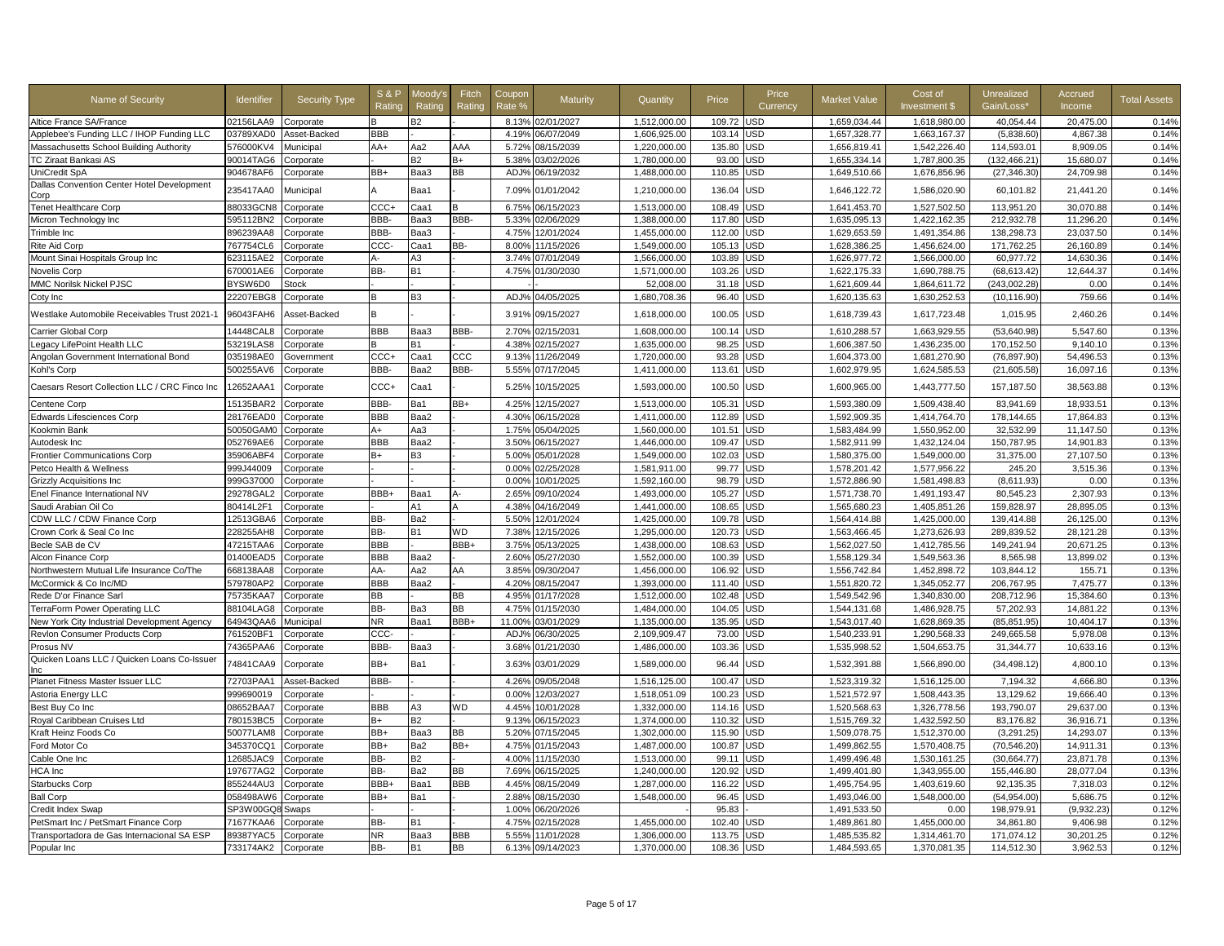| Name of Security                                    | Identifier | <b>Security Type</b> | <b>S&amp;P</b><br>Rating | Moodv':<br>Rating | Fitch<br>Rating | Coupor<br>Rate % | Maturity         | Quantity     | Price  | Price<br>Currency | <b>Market Value</b> | Cost of<br>Investment \$ | Unrealized<br>Gain/Loss' | Accrued<br>Income | <b>Total Assets</b> |
|-----------------------------------------------------|------------|----------------------|--------------------------|-------------------|-----------------|------------------|------------------|--------------|--------|-------------------|---------------------|--------------------------|--------------------------|-------------------|---------------------|
| Altice France SA/France                             | 02156LAA9  | Corporate            | B                        | B2                |                 |                  | 8.13% 02/01/2027 | 1.512.000.00 | 109.72 | JSD               | 1.659.034.44        | 1.618.980.00             | 40.054.44                | 20.475.00         | 0.14%               |
| Applebee's Funding LLC / IHOP Funding LLC           | 03789XAD0  | Asset-Backed         | <b>BBB</b>               |                   |                 | 4.19%            | 06/07/2049       | 1.606.925.00 | 103.14 | JSD               | 1.657.328.77        | 1.663.167.37             | (5.838.60)               | 4.867.38          | 0.14%               |
| Massachusetts School Building Authority             | 576000KV4  | Municipal            | AA+                      | Aa2               | AAA             | 5.72%            | 08/15/2039       | 1,220,000.00 | 135.80 | JSD               | 1,656,819.41        | 1,542,226.40             | 114,593.01               | 8,909.05          | 0.14%               |
| TC Ziraat Bankasi AS                                | 90014TAG6  | Corporate            |                          | <b>B2</b>         | $B+$            | 5.38%            | 03/02/2026       | 1,780,000.00 | 93.00  | <b>JSD</b>        | 1,655,334.14        | 1,787,800.35             | (132, 466.21)            | 15,680.07         | 0.14%               |
| UniCredit SpA                                       | 904678AF6  | Corporate            | BB+                      | Baa3              | <b>BB</b>       | ADJ%             | 06/19/2032       | 1,488,000.00 | 110.85 | JSD               | 1,649,510.66        | 1,676,856.96             | (27, 346.30)             | 24,709.98         | 0.14%               |
| Dallas Convention Center Hotel Development<br>Corp  | 235417AA0  | Municipal            |                          | Baa1              |                 | 7.09%            | 01/01/2042       | 1,210,000.00 | 136.04 | USD               | 1,646,122.72        | 1,586,020.90             | 60,101.82                | 21,441.20         | 0.14%               |
| <b>Tenet Healthcare Corp</b>                        | 88033GCN8  | Corporate            | CCC+                     | Caa1              | B               | 6.75%            | 06/15/2023       | 1.513.000.00 | 108.49 | USD               | 1.641.453.70        | 1,527,502.50             | 113.951.20               | 30.070.88         | 0.14%               |
| Micron Technology Inc                               | 595112BN2  | Corporate            | BBB-                     | Baa3              | BBB-            | 5.33%            | 02/06/2029       | 1,388,000.00 | 117.80 | USD               | 1,635,095.13        | 1,422,162.35             | 212,932.78               | 11,296.20         | 0.14%               |
| Trimble Inc                                         | 896239AA8  | Corporate            | BBB-                     | Ваа3              |                 | 4.75%            | 2/01/2024        | 1,455,000.00 | 112.00 | <b>JSD</b>        | 1,629,653.59        | 1,491,354.86             | 138,298.73               | 23,037.50         | 0.14%               |
| <b>Rite Aid Corp</b>                                | 767754CL6  | Corporate            | CCC-                     | Caa1              | BB-             | 8.00%            | 11/15/2026       | 1.549.000.00 | 105.13 | JSD               | 1,628,386.25        | 1.456.624.00             | 171,762.25               | 26.160.89         | 0.14%               |
| Mount Sinai Hospitals Group Inc                     | 623115AE2  | Corporate            | А-                       | A3                |                 | 3.74%            | 07/01/2049       | 1.566.000.00 | 103.89 | JSD               | 1.626.977.72        | 1.566.000.00             | 60.977.72                | 14.630.36         | 0.14%               |
| Novelis Corp                                        | 670001AE6  | Corporate            | BB-                      | <b>B1</b>         |                 | 4.75%            | 01/30/2030       | 1,571,000.00 | 103.26 | <b>JSD</b>        | 1,622,175.33        | 1,690,788.75             | (68, 613.42)             | 12,644.37         | 0.14%               |
| MMC Norilsk Nickel PJSC                             | BYSW6D0    | Stock                |                          |                   |                 |                  |                  | 52,008.00    | 31.18  | JSD               | 1,621,609.44        | 1,864,611.72             | (243,002.28)             | 0.00              | 0.14%               |
| Coty Inc                                            | 22207EBG8  | Corporate            | B                        | B3                |                 | ADJ'             | 04/05/2025       | 1,680,708.36 | 96.40  | JSD               | 1,620,135.63        | 1,630,252.53             | (10, 116.90)             | 759.66            | 0.14%               |
| Westlake Automobile Receivables Trust 2021-1        | 96043FAH6  | Asset-Backed         | B                        |                   |                 | 3.91%            | 09/15/2027       | 1,618,000.00 | 100.05 | USD               | 1,618,739.43        | 1,617,723.48             | 1,015.95                 | 2,460.26          | 0.14%               |
| Carrier Global Corp                                 | 14448CAL8  | Corporate            | <b>BBB</b>               | Baa3              | BBB-            | 2.70%            | 02/15/2031       | 1.608.000.00 | 100.14 | USD               | 1.610.288.57        | 1.663.929.55             | (53.640.98)              | 5.547.60          | 0.13%               |
| Legacy LifePoint Health LLC                         | 53219LAS8  | Corporate            | B                        | <b>B1</b>         |                 | 4.38%            | 02/15/2027       | 1,635,000.00 | 98.25  | JSD               | 1,606,387.50        | 1,436,235.00             | 170,152.50               | 9,140.10          | 0.13%               |
| Angolan Government International Bond               | 035198AE0  | Government           | CCC+                     | Caa1              | $_{\rm ccc}$    | 9.13%            | 11/26/2049       | 1,720,000.00 | 93.28  | JSD               | 1,604,373.00        | 1,681,270.90             | (76, 897.90)             | 54.496.53         | 0.13%               |
| Kohl's Corp                                         | 500255AV6  | Corporate            | BBB-                     | Baa2              | BBB-            | 5.55%            | 07/17/2045       | 1,411,000.00 | 113.61 | JSD               | 1,602,979.95        | 1,624,585.53             | (21,605.58)              | 16,097.16         | 0.13%               |
| Caesars Resort Collection LLC / CRC Finco Inc       | 12652AAA1  | Corporate            | CCC+                     | Caa1              |                 | 5.25%            | 10/15/2025       | 1,593,000.00 | 100.50 | USD               | 1,600,965.00        | 1,443,777.50             | 157,187.50               | 38,563.88         | 0.13%               |
| Centene Corp                                        | 15135BAR2  | Corporate            | BBB-                     | Ba1               | BB+             | 4.25%            | 12/15/2027       | 1.513.000.00 | 105.31 | USD               | 1.593.380.09        | 1.509.438.40             | 83.941.69                | 18.933.51         | 0.13%               |
| Edwards Lifesciences Corp                           | 28176EAD0  | Corporate            | <b>BBB</b>               | Baa2              |                 | 4.30%            | 06/15/2028       | 1,411,000.00 | 112.89 | USD               | 1,592,909.35        | 1,414,764.70             | 178,144.65               | 17,864.83         | 0.13%               |
| Kookmin Bank                                        | 50050GAM0  | Corporate            | A+                       | Aa3               |                 | 1.75%            | 05/04/2025       | 1,560,000.00 | 101.51 | JSD               | 1,583,484.99        | 1,550,952.00             | 32,532.99                | 11,147.50         | 0.13%               |
| Autodesk Inc                                        | 052769AE6  | Corporate            | <b>BBB</b>               | Baa2              |                 | 3.50%            | 06/15/2027       | 1,446,000.00 | 109.47 | JSD               | 1,582,911.99        | 1,432,124.04             | 150,787.95               | 14,901.83         | 0.13%               |
| Frontier Communications Corp                        | 35906ABF4  | Corporate            | $B+$                     | B3                |                 | 5.00%            | 05/01/2028       | 1,549,000.00 | 102.03 | JSD               | 1,580,375.00        | 1,549,000.00             | 31,375.00                | 27,107.50         | 0.13%               |
| Petco Health & Wellness                             | 999J44009  | Corporate            |                          |                   |                 | 0.00%            | 02/25/2028       | 1,581,911.00 | 99.77  | JSD               | 1,578,201.42        | 1,577,956.22             | 245.20                   | 3,515.36          | 0.13%               |
| <b>Grizzly Acquisitions Inc</b>                     | 999G37000  | Corporate            |                          |                   |                 | 0.00%            | 10/01/2025       | 1,592,160.00 | 98.79  | JSD               | 1,572,886.90        | 1,581,498.83             | (8,611.93)               | 0.00              | 0.13%               |
| Enel Finance International NV                       | 29278GAL2  | Corporate            | BBB+                     | Baa1              | А-              | 2.65%            | 09/10/2024       | 1.493.000.00 | 105.27 | JSD               | 1,571,738.70        | 1.491.193.47             | 80.545.23                | 2.307.93          | 0.13%               |
| Saudi Arabian Oil Co                                | 80414L2F1  | Corporate            |                          | A1                |                 | 4.38%            | 04/16/2049       | 1,441,000.00 | 108.65 | JSD               | 1,565,680.23        | 1,405,851.26             | 159,828.97               | 28,895.05         | 0.13%               |
| CDW LLC / CDW Finance Corp                          | 12513GBA6  | Corporate            | BB-                      | Ba2               |                 | 5.50%            | 12/01/2024       | 1,425,000.00 | 109.78 | USD               | 1,564,414.88        | 1,425,000.00             | 139,414.88               | 26,125.00         | 0.13%               |
| Crown Cork & Seal Co Inc                            | 228255AH8  | Corporate            | BB-                      | <b>B1</b>         | WD              | 7.38%            | 12/15/2026       | 1,295,000.00 | 120.73 | USD               | 1,563,466.45        | 1,273,626.93             | 289,839.52               | 28,121.28         | 0.13%               |
| Becle SAB de CV                                     | 47215TAA6  | Corporate            | <b>BBB</b>               |                   | BBB+            | 3.75%            | 05/13/2025       | 1,438,000.00 | 108.63 | USD               | 1,562,027.50        | 1,412,785.56             | 149,241.94               | 20,671.25         | 0.13%               |
| Alcon Finance Corp                                  | 01400EAD5  | Corporate            | <b>BBB</b>               | Baa2              |                 | 2.60%            | 05/27/2030       | 1,552,000.00 | 100.39 | JSD               | 1,558,129.34        | 1,549,563.36             | 8,565.98                 | 13,899.02         | 0.13%               |
| Northwestern Mutual Life Insurance Co/The           | 668138AA8  | Corporate            | AA-                      | Aa2               | AA              | 3.85%            | 09/30/2047       | 1,456,000.00 | 106.92 | JSD               | 1,556,742.84        | 1,452,898.72             | 103,844.12               | 155.71            | 0.13%               |
| McCormick & Co Inc/MD                               | 579780AP2  | Corporate            | <b>BBB</b>               | Baa2              |                 | 4.20%            | 08/15/2047       | 1,393,000.00 | 111.40 | JSD               | 1,551,820.72        | 1,345,052.77             | 206,767.95               | 7,475.77          | 0.13%               |
| Rede D'or Finance Sarl                              | 75735KAA7  | Corporate            | BB                       |                   | <b>BB</b>       | 4.95%            | 01/17/2028       | 1,512,000.00 | 102.48 | JSD               | 1,549,542.96        | 1,340,830.00             | 208,712.96               | 15,384.60         | 0.13%               |
| TerraForm Power Operating LLC                       | 88104LAG8  | Corporate            | BB-                      | Ba3               | BB              | 4.75%            | 01/15/2030       | 1,484,000.00 | 104.05 | <b>JSD</b>        | 1,544,131.68        | 1,486,928.75             | 57,202.93                | 14,881.22         | 0.13%               |
| New York City Industrial Development Agency         | 64943QAA6  | Municipal            | NR                       | Baa1              | BBB+            | 11.00%           | 03/01/2029       | 1,135,000.00 | 135.95 | JSD               | 1,543,017.40        | 1,628,869.35             | (85, 851.95)             | 10,404.17         | 0.13%               |
| Revlon Consumer Products Corp                       | 761520BF1  | Corporate            | <b>CCC</b>               |                   |                 | ADJ%             | 06/30/2025       | 2,109,909.47 | 73.00  | JSD               | 1,540,233.91        | 1,290,568.33             | 249,665.58               | 5,978.08          | 0.13%               |
| Prosus NV                                           | 74365PAA6  | Corporate            | BBB-                     | Baa3              |                 |                  | 3.68% 01/21/2030 | 1,486,000.00 | 103.36 | JSD               | 1,535,998.52        | 1,504,653.75             | 31,344.77                | 10,633.16         | 0.13%               |
| Quicken Loans LLC / Quicken Loans Co-Issuer<br>Inc. | 74841CAA9  | Corporate            | BB+                      | Ba1               |                 | 3.63%            | 03/01/2029       | 1,589,000.00 | 96.44  | USD               | 1,532,391.88        | 1,566,890.00             | (34, 498.12)             | 4,800.10          | 0.13%               |
| Planet Fitness Master Issuer LLC                    | 72703PAA1  | Asset-Backed         | BBB-                     |                   |                 | 4.26%            | 09/05/2048       | 1,516,125.00 | 100.47 | USD               | 1,523,319.32        | 1,516,125.00             | 7,194.32                 | 4,666.80          | 0.13%               |
| Astoria Energy LLC                                  | 999690019  | Corporate            |                          |                   |                 | 0.00%            | 12/03/2027       | 1,518,051.09 | 100.23 | JSD               | 1,521,572.97        | 1,508,443.35             | 13,129.62                | 19,666.40         | 0.13%               |
| Best Buy Co Inc                                     | 08652BAA7  | Corporate            | <b>BBB</b>               | A3                | <b>WD</b>       | 4.45%            | 10/01/2028       | 1,332,000.00 | 114.16 | JSD               | 1,520,568.63        | 1,326,778.56             | 193,790.07               | 29.637.00         | 0.13%               |
| Royal Caribbean Cruises Ltd                         | 780153BC5  | Corporate            | B+                       | B2                |                 | 9.13%            | 06/15/2023       | 1,374,000.00 | 110.32 | JSD               | 1,515,769.32        | 1,432,592.50             | 83,176.82                | 36,916.71         | 0.13%               |
| Kraft Heinz Foods Co                                | 50077LAM8  | Corporate            | BB+                      | Baa3              | <b>BB</b>       | 5.20%            | 07/15/2045       | 1,302,000.00 | 115.90 | JSD               | 1,509,078.75        | 1,512,370.00             | (3,291.25)               | 14,293.07         | 0.13%               |
| Ford Motor Co                                       | 345370CQ1  | Corporate            | BB+                      | Ba2               | BB+             | 4.75%            | 01/15/2043       | 1,487,000.00 | 100.87 | JSD               | 1,499,862.55        | 1,570,408.75             | (70, 546.20)             | 14,911.31         | 0.13%               |
| Cable One Inc                                       | 12685JAC9  | Corporate            | BB-                      | B2                |                 | 4.00%            | 11/15/2030       | 1,513,000.00 | 99.11  | JSD               | 1,499,496.48        | 1,530,161.25             | (30, 664.77)             | 23,871.78         | 0.13%               |
| HCA Inc                                             | 197677AG2  | Corporate            | BB-                      | Ba2               | BB              | 7.69%            | 06/15/2025       | 1,240,000.00 | 120.92 | JSD               | 1,499,401.80        | 1,343,955.00             | 155,446.80               | 28,077.04         | 0.13%               |
| <b>Starbucks Corp</b>                               | 855244AU3  | Corporate            | BBB+                     | Baa1              | <b>BBB</b>      | 4.45%            | 08/15/2049       | 1,287,000.00 | 116.22 | JSD               | 1,495,754.95        | 1,403,619.60             | 92,135.35                | 7,318.03          | 0.12%               |
| <b>Ball Corp</b>                                    | 058498AW6  | Corporate            | BB+                      | Ba1               |                 | 2.88%            | 08/15/2030       | 1,548,000.00 | 96.45  | JSD               | 1,493,046.00        | 1.548.000.00             | (54.954.00)              | 5,686.75          | 0.12%               |
| Credit Index Swap                                   | SP3W00GQ8  | Swaps                |                          |                   |                 | 1.00%            | 06/20/2026       |              | 95.83  |                   | 1,491,533.50        | 0.00                     | 198,979.91               | (9,932.23)        | 0.12%               |
| PetSmart Inc / PetSmart Finance Corp                | 71677KAA6  | Corporate            | BB-                      | <b>B1</b>         |                 | 4.75%            | 02/15/2028       | 1,455,000.00 | 102.40 | <b>JSD</b>        | 1,489,861.80        | 1,455,000.00             | 34,861.80                | 9,406.98          | 0.12%               |
| Transportadora de Gas Internacional SA ESP          | 89387YAC5  | Corporate            | <b>NR</b>                | Baa3              | <b>BBB</b>      | 5.55%            | 11/01/2028       | 1,306,000.00 | 113.75 | USD               | 1,485,535.82        | 1,314,461.70             | 171,074.12               | 30,201.25         | 0.12%               |
| Popular Inc                                         | 733174AK2  | Corporate            | BB-                      | B1                | <b>BB</b>       |                  | 6.13% 09/14/2023 | 1,370,000.00 | 108.36 | USD               | 1,484,593.65        | 1,370,081.35             | 114,512.30               | 3,962.53          | 0.12%               |
|                                                     |            |                      |                          |                   |                 |                  |                  |              |        |                   |                     |                          |                          |                   |                     |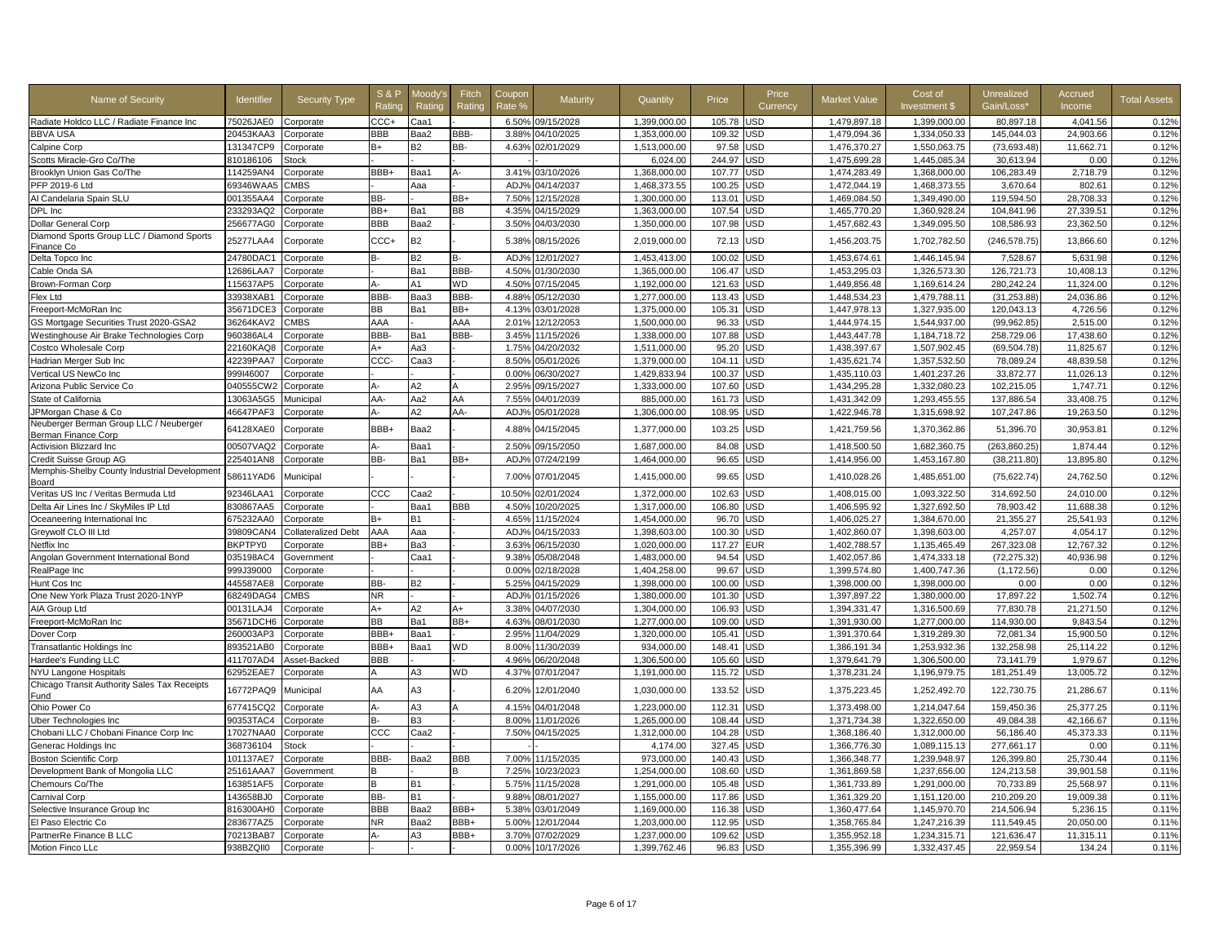| Name of Security                                        | Identifier | <b>Security Type</b> | <b>S&amp;P</b><br>Ratino | Moodv'<br>Rating | Fitch<br>Rating | Coupon<br>Rate % | Maturity   | Quantity     | Price  | Price<br>Currency | <b>Market Value</b> | Cost of<br>Investment \$ | <b>Unrealized</b><br>Gain/Loss' | Accrued<br>Income | <b>Total Assets</b> |
|---------------------------------------------------------|------------|----------------------|--------------------------|------------------|-----------------|------------------|------------|--------------|--------|-------------------|---------------------|--------------------------|---------------------------------|-------------------|---------------------|
| Radiate Holdco LLC / Radiate Finance Inc.               | 75026JAE0  | Corporate            | CCC+                     | Caa1             |                 | 6.50%            | 09/15/2028 | 1.399.000.00 | 105.78 | <b>JSD</b>        | 1.479.897.18        | 1.399.000.00             | 80.897.18                       | 4.041.56          | 0.12%               |
| <b>BBVA USA</b>                                         | 20453KAA3  | Corporate            | <b>BBB</b>               | Baa2             | BBB-            | 3.88%            | 04/10/2025 | 1.353.000.00 | 109.32 | <b>JSD</b>        | 1.479.094.36        | 1.334.050.33             | 145.044.03                      | 24.903.66         | 0.12%               |
| Calpine Corp                                            | 131347CP9  | Corporate            | $B+$                     | <b>B2</b>        | BB-             | 4.63%            | 02/01/2029 | 1,513,000.00 | 97.58  | <b>JSD</b>        | 1,476,370.27        | 1,550,063.75             | (73, 693.48)                    | 11,662.71         | 0.12%               |
| Scotts Miracle-Gro Co/The                               | 810186106  | Stock                |                          |                  |                 |                  |            | 6,024.00     | 244.97 | USD               | 1,475,699.28        | 1,445,085.34             | 30,613.94                       | 0.00              | 0.12%               |
| Brooklyn Union Gas Co/The                               | 114259AN4  | Corporate            | BBB+                     | Baa1             | А-              | 3.41%            | 03/10/2026 | 1,368,000.00 | 107.77 | USD               | 1,474,283.49        | 1.368.000.00             | 106.283.49                      | 2,718.79          | 0.12%               |
| PFP 2019-6 Ltd                                          | 69346WAA5  | <b>CMBS</b>          |                          | Aaa              |                 | ADJ <sub>9</sub> | 04/14/2037 | 1,468,373.55 | 100.25 | <b>JSD</b>        | 1,472,044.19        | 1,468,373.55             | 3,670.64                        | 802.61            | 0.12%               |
| Al Candelaria Spain SLU                                 | 001355AA4  | Corporate            | BB-                      |                  | BB+             | 7.50%            | 12/15/2028 | 1,300,000.00 | 113.01 | <b>JSD</b>        | 1,469,084.50        | 1,349,490.00             | 119,594.50                      | 28,708.33         | 0.12%               |
| DPL Inc                                                 | 233293AQ2  | Corporate            | BB+                      | Ba1              | ВB              | 4.35%            | 04/15/2029 | 1,363,000.00 | 107.54 | JSD               | 1,465,770.20        | 1,360,928.24             | 104,841.96                      | 27,339.51         | 0.12%               |
| Dollar General Corp                                     | 256677AG0  | Corporate            | BBB                      | Baa2             |                 | 3.50%            | 04/03/2030 | 1,350,000.00 | 107.98 | JSD               | 1,457,682.43        | 1,349,095.50             | 108,586.93                      | 23,362.50         | 0.12%               |
| Diamond Sports Group LLC / Diamond Sports<br>Finance Co | 25277LAA4  | Corporate            | CCC+                     | <b>B2</b>        |                 | 5.38%            | 08/15/2026 | 2,019,000.00 | 72.13  | USD               | 1,456,203.75        | 1,702,782.50             | (246, 578.75)                   | 13,866.60         | 0.12%               |
| Delta Topco Inc                                         | 24780DAC1  | Corporate            | B-                       | <b>B2</b>        |                 | ADJ%             | 12/01/2027 | 1,453,413.00 | 100.02 | <b>JSD</b>        | 1,453,674.61        | 1,446,145.94             | 7,528.67                        | 5,631.98          | 0.12%               |
| Cable Onda SA                                           | 12686LAA7  | Corporate            |                          | Ba1              | BBB-            | 4.50%            | 01/30/2030 | 1,365,000.00 | 106.47 | JSD               | 1,453,295.03        | 1,326,573.30             | 126,721.73                      | 10,408.13         | 0.12%               |
| Brown-Forman Corp                                       | 115637AP5  | Corporate            |                          | A <sub>1</sub>   | WD              | 4.50%            | 07/15/2045 | 1,192,000.00 | 121.63 | <b>JSD</b>        | 1,449,856.48        | 1,169,614.24             | 280,242.24                      | 11,324.00         | 0.12%               |
| Flex Ltd                                                | 33938XAB1  | Corporate            | BBB-                     | Baa3             | BBB-            | 4.88%            | 05/12/2030 | 1,277,000.00 | 113.43 | <b>JSD</b>        | 1,448,534.23        | 1,479,788.11             | (31, 253.88)                    | 24,036.86         | 0.12%               |
| Freeport-McMoRan Inc                                    | 35671DCE3  | Corporate            | <b>BB</b>                | Ba1              | BB+             | 4.13%            | 03/01/2028 | 1,375,000.00 | 105.31 | <b>JSD</b>        | 1,447,978.13        | 1,327,935.00             | 120,043.13                      | 4,726.56          | 0.12%               |
| GS Mortgage Securities Trust 2020-GSA2                  | 36264KAV2  | CMBS                 | AAA                      |                  | AAA             | 2.01%            | 12/12/2053 | 1,500,000.00 | 96.33  | USD               | 1,444,974.15        | 1,544,937.00             | (99, 962.85)                    | 2,515.00          | 0.12%               |
| Westinghouse Air Brake Technologies Corp                | 960386AL4  | Corporate            | BBB-                     | Ba1              | BBB-            | 3.45%            | 11/15/2026 | 1,338,000.00 | 107.88 | <b>JSD</b>        | 1,443,447.78        | 1,184,718.72             | 258,729.06                      | 17,438.60         | 0.12%               |
| Costco Wholesale Corp                                   | 22160KAQ8  | Corporate            | A+                       | Aa3              |                 | 1.75%            | 04/20/2032 | 1,511,000.00 | 95.20  | <b>JSD</b>        | 1,438,397.67        | 1,507,902.45             | (69, 504.78)                    | 11,825.67         | 0.12%               |
| Hadrian Merger Sub Inc                                  | 42239PAA7  | Corporate            | CCC-                     | Caa3             |                 | 8.50%            | 05/01/2026 | 1,379,000.00 | 104.11 | JSD               | 1,435,621.74        | 1,357,532.50             | 78,089.24                       | 48,839.58         | 0.12%               |
| Vertical US NewCo Inc                                   | 999146007  | Corporate            |                          |                  |                 | 0.00%            | 06/30/2027 | 1,429,833.94 | 100.37 | <b>JSD</b>        | 1,435,110.03        | 1,401,237.26             | 33,872.77                       | 11,026.13         | 0.12%               |
| Arizona Public Service Co                               | 040555CW2  | Corporate            | A-                       | A2               |                 | 2.95%            | 09/15/2027 | 1,333,000.00 | 107.60 | <b>JSD</b>        | 1,434,295.28        | 1,332,080.23             | 102,215.05                      | 1,747.71          | 0.12%               |
| State of California                                     | 13063A5G5  | Municipal            | AA-                      | Aa2              | AA              | 7.55%            | 04/01/2039 | 885,000.00   | 161.73 | <b>JSD</b>        | 1,431,342.09        | 1,293,455.55             | 137,886.54                      | 33,408.75         | 0.12%               |
| JPMorgan Chase & Co                                     | 46647PAF3  | Corporate            | $A -$                    | A2               | AA-             | ADJ%             | 05/01/2028 | 1,306,000.00 | 108.95 | USD               | 1,422,946.78        | 1,315,698.92             | 107,247.86                      | 19,263.50         | 0.12%               |
| Neuberger Berman Group LLC / Neuberger                  |            |                      |                          |                  |                 |                  |            |              |        |                   |                     |                          |                                 |                   |                     |
| Berman Finance Corp                                     | 64128XAE0  | Corporate            | BBB+                     | Baa2             |                 | 4.88%            | 04/15/2045 | 1,377,000.00 | 103.25 | <b>JSD</b>        | 1,421,759.56        | 1,370,362.86             | 51.396.70                       | 30.953.81         | 0.12%               |
| Activision Blizzard Inc                                 | 00507VAQ2  | Corporate            | д.                       | Baa1             |                 | 2.50%            | 09/15/2050 | 1,687,000.00 | 84.08  | JSD               | 1,418,500.50        | 1,682,360.75             | (263,860.25)                    | 1,874.44          | 0.12%               |
| Credit Suisse Group AG                                  | 225401AN8  | Corporate            | BB-                      | Ba1              | BB+             | ADJ <sub>9</sub> | 07/24/2199 | 1,464,000.00 | 96.65  | <b>JSD</b>        | 1,414,956.00        | 1,453,167.80             | (38, 211.80)                    | 13,895.80         | 0.12%               |
| Memphis-Shelby County Industrial Development            | 58611YAD6  | Municipal            |                          |                  |                 | 7.00%            | 07/01/2045 | 1,415,000.00 | 99.65  | <b>JSD</b>        | 1,410,028.26        | 1,485,651.00             | (75, 622.74)                    | 24,762.50         | 0.12%               |
| Board                                                   |            |                      |                          |                  |                 |                  |            |              |        |                   |                     |                          |                                 |                   |                     |
| Veritas US Inc / Veritas Bermuda Ltd                    | 92346LAA1  | Corporate            | CCC                      | Caa2             |                 | 10.50%           | 02/01/2024 | 1,372,000.00 | 102.63 | <b>JSD</b>        | 1,408,015.00        | 1,093,322.50             | 314,692.50                      | 24,010.00         | 0.12%               |
| Delta Air Lines Inc / SkyMiles IP Ltd                   | 830867AA5  | Corporate            |                          | Baa1             | BBB             | 4.50%            | 10/20/2025 | 1,317,000.00 | 106.80 | <b>JSD</b>        | 1,406,595.92        | 1,327,692.50             | 78,903.42                       | 11.688.38         | 0.12%               |
| Oceaneering International Inc                           | 675232AA0  | Corporate            | $B+$                     | B1               |                 | 4.65%            | 11/15/2024 | 1,454,000.00 | 96.70  | USD               | 1,406,025.27        | 1,384,670.00             | 21,355.27                       | 25,541.93         | 0.12%               |
| Greywolf CLO III Ltd                                    | 39809CAN4  | Collateralized Debt  | AAA                      | Aaa              |                 | ADJ%             | 04/15/2033 | 1,398,603.00 | 100.30 | USD               | 1,402,860.07        | 1,398,603.00             | 4,257.07                        | 4,054.17          | 0.12%               |
| Netflix Inc                                             | BKPTPY0    | Corporate            | BB+                      | Ba3              |                 | 3.63%            | 06/15/2030 | 1,020,000.00 | 117.27 | <b>EUR</b>        | 1,402,788.57        | 1,135,465.49             | 267,323.08                      | 12,767.32         | 0.12%               |
| Angolan Government International Bond                   | 035198AC4  | <b>Government</b>    |                          | Caa1             |                 | 9.38%            | 05/08/2048 | 1.483.000.00 | 94.54  | <b>JSD</b>        | 1.402.057.86        | 1,474,333.18             | (72, 275.32)                    | 40.936.98         | 0.12%               |
| RealPage Inc                                            | 999J39000  | Corporate            |                          |                  |                 | 0.00%            | 02/18/2028 | 1,404,258.00 | 99.67  | JSD               | 1,399,574.80        | 1,400,747.36             | (1, 172.56)                     | 0.00              | 0.12%               |
| Hunt Cos Inc                                            | 445587AE8  | Corporate            | BB-                      | B <sub>2</sub>   |                 | 5.25%            | 04/15/2029 | 1,398,000.00 | 100.00 | <b>JSD</b>        | 1,398,000.00        | 1,398,000.00             | 0.00                            | 0.00              | 0.12%               |
| One New York Plaza Trust 2020-1NYP                      | 68249DAG4  | CMBS                 | <b>NR</b>                |                  |                 | ADJ%             | 01/15/2026 | 1,380,000.00 | 101.30 | JSD               | 1,397,897.22        | 1,380,000.00             | 17,897.22                       | 1,502.74          | 0.12%               |
| AIA Group Ltd                                           | 00131LAJ4  | Corporate            | $A+$                     | A2               | A+              | 3.38%            | 04/07/2030 | 1,304,000.00 | 106.93 | <b>JSD</b>        | 1,394,331.47        | 1,316,500.69             | 77,830.78                       | 21,271.50         | 0.12%               |
| Freeport-McMoRan Inc                                    | 35671DCH6  | Corporate            | BB                       | Ba1              | BB+             | 4.63%            | 08/01/2030 | 1,277,000.00 | 109.00 | <b>JSD</b>        | 1,391,930.00        | 1,277,000.00             | 114,930.00                      | 9,843.54          | 0.12%               |
| Dover Corp                                              | 260003AP3  | Corporate            | BBB+                     | Baa1             |                 | 2.95%            | 11/04/2029 | 1,320,000.00 | 105.41 | JSD               | 1,391,370.64        | 1,319,289.30             | 72,081.34                       | 15,900.50         | 0.12%               |
| Transatlantic Holdings Inc                              | 893521AB0  | Corporate            | BBB+                     | Baa1             | ΝD              | 8.00%            | 11/30/2039 | 934,000.00   | 148.41 | <b>JSD</b>        | 1,386,191.34        | 1,253,932.36             | 132,258.98                      | 25,114.22         | 0.12%               |
| Hardee's Funding LLC                                    | 411707AD4  | Asset-Backed         | <b>BBB</b>               |                  |                 | 4.96%            | 06/20/2048 | 1,306,500.00 | 105.60 | JSD               | 1,379,641.79        | 1,306,500.00             | 73,141.79                       | 1,979.67          | 0.12%               |
| NYU Langone Hospitals                                   | 62952EAE7  | Corporate            | A                        | A3               | ΝD              | 4.37%            | 07/01/2047 | 1,191,000.00 | 115.72 | JSD               | 1,378,231.24        | 1,196,979.75             | 181,251.49                      | 13,005.72         | 0.12%               |
| Chicago Transit Authority Sales Tax Receipts<br>Fund    | 16772PAQ9  | Municipal            | AA                       | A3               |                 | 6.20%            | 12/01/2040 | 1,030,000.00 | 133.52 | JSD               | 1,375,223.45        | 1,252,492.70             | 122,730.75                      | 21,286.67         | 0.11%               |
| Ohio Power Co                                           | 677415CQ2  | Corporate            | A-                       | A3               |                 | 4.15%            | 04/01/2048 | 1,223,000.00 | 112.31 | <b>JSD</b>        | 1,373,498.00        | 1,214,047.64             | 159,450.36                      | 25,377.25         | 0.11%               |
| Uber Technologies Inc                                   | 90353TAC4  | Corporate            | B.                       | B3               |                 | 8.00%            | 11/01/2026 | 1,265,000.00 | 108.44 | JSD               | 1,371,734.38        | 1,322,650.00             | 49.084.38                       | 42,166.67         | 0.11%               |
| Chobani LLC / Chobani Finance Corp Inc                  | 17027NAA0  | Corporate            | ccc                      | Caa2             |                 | 7.50%            | 04/15/2025 | 1,312,000.00 | 104.28 | <b>JSD</b>        | 1,368,186.40        | 1,312,000.00             | 56,186.40                       | 45,373.33         | 0.11%               |
| Generac Holdings Inc                                    | 368736104  | <b>Stock</b>         |                          |                  |                 |                  |            | 4,174.00     | 327.45 | USD               | 1,366,776.30        | 1,089,115.13             | 277,661.17                      | 0.00              | 0.11%               |
| <b>Boston Scientific Corp</b>                           | 101137AE7  | Corporate            | BBB-                     | Baa2             | <b>BBB</b>      | 7.00%            | 11/15/2035 | 973,000.00   | 140.43 | JSD               | 1,366,348.77        | 1,239,948.97             | 126,399.80                      | 25,730.44         | 0.11%               |
| Development Bank of Mongolia LLC                        | 25161AAA7  | Government           | B                        |                  |                 | 7.25%            | 10/23/2023 | 1,254,000.00 | 108.60 | <b>JSD</b>        | 1,361,869.58        | 1,237,656.00             | 124,213.58                      | 39,901.58         | 0.11%               |
| Chemours Co/The                                         | 163851AF5  | Corporate            | B                        | <b>B1</b>        |                 | 5.75%            | 11/15/2028 | 1,291,000.00 | 105.48 | USD               | 1,361,733.89        | 1,291,000.00             | 70,733.89                       | 25,568.97         | 0.11%               |
| <b>Carnival Corp</b>                                    | 143658BJ0  | Corporate            | BB-                      | <b>B1</b>        |                 | 9.88%            | 08/01/2027 | 1,155,000.00 | 117.86 | <b>JSD</b>        | 1,361,329.20        | 1.151.120.00             | 210.209.20                      | 19.009.38         | 0.11%               |
| Selective Insurance Group Inc                           | 816300AH0  | Corporate            | <b>BBB</b>               | Baa2             | BBB+            | 5.38%            | 03/01/2049 | 1,169,000.00 | 116.38 | <b>JSD</b>        | 1,360,477.64        | 1,145,970.70             | 214.506.94                      | 5,236.15          | 0.11%               |
| El Paso Electric Co                                     | 283677AZ5  | Corporate            | N <sub>R</sub>           | Baa2             | BBB+            | 5.00%            | 12/01/2044 | 1,203,000.00 | 112.95 | <b>JSD</b>        | 1,358,765.84        | 1,247,216.39             | 111,549.45                      | 20,050.00         | 0.11%               |
| PartnerRe Finance B LLC                                 | 70213BAB7  | Corporate            | A-                       | A3               | BBB+            | 3.70%            | 07/02/2029 | 1,237,000.00 | 109.62 | JSD               | 1,355,952.18        | 1,234,315.71             | 121,636.47                      | 11,315.11         | 0.11%               |
| Motion Finco LLc                                        | 938BZQII0  | Corporate            |                          |                  |                 | 0.00%            | 10/17/2026 | 1,399,762.46 | 96.83  | USD               | 1,355,396.99        | 1,332,437.45             | 22,959.54                       | 134.24            | 0.11%               |
|                                                         |            |                      |                          |                  |                 |                  |            |              |        |                   |                     |                          |                                 |                   |                     |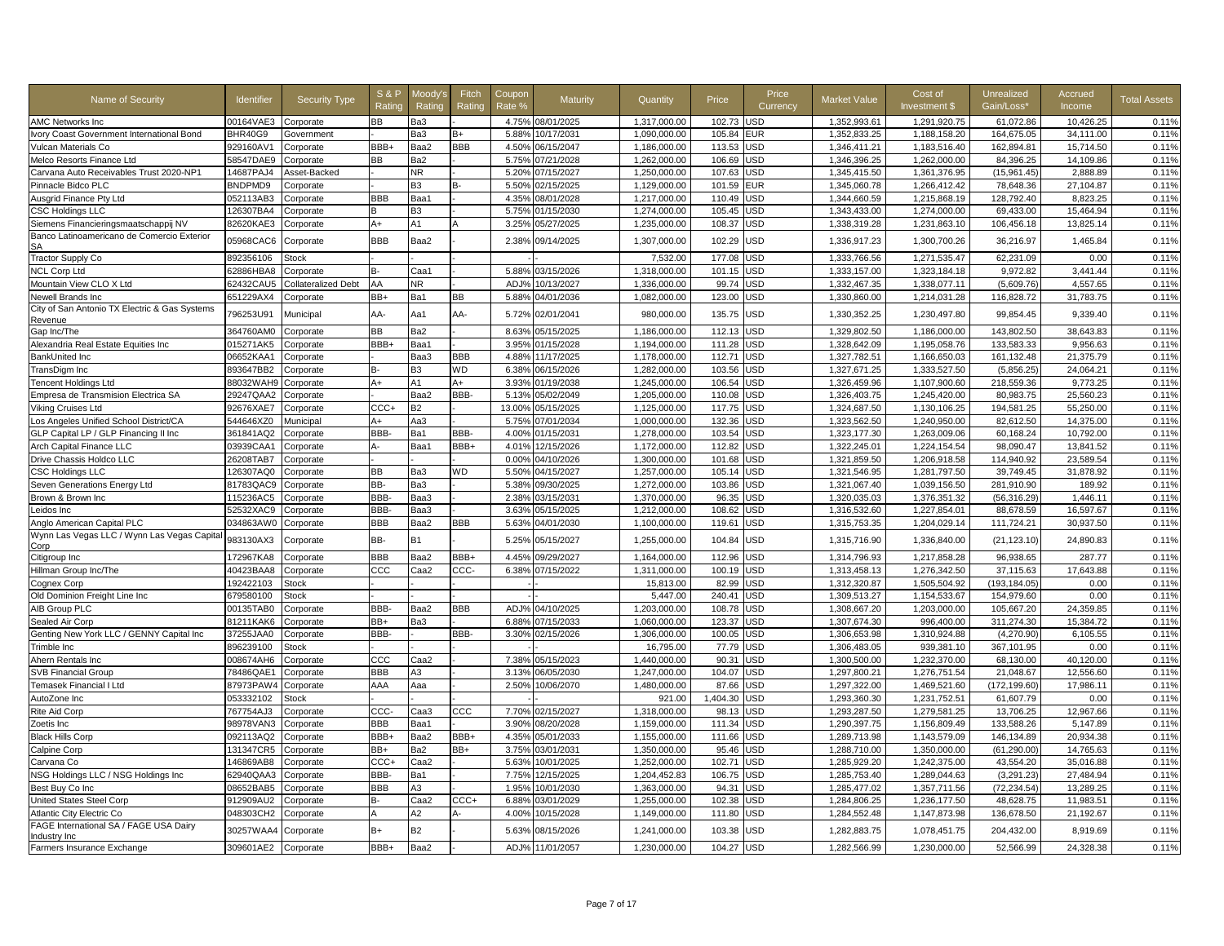| Name of Security                                                    | <b>Identifier</b> | Security Type              | <b>S&amp;P</b><br>Ratinc | Moodv':<br>Rating | Fitch<br>Rating | Coupor<br>Rate % | Maturity         | Quantity     | Price    | Price<br>Currency | <b>Market Value</b> | Cost of<br>Investment \$ | <b>Unrealized</b><br>Gain/Loss* | Accrued<br>Income | <b>Total Assets</b> |
|---------------------------------------------------------------------|-------------------|----------------------------|--------------------------|-------------------|-----------------|------------------|------------------|--------------|----------|-------------------|---------------------|--------------------------|---------------------------------|-------------------|---------------------|
| <b>AMC Networks Inc</b>                                             | 00164VAE3         | Corporate                  | ВB                       | Ba3               |                 |                  | 4.75% 08/01/2025 | 1.317.000.00 | 102.73   | <b>JSD</b>        | 1.352.993.61        | 1,291,920.75             | 61.072.86                       | 10.426.25         | 0.11%               |
| Ivory Coast Government International Bond                           | BHR40G9           | Government                 |                          | Ba3               | B+              | 5.88%            | 10/17/2031       | 1.090.000.00 | 105.84   | EUR               | 1.352.833.25        | 1.188.158.20             | 164.675.05                      | 34.111.00         | 0.11%               |
| Vulcan Materials Co                                                 | 929160AV1         | Corporate                  | BBB+                     | Baa2              | BBB             | 4.50%            | 06/15/2047       | 1,186,000.00 | 113.53   | JSD               | 1,346,411.21        | 1,183,516.40             | 162,894.81                      | 15,714.50         | 0.11%               |
| Melco Resorts Finance Ltd                                           | 58547DAE9         | Corporate                  | ВB                       | Ba2               |                 | 5.75%            | 07/21/2028       | 1,262,000.00 | 106.69   | <b>JSD</b>        | 1,346,396.25        | 1,262,000.00             | 84,396.25                       | 14,109.86         | 0.11%               |
| Carvana Auto Receivables Trust 2020-NP1                             | 14687PAJ4         | Asset-Backed               |                          | NR.               |                 | 5.20%            | 07/15/2027       | 1,250,000.00 | 107.63   | JSD               | 1,345,415.50        | 1,361,376.95             | (15,961.45)                     | 2,888.89          | 0.11%               |
| Pinnacle Bidco PLC                                                  | BNDPMD9           | Corporate                  |                          | B <sub>3</sub>    |                 | 5.50%            | 02/15/2025       | 1,129,000.00 | 101.59   | EUR               | 1,345,060.78        | 1,266,412.42             | 78.648.36                       | 27.104.87         | 0.11%               |
| Ausgrid Finance Pty Ltd                                             | 052113AB3         | Corporate                  | BBB                      | Baa1              |                 | 4.35%            | 08/01/2028       | 1,217,000.00 | 110.49   | <b>JSD</b>        | 1.344.660.59        | 1.215.868.19             | 128.792.40                      | 8.823.25          | 0.11%               |
| <b>CSC Holdings LLC</b>                                             | 126307BA4         | Corporate                  | B                        | B <sub>3</sub>    |                 | 5.75%            | 01/15/2030       | 1,274,000.00 | 105.45   | JSD               | 1,343,433.00        | 1,274,000.00             | 69,433.00                       | 15,464.94         | 0.11%               |
| Siemens Financieringsmaatschappij NV                                | 82620KAE3         | Corporate                  | A+                       | A1                |                 | 3.25%            | 05/27/2025       | 1,235,000.00 | 108.37   | USD               | 1,338,319.28        | 1,231,863.10             | 106,456.18                      | 13,825.14         | 0.11%               |
| Banco Latinoamericano de Comercio Exterior<br>SA                    | 05968CAC6         | Corporate                  | <b>BBB</b>               | Baa2              |                 | 2.389            | 09/14/2025       | 1,307,000.00 | 102.29   | USD               | 1,336,917.23        | 1,300,700.26             | 36,216.97                       | 1,465.84          | 0.11%               |
| <b>Tractor Supply Co</b>                                            | 892356106         | <b>Stock</b>               |                          |                   |                 |                  |                  | 7.532.00     | 177.08   | <b>JSD</b>        | 1.333.766.56        | 1.271.535.47             | 62.231.09                       | 0.00              | 0.11%               |
| <b>NCL Corp Ltd</b>                                                 | 62886HBA8         | Corporate                  | в-                       | Caa1              |                 | 5.88%            | 03/15/2026       | 1.318.000.00 | 101.15   | <b>JSD</b>        | 1,333,157.00        | 1.323.184.18             | 9.972.82                        | 3.441.44          | 0.11%               |
| Mountain View CLO X Ltd                                             | 62432CAU5         | <b>Collateralized Debt</b> | AA                       | NR.               |                 | ADJ <sub>9</sub> | 10/13/2027       | 1,336,000.00 | 99.74    | <b>JSD</b>        | 1,332,467.35        | 1,338,077.11             | (5,609.76)                      | 4,557.65          | 0.11%               |
| Newell Brands Inc                                                   | 651229AX4         | Corporate                  | BB+                      | Ba1               | ВB              | 5.88%            | 04/01/2036       | 1,082,000.00 | 123.00   | JSD               | 1,330,860.00        | 1,214,031.28             | 116,828.72                      | 31,783.75         | 0.11%               |
| City of San Antonio TX Electric & Gas Systems<br>Revenue            | 796253U91         | Municipal                  | AA-                      | Aa1               | AA-             | 5.72%            | 02/01/2041       | 980,000.00   | 135.75   | JSD               | 1,330,352.25        | 1,230,497.80             | 99,854.45                       | 9,339.40          | 0.11%               |
| Gap Inc/The                                                         | 364760AM0         | Corporate                  | ВB                       | Ba2               |                 | 8.63%            | 05/15/2025       | 1.186.000.00 | 112.13   | <b>JSD</b>        | 1,329,802.50        | 1.186.000.00             | 143,802.50                      | 38,643.83         | 0.11%               |
| Alexandria Real Estate Equities Inc                                 | 015271AK5         | Corporate                  | BBB+                     | Baa1              |                 | 3.95%            | 01/15/2028       | 1,194,000.00 | 111.28   | JSD               | 1,328,642.09        | 1,195,058.76             | 133,583.33                      | 9,956.63          | 0.11%               |
| BankUnited Inc                                                      | 06652KAA1         | Corporate                  |                          | Baa3              | BBB             | 4.88%            | 11/17/2025       | 1.178.000.00 | 112.71   | USD               | 1,327,782.51        | 1,166,650.03             | 161,132.48                      | 21,375.79         | 0.11%               |
| TransDigm Inc                                                       | 893647BB2         | Corporate                  | в-                       | B <sub>3</sub>    | WD              | 6.38%            | 06/15/2026       | 1,282,000.00 | 103.56   | JSD               | 1,327,671.25        | 1,333,527.50             | (5,856.25)                      | 24,064.21         | 0.11%               |
| <b>Tencent Holdings Ltd</b>                                         | 88032WAH9         | Corporate                  | A+                       | A1                | A+              | 3.93%            | 01/19/2038       | 1,245,000.00 | 106.54   | JSD               | 1,326,459.96        | 1,107,900.60             | 218,559.36                      | 9,773.25          | 0.11%               |
| Empresa de Transmision Electrica SA                                 | 29247QAA2         | Corporate                  |                          | Baa2              | BBB-            | 5.13%            | 05/02/2049       | 1,205,000.00 | 110.08   | JSD               | 1,326,403.75        | 1.245.420.00             | 80,983.75                       | 25.560.23         | 0.11%               |
| Viking Cruises Ltd                                                  | 92676XAE7         | Corporate                  | CCC+                     | <b>B2</b>         |                 | 13.00%           | 05/15/2025       | 1.125.000.00 | 117.75   | <b>JSD</b>        | 1.324.687.50        | 1.130.106.25             | 194.581.25                      | 55,250.00         | 0.11%               |
| Los Angeles Unified School District/CA                              | 544646XZ0         | Municipal                  | A+                       | Aa3               |                 | 5.75%            | 07/01/2034       | 1,000,000.00 | 132.36   | JSD               | 1,323,562.50        | 1,240,950.00             | 82,612.50                       | 14,375.00         | 0.11%               |
| GLP Capital LP / GLP Financing II Inc                               | 361841AQ2         | Corporate                  | BBB-                     | Ba1               | BBB-            | 4.00%            | 01/15/2031       | 1,278,000.00 | 103.54   | <b>JSD</b>        | 1,323,177.30        | 1,263,009.06             | 60,168.24                       | 10,792.00         | 0.11%               |
| Arch Capital Finance LLC                                            | 03939CAA1         | Corporate                  | А-                       | Baa1              | BBB+            | 4.01%            | 12/15/2026       | 1,172,000.00 | 112.82   | JSD               | 1,322,245.01        | 1,224,154.54             | 98,090.47                       | 13,841.52         | 0.11%               |
| Drive Chassis Holdco LLC                                            | 26208TAB7         | Corporate                  |                          |                   |                 | 0.00%            | 04/10/2026       | 1.300.000.00 | 101.68   | <b>JSD</b>        | 1.321.859.50        | 1.206.918.58             | 114.940.92                      | 23.589.54         | 0.11%               |
| <b>CSC Holdings LLC</b>                                             | 126307AQ0         | Corporate                  | BB                       | Ba3               | WD              | 5.50%            | 04/15/2027       | 1,257,000.00 | 105.14   | JSD               | 1,321,546.95        | 1,281,797.50             | 39,749.45                       | 31,878.92         | 0.11%               |
| Seven Generations Energy Ltd                                        | 81783QAC9         | Corporate                  | BB-                      | Ba3               |                 | 5.38%            | 09/30/2025       | 1,272,000.00 | 103.86   | <b>JSD</b>        | 1,321,067.40        | 1,039,156.50             | 281,910.90                      | 189.92            | 0.11%               |
| Brown & Brown Inc                                                   | 115236AC5         | Corporate                  | BBB-                     | Baa3              |                 | 2.38%            | 03/15/2031       | 1,370,000.00 | 96.35    | JSD               | 1,320,035.03        | 1,376,351.32             | (56, 316.29)                    | 1,446.11          | 0.11%               |
| Leidos Inc                                                          | 52532XAC9         | Corporate                  | <b>BBB</b>               | Baa3              |                 | 3.63%            | 05/15/2025       | 1,212,000.00 | 108.62   | <b>JSD</b>        | 1,316,532.60        | 1,227,854.01             | 88.678.59                       | 16,597.67         | 0.11%               |
| Anglo American Capital PLC                                          | 034863AW0         | Corporate                  | BBB                      | Baa2              | BBB             | 5.63%            | 04/01/2030       | 1,100,000.00 | 119.61   | JSD               | 1,315,753.35        | 1,204,029.14             | 111,724.21                      | 30,937.50         | 0.11%               |
| Wynn Las Vegas LLC / Wynn Las Vegas Capita<br>Corp                  | 983130AX3         | Corporate                  | BB-                      | <b>B1</b>         |                 | 5.25%            | 05/15/2027       | 1,255,000.00 | 104.84   | JSD               | 1,315,716.90        | 1,336,840.00             | (21, 123.10)                    | 24,890.83         | 0.11%               |
| Citigroup Inc                                                       | 172967KA8         | Corporate                  | BBB                      | Baa2              | BBB+            | 4.45%            | 09/29/2027       | 1.164.000.00 | 112.96   | JSD               | 1,314,796.93        | 1,217,858.28             | 96,938.65                       | 287.77            | 0.11%               |
| Hillman Group Inc/The                                               | 40423BAA8         | Corporate                  | ccc                      | Caa2              | ccc.            | 6.38%            | 07/15/2022       | 1,311,000.00 | 100.19   | JSD               | 1,313,458.13        | 1,276,342.50             | 37,115.63                       | 17,643.88         | 0.11%               |
| Cognex Corp                                                         | 192422103         | Stock                      |                          |                   |                 |                  |                  | 15,813.00    | 82.99    | JSD               | 1,312,320.87        | 1,505,504.92             | (193.184.05)                    | 0.00              | 0.11%               |
| Old Dominion Freight Line Inc.                                      | 679580100         | <b>Stock</b>               |                          |                   |                 |                  |                  | 5.447.00     | 240.41   | JSD               | 1.309.513.27        | 1.154.533.67             | 154.979.60                      | 0.00              | 0.11%               |
| AIB Group PLC                                                       | 00135TAB0         | Corporate                  | BBB-                     | Baa2              | BBB             | ADJ%             | 04/10/2025       | 1,203,000.00 | 108.78   | <b>JSD</b>        | 1,308,667.20        | 1,203,000.00             | 105,667.20                      | 24,359.85         | 0.11%               |
| Sealed Air Corp                                                     | 81211KAK6         | Corporate                  | BB+                      | Ba3               |                 | 6.88%            | 07/15/2033       | 1,060,000.00 | 123.37   | JSD               | 1,307,674.30        | 996,400.00               | 311,274.30                      | 15,384.72         | 0.11%               |
| Genting New York LLC / GENNY Capital Inc                            | 37255JAA0         | Corporate                  | BBB-                     |                   | BBB-            | 3.309            | 02/15/2026       | 1,306,000.00 | 100.05   | <b>JSD</b>        | 1,306,653.98        | 1,310,924.88             | (4,270.90)                      | 6,105.55          | 0.11%               |
| Trimble Inc                                                         | 896239100         | <b>Stock</b>               |                          |                   |                 |                  |                  | 16.795.00    | 77.79    | JSD               | 1.306.483.05        | 939.381.10               | 367.101.95                      | 0.00              | 0.11%               |
| Ahern Rentals Inc                                                   | 008674AH6         | Corporate                  | ccc                      | Caa2              |                 | 7.389            | 05/15/2023       | 1,440,000.00 | 90.31    | JSD               | 1,300,500.00        | 1,232,370.00             | 68,130.00                       | 40,120.00         | 0.11%               |
| <b>SVB Financial Group</b>                                          | 78486QAE1         | Corporate                  | BBB                      | АЗ                |                 | 3.13%            | 06/05/2030       | 1,247,000.00 | 104.07   | JSD               | 1,297,800.21        | 1,276,751.54             | 21,048.67                       | 12,556.60         | 0.11%               |
| Temasek Financial I Ltd                                             | 87973PAW4         | Corporate                  | AAA                      | Ааа               |                 | 2.50             | 10/06/2070       | 1,480,000.00 | 87.66    | JSD               | 1,297,322.00        | 1,469,521.60             | (172,199.60)                    | 17,986.1          | 0.11%               |
| AutoZone Inc                                                        | 053332102         | <b>Stock</b>               |                          |                   |                 |                  |                  | 921.00       | 1,404.30 | JSD               | 1,293,360.30        | 1,231,752.51             | 61,607.79                       | 0.00              | 0.11%               |
| Rite Aid Corp                                                       | 767754AJ3         | Corporate                  | ccc-                     | Caa3              | ccc             | 7.70%            | 02/15/2027       | 1,318,000.00 | 98.13    | JSD               | 1,293,287.50        | 1,279,581.25             | 13,706.25                       | 12,967.66         | 0.11%               |
| Zoetis Inc                                                          | 98978VAN3         | Corporate                  | BBB                      | Baa1              |                 | 3.90%            | 08/20/2028       | 1,159,000.00 | 111.34   | JSD               | 1,290,397.75        | 1,156,809.49             | 133,588.26                      | 5,147.89          | 0.11%               |
| <b>Black Hills Corp</b>                                             | 092113AQ2         | Corporate                  | BBB+                     | Baa2              | BBB+            | 4.35%            | 05/01/2033       | 1,155,000.00 | 111.66   | JSD               | 1,289,713.98        | 1,143,579.09             | 146,134.89                      | 20,934.38         | 0.11%               |
| Calpine Corp                                                        | 131347CR5         | Corporate                  | BB+                      | Ba2               | BB+             | 3.75%            | 03/01/2031       | 1,350,000.00 | 95.46    | <b>JSD</b>        | 1,288,710.00        | 1,350,000.00             | (61, 290.00)                    | 14.765.63         | 0.11%               |
| Carvana Co                                                          | 146869AB8         | Corporate                  | ccc-                     | Caa2              |                 | 5.63%            | 10/01/2025       | 1,252,000.00 | 102.71   | JSD               | 1,285,929.20        | 1,242,375.00             | 43,554.20                       | 35,016.88         | 0.11%               |
| NSG Holdings LLC / NSG Holdings Inc                                 | 62940QAA3         | Corporate                  | <b>BBB</b>               | Ba1               |                 | 7.75%            | 12/15/2025       | 1,204,452.83 | 106.75   | JSD               | 1,285,753.40        | 1,289,044.63             | (3, 291.23)                     | 27,484.94         | 0.11%               |
| Best Buy Co Inc                                                     | 08652BAB5         | Corporate                  | BBB                      | A <sub>3</sub>    |                 | 1.95%            | 10/01/2030       | 1,363,000.00 | 94.31    | JSD               | 1,285,477.02        | 1,357,711.56             | (72, 234.54)                    | 13,289.25         | 0.11%               |
| United States Steel Corp                                            | 912909AU2         | Corporate                  | B-                       | Caa2              | CCC+            | 6.88%            | 03/01/2029       | 1,255,000.00 | 102.38   | JSD               | 1,284,806.25        | 1,236,177.50             | 48,628.75                       | 11,983.51         | 0.11%               |
| Atlantic City Electric Co<br>FAGE International SA / FAGE USA Dairy | 048303CH2         | Corporate                  | A                        | A2                | Δ.              | 4.00%            | 10/15/2028       | 1,149,000.00 | 111.80   | JSD               | 1,284,552.48        | 1,147,873.98             | 136,678.50                      | 21,192.67         | 0.11%               |
| Industry Inc                                                        | 30257WAA4         | Corporate                  | B+                       | <b>B2</b>         |                 | 5.63%            | 08/15/2026       | 1,241,000.00 | 103.38   | <b>JSD</b>        | 1,282,883.75        | 1,078,451.75             | 204,432.00                      | 8,919.69          | 0.11%               |
| Farmers Insurance Exchange                                          | 309601AE2         | Corporate                  | BBB+                     | Baa2              |                 |                  | ADJ% 11/01/2057  | 1,230,000.00 | 104.27   | USD               | 1,282,566.99        | 1,230,000.00             | 52,566.99                       | 24,328.38         | 0.11%               |
|                                                                     |                   |                            |                          |                   |                 |                  |                  |              |          |                   |                     |                          |                                 |                   |                     |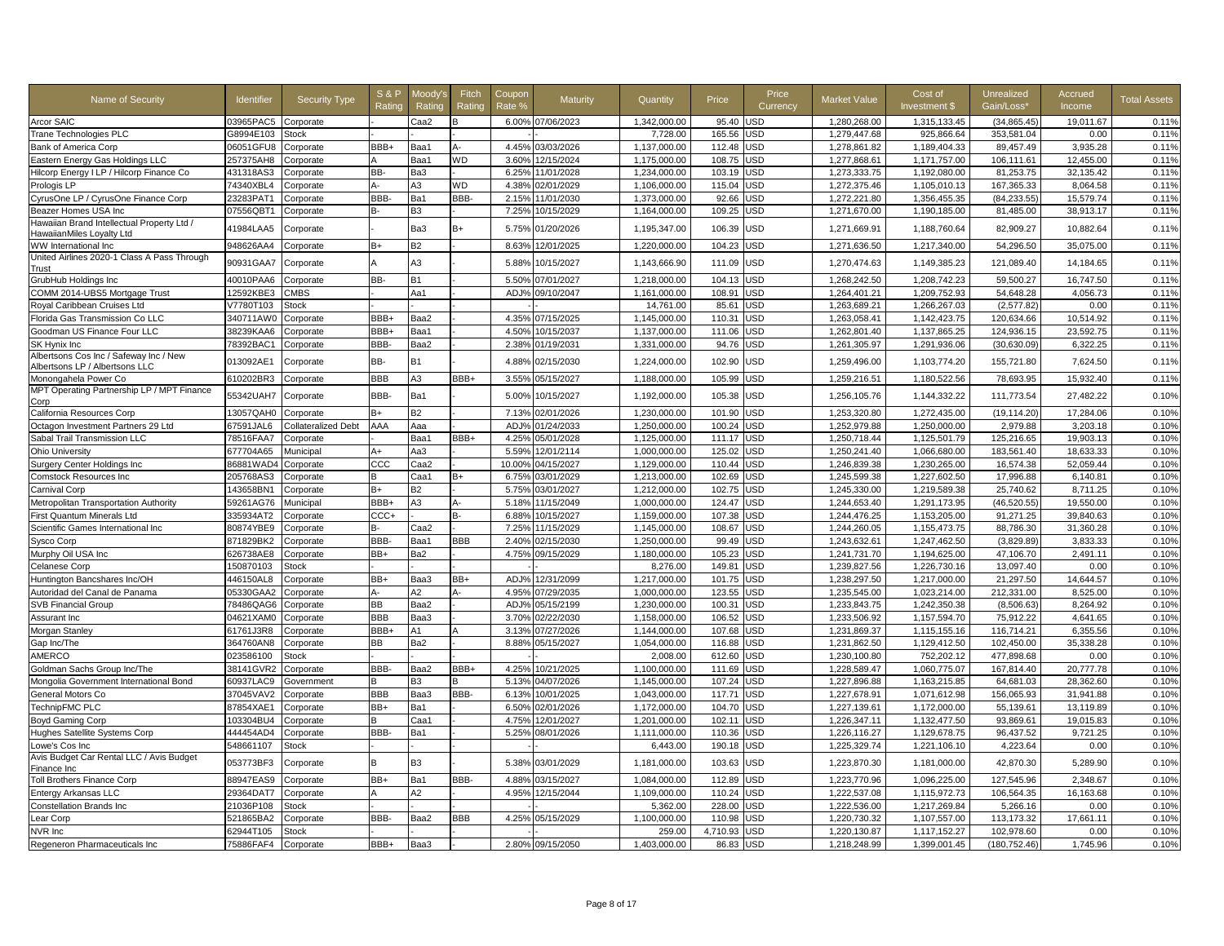| Name of Security                                                         | <b>Identifier</b>      | <b>Security Type</b>       | <b>S&amp;F</b><br>Rating | Moodv'<br>Rating | Fitch<br>Rating | Coupor<br>Rate º  | Maturity                 | Quantity                     | Price            | Price<br>Currency        | Market Value                 | Cost of<br>Investment \$     | Unrealized<br>Gain/Loss* | Accrued<br>Income     | <b>Total Assets</b> |
|--------------------------------------------------------------------------|------------------------|----------------------------|--------------------------|------------------|-----------------|-------------------|--------------------------|------------------------------|------------------|--------------------------|------------------------------|------------------------------|--------------------------|-----------------------|---------------------|
| Arcor SAIC                                                               | 03965PAC5              | Corporate                  |                          | Caa2             |                 | 6.00%             | 07/06/2023               | 1,342,000.00                 | 95.40            | JSD                      | 1,280,268.00                 | 1,315,133.45                 | (34, 865.45)             | 19,011.67             | 0.11%               |
| Trane Technologies PLC                                                   | 38994E103              | <b>Stock</b>               |                          |                  |                 |                   |                          | 7,728.00                     | 165.56           | JSD                      | 1,279,447.68                 | 925,866.64                   | 353,581.04               | 0.00                  | 0.11%               |
| Bank of America Corp                                                     | 06051GFU8              | Corporate                  | BBB+                     | Baa1             |                 | 4.45%             | 03/03/2026               | 1,137,000.00                 | 112.48           | <b>JSD</b>               | 1,278,861.82                 | 1,189,404.33                 | 89,457.49                | 3,935.28              | 0.11%               |
| Eastern Energy Gas Holdings LLC                                          | 257375AH8              | Corporate                  |                          | Baa1             | <b>WD</b>       | 3.60%             | 12/15/2024               | 1,175,000.00                 | 108.75           | <b>JSD</b>               | 1,277,868.61                 | 1,171,757.00                 | 106,111.61               | 12,455.00             | 0.11%               |
| Hilcorp Energy I LP / Hilcorp Finance Co                                 | 431318AS3              | Corporate                  | BB-                      | Ba3              |                 | 6.25%             | 11/01/2028               | 1,234,000.00                 | 103.19           | JSD                      | 1,273,333.75                 | 1,192,080.00                 | 81,253.75                | 32,135.42             | 0.11%               |
| Prologis LP                                                              | 74340XBL4              | Corporate                  |                          | A3               | <b>WD</b>       | 4.38%             | 02/01/2029               | 1,106,000.00                 | 115.04           | <b>JSD</b>               | 1,272,375.46                 | 1,105,010.13                 | 167,365.33               | 8.064.58              | 0.11%               |
| CyrusOne LP / CyrusOne Finance Corp                                      | 23283PAT1              | Corporate                  | BBB-                     | Ba1              | BBB-            | 2.15%             | 11/01/2030               | 1.373.000.00                 | 92.66            | <b>JSD</b>               | 1,272,221.80                 | 1.356.455.35                 | (84, 233.55)             | 15.579.74             | 0.11%               |
| Beazer Homes USA Inc                                                     | 07556QBT1              | Corporate                  | R-                       | B <sub>3</sub>   |                 | 7.25%             | 10/15/2029               | 1,164,000.00                 | 109.25           | <b>JSD</b>               | 1,271,670.00                 | 1,190,185.00                 | 81,485.00                | 38,913.17             | 0.11%               |
| Hawaiian Brand Intellectual Property Ltd /<br>HawaiianMiles Loyalty Ltd  | 41984LAA5              | Corporate                  |                          | Ba3              | B+              | 5.75%             | 01/20/2026               | 1,195,347.00                 | 106.39           | USD                      | 1,271,669.91                 | 1,188,760.64                 | 82,909.27                | 10,882.64             | 0.11%               |
| WW International Inc                                                     | 948626AA4              | Corporate                  | $B+$                     | <b>B2</b>        |                 | 8.639             | 12/01/2025               | 1,220,000.00                 | 104.23           | <b>JSD</b>               | 1,271,636.50                 | 1,217,340.00                 | 54,296.50                | 35,075.00             | 0.11%               |
| United Airlines 2020-1 Class A Pass Through<br>Trust                     | 90931GAA7              | Corporate                  |                          | A <sub>3</sub>   |                 | 5.889             | 10/15/2027               | 1,143,666.90                 | 111.09           | USD                      | 1,270,474.63                 | 1,149,385.23                 | 121,089.40               | 14,184.65             | 0.11%               |
| GrubHub Holdings Inc                                                     | 40010PAA6              | Corporate                  | BB-                      | <b>B1</b>        |                 | 5.50%             | 07/01/2027               | 1,218,000.00                 | 104.13           | JSD                      | 1,268,242.50                 | 1,208,742.23                 | 59,500.27                | 16,747.50             | 0.11%               |
| COMM 2014-UBS5 Mortgage Trust                                            | 12592KBE3              | <b>CMBS</b>                |                          | Aa1              |                 | ADJ'              | 09/10/2047               | 1,161,000.00                 | 108.91           | <b>JSD</b>               | 1,264,401.21                 | 1,209,752.93                 | 54,648.28                | 4,056.73              | 0.11%               |
| Roval Caribbean Cruises Ltd                                              | V7780T103              | Stock                      |                          |                  |                 |                   |                          | 14.761.00                    | 85.61            | <b>JSD</b>               | 1.263.689.21                 | 1,266,267.03                 | (2.577.82)               | 0.00                  | 0.11%               |
| Florida Gas Transmission Co LLC                                          | 340711AW0              | Corporate                  | BBB+                     | Baa2             |                 | 4.35%             | 07/15/2025               | 1,145,000.00                 | 110.31           | JSD                      | 1,263,058.41                 | 1,142,423.75                 | 120,634.66               | 10,514.92             | 0.11%               |
| Goodman US Finance Four LLC                                              | 38239KAA6              | Corporate                  | BBB+                     | Baa1             |                 | 4.50%             | 10/15/2037               | 1,137,000.00                 | 111.06           | JSD                      | 1,262,801.40                 | 1,137,865.25                 | 124,936.15               | 23,592.75             | 0.11%               |
| SK Hynix Inc                                                             | 78392BAC1              | Corporate                  | BBB-                     | Baa2             |                 | 2.38 <sup>o</sup> | 01/19/2031               | 1,331,000.00                 | 94.76            | JSD                      | 1,261,305.97                 | 1,291,936.06                 | (30,630.09)              | 6,322.25              | 0.11%               |
| Albertsons Cos Inc / Safeway Inc / New<br>Albertsons LP / Albertsons LLC | 013092AE1              | Corporate                  | BB-                      | B1               |                 | 4.88%             | 02/15/2030               | 1,224,000.00                 | 102.90           | USD                      | 1,259,496.00                 | 1,103,774.20                 | 155,721.80               | 7,624.50              | 0.11%               |
| Monongahela Power Co                                                     | 610202BR3              | Corporate                  | <b>BBB</b>               | A3               | BBB+            | 3.55%             | 05/15/2027               | 1,188,000.00                 | 105.99           | JSD                      | 1,259,216.51                 | 1,180,522.56                 | 78,693.95                | 15,932.40             | 0.11%               |
| MPT Operating Partnership LP / MPT Finance<br>Corp                       | 55342UAH7              | Corporate                  | BBB-                     | Ba1              |                 | 5.00%             | 10/15/2027               | 1,192,000.00                 | 105.38           | <b>JSD</b>               | 1,256,105.76                 | 1,144,332.22                 | 111,773.54               | 27.482.22             | 0.10%               |
| California Resources Corp                                                | 13057QAH0              | Corporate                  | B+                       | <b>B2</b>        |                 | 7.13%             | 02/01/2026               | 1.230.000.00                 | 101.90           | <b>JSD</b>               | 1.253.320.80                 | 1.272.435.00                 | (19.114.20)              | 17.284.06             | 0.10%               |
| Octagon Investment Partners 29 Ltd                                       | 67591JAL6              | <b>Collateralized Debt</b> | AAA                      | Aaa              |                 | ADJ <sub>9</sub>  | 01/24/2033               | 1,250,000.00                 | 100.24           | JSD                      | 1,252,979.88                 | 1,250,000.00                 | 2,979.88                 | 3,203.18              | 0.10%               |
| Sabal Trail Transmission LLC                                             | 78516FAA7              | Corporate                  |                          | Baa1             | BBB+            | 4.25%             | 05/01/2028               | 1,125,000.00                 | 111.17           | <b>JSD</b>               | 1,250,718.44                 | 1,125,501.79                 | 125,216.65               | 19,903.13             | 0.10%               |
| <b>Ohio University</b>                                                   | 677704A65              | Municipal                  | A+                       | Aa3              |                 | 5.59%             | 12/01/2114               | 1,000,000.00                 | 125.02           | <b>JSD</b>               | 1,250,241.40                 | 1,066,680.00                 | 183,561.40               | 18,633.33             | 0.10%               |
| <b>Surgery Center Holdings Inc</b>                                       | 86881WAD4              | Corporate                  | CCC                      | Caa2             |                 | 10.00%            | 04/15/2027               | 1,129,000.00                 | 110.44           | JSD                      | 1,246,839.38                 | 1,230,265.00                 | 16,574.38                | 52,059.44             | 0.10%               |
| <b>Comstock Resources Inc</b>                                            | 205768AS3              | Corporate                  | R                        | Caa1             | $B+$            | 6.75%             | 03/01/2029               | 1,213,000.00                 | 102.69           | <b>JSD</b>               | 1,245,599.38                 | 1,227,602.50                 | 17,996.88                | 6,140.81              | 0.10%               |
| Carnival Corp                                                            | 143658BN1              | Corporate                  | B+                       | <b>B2</b>        |                 | 5.75%             | 03/01/2027               | 1,212,000.00                 | 102.75           | <b>JSD</b>               | 1,245,330.00                 | 1,219,589.38                 | 25.740.62                | 8,711.25              | 0.10%               |
| Metropolitan Transportation Authority                                    | 59261AG76              | Municipal                  | BBB+                     | A3               |                 | 5.18%             | 11/15/2049               | 1,000,000.00                 | 124.47           | <b>JSD</b>               | 1,244,653.40                 | 1,291,173.95                 | (46, 520.55)             | 19,550.00             | 0.10%               |
| First Quantum Minerals Ltd                                               | 335934AT2              | Corporate                  | $_{\text{CCC+}}$         |                  |                 | 6.88%             | 10/15/2027               | 1,159,000.00                 | 107.38           | <b>JSD</b>               | 1,244,476.25                 | 1,153,205.00                 | 91,271.25                | 39,840.63             | 0.10%               |
| Scientific Games International Inc                                       | 80874YBE9              | Corporate                  | B-                       | Caa2             |                 | 7.25%             | 11/15/2029               | 1,145,000.00                 | 108.67           | <b>JSD</b>               | 1,244,260.05                 | 1,155,473.75                 | 88,786.30                | 31,360.28             | 0.10%               |
| <b>Sysco Corp</b>                                                        | 871829BK2              | Corporate                  | BBB-                     | Baa1             | <b>BBB</b>      | 2.40%             | 02/15/2030               | 1,250,000.00                 | 99.49            | <b>JSD</b>               | 1,243,632.61                 | 1,247,462.50                 | (3,829.89)               | 3,833.33              | 0.10%               |
| Murphy Oil USA Inc                                                       | 626738AE8              | Corporate                  | BB+                      | Ba2              |                 | 4.75%             | 09/15/2029               | 1,180,000.00                 | 105.23           | <b>JSD</b>               | 1,241,731.70                 | 1,194,625.00                 | 47,106.70                | 2,491.11              | 0.10%               |
| Celanese Corp                                                            | 150870103              | <b>Stock</b>               |                          |                  |                 |                   |                          | 8,276.00                     | 149.81           | USD                      | 1,239,827.56                 | 1,226,730.16                 | 13.097.40                | 0.00                  | 0.10%               |
| Huntington Bancshares Inc/OH                                             | 446150AL8              | Corporate                  | BB+                      | Baa3             | BB+             | ADJ <sub>9</sub>  | 12/31/2099               | 1,217,000.00                 | 101.75           | USD                      | 1,238,297.50                 | 1,217,000.00                 | 21,297.50                | 14,644.57             | 0.10%               |
| Autoridad del Canal de Panama                                            | 05330GAA2              | Corporate                  | А-                       | A <sub>2</sub>   |                 | 4.95%             | 07/29/2035               | 1,000,000.00                 | 123.55           | USD                      | 1,235,545.00                 | 1,023,214.00                 | 212,331.00               | 8,525.00              | 0.10%               |
| <b>SVB Financial Group</b>                                               | 78486QAG6              | Corporate                  | <b>BB</b>                | Baa2             |                 | AD.J <sub>9</sub> | 05/15/2199               | 1,230,000.00                 | 100.31           | JSD                      | 1,233,843.75                 | 1,242,350.38                 | (8,506.63)               | 8,264.92              | 0.10%               |
| Assurant Inc                                                             | 04621XAM0              | Corporate                  | BBB                      | Baa3             |                 | 3.70%             | 02/22/2030               | 1,158,000.00                 | 106.52           | JSD                      | 1,233,506.92                 | 1,157,594.70                 | 75,912.22                | 4,641.65              | 0.10%               |
| Morgan Stanley                                                           | 61761J3R8              | Corporate                  | BBB+                     | A1               |                 | 3.13%             | 07/27/2026               | 1,144,000.00                 | 107.68           | JSD                      | 1,231,869.37                 | 1,115,155.16                 | 116,714.21               | 6,355.56              | 0.10%               |
| Gap Inc/The                                                              | 364760AN8              | Corporate                  | ВB                       | Ba2              |                 | 8.88%             | 05/15/2027               | 1,054,000.00                 | 116.88           | <b>JSD</b>               | 1,231,862.50                 | 1,129,412.50                 | 102.450.00               | 35,338.28             | 0.10%               |
| <b>AMERCO</b>                                                            | 023586100              | Stock                      |                          |                  |                 |                   |                          | 2,008.00                     | 612.60           | JSD                      | 1,230,100.80                 | 752,202.12                   | 477,898.68               | 0.00                  | 0.10%               |
| Goldman Sachs Group Inc/The                                              | 38141GVR2              | Corporate                  | BBB-<br>R                | Baa2             | BBB+            | 4.25%             | 10/21/2025               | 1,100,000.00                 | 111.69           | JSD                      | 1,228,589.47                 | 1,060,775.07                 | 167,814.40               | 20.777.78             | 0.10%               |
| Mongolia Government International Bond                                   | 60937LAC9              | Government                 |                          | B <sub>3</sub>   |                 | 5.13%             | 04/07/2026               | 1,145,000.00                 | 107.24           | <b>JSD</b><br><b>USD</b> | 1,227,896.88                 | 1,163,215.85                 | 64,681.03                | 28,362.60             | 0.10%               |
| General Motors Co                                                        | 37045VAV2<br>87854XAE1 | Corporate                  | BBB<br>BB+               | Baa3             | BBB-            | 6.13%<br>6.509    | 10/01/2025               | 1,043,000.00                 | 117.71           | <b>JSD</b>               | 1,227,678.91                 | 1,071,612.98                 | 156,065.93               | 31,941.88             | 0.10%<br>0.10%      |
| <b>TechnipFMC PLC</b>                                                    | 03304BU4               | Corporate                  | R                        | Ba1              |                 | 4.75%             | 02/01/2026               | 1,172,000.00<br>1,201,000.00 | 104.70<br>102.11 | <b>JSD</b>               | 1,227,139.61<br>1,226,347.11 | 1,172,000.00<br>1,132,477.50 | 55,139.61<br>93,869.61   | 13,119.89             | 0.10%               |
| <b>Boyd Gaming Corp</b>                                                  | 444454AD4              | Corporate                  | BBB-                     | Caa1<br>Ba1      |                 | 5.25%             | 12/01/2027<br>08/01/2026 | 1,111,000.00                 | 110.36           | JSD                      | 1,226,116.27                 | 1,129,678.75                 | 96,437.52                | 19,015.83<br>9,721.25 | 0.10%               |
| Hughes Satellite Systems Corp<br>Lowe's Cos Inc                          | 548661107              | Corporate<br>Stock         |                          |                  |                 |                   |                          | 6,443.00                     | 190.18           | JSD                      | 1,225,329.74                 | 1,221,106.10                 | 4,223.64                 | 0.00                  | 0.10%               |
| Avis Budget Car Rental LLC / Avis Budget                                 |                        |                            |                          |                  |                 |                   |                          |                              |                  |                          |                              |                              |                          |                       |                     |
| Finance Inc                                                              | 053773BF3              | Corporate                  | В                        | B <sub>3</sub>   |                 | 5.38%             | 03/01/2029               | 1,181,000.00<br>1,084,000.00 | 103.63           | USD                      | 1,223,870.30                 | 1,181,000.00<br>1,096,225.00 | 42,870.30                | 5,289.90              | 0.10%               |
| <b>Toll Brothers Finance Corp</b>                                        | 88947EAS9              | Corporate                  | BB+                      | Ba1              | BBB-            | 4.88%             | 3/15/2027                |                              | 112.89           | JSD                      | 1,223,770.96                 |                              | 127,545.96               | 2,348.67              | 0.10%               |
| <b>Entergy Arkansas LLC</b>                                              | 29364DAT7              | Corporate                  |                          | A2               |                 | 4.95%             | 12/15/2044               | 1,109,000.00                 | 110.24           | JSD                      | 1,222,537.08                 | 1,115,972.73                 | 106,564.35               | 16,163.68             | 0.10%               |
| <b>Constellation Brands Inc</b>                                          | 21036P108              | Stock                      | BBB-                     |                  |                 |                   |                          | 5,362.00                     | 228.00<br>110.98 | <b>JSD</b><br><b>JSD</b> | 1,222,536.00                 | 1,217,269.84                 | 5,266.16                 | 0.00<br>17,661.11     | 0.10%               |
| ear Corp<br>NVR Inc                                                      | 521865BA2<br>62944T105 | Corporate                  |                          | Baa2             | BBB             | 4.25%             | 05/15/2029               | 1,100,000.00<br>259.00       | 4.710.93         | <b>JSD</b>               | 1,220,730.32<br>1,220,130.87 | 1,107,557.00<br>1,117,152.27 | 113,173.32<br>102,978.60 | 0.00                  | 0.10%<br>0.10%      |
| Regeneron Pharmaceuticals Inc                                            | 75886FAF4              | Stock<br>Corporate         | BBB+                     | Baa3             |                 |                   | 2.80% 09/15/2050         | 1,403,000.00                 | 86.83            | USD                      | 1,218,248.99                 | 1,399,001.45                 | (180, 752.46)            | 1,745.96              | 0.10%               |
|                                                                          |                        |                            |                          |                  |                 |                   |                          |                              |                  |                          |                              |                              |                          |                       |                     |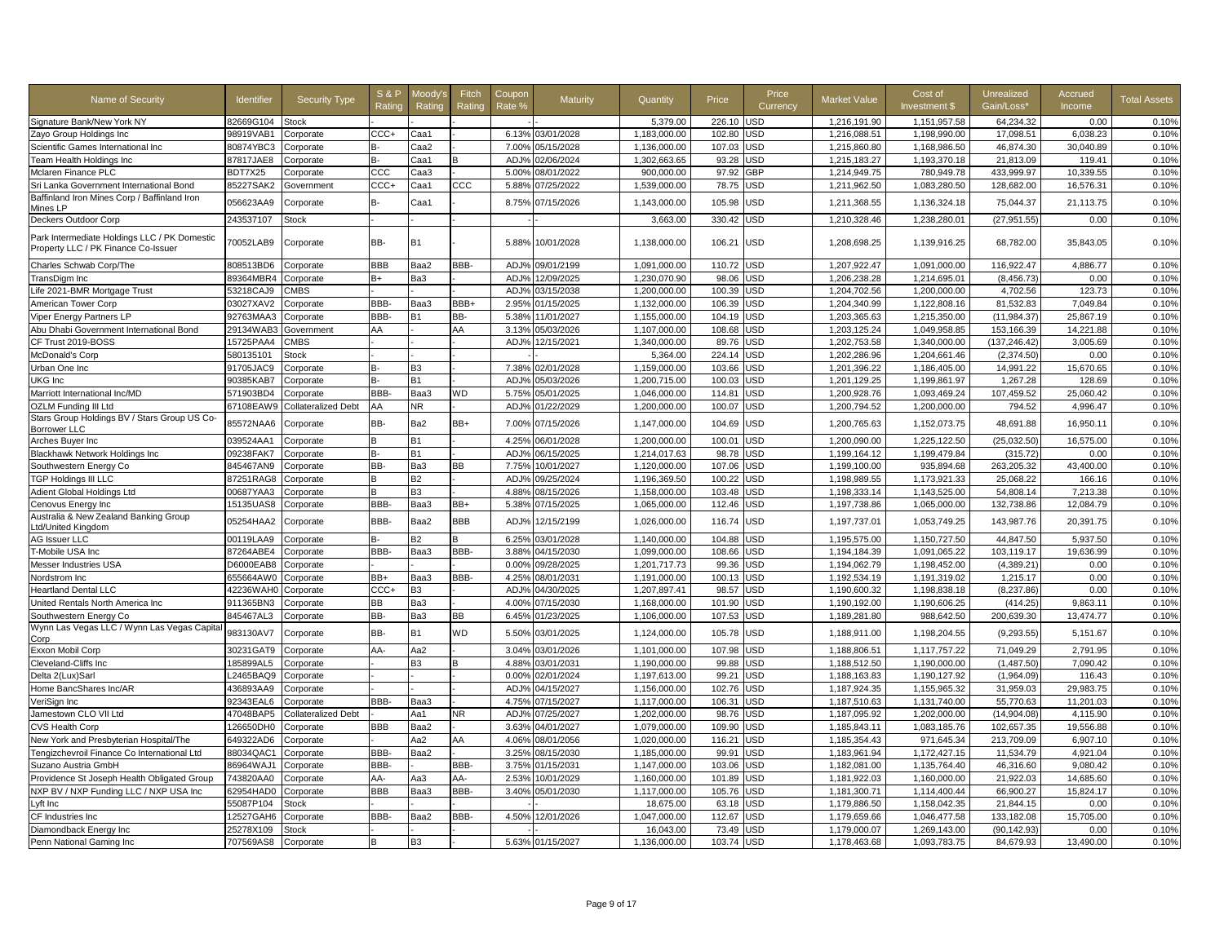| Name of Security                                                                    | ldentifier | <b>Security Type</b>       | <b>S&amp;P</b><br>Rating | Moody':<br>Rating | Fitch<br>Rating | Coupon<br>Rate % | Maturity         | Quantity     | Price  | Price<br>Currency | <b>Market Value</b> | Cost of<br>Investment \$ | Unrealized<br>Gain/Loss* | Accrued<br>Income | <b>Total Assets</b> |
|-------------------------------------------------------------------------------------|------------|----------------------------|--------------------------|-------------------|-----------------|------------------|------------------|--------------|--------|-------------------|---------------------|--------------------------|--------------------------|-------------------|---------------------|
| Signature Bank/New York NY                                                          | 82669G104  | <b>Stock</b>               |                          |                   |                 |                  |                  | 5,379.00     | 226.10 | JSD               | 1,216,191.90        | 1,151,957.58             | 64,234.32                | 0.00              | 0.10%               |
| Zayo Group Holdings Inc                                                             | 98919VAB1  | Corporate                  | $CCC +$                  | Caa1              |                 |                  | 6.13% 03/01/2028 | 1,183,000.00 | 102.80 | JSD               | 1,216,088.51        | 1,198,990.00             | 17,098.51                | 6,038.23          | 0.10%               |
| Scientific Games International Inc                                                  | 80874YBC3  | Corporate                  | в-                       | Caa2              |                 | 7.00%            | 05/15/2028       | 1,136,000.00 | 107.03 | <b>JSD</b>        | 1,215,860.80        | 1,168,986.50             | 46,874.30                | 30,040.89         | 0.10%               |
| Team Health Holdings Inc                                                            | 87817JAE8  | Corporate                  |                          | Caa1              |                 | ADJ <sub>9</sub> | 02/06/2024       | 1,302,663.65 | 93.28  | <b>JSD</b>        | 1,215,183.27        | 1,193,370.18             | 21,813.09                | 119.41            | 0.10%               |
| Mclaren Finance PLC                                                                 | BDT7X25    | Corporate                  | ccc                      | Caa3              |                 | 5.00%            | 08/01/2022       | 900,000.00   | 97.92  | <b>GBP</b>        | 1,214,949.75        | 780,949.78               | 433,999.97               | 10.339.55         | 0.10%               |
| Sri Lanka Government International Bond                                             | 85227SAK2  | Government                 | CCC+                     | Caa1              | $_{\rm ccc}$    | 5.88%            | 07/25/2022       | 1,539,000.00 | 78.75  | JSD               | 1,211,962.50        | 1,083,280.50             | 128,682.00               | 16,576.31         | 0.10%               |
| Baffinland Iron Mines Corp / Baffinland Iron<br>Mines LP                            | 056623AA9  | Corporate                  | B-                       | Caa1              |                 | 8.75%            | 07/15/2026       | 1,143,000.00 | 105.98 | JSD               | 1,211,368.55        | 1,136,324.18             | 75,044.37                | 21,113.75         | 0.10%               |
| Deckers Outdoor Corp                                                                | 243537107  | Stock                      |                          |                   |                 |                  |                  | 3,663.00     | 330.42 | JSD               | 1,210,328.46        | 1,238,280.01             | (27, 951.55)             | 0.00              | 0.10%               |
| Park Intermediate Holdings LLC / PK Domestic<br>Property LLC / PK Finance Co-Issuer | 70052LAB9  | Corporate                  | BB-                      | <b>B1</b>         |                 | 5.88%            | 10/01/2028       | 1,138,000.00 | 106.21 | <b>USD</b>        | 1,208,698.25        | 1,139,916.25             | 68,782.00                | 35,843.05         | 0.10%               |
| Charles Schwab Corp/The                                                             | 808513BD6  | Corporate                  | <b>BBB</b>               | Baa2              | BBB-            | ADJ%             | 09/01/2199       | 1,091,000.00 | 110.72 | JSD               | 1,207,922.47        | 1,091,000.00             | 116,922.47               | 4,886.77          | 0.10%               |
| TransDigm Inc                                                                       | 89364MBR4  | Corporate                  | R+                       | Ba3               |                 | ADJ%             | 12/09/2025       | 1,230,070.90 | 98.06  | JSD               | 1,206,238.28        | 1.214.695.01             | (8, 456.73)              | 0.00              | 0.10%               |
| Life 2021-BMR Mortgage Trust                                                        | 53218CAJ9  | <b>CMBS</b>                |                          |                   |                 | AD.J%            | 03/15/2038       | 1,200,000.00 | 100.39 | JSD               | 1,204,702.56        | 1,200,000.00             | 4,702.56                 | 123.73            | 0.10%               |
| American Tower Corp                                                                 | 03027XAV2  | Corporate                  | BBB-                     | Baa3              | BBB+            | 2.95%            | 01/15/2025       | 1.132.000.00 | 106.39 | JSD               | 1.204.340.99        | 1.122.808.16             | 81,532.83                | 7.049.84          | 0.10%               |
| Viper Energy Partners LP                                                            | 92763MAA3  | Corporate                  | BBB-                     | <b>B1</b>         | BB-             | 5.38%            | 11/01/2027       | 1,155,000.00 | 104.19 | <b>JSD</b>        | 1,203,365.63        | 1,215,350.00             | (11, 984.37)             | 25.867.19         | 0.10%               |
| Abu Dhabi Government International Bond                                             | 29134WAB3  | Government                 | AA                       |                   | AA              | 3.13%            | 05/03/2026       | 1,107,000.00 | 108.68 | <b>JSD</b>        | 1,203,125.24        | 1,049,958.85             | 153,166.39               | 14,221.88         | 0.10%               |
| CF Trust 2019-BOSS                                                                  | 15725PAA4  | <b>CMBS</b>                |                          |                   |                 | ADJ%             | 12/15/2021       | 1,340,000.00 | 89.76  | <b>JSD</b>        | 1,202,753.58        | 1,340,000.00             | (137, 246.42)            | 3,005.69          | 0.10%               |
| McDonald's Corp                                                                     | 580135101  | Stock                      |                          |                   |                 |                  |                  | 5,364.00     | 224.14 | <b>JSD</b>        | 1,202,286.96        | 1,204,661.46             | (2,374.50)               | 0.00              | 0.10%               |
| Urban One Inc                                                                       | 91705JAC9  | Corporate                  | R-                       | B <sub>3</sub>    |                 | 7.38%            | 02/01/2028       | 1,159,000.00 | 103.66 | JSD               | 1,201,396.22        | 1,186,405.00             | 14,991.22                | 15,670.65         | 0.10%               |
| <b>UKG</b> Inc                                                                      | 90385KAB7  | Corporate                  | R-                       | <b>B1</b>         |                 | ADJ%             | 05/03/2026       | 1,200,715.00 | 100.03 | JSD               | 1,201,129.25        | 1,199,861.97             | 1,267.28                 | 128.69            | 0.10%               |
| Marriott International Inc/MD                                                       | 571903BD4  | Corporate                  | BBB-                     | Baa3              | WD              | 5.75%            | 05/01/2025       | 1,046,000.00 | 114.81 | JSD               | 1,200,928.76        | 1,093,469.24             | 107,459.52               | 25,060.42         | 0.10%               |
| <b>OZLM Funding III Ltd</b>                                                         | 67108EAW9  | <b>Collateralized Debt</b> | AA                       | NR.               |                 | ADJ%             | 01/22/2029       | 1,200,000.00 | 100.07 | JSD               | 1,200,794.52        | 1,200,000.00             | 794.52                   | 4,996.47          | 0.10%               |
| Stars Group Holdings BV / Stars Group US Co-<br><b>Borrower LLC</b>                 | 85572NAA6  | Corporate                  | BB-                      | Ba2               | BB+             | 7.00%            | 07/15/2026       | 1,147,000.00 | 104.69 | USD               | 1,200,765.63        | 1,152,073.75             | 48,691.88                | 16,950.11         | 0.10%               |
| Arches Buyer Inc                                                                    | 039524AA1  | Corporate                  |                          | <b>B1</b>         |                 | 4.25%            | 06/01/2028       | 1,200,000.00 | 100.01 | <b>JSD</b>        | 1,200,090.00        | 1,225,122.50             | (25,032.50)              | 16,575.00         | 0.10%               |
| <b>Blackhawk Network Holdings Inc</b>                                               | 09238FAK7  | Corporate                  | в-                       | <b>B1</b>         |                 | ADJ%             | 06/15/2025       | 1,214,017.63 | 98.78  | JSD               | 1,199,164.12        | 1,199,479.84             | (315.72)                 | 0.00              | 0.10%               |
| Southwestern Energy Co                                                              | 845467AN9  | Corporate                  | BB-                      | Ba3               | <b>BB</b>       | 7.75%            | 10/01/2027       | 1,120,000.00 | 107.06 | <b>JSD</b>        | 1,199,100.00        | 935,894.68               | 263,205.32               | 43,400.00         | 0.10%               |
| <b>TGP Holdings III LLC</b>                                                         | 87251RAG8  | Corporate                  | в                        | <b>B2</b>         |                 | ADJ%             | 09/25/2024       | 1,196,369.50 | 100.22 | JSD               | 1,198,989.55        | 1,173,921.33             | 25,068.22                | 166.16            | 0.10%               |
| Adient Global Holdings Ltd                                                          | 00687YAA3  | Corporate                  |                          | B3                |                 | 4.88%            | 08/15/2026       | 1,158,000.00 | 103.48 | <b>JSD</b>        | 1,198,333.14        | 1,143,525.00             | 54,808.14                | 7,213.38          | 0.10%               |
| Cenovus Energy Inc                                                                  | 15135UAS8  | Corporate                  | BBB-                     | Baa3              | BB+             | 5.38%            | 07/15/2025       | 1,065,000.00 | 112.46 | JSD               | 1,197,738.86        | 1,065,000.00             | 132,738.86               | 12.084.79         | 0.10%               |
| Australia & New Zealand Banking Group                                               |            |                            |                          |                   |                 |                  |                  |              |        |                   |                     |                          |                          |                   |                     |
| Ltd/United Kingdom                                                                  | 05254HAA2  | Corporate                  | BBB-                     | Baa2              | <b>BBB</b>      | ADJ%             | 12/15/2199       | 1,026,000.00 | 116.74 | <b>JSD</b>        | 1,197,737.01        | 1,053,749.25             | 143,987.76               | 20,391.75         | 0.10%               |
| AG Issuer LLC                                                                       | 00119LAA9  | Corporate                  | R-                       | <b>B2</b>         | R               | 6.25%            | 03/01/2028       | 1.140.000.00 | 104.88 | JSD               | 1,195,575.00        | 1,150,727.50             | 44,847.50                | 5,937.50          | 0.10%               |
| T-Mobile USA Inc                                                                    | 87264ABE4  | Corporate                  | BBB-                     | Baa3              | BBB-            | 3.88%            | 04/15/2030       | 1,099,000.00 | 108.66 | JSD               | 1,194,184.39        | 1,091,065.22             | 103,119.17               | 19,636.99         | 0.10%               |
| Messer Industries USA                                                               | D6000EAB8  | Corporate                  |                          |                   |                 | 0.00%            | 09/28/2025       | 1.201.717.73 | 99.36  | JSD               | 1,194,062.79        | 1.198.452.00             | (4,389.21)               | 0.00              | 0.10%               |
| Nordstrom Inc                                                                       | 655664AW0  | Corporate                  | BB+                      | Baa3              | BBB-            | 4.25%            | 08/01/2031       | 1,191,000.00 | 100.13 | JSD               | 1,192,534.19        | 1,191,319.02             | 1,215.17                 | 0.00              | 0.10%               |
| <b>Heartland Dental LLC</b>                                                         | 42236WAH0  | Corporate                  | CCC+                     | B <sub>3</sub>    |                 | ADJ%             | 04/30/2025       | 1,207,897.41 | 98.57  | <b>JSD</b>        | 1,190,600.32        | 1,198,838.18             | (8,237.86)               | 0.00              | 0.10%               |
| United Rentals North America Inc                                                    | 911365BN3  | Corporate                  | <b>BB</b>                | Ba3               |                 | 4.00%            | 07/15/2030       | 1,168,000.00 | 101.90 | <b>JSD</b>        | 1,190,192.00        | 1,190,606.25             | (414.25)                 | 9.863.11          | 0.10%               |
| Southwestern Energy Co                                                              | 845467AL3  | Corporate                  | BB-                      | Ba3               | BB              |                  | 6.45% 01/23/2025 | 1,106,000.00 | 107.53 | JSD               | 1,189,281.80        | 988,642.50               | 200,639.30               | 13,474.77         | 0.10%               |
| Wynn Las Vegas LLC / Wynn Las Vegas Capita<br>Corp                                  | 983130AV7  | Corporate                  | BB-                      | <b>B1</b>         | <b>WD</b>       | 5.50%            | 03/01/2025       | 1.124.000.00 | 105.78 | USD               | 1,188,911.00        | 1,198,204.55             | (9, 293.55)              | 5.151.67          | 0.10%               |
| Exxon Mobil Corp                                                                    | 30231GAT9  | Corporate                  | AA-                      | Aa2               |                 | 3.04%            | 03/01/2026       | 1,101,000.00 | 107.98 | <b>JSD</b>        | 1,188,806.51        | 1,117,757.22             | 71,049.29                | 2,791.95          | 0.10%               |
| Cleveland-Cliffs Inc                                                                | 185899AL5  | Corporate                  |                          | B <sub>3</sub>    |                 | 4.88%            | 03/01/2031       | 1.190.000.00 | 99.88  | <b>JSD</b>        | 1,188,512.50        | 1.190.000.00             | (1.487.50)               | 7.090.42          | 0.10%               |
| Delta 2(Lux)Sarl                                                                    | 2465BAQ9   | Corporate                  |                          |                   |                 | 0.00%            | 02/01/2024       | 1,197,613.00 | 99.21  | <b>JSD</b>        | 1,188,163.83        | 1.190.127.92             | (1,964.09)               | 116.43            | 0.10%               |
| Home BancShares Inc/AR                                                              | 436893AA9  | Corporate                  |                          |                   |                 | ADJ%             | 04/15/2027       | 1,156,000.00 | 102.76 | JSD               | 1,187,924.35        | 1,155,965.32             | 31,959.03                | 29,983.75         | 0.10%               |
| VeriSign Inc                                                                        | 92343EAL6  | Corporate                  | BBB-                     | ВааЗ              |                 | 4.75%            | 07/15/2027       | 1,117,000.00 | 106.31 | JSD               | 1,187,510.63        | 1,131,740.00             | 55,770.63                | 11,201.03         | 0.10%               |
| Jamestown CLO VII Ltd                                                               | 47048BAP5  | Collateralized Debt        |                          | Aa1               | ΝR              | ADJ%             | 07/25/2027       | 1,202,000.00 | 98.76  | JSD               | 1,187,095.92        | 1,202,000.00             | (14,904.08)              | 4,115.90          | 0.10%               |
| <b>CVS Health Corp</b>                                                              | 126650DH0  | Corporate                  | BBB                      | Baa2              |                 | 3.63%            | 04/01/2027       | 1,079,000.00 | 109.90 | JSD               | 1,185,843.11        | 1,083,185.76             | 102,657.35               | 19,556.88         | 0.10%               |
| New York and Presbyterian Hospital/The                                              | 649322AD6  | Corporate                  |                          | Aa2               | AA              | 4.06%            | 08/01/2056       | 1,020,000.00 | 116.21 | JSD               | 1,185,354.43        | 971,645.34               | 213,709.09               | 6,907.10          | 0.10%               |
| Tengizchevroil Finance Co International Ltd                                         | 88034QAC1  | Corporate                  | BBB-                     | Baa2              |                 | 3.25%            | 08/15/2030       | 1,185,000.00 | 99.9'  | <b>JSD</b>        | 1,183,961.94        | 1,172,427.15             | 11,534.79                | 4,921.04          | 0.10%               |
| Suzano Austria GmbH                                                                 | 86964WAJ1  | Corporate                  | BBB-                     |                   | BBB-            | 3.75%            | 01/15/2031       | 1,147,000.00 | 103.06 | JSD               | 1,182,081.00        | 1,135,764.40             | 46,316.60                | 9,080.42          | 0.10%               |
| Providence St Joseph Health Obligated Group                                         | 743820AA0  | Corporate                  | AA-                      | Aa3               | AA-             | 2.53%            | 10/01/2029       | 1,160,000.00 | 101.89 | <b>JSD</b>        | 1,181,922.03        | 1,160,000.00             | 21,922.03                | 14,685.60         | 0.10%               |
| NXP BV / NXP Funding LLC / NXP USA Inc                                              | 62954HAD0  | Corporate                  | BBB                      | Baa3              | BBB-            | 3.40%            | 05/01/2030       | 1,117,000.00 | 105.76 | JSD               | 1,181,300.71        | 1,114,400.44             | 66,900.27                | 15,824.17         | 0.10%               |
| Lyft Inc                                                                            | 55087P104  | Stock                      |                          |                   |                 |                  |                  | 18.675.00    | 63.18  | <b>JSD</b>        | 1,179,886.50        | 1.158.042.35             | 21.844.15                | 0.00              | 0.10%               |
| CF Industries Inc                                                                   | 12527GAH6  | Corporate                  | BBB-                     | Baa2              | BBB-            | 4.50%            | 12/01/2026       | 1,047,000.00 | 112.67 | JSD               | 1,179,659.66        | 1,046,477.58             | 133,182.08               | 15,705.00         | 0.10%               |
| Diamondback Energy Inc                                                              | 25278X109  | Stock                      |                          |                   |                 |                  |                  | 16,043.00    | 73.49  | JSD               | 1,179,000.07        | 1,269,143.00             | (90, 142.93)             | 0.00              | 0.10%               |
| Penn National Gaming Inc                                                            | 707569AS8  |                            | B                        | B3                |                 |                  | 5.63% 01/15/2027 | 1,136,000.00 | 103.74 | <b>JSD</b>        | 1,178,463.68        | 1,093,783.75             | 84,679.93                | 13,490.00         | 0.10%               |
|                                                                                     |            | Corporate                  |                          |                   |                 |                  |                  |              |        |                   |                     |                          |                          |                   |                     |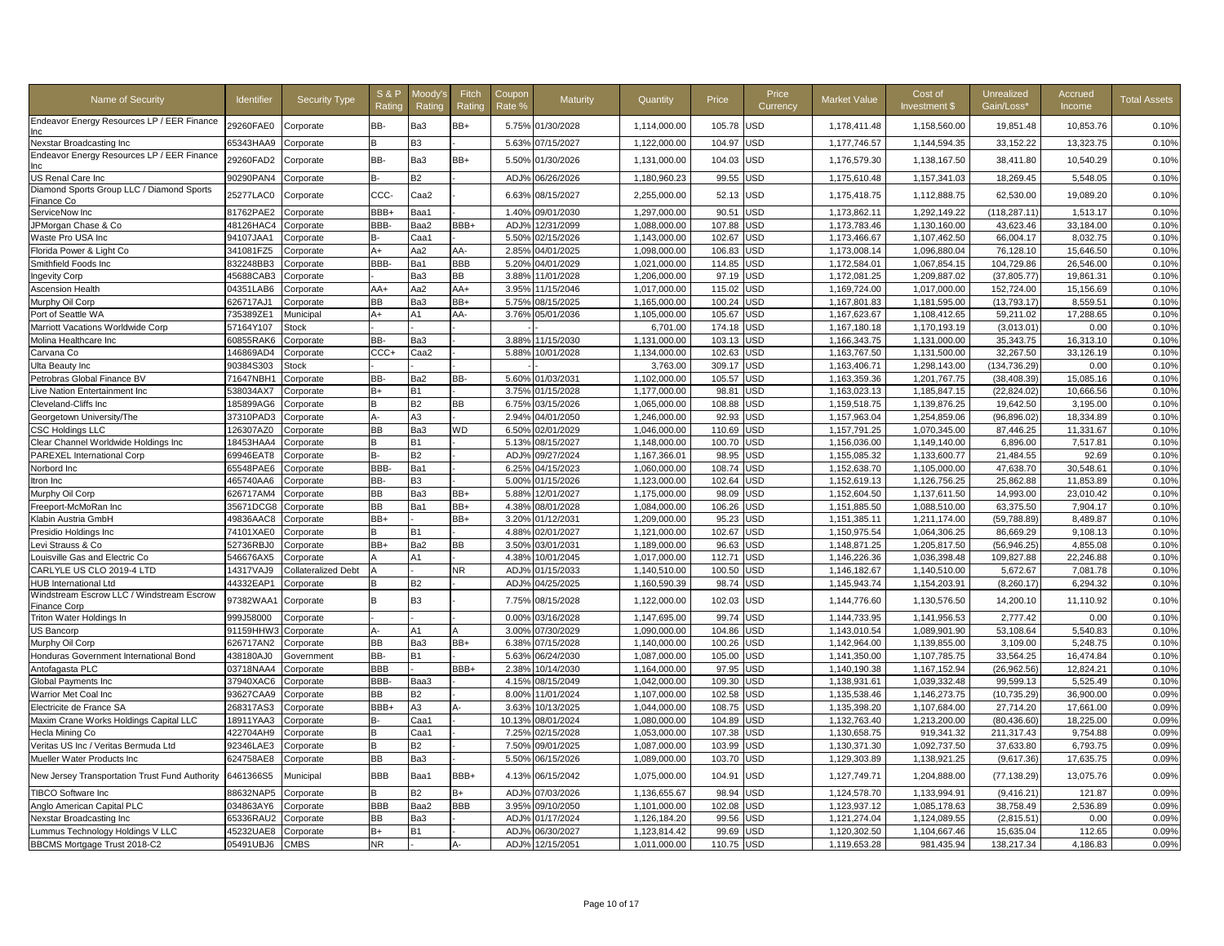| Name of Security                                  | <b>Identifier</b> | <b>Security Type</b> | <b>S&amp;P</b><br>Rating | /loody<br>Rating | Fitch<br>Ratino | Coupon<br>Rate % | Maturity         | Quantity     | Price  | Price<br>Currency | <b>Market Value</b> | Cost of<br>Investment \$ | Unrealized<br>Gain/Loss* | Accrued<br>Income | <b>Total Assets</b> |
|---------------------------------------------------|-------------------|----------------------|--------------------------|------------------|-----------------|------------------|------------------|--------------|--------|-------------------|---------------------|--------------------------|--------------------------|-------------------|---------------------|
| Endeavor Energy Resources LP / EER Finance<br>Inc | 29260FAE0         | Corporate            | BB-                      | Ba3              | BB+             |                  | 5.75% 01/30/2028 | 1,114,000.00 | 105.78 | <b>USD</b>        | 1,178,411.48        | 1,158,560.00             | 19,851.48                | 10,853.76         | 0.10%               |
| Nexstar Broadcasting Inc                          | 65343HAA9         | Corporate            |                          | B3               |                 | 5.63%            | 07/15/2027       | 1,122,000.00 | 104.97 | USD               | 1,177,746.57        | 1,144,594.35             | 33,152.22                | 13,323.75         | 0.10%               |
| Endeavor Energy Resources LP / EER Finance        | 29260FAD2         | Corporate            | BB-                      | Ba3              | BB+             | 5.50%            | 01/30/2026       | 1,131,000.00 | 104.03 | USD               | 1,176,579.30        | 1,138,167.50             | 38,411.80                | 10,540.29         | 0.10%               |
| US Renal Care Inc                                 | 90290PAN4         | Corporate            | B-                       | B2               |                 | ADJ <sub>9</sub> | 06/26/2026       | 1,180,960.23 | 99.55  | <b>JSD</b>        | 1,175,610.48        | 1,157,341.03             | 18,269.45                | 5,548.05          | 0.10%               |
| Diamond Sports Group LLC / Diamond Sports         | 25277LAC0         | Corporate            | ccc-                     | Caa2             |                 | 6.63%            | 08/15/2027       | 2,255,000.00 | 52.13  | USD               | 1,175,418.75        | 1,112,888.75             | 62,530.00                | 19,089.20         | 0.10%               |
| Finance Co                                        |                   |                      |                          |                  |                 |                  |                  |              |        |                   |                     |                          |                          |                   |                     |
| ServiceNow Inc                                    | 81762PAE2         | Corporate            | BBB+                     | Baa1             |                 | 1.40%            | 09/01/2030       | 1,297,000.00 | 90.51  | <b>JSD</b>        | 1,173,862.11        | 1,292,149.22             | (118, 287.11)            | 1,513.17          | 0.10%               |
| JPMorgan Chase & Co                               | 48126HAC4         | Corporate            | BBB-                     | Baa2             | BBB+            | ADJ <sub>9</sub> | 12/31/2099       | 1,088,000.00 | 107.88 | JSD               | 1,173,783.46        | 1,130,160.00             | 43,623.46                | 33,184.00         | 0.10%               |
| Waste Pro USA Inc                                 | 94107JAA1         | Corporate            |                          | Caa1             |                 | 5.50%            | 02/15/2026       | 1,143,000.00 | 102.67 | JSD               | 1,173,466.67        | 1,107,462.50             | 66,004.17                | 8,032.75          | 0.10%               |
| Florida Power & Light Co                          | 341081FZ5         | Corporate            | $A+$                     | Aa2              | AA-             | 2.85%            | 04/01/2025       | 1,098,000.00 | 106.83 | JSD               | 1,173,008.14        | 1,096,880.04             | 76,128.10                | 15,646.50         | 0.10%               |
| Smithfield Foods Inc                              | 832248BB3         | Corporate            | BBB-                     | Ba1              | <b>BBB</b>      | 5.20%            | 04/01/2029       | 1,021,000.00 | 114.85 | JSD               | 1,172,584.01        | 1,067,854.15             | 104,729.86               | 26,546.00         | 0.10%               |
| <b>Ingevity Corp</b>                              | 45688CAB3         | Corporate            |                          | Ba3              | <b>BB</b>       | 3.88%            | 11/01/2028       | 1,206,000.00 | 97.19  | <b>JSD</b>        | 1,172,081.25        | 1,209,887.02             | (37, 805.77)             | 19,861.31         | 0.10%               |
| <b>Ascension Health</b>                           | 04351LAB6         | Corporate            | AA+                      | Aa2              | AA+             | 3.95%            | 11/15/2046       | 1,017,000.00 | 115.02 | JSD               | 1,169,724.00        | 1,017,000.00             | 152,724.00               | 15,156.69         | 0.10%               |
| Murphy Oil Corp                                   | 626717AJ1         | Corporate            | <b>BB</b>                | Ba3              | BB+             | 5.75%            | 08/15/2025       | 1,165,000.00 | 100.24 | JSD               | 1,167,801.83        | 1,181,595.00             | (13, 793.17)             | 8,559.51          | 0.10%               |
| Port of Seattle WA                                | 735389ZE1         | Municipal            | $A+$                     | A1               | AA-             | 3.76%            | 05/01/2036       | 1,105,000.00 | 105.67 | JSD               | 1,167,623.67        | 1,108,412.65             | 59,211.02                | 17,288.65         | 0.10%               |
| Marriott Vacations Worldwide Corp                 | 57164Y107         | Stock                |                          |                  |                 |                  |                  | 6,701.00     | 174.18 | JSD               | 1,167,180.18        | 1,170,193.19             | (3,013.01)               | 0.00              | 0.10%               |
| Molina Healthcare Inc                             | 60855RAK6         | Corporate            | BB-                      | Ba3              |                 | 3.889            | 11/15/2030       | 1,131,000.00 | 103.13 | <b>JSD</b>        | 1,166,343.75        | 1,131,000.00             | 35,343.75                | 16,313.10         | 0.10%               |
| Carvana Co                                        | 146869AD4         | Corporate            | CCC+                     | Caa2             |                 | 5.88%            | 10/01/2028       | 1,134,000.00 | 102.63 | JSD               | 1,163,767.50        | 1,131,500.00             | 32.267.50                | 33.126.19         | 0.10%               |
| Ulta Beauty Inc                                   | 90384S303         | Stock                |                          |                  |                 |                  |                  | 3,763.00     | 309.17 | USD               | 1,163,406.71        | 1.298.143.00             | (134.736.29)             | 0.00              | 0.10%               |
| Petrobras Global Finance BV                       | 71647NBH1         | Corporate            | BB-                      | Ba2              | BB-             | 5.60%            | 01/03/2031       | 1,102,000.00 | 105.57 | JSD               | 1,163,359.36        | 1,201,767.75             | (38, 408.39)             | 15,085.16         | 0.10%               |
| ive Nation Entertainment Inc                      | 538034AX7         | Corporate            | B+                       | <b>B1</b>        |                 | 3.75%            | 01/15/2028       | 1,177,000.00 | 98.81  | JSD               | 1,163,023.13        | 1,185,847.15             | (22, 824.02)             | 10,666.56         | 0.10%               |
| Cleveland-Cliffs Inc                              | 185899AG6         | Corporate            | B                        | B2               | <b>BB</b>       | 6.75%            | 03/15/2026       | 1,065,000.00 | 108.88 | JSD               | 1,159,518.75        | 1,139,876.25             | 19,642.50                | 3,195.00          | 0.10%               |
| Georgetown University/The                         | 37310PAD3         | Corporate            | А-                       | A3               |                 | 2.94%            | 04/01/2050       | 1.246.000.00 | 92.93  | <b>JSD</b>        | 1.157.963.04        | 1.254.859.06             | (96.896.02)              | 18.334.89         | 0.10%               |
| <b>CSC Holdings LLC</b>                           | 126307AZ0         | Corporate            | <b>BB</b>                | Ba3              | <b>WD</b>       | 6.50%            | 02/01/2029       | 1.046.000.00 | 110.69 | JSD               | 1,157,791.25        | 1.070.345.00             | 87.446.25                | 11.331.67         | 0.10%               |
| Clear Channel Worldwide Holdings Inc              | 18453HAA4         | Corporate            |                          | <b>B1</b>        |                 | 5.13%            | 08/15/2027       | 1,148,000.00 | 100.70 | <b>JSD</b>        | 1,156,036.00        | 1,149,140.00             | 6,896.00                 | 7,517.81          | 0.10%               |
| PAREXEL International Corp                        | 69946EAT8         | Corporate            | в-                       | B2               |                 | ADJ%             | 09/27/2024       | 1,167,366.01 | 98.95  | <b>JSD</b>        | 1,155,085.32        | 1,133,600.77             | 21,484.55                | 92.69             | 0.10%               |
| Norbord Inc                                       | 65548PAE6         | Corporate            | BBB-                     | Ba1              |                 | 6.25%            | 04/15/2023       | 1,060,000.00 | 108.74 | JSD               | 1,152,638.70        | 1,105,000.00             | 47,638.70                | 30,548.61         | 0.10%               |
| ltron Inc                                         | 465740AA6         | Corporate            | BB-                      | B3               |                 | 5.00%            | 01/15/2026       | 1,123,000.00 | 102.64 | JSD               | 1,152,619.13        | 1,126,756.25             | 25,862.88                | 11,853.89         | 0.10%               |
| Murphy Oil Corp                                   | 626717AM4         | Corporate            | <b>BB</b>                | Ba3              | BB+             | 5.88%            | 2/01/2027        | 1,175,000.00 | 98.09  | <b>JSD</b>        | 1,152,604.50        | 1,137,611.50             | 14,993.00                | 23,010.42         | 0.10%               |
| Freeport-McMoRan Inc                              | 35671DCG8         | Corporate            | <b>BB</b>                | Ba1              | BB+             | 4.38%            | 08/01/2028       | 1,084,000.00 | 106.26 | JSD               | 1,151,885.50        | 1,088,510.00             | 63,375.50                | 7,904.17          | 0.10%               |
| Klabin Austria GmbH                               | 49836AAC8         | Corporate            | BB+                      |                  | BB+             | 3.20%            | 01/12/2031       | 1,209,000.00 | 95.23  | JSD               | 1,151,385.11        | 1,211,174.00             | (59, 788.89)             | 8,489.87          | 0.10%               |
| Presidio Holdings Inc                             | 74101XAE0         | Corporate            |                          | В1               |                 | 4.88%            | 02/01/2027       | 1,121,000.00 | 102.67 | JSD               | 1,150,975.54        | 1,064,306.25             | 86,669.29                | 9,108.13          | 0.10%               |
| Levi Strauss & Co                                 | 52736RBJ0         | Corporate            | BB+                      | Ba2              | <b>BB</b>       | 3.50%            | 03/01/2031       | 1,189,000.00 | 96.63  | <b>JSD</b>        | 1,148,871.25        | 1,205,817.50             | (56, 946.25)             | 4,855.08          | 0.10%               |
| ouisville Gas and Electric Co                     | 546676AX5         | Corporate            |                          | А1               |                 | 4.38%            | 10/01/2045       | 1,017,000.00 | 112.71 | JSD               | 1,146,226.36        | 1,036,398.48             | 109,827.88               | 22,246.88         | 0.10%               |
| CARLYLE US CLO 2019-4 LTD                         | 14317VAJ9         | Collateralized Debt  |                          |                  | <b>NR</b>       | ADJ <sup>9</sup> | 01/15/2033       | 1,140,510.00 | 100.50 | <b>JSD</b>        | 1,146,182.67        | 1,140,510.00             | 5,672.67                 | 7,081.78          | 0.10%               |
| <b>HUB International Ltd</b>                      | 44332EAP1         | Corporate            |                          | B2               |                 | ADJ%             | 04/25/2025       | 1,160,590.39 | 98.74  | JSD               | 1,145,943.74        | 1,154,203.91             | (8, 260.17)              | 6,294.32          | 0.10%               |
| Windstream Escrow LLC / Windstream Escrow         |                   |                      |                          |                  |                 |                  |                  |              |        |                   |                     |                          |                          |                   |                     |
| <b>Finance Corp</b>                               | 97382WAA1         | Corporate            | в                        | B3               |                 | 7.75%            | 08/15/2028       | 1,122,000.00 | 102.03 | USD               | 1,144,776.60        | 1,130,576.50             | 14,200.10                | 11,110.92         | 0.10%               |
| Triton Water Holdings In                          | 999J58000         | Corporate            |                          |                  |                 | 0.00%            | 03/16/2028       | 1,147,695.00 | 99.74  | <b>JSD</b>        | 1,144,733.95        | 1,141,956.53             | 2,777.42                 | 0.00              | 0.10%               |
| US Bancorp                                        | 91159HHW3         | Corporate            | A-                       | A1               |                 | 3.00%            | 07/30/2029       | 1,090,000.00 | 104.86 | JSD               | 1,143,010.54        | 1,089,901.90             | 53,108.64                | 5,540.83          | 0.10%               |
| Murphy Oil Corp                                   | 626717AN2         | Corporate            | <b>BB</b>                | Ba3              | BB+             | 6.38%            | 07/15/2028       | 1,140,000.00 | 100.26 | USD               | 1,142,964.00        | 1,139,855.00             | 3,109.00                 | 5,248.75          | 0.10%               |
| Honduras Government International Bond            | 438180AJ0         | Government           | BB-                      | <b>B1</b>        |                 | 5.63%            | 06/24/2030       | 1,087,000.00 | 105.00 | USD               | 1,141,350.00        | 1,107,785.75             | 33,564.25                | 16,474.84         | 0.10%               |
| Antofagasta PLC                                   | 03718NAA4         | Corporate            | <b>BBB</b>               |                  | BBB+            | 2.38%            | 10/14/2030       | 1,164,000.00 | 97.95  | <b>JSD</b>        | 1,140,190.38        | 1,167,152.94             | (26,962.56)              | 12,824.21         | 0.10%               |
| Global Payments Inc                               | 37940XAC6         | Corporate            | BBB-                     | Baa3             |                 | 4.15%            | 08/15/2049       | 1,042,000.00 | 109.30 | JSD               | 1,138,931.61        | 1,039,332.48             | 99,599.13                | 5,525.49          | 0.10%               |
| Warrior Met Coal Inc                              | 93627CAA9         | Corporate            | ВB                       | <b>B2</b>        |                 | 8.00%            | 1/01/2024        | 1,107,000.00 | 102.58 | <b>JSD</b>        | 1,135,538.46        | 1,146,273.75             | (10, 735.29)             | 36.900.00         | 0.09%               |
| Electricite de France SA                          | 268317AS3         | Corporate            | BBB+                     | A3               | А-              | 3.63%            | 10/13/2025       | 1,044,000.00 | 108.75 | JSD               | 1,135,398.20        | 1,107,684.00             | 27,714.20                | 17,661.00         | 0.09%               |
| Maxim Crane Works Holdings Capital LLC            | 18911YAA3         | Corporate            |                          | Caa1             |                 | 10.139           | 08/01/2024       | 1,080,000.00 | 104.89 | <b>JSD</b>        | 1,132,763.40        | 1,213,200.00             | (80, 436.60)             | 18,225.00         | 0.09%               |
| Hecla Mining Co                                   | 422704AH9         | Corporate            |                          | Caa1             |                 | 7.25%            | 02/15/2028       | 1,053,000.00 | 107.38 | JSD               | 1,130,658.75        | 919,341.32               | 211,317.43               | 9,754.88          | 0.09%               |
| Veritas US Inc / Veritas Bermuda Ltd              | 92346LAE3         | Corporate            | <b>B</b>                 | B2               |                 | 7.50%            | 09/01/2025       | 1,087,000.00 | 103.99 | JSD               | 1,130,371.30        | 1,092,737.50             | 37,633.80                | 6,793.75          | 0.09%               |
| Mueller Water Products Inc                        | 624758AE8         | Corporate            | <b>BB</b>                | Ba3              |                 | 5.50%            | 06/15/2026       | 1,089,000.00 | 103.70 | JSD               | 1,129,303.89        | 1,138,921.25             | (9,617.36)               | 17,635.75         | 0.09%               |
| New Jersey Transportation Trust Fund Authority    | 6461366S5         | Municipal            | <b>BBB</b>               | Baa1             | BBB+            | 4.13%            | 06/15/2042       | 1,075,000.00 | 104.91 | USD               | 1,127,749.71        | 1,204,888.00             | (77, 138.29)             | 13,075.76         | 0.09%               |
| <b>TIBCO Software Inc</b>                         | 88632NAP5         |                      |                          | B2               | $B+$            | AD.J%            | 07/03/2026       | 1.136.655.67 | 98.94  | <b>JSD</b>        | 1.124.578.70        | 1.133.994.91             | (9.416.21)               | 121.87            | 0.09%               |
| Anglo American Capital PLC                        | 034863AY6         | Corporate            | BBB                      | Baa2             | <b>BBB</b>      | 3.95%            | 09/10/2050       | 1,101,000.00 | 102.08 | JSD               | 1,123,937.12        | 1,085,178.63             | 38,758.49                | 2,536.89          | 0.09%               |
|                                                   |                   | Corporate            | BB                       |                  |                 | ADJ%             |                  |              | 99.56  |                   | 1,121,274.04        |                          |                          |                   | 0.09%               |
| Nexstar Broadcasting Inc                          | 65336RAU2         | Corporate            |                          | Ba3              |                 | ADJ%             | 01/17/2024       | 1,126,184.20 |        | JSD               |                     | 1,124,089.55             | (2,815.51)               | 0.00              |                     |
| Lummus Technology Holdings V LLC                  | 45232UAE8         | Corporate            | $B+$<br><b>NR</b>        | В1               |                 |                  | 06/30/2027       | 1,123,814.42 | 99.69  | JSD               | 1,120,302.50        | 1,104,667.46             | 15,635.04                | 112.65            | 0.09%               |
| BBCMS Mortgage Trust 2018-C2                      | 05491UBJ6         | <b>CMBS</b>          |                          |                  | A-              | ADJ%             | 12/15/2051       | 1,011,000.00 | 110.75 | <b>USD</b>        | 1,119,653.28        | 981,435.94               | 138,217.34               | 4,186.83          | 0.09%               |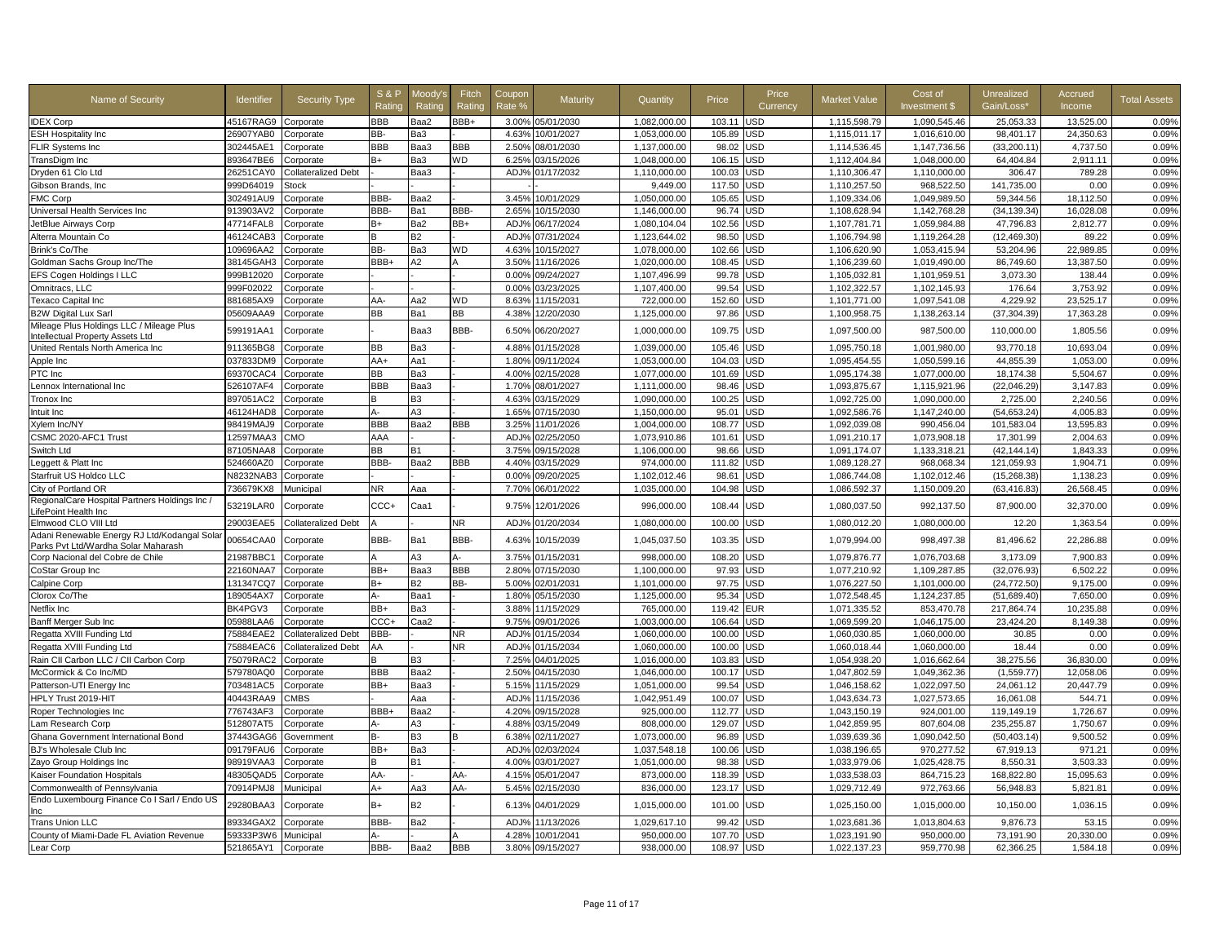| Name of Security                              | ldentifier | Security Type              | <b>S&amp;P</b><br>Ratino | Moodv'<br>Rating | Fitch<br>Ratinc | Coupor<br>Rate % | Maturity         | Quantity     | Price      | Price<br>Currency | Market Value | Cost of<br>Investment \$ | Unrealized<br>Gain/Loss' | Accrued<br>Income | <b>Total Assets</b> |
|-----------------------------------------------|------------|----------------------------|--------------------------|------------------|-----------------|------------------|------------------|--------------|------------|-------------------|--------------|--------------------------|--------------------------|-------------------|---------------------|
| <b>IDEX Corp</b>                              | 45167RAG9  | Corporate                  | BBB                      | Baa2             | BBB+            |                  | 3.00% 05/01/2030 | 1.082.000.00 | 103.11     | <b>JSD</b>        | 1,115,598.79 | 1.090.545.46             | 25.053.33                | 13.525.00         | 0.09%               |
| <b>ESH Hospitality Inc</b>                    | 26907YAB0  | Corporate                  | BB-                      | Ba3              |                 | 4.63%            | 10/01/2027       | 1.053.000.00 | 105.89     | <b>JSD</b>        | 1.115.011.17 | 1.016.610.00             | 98.401.17                | 24.350.63         | 0.09%               |
| FLIR Systems Inc                              | 302445AE1  | Corporate                  | BBB                      | Baa3             | BBB             | 2.50%            | 08/01/2030       | 1,137,000.00 | 98.02      | JSD               | 1,114,536.45 | 1,147,736.56             | (33, 200.11)             | 4,737.50          | 0.09%               |
| TransDigm Inc                                 | 893647BE6  | Corporate                  | B+                       | Ba3              | <b>WD</b>       | 6.25%            | 03/15/2026       | 1,048,000.00 | 106.15     | <b>JSD</b>        | 1,112,404.84 | 1,048,000.00             | 64,404.84                | 2,911.11          | 0.09%               |
| Dryden 61 Clo Ltd                             | 26251CAY0  | <b>Collateralized Debt</b> |                          | Baa3             |                 | ADJ%             | 01/17/2032       | 1,110,000.00 | 100.03     | JSD               | 1,110,306.47 | 1,110,000.00             | 306.47                   | 789.28            | 0.09%               |
| Gibson Brands, Inc                            | 999D64019  | Stock                      |                          |                  |                 |                  |                  | 9,449.00     | 117.50     | <b>JSD</b>        | 1,110,257.50 | 968.522.50               | 141,735.00               | 0.00              | 0.09%               |
| <b>FMC Corp</b>                               | 302491AU9  | Corporate                  | BBB-                     | Baa2             |                 | 3.45%            | 10/01/2029       | 1,050,000.00 | 105.65     | JSD               | 1,109,334.06 | 1,049,989.50             | 59,344.56                | 18,112.50         | 0.09%               |
| Universal Health Services Inc                 | 913903AV2  | Corporate                  | BBB-                     | Ba1              | BBB-            | 2.65%            | 10/15/2030       | 1,146,000.00 | 96.74      | JSD               | 1,108,628.94 | 1,142,768.28             | (34, 139.34)             | 16,028.08         | 0.09%               |
| JetBlue Airways Corp                          | 47714FAL8  | Corporate                  | B+                       | Ba2              | BB+             | ADJ%             | 06/17/2024       | 1,080,104.04 | 102.56     | JSD               | 1,107,781.71 | 1,059,984.88             | 47,796.83                | 2,812.77          | 0.09%               |
| Alterra Mountain Co                           | 46124CAB3  | Corporate                  |                          | <b>B2</b>        |                 | <b>ADJ</b>       | 07/31/2024       | 1,123,644.02 | 98.50      | JSD               | 1,106,794.98 | 1,119,264.28             | (12, 469.30)             | 89.22             | 0.09%               |
| Brink's Co/The                                | 109696AA2  | Corporate                  | BB-                      | Ba3              | WD              | 4.63%            | 10/15/2027       | 1,078,000.00 | 102.66     | JSD               | 1,106,620.90 | 1,053,415.94             | 53,204.96                | 22,989.85         | 0.09%               |
| Goldman Sachs Group Inc/The                   | 38145GAH3  | Corporate                  | BBB+                     | A2               |                 | 3.50%            | 11/16/2026       | 1,020,000.00 | 108.45     | JSD               | 1,106,239.60 | 1,019,490.00             | 86,749.60                | 13,387.50         | 0.09%               |
| EFS Cogen Holdings I LLC                      | 999B12020  | Corporate                  |                          |                  |                 | 0.00%            | 09/24/2027       | 1,107,496.99 | 99.78      | JSD               | 1,105,032.81 | 1,101,959.51             | 3,073.30                 | 138.44            | 0.09%               |
| Omnitracs, LLC                                | 999F02022  | Corporate                  |                          |                  |                 | 0.00%            | 03/23/2025       | 1,107,400.00 | 99.54      | JSD               | 1,102,322.57 | 1,102,145.93             | 176.64                   | 3,753.92          | 0.09%               |
| Texaco Capital Inc                            | 881685AX9  | Corporate                  | AA-                      | Aa2              | ΝD              | 8.63%            | 11/15/2031       | 722,000.00   | 152.60     | JSD               | 1,101,771.00 | 1,097,541.08             | 4,229.92                 | 23,525.17         | 0.09%               |
| <b>B2W Digital Lux Sarl</b>                   | 05609AAA9  | Corporate                  | ВB                       | Ba1              | BВ              | 4.38%            | 12/20/2030       | 1,125,000.00 | 97.86      | JSD               | 1,100,958.75 | 1,138,263.14             | (37, 304.39)             | 17,363.28         | 0.09%               |
| Mileage Plus Holdings LLC / Mileage Plus      |            |                            |                          |                  |                 |                  |                  |              |            |                   |              |                          |                          |                   |                     |
| Intellectual Property Assets Ltd              | 599191AA1  | Corporate                  |                          | Baa3             | BBB-            | 6.50%            | 06/20/2027       | 1,000,000.00 | 109.75     | <b>JSD</b>        | 1,097,500.00 | 987,500.00               | 110,000.00               | 1,805.56          | 0.09%               |
| United Rentals North America Inc              | 911365BG8  | Corporate                  | ВB                       | Ba3              |                 | 4.88%            | 01/15/2028       | 1.039.000.00 | 105.46     | <b>JSD</b>        | 1,095,750.18 | 1.001.980.00             | 93.770.18                | 10.693.04         | 0.09%               |
| Apple Inc                                     | 037833DM9  | Corporate                  | AA+                      | Aa1              |                 | 1.80%            | 09/11/2024       | 1,053,000.00 | 104.03     | JSD               | 1,095,454.55 | 1,050,599.16             | 44,855.39                | 1,053.00          | 0.09%               |
| PTC Inc                                       | 69370CAC4  | Corporate                  | ВB                       | Ba3              |                 | 4.00%            | 02/15/2028       | 1,077,000.00 | 101.69     | JSD               | 1,095,174.38 | 1,077,000.00             | 18,174.38                | 5,504.67          | 0.09%               |
| ennox International Inc.                      | 526107AF4  | Corporate                  | BBB                      | Baa3             |                 | 1.70%            | 08/01/2027       | 1,111,000.00 | 98.46      | JSD               | 1,093,875.67 | 1,115,921.96             | (22,046.29)              | 3,147.83          | 0.09%               |
| Tronox Inc                                    | 897051AC2  | Corporate                  |                          | B <sub>3</sub>   |                 | 4.63%            | 03/15/2029       | 1,090,000.00 | 100.25     | JSD               | 1,092,725.00 | 1,090,000.00             | 2,725.00                 | 2,240.56          | 0.09%               |
| Intuit Inc                                    | 46124HAD8  | Corporate                  | Δ.                       | A3               |                 | 1.65%            | 07/15/2030       | 1,150,000.00 | 95.0'      | JSD               | 1,092,586.76 | 1,147,240.00             | (54, 653.24)             | 4,005.83          | 0.09%               |
| Xylem Inc/NY                                  | 98419MAJ9  | Corporate                  | BBB                      | Baa2             | <b>BBB</b>      | 3.25%            | 11/01/2026       | 1,004,000.00 | 108.77     | JSD               | 1,092,039.08 | 990,456.04               | 101,583.04               | 13,595.83         | 0.09%               |
| CSMC 2020-AFC1 Trust                          | 12597MAA3  | CMO                        | AAA                      |                  |                 | ADJ <sub>9</sub> | 02/25/2050       | 1,073,910.86 | 101.61     | JSD               | 1,091,210.17 | 1,073,908.18             | 17,301.99                | 2,004.63          | 0.09%               |
| Switch Ltd                                    | 87105NAA8  | Corporate                  | ВB                       | <b>B1</b>        |                 | 3.75%            | 09/15/2028       | 1,106,000.00 | 98.66      | <b>JSD</b>        | 1,091,174.07 | 1,133,318.21             | (42, 144.14)             | 1,843.33          | 0.09%               |
| Leggett & Platt Inc                           | 524660AZ0  | Corporate                  | <b>BBB</b>               | Baa2             | BBB             | 4.40%            | 03/15/2029       | 974,000.00   | 111.82     | JSD               | 1,089,128.27 | 968,068.34               | 121,059.93               | 1,904.71          | 0.09%               |
| Starfruit US Holdco LLC                       | N8232NAB3  | Corporate                  |                          |                  |                 | 0.00%            | 09/20/2025       | 1.102.012.46 | 98.61      | JSD               | 1.086.744.08 | 1.102.012.46             | (15, 268.38)             | 1.138.23          | 0.09%               |
| City of Portland OR                           | 736679KX8  | Municipal                  | NR.                      | Aaa              |                 | 7.70%            | 06/01/2022       | 1,035,000.00 | 104.98     | JSD               | 1,086,592.37 | 1,150,009.20             | (63, 416.83)             | 26,568.45         | 0.09%               |
| RegionalCare Hospital Partners Holdings Inc / |            |                            |                          |                  |                 |                  |                  |              |            |                   |              |                          |                          |                   |                     |
| LifePoint Health Inc                          | 53219LAR0  | Corporate                  | $_{\text{CCC+}}$         | Caa1             |                 | 9.75%            | 12/01/2026       | 996,000.00   | 108.44     | JSD               | 1,080,037.50 | 992,137.50               | 87,900.00                | 32,370.00         | 0.09%               |
| Elmwood CLO VIII Ltd                          | 29003EAE5  | Collateralized Debt        |                          |                  | ٧R              | ADJ%             | 01/20/2034       | 1,080,000.00 | 100.00     | JSD               | 1,080,012.20 | 1,080,000.00             | 12.20                    | 1,363.54          | 0.09%               |
| Adani Renewable Energy RJ Ltd/Kodangal Sola   | 00654CAA0  |                            | BBB-                     | Ba1              | BBB-            | 4.63%            | 10/15/2039       | 1,045,037.50 | 103.35     | USD               | 1,079,994.00 | 998,497.38               | 81,496.62                | 22,286.88         | 0.09%               |
| Parks Pvt Ltd/Wardha Solar Maharash           |            | Corporate                  |                          |                  |                 |                  |                  |              |            |                   |              |                          |                          |                   |                     |
| Corp Nacional del Cobre de Chile              | 21987BBC1  | Corporate                  |                          | A3               |                 | 3.75%            | 01/15/2031       | 998,000.00   | 108.20     | JSD               | 1,079,876.77 | 1,076,703.68             | 3,173.09                 | 7,900.83          | 0.09%               |
| CoStar Group Inc                              | 22160NAA7  | Corporate                  | BB+                      | Baa3             | <b>BBB</b>      | 2.80%            | 07/15/2030       | 1,100,000.00 | 97.93      | JSD               | 1,077,210.92 | 1,109,287.85             | (32,076.93)              | 6,502.22          | 0.09%               |
| Calpine Corp                                  | 131347CQ7  | Corporate                  | B+                       | <b>B2</b>        | BB-             | 5.00%            | 02/01/2031       | 1,101,000.00 | 97.75      | <b>JSD</b>        | 1,076,227.50 | 1,101,000.00             | (24, 772.50)             | 9.175.00          | 0.09%               |
| Clorox Co/The                                 | 189054AX7  | Corporate                  | Д.                       | Baa1             |                 | 1.80%            | 05/15/2030       | 1,125,000.00 | 95.34      | JSD               | 1,072,548.45 | 1,124,237.85             | (51,689.40)              | 7,650.00          | 0.09%               |
| Netflix Inc                                   | BK4PGV3    | Corporate                  | BB+                      | Ba3              |                 | 3.889            | 11/15/2029       | 765,000.00   | 119.42     | EUR               | 1,071,335.52 | 853,470.78               | 217,864.74               | 10,235.88         | 0.09%               |
| Banff Merger Sub Inc                          | 05988LAA6  | Corporate                  | CCC+                     | Caa2             |                 | 9.75%            | 09/01/2026       | 1,003,000.00 | 106.64     | JSD               | 1,069,599.20 | 1,046,175.00             | 23,424.20                | 8,149.38          | 0.09%               |
| Regatta XVIII Funding Ltd                     | 75884EAE2  | Collateralized Debt        | BBB-                     |                  | NR              | ADJ%             | 01/15/2034       | 1,060,000.00 | 100.00     | <b>JSD</b>        | 1,060,030.85 | 1,060,000.00             | 30.85                    | 0.00              | 0.09%               |
| Regatta XVIII Funding Ltd                     | 75884EAC6  | <b>Collateralized Debt</b> | AA                       |                  | NR              | ADJ%             | 01/15/2034       | 1,060,000.00 | 100.00     | JSD               | 1,060,018.44 | 1,060,000.00             | 18.44                    | 0.00              | 0.09%               |
| Rain CII Carbon LLC / CII Carbon Corp         | 75079RAC2  | Corporate                  |                          | <b>B3</b>        |                 | 7.25%            | 04/01/2025       | 1,016,000.00 | 103.83     | JSD               | 1,054,938.20 | 1,016,662.64             | 38,275.56                | 36,830.00         | 0.09%               |
| McCormick & Co Inc/MD                         | 579780AQ0  | Corporate                  | BBB                      | Baa2             |                 | 2.50%            | 04/15/2030       | 1.046.000.00 | 100.17     | JSD               | 1.047.802.59 | 1.049.362.36             | (1,559.77)               | 12.058.06         | 0.09%               |
| Patterson-UTI Energy Inc                      | 703481AC5  | Corporate                  | BB+                      | Baa3             |                 | 5.15%            | 11/15/2029       | 1,051,000.00 | 99.54      | JSD               | 1,046,158.62 | 1,022,097.50             | 24,061.12                | 20.447.79         | 0.09%               |
| HPLY Trust 2019-HIT                           | 40443RAA9  | <b>CMBS</b>                |                          | Aaa              |                 | ADJ <sub>%</sub> | 11/15/2036       | 1,042,951.49 | 100.07     | <b>JSD</b>        | 1,043,634.73 | 1,027,573.65             | 16,061.08                | 544.71            | 0.09%               |
| Roper Technologies Inc                        | 776743AF3  | Corporate                  | BBB+                     | Baa2             |                 | 4.20%            | 09/15/2028       | 925,000.00   | 112.77     | JSD               | 1,043,150.19 | 924,001.00               | 119,149.19               | 1,726.67          | 0.09%               |
| Lam Research Corp                             | 512807AT5  | Corporate                  | А-                       | A3               |                 | 4.88%            | 03/15/2049       | 808,000.00   | 129.07     | JSD               | 1,042,859.95 | 807.604.08               | 235,255.87               | 1,750.67          | 0.09%               |
| Ghana Government International Bond           | 37443GAG6  | Government                 | в-                       | B <sub>3</sub>   |                 | 6.38%            | 02/11/2027       | 1,073,000.00 | 96.89      | JSD               | 1,039,639.36 | 1,090,042.50             | (50, 403.14)             | 9,500.52          | 0.09%               |
| BJ's Wholesale Club Inc                       | 09179FAU6  | Corporate                  | BB+                      | Ba3              |                 | ADJ%             | 02/03/2024       | 1,037,548.18 | 100.06     | <b>JSD</b>        | 1,038,196.65 | 970,277.52               | 67,919.13                | 971.21            | 0.09%               |
| Zayo Group Holdings Inc                       | 98919VAA3  | Corporate                  | R                        | B1               |                 | 4.00%            | 03/01/2027       | 1,051,000.00 | 98.38      | JSD               | 1,033,979.06 | 1,025,428.75             | 8.550.31                 | 3.503.33          | 0.09%               |
| Kaiser Foundation Hospitals                   | 48305QAD5  | Corporate                  | AA-                      |                  | AA-             | 4.15%            | 05/01/2047       | 873.000.00   | 118.39     | JSD               | 1.033.538.03 | 864.715.23               | 168.822.80               | 15.095.63         | 0.09%               |
| Commonwealth of Pennsylvania                  | 70914PMJ8  | Municipal                  | $A+$                     | Aa3              | AA-             | 5.45%            | 02/15/2030       | 836,000.00   | 123.17     | JSD               | 1,029,712.49 | 972,763.66               | 56,948.83                | 5,821.81          | 0.09%               |
| Endo Luxembourg Finance Co I Sarl / Endo US   |            |                            |                          |                  |                 |                  |                  |              |            |                   |              |                          |                          |                   |                     |
| Inc                                           | 29280BAA3  | Corporate                  | B+                       | <b>B2</b>        |                 | 6.13%            | 04/01/2029       | 1,015,000.00 | 101.00     | JSD               | 1,025,150.00 | 1,015,000.00             | 10,150.00                | 1,036.15          | 0.09%               |
| <b>Trans Union LLC</b>                        | 89334GAX2  | Corporate                  | <b>BBB</b>               | Ba2              |                 | ADJ <sup>o</sup> | 11/13/2026       | 1,029,617.10 | 99.42      | <b>JSD</b>        | 1,023,681.36 | 1,013,804.63             | 9,876.73                 | 53.15             | 0.09%               |
| County of Miami-Dade FL Aviation Revenue      | 59333P3W6  | Municipal                  | А-                       |                  |                 | 4.28%            | 10/01/2041       | 950,000.00   | 107.70     | JSD               | 1,023,191.90 | 950,000.00               | 73,191.90                | 20,330.00         | 0.09%               |
| Lear Corp                                     | 521865AY1  | Corporate                  | BBB-                     | Baa2             | <b>BBB</b>      |                  | 3.80% 09/15/2027 | 938,000.00   | 108.97 USD |                   | 1,022,137.23 | 959,770.98               | 62,366.25                | 1,584.18          | 0.09%               |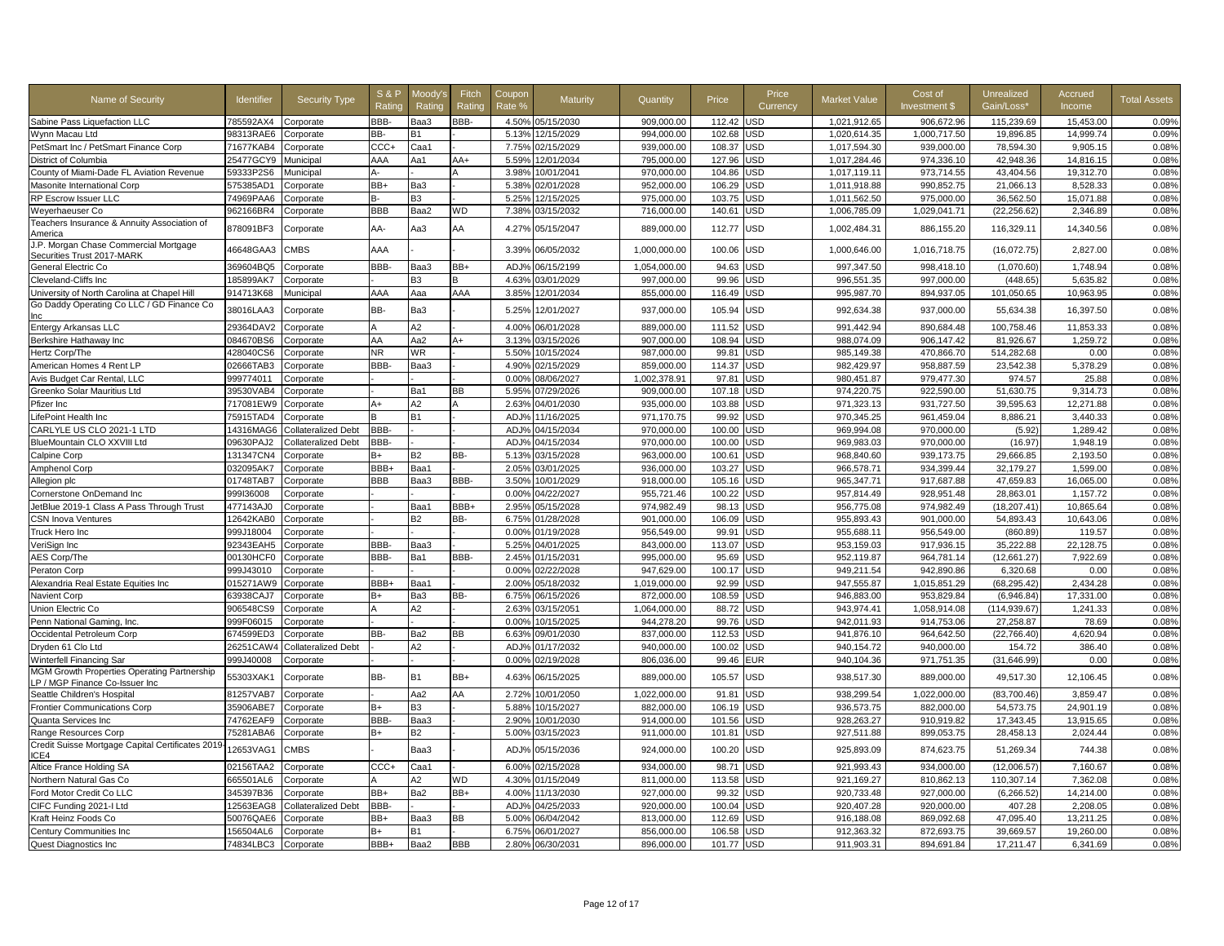| Name of Security                                                              | <b>Identifier</b> | Security Type              | <b>S&amp;P</b><br>Ratino | Moodv'<br>Rating | Fitch<br>Rating | Coupor<br>Rate % | Maturity         | Quantity     | Price  | Price<br>Currency | <b>Market Value</b> | Cost of<br><b>Investment \$</b> | Unrealized<br>Gain/Loss' | Accrued<br>Income | <b>Total Assets</b> |
|-------------------------------------------------------------------------------|-------------------|----------------------------|--------------------------|------------------|-----------------|------------------|------------------|--------------|--------|-------------------|---------------------|---------------------------------|--------------------------|-------------------|---------------------|
| Sabine Pass Liquefaction LLC                                                  | 785592AX4         | Corporate                  | BBB-                     | Baa3             | BBB-            |                  | 4.50% 05/15/2030 | 909,000.00   | 112.42 | JSD               | 1,021,912.65        | 906,672.96                      | 115,239.69               | 15,453.00         | 0.09%               |
| Wynn Macau Ltd                                                                | 98313RAE6         | Corporate                  | BB-                      | <b>B1</b>        |                 | 5.13%            | 12/15/2029       | 994.000.00   | 102.68 | <b>JSD</b>        | 1.020.614.35        | 1.000.717.50                    | 19.896.85                | 14.999.74         | 0.09%               |
| PetSmart Inc / PetSmart Finance Corp                                          | 71677KAB4         | Corporate                  | CCC-                     | Caa1             |                 | 7.75%            | 02/15/2029       | 939,000.00   | 108.37 | JSD               | 1,017,594.30        | 939,000.00                      | 78,594.30                | 9,905.15          | 0.08%               |
| District of Columbia                                                          | 25477GCY9         | Municipal                  | AAA                      | Aa1              | AA+             | 5.59%            | 12/01/2034       | 795.000.00   | 127.96 | JSD               | 1,017,284.46        | 974.336.10                      | 42.948.36                | 14.816.15         | 0.08%               |
| County of Miami-Dade FL Aviation Revenue                                      | 59333P2S6         | Municipal                  | А-                       |                  |                 | 3.98%            | 10/01/2041       | 970.000.00   | 104.86 | <b>JSD</b>        | 1.017.119.11        | 973.714.55                      | 43.404.56                | 19.312.70         | 0.08%               |
| Masonite International Corp                                                   | 575385AD1         | Corporate                  | BB+                      | Ba3              |                 | 5.38%            | 02/01/2028       | 952.000.00   | 106.29 | <b>JSD</b>        | 1.011.918.88        | 990.852.75                      | 21.066.13                | 8.528.33          | 0.08%               |
| RP Escrow Issuer LLC                                                          | 74969PAA6         | Corporate                  | В-                       | B <sub>3</sub>   |                 | 5.25%            | 12/15/2025       | 975,000.00   | 103.75 | JSD               | 1,011,562.50        | 975,000.00                      | 36,562.50                | 15,071.88         | 0.08%               |
| Weyerhaeuser Co                                                               | 962166BR4         | Corporate                  | BBB                      | Baa2             | WD              | 7.38%            | 03/15/2032       | 716,000.00   | 140.61 | <b>JSD</b>        | 1,006,785.09        | 1,029,041.71                    | (22, 256.62)             | 2,346.89          | 0.08%               |
| Teachers Insurance & Annuity Association of<br>America                        | 878091BF3         | Corporate                  | AA-                      | Aa3              | AA              | $4.27^{\circ}$   | 05/15/2047       | 889,000.00   | 112.77 | JSD               | 1,002,484.31        | 886,155.20                      | 116,329.11               | 14,340.56         | 0.08%               |
| J.P. Morgan Chase Commercial Mortgage<br>Securities Trust 2017-MARK           | 46648GAA3         | <b>CMBS</b>                | AAA                      |                  |                 | 3.39%            | 06/05/2032       | 1.000.000.00 | 100.06 | <b>USD</b>        | 1.000.646.00        | 1.016.718.75                    | (16.072.75)              | 2.827.00          | 0.08%               |
| General Electric Co                                                           | 369604BQ5         | Corporate                  | BBB-                     | Baa3             | BB+             | ADJ%             | 06/15/2199       | 1.054.000.00 | 94.63  | <b>JSD</b>        | 997,347.50          | 998.418.10                      | (1,070.60)               | 1,748.94          | 0.08%               |
| Cleveland-Cliffs Inc                                                          | 185899AK7         | Corporate                  |                          | B <sub>3</sub>   |                 | 4.63%            | 03/01/2029       | 997,000.00   | 99.96  | <b>JSD</b>        | 996,551.35          | 997,000.00                      | (448.65)                 | 5,635.82          | 0.08%               |
| University of North Carolina at Chapel Hill                                   | 914713K68         | Municipal                  | AAA                      | Aaa              | AAA             | 3.85%            | 12/01/2034       | 855,000.00   | 116.49 | <b>JSD</b>        | 995,987.70          | 894,937.05                      | 101,050.65               | 10,963.95         | 0.08%               |
| Go Daddy Operating Co LLC / GD Finance Co                                     | 38016LAA3         | Corporate                  | BB-                      | Ba3              |                 | 5.25%            | 12/01/2027       | 937,000.00   | 105.94 | JSD               | 992,634.38          | 937,000.00                      | 55,634.38                | 16,397.50         | 0.08%               |
| Entergy Arkansas LLC                                                          | 29364DAV2         | Corporate                  | Δ                        | A2               |                 | 4.00%            | 06/01/2028       | 889,000.00   | 111.52 | <b>JSD</b>        | 991.442.94          | 890.684.48                      | 100.758.46               | 11.853.33         | 0.08%               |
| Berkshire Hathaway Inc                                                        | 084670BS6         | Corporate                  | AA                       | Aa2              | A+              | 3.13%            | 03/15/2026       | 907,000.00   | 108.94 | JSD               | 988,074.09          | 906,147.42                      | 81,926.67                | 1,259.72          | 0.08%               |
| Hertz Corp/The                                                                | 428040CS6         | Corporate                  | <b>NR</b>                | <b>WR</b>        |                 | 5.50%            | 10/15/2024       | 987,000.00   | 99.81  | JSD               | 985,149.38          | 470,866.70                      | 514,282.68               | 0.00              | 0.08%               |
| American Homes 4 Rent LP                                                      | 02666TAB3         | Corporate                  | BBB-                     | Baa3             |                 | 4.90%            | 02/15/2029       | 859,000.00   | 114.37 | <b>JSD</b>        | 982,429.97          | 958,887.59                      | 23,542.38                | 5,378.29          | 0.08%               |
| Avis Budget Car Rental, LLC                                                   | 999774011         | Corporate                  |                          |                  |                 | 0.00%            | 08/06/2027       | 1,002,378.91 | 97.8'  | JSD               | 980,451.87          | 979,477.30                      | 974.57                   | 25.88             | 0.08%               |
| Greenko Solar Mauritius Ltd                                                   | 39530VAB4         | Corporate                  |                          | Ba1              | ВB              | 5.95%            | 07/29/2026       | 909.000.00   | 107.18 | <b>JSD</b>        | 974.220.75          | 922.590.00                      | 51.630.75                | 9.314.73          | 0.08%               |
| Pfizer Inc                                                                    | 717081EW9         | Corporate                  | A+                       | A <sub>2</sub>   |                 | 2.63%            | 04/01/2030       | 935,000.00   | 103.88 | JSD               | 971,323.13          | 931.727.50                      | 39.595.63                | 12.271.88         | 0.08%               |
| LifePoint Health Inc                                                          | 75915TAD4         | Corporate                  |                          | <b>B1</b>        |                 | ADJ%             | 11/16/2025       | 971,170.75   | 99.92  | JSD               | 970,345.25          | 961,459.04                      | 8,886.21                 | 3,440.33          | 0.08%               |
| CARLYLE US CLO 2021-1 LTD                                                     | 14316MAG6         | <b>Collateralized Debt</b> | <b>BBB</b>               |                  |                 | ADJ <sub>9</sub> | 04/15/2034       | 970,000.00   | 100.00 | JSD               | 969,994.08          | 970,000.00                      | (5.92)                   | 1,289.42          | 0.08%               |
| BlueMountain CLO XXVIII Ltd                                                   | 09630PAJ2         | <b>Collateralized Debt</b> | <b>BBB</b>               |                  |                 | ADJ <sub>%</sub> | 04/15/2034       | 970,000.00   | 100.00 | JSD               | 969,983.03          | 970.000.00                      | (16.97)                  | 1.948.19          | 0.08%               |
| Calpine Corp                                                                  | 131347CN4         | Corporate                  | B+                       | <b>B2</b>        | BB-             | 5.13%            | 03/15/2028       | 963.000.00   | 100.61 | JSD               | 968.840.60          | 939,173.75                      | 29.666.85                | 2.193.50          | 0.08%               |
| Amphenol Corp                                                                 | 032095AK7         | Corporate                  | BBB+                     | Baa1             |                 | 2.05%            | 03/01/2025       | 936.000.00   | 103.27 | <b>JSD</b>        | 966.578.71          | 934.399.44                      | 32.179.27                | 1.599.00          | 0.08%               |
| Allegion plc                                                                  | 01748TAB7         | Corporate                  | BBB                      | Baa3             | BBB-            | 3.50%            | 10/01/2029       | 918.000.00   | 105.16 | JSD               | 965,347.71          | 917,687.88                      | 47.659.83                | 16.065.00         | 0.08%               |
| Cornerstone OnDemand Inc                                                      | 999I36008         | Corporate                  |                          |                  |                 | 0.00%            | 04/22/2027       | 955.721.46   | 100.22 | <b>JSD</b>        | 957.814.49          | 928.951.48                      | 28.863.01                | 1.157.72          | 0.08%               |
| JetBlue 2019-1 Class A Pass Through Trust                                     | 477143AJ0         | Corporate                  |                          | Baa1             | BBB+            | 2.95%            | 05/15/2028       | 974,982.49   | 98.13  | JSD               | 956,775.08          | 974,982.49                      | (18, 207.41)             | 10,865.64         | 0.08%               |
| <b>SN Inova Ventures</b>                                                      | 12642KAB0         | Corporate                  |                          | R2               | BB-             | 6.75%            | 01/28/2028       | 901,000.00   | 106.09 | <b>JSD</b>        | 955,893.43          | 901,000.00                      | 54,893.43                | 10,643.06         | 0.08%               |
| Truck Hero Inc                                                                | 999J18004         | Corporate                  |                          |                  |                 | 0.00%            | 01/19/2028       | 956,549.00   | 99.91  | JSD               | 955,688.11          | 956,549.00                      | (860.89)                 | 119.57            | 0.08%               |
| VeriSign Inc                                                                  | 92343EAH5         | Corporate                  | BBB-                     | Baa3             |                 | 5.25%            | 04/01/2025       | 843,000.00   | 113.07 | JSD               | 953,159.03          | 917,936.15                      | 35,222.88                | 22,128.75         | 0.08%               |
| <b>AES Corp/The</b>                                                           | 00130HCF0         | Corporate                  | BBB-                     | Ba1              | BBB-            | 2.45%            | 01/15/2031       | 995.000.00   | 95.69  | JSD               | 952.119.87          | 964.781.14                      | (12.661.27)              | 7.922.69          | 0.08%               |
| Peraton Corp                                                                  | 999J43010         | Corporate                  |                          |                  |                 | 0.00%            | 02/22/2028       | 947.629.00   | 100.17 | <b>JSD</b>        | 949.211.54          | 942.890.86                      | 6.320.68                 | 0.00              | 0.08%               |
| Alexandria Real Estate Equities Inc                                           | 015271AW9         | Corporate                  | BBB+                     | Baa1             |                 | 2.00%            | 05/18/2032       | 1,019,000.00 | 92.99  | JSD               | 947,555.87          | 1,015,851.29                    | (68, 295.42)             | 2,434.28          | 0.08%               |
| Navient Corp                                                                  | 63938CAJ7         | Corporate                  | B+                       | Ba3              | BB-             | 6.75%            | 06/15/2026       | 872,000.00   | 108.59 | JSD               | 946,883.00          | 953,829.84                      | (6,946.84)               | 17,331.00         | 0.08%               |
| Union Electric Co                                                             | 906548CS9         | Corporate                  | А                        | A <sub>2</sub>   |                 | 2.63%            | 03/15/2051       | 1,064,000.00 | 88.72  | JSD               | 943,974.41          | 1,058,914.08                    | (114, 939.67)            | 1,241.33          | 0.08%               |
| Penn National Gaming, Inc.                                                    | 999F06015         | Corporate                  |                          |                  |                 | 0.00%            | 10/15/2025       | 944,278.20   | 99.76  | <b>JSD</b>        | 942.011.93          | 914,753.06                      | 27,258.87                | 78.69             | 0.08%               |
| Occidental Petroleum Corp                                                     | 674599ED3         | Corporate                  | BB-                      | Ba2              | BB              | 6.63%            | 09/01/2030       | 837,000.00   | 112.53 | JSD               | 941,876.10          | 964,642.50                      | (22, 766.40)             | 4.620.94          | 0.08%               |
| Dryden 61 Clo Ltd                                                             | 26251CAW4         | Collateralized Debt        |                          | A2               |                 | ADJ%             | 01/17/2032       | 940,000.00   | 100.02 | <b>JSD</b>        | 940,154.72          | 940,000.00                      | 154.72                   | 386.40            | 0.08%               |
| <b>Winterfell Financing Sar</b>                                               | 999J40008         | Corporate                  |                          |                  |                 | 0.00%            | 02/19/2028       | 806,036.00   | 99.46  | EUR               | 940,104.36          | 971,751.35                      | (31, 646.99)             | 0.00              | 0.08%               |
| MGM Growth Properties Operating Partnership<br>LP / MGP Finance Co-Issuer Inc | 55303XAK1         | Corporate                  | BB-                      | <b>B1</b>        | BB+             | 4.63%            | 06/15/2025       | 889,000.00   | 105.57 | JSD               | 938,517.30          | 889,000.00                      | 49,517.30                | 12,106.45         | 0.08%               |
| Seattle Children's Hospital                                                   | 81257VAB7         | Corporate                  |                          | Aa2              | AA              | 2.72%            | 10/01/2050       | 1,022,000.00 | 91.81  | <b>JSD</b>        | 938,299.54          | 1,022,000.00                    | (83,700.46)              | 3.859.47          | 0.08%               |
| <b>Frontier Communications Corp</b>                                           | 35906ABE7         | Corporate                  | $B+$                     | B <sub>3</sub>   |                 | 5.88%            | 10/15/2027       | 882,000.00   | 106.19 | JSD               | 936,573.75          | 882,000.00                      | 54,573.75                | 24,901.19         | 0.08%               |
| Quanta Services Inc                                                           | 74762EAF9         | Corporate                  | BBB-                     | Baa3             |                 | 2.90%            | 10/01/2030       | 914,000.00   | 101.56 | JSD               | 928,263.27          | 910,919.82                      | 17,343.45                | 13,915.65         | 0.08%               |
| Range Resources Corp                                                          | 75281ABA6         | Corporate                  | B+                       | <b>B2</b>        |                 | 5.00%            | 03/15/2023       | 911,000.00   | 101.81 | JSD               | 927,511.88          | 899,053.75                      | 28,458.13                | 2,024.44          | 0.08%               |
| Credit Suisse Mortgage Capital Certificates 201<br>ICE4                       | 12653VAG1         | CMBS                       |                          | Baa3             |                 | ADJ%             | 05/15/2036       | 924,000.00   | 100.20 | <b>JSD</b>        | 925,893.09          | 874,623.75                      | 51,269.34                | 744.38            | 0.08%               |
| Altice France Holding SA                                                      | 02156TAA2         | Corporate                  | CCC+                     | Caa1             |                 | 6.00%            | 02/15/2028       | 934,000.00   | 98.71  | JSD               | 921,993.43          | 934,000.00                      | (12,006.57)              | 7,160.67          | 0.08%               |
| Northern Natural Gas Co                                                       | 665501AL6         | Corporate                  |                          | 42               | WD              | 4.30%            | 01/15/2049       | 811,000.00   | 113.58 | JSD               | 921,169.27          | 810,862.13                      | 110,307.14               | 7,362.08          | 0.08%               |
| Ford Motor Credit Co LLC                                                      | 345397B36         | Corporate                  | BB+                      | Ba2              | BB+             | 4.00%            | 11/13/2030       | 927,000.00   | 99.32  | JSD               | 920,733.48          | 927,000.00                      | (6, 266.52)              | 14,214.00         | 0.08%               |
| CIFC Funding 2021-I Ltd                                                       | 12563EAG8         | Collateralized Debt        | BBB-                     |                  |                 | ADJ <sub>9</sub> | 04/25/2033       | 920,000.00   | 100.04 | JSD               | 920,407.28          | 920,000.00                      | 407.28                   | 2,208.05          | 0.08%               |
| Kraft Heinz Foods Co                                                          | 50076QAE6         | Corporate                  | BB+                      | Baa3             | ВB              | 5.00%            | 06/04/2042       | 813,000.00   | 112.69 | JSD               | 916,188.08          | 869,092.68                      | 47,095.40                | 13,211.25         | 0.08%               |
| Century Communities Inc                                                       | 156504AL6         | Corporate                  | B+                       | <b>B1</b>        |                 | 6.75%            | 06/01/2027       | 856,000.00   | 106.58 | <b>JSD</b>        | 912,363.32          | 872,693.75                      | 39,669.57                | 19,260.00         | 0.08%               |
| Quest Diagnostics Inc                                                         | 74834LBC3         | Corporate                  | BBB+                     | Baa2             | BBB             |                  | 2.80% 06/30/2031 | 896,000.00   | 101.77 | USD               | 911,903.31          | 894,691.84                      | 17,211.47                | 6,341.69          | 0.08%               |
|                                                                               |                   |                            |                          |                  |                 |                  |                  |              |        |                   |                     |                                 |                          |                   |                     |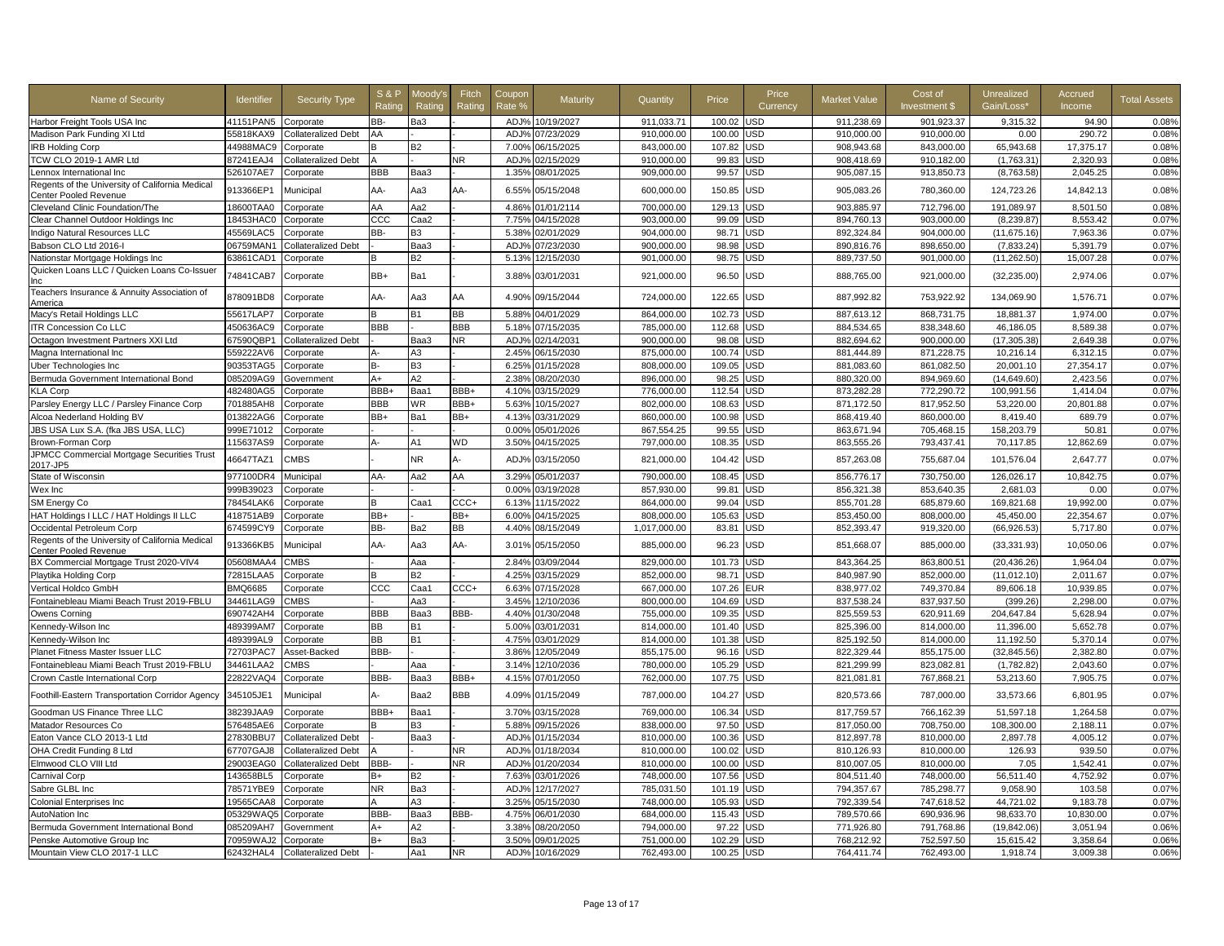| Name of Security                                                             | Identifier             | <b>Security Type</b>          | <b>S&amp;P</b><br>Ratino | Moodv'<br>Rating | Fitch<br>Rating  | Coupor<br>Rate % | Maturity        | Quantity     | Price  | Price<br>Currency        | Market Value | Cost of<br><b>Investment \$</b> | Unrealized<br>Gain/Loss' | Accrued<br>Income | <b>Total Assets</b> |
|------------------------------------------------------------------------------|------------------------|-------------------------------|--------------------------|------------------|------------------|------------------|-----------------|--------------|--------|--------------------------|--------------|---------------------------------|--------------------------|-------------------|---------------------|
| Harbor Freight Tools USA Inc                                                 | 41151PAN5              | Corporate                     | BB-                      | Ba3              |                  |                  | ADJ% 10/19/2027 | 911,033.71   | 100.02 | JSD                      | 911,238.69   | 901,923.37                      | 9,315.32                 | 94.90             | 0.08%               |
| Madison Park Funding XI Ltd                                                  | 55818KAX9              | Collateralized Debt           | AA                       |                  |                  | ADJ%             | 07/23/2029      | 910,000.00   | 100.00 | <b>JSD</b>               | 910,000.00   | 910,000.00                      | 0.00                     | 290.72            | 0.08%               |
| <b>IRB Holding Corp</b>                                                      | 44988MAC9              | Corporate                     |                          | B2               |                  | 7.00%            | 06/15/2025      | 843.000.00   | 107.82 | JSD                      | 908,943.68   | 843.000.00                      | 65,943.68                | 17,375.17         | 0.08%               |
| TCW CLO 2019-1 AMR Ltd                                                       | 87241EAJ4              | Collateralized Debt           |                          |                  | <b>NR</b>        | ADJ <sub>9</sub> | 02/15/2029      | 910,000.00   | 99.83  | <b>JSD</b>               | 908,418.69   | 910,182.00                      | (1,763.31)               | 2,320.93          | 0.08%               |
| Lennox International Inc                                                     | 526107AE7              | Corporate                     | <b>BBB</b>               | Baa3             |                  | 1.35%            | 08/01/2025      | 909,000.00   | 99.57  | JSD                      | 905,087.15   | 913,850.73                      | (8,763.58)               | 2,045.25          | 0.08%               |
| Regents of the University of California Medical<br>Center Pooled Revenue     | 913366EP1              | Municipal                     | AA-                      | Aa3              | AA-              | 6.55%            | 05/15/2048      | 600,000.00   | 150.85 | <b>JSD</b>               | 905,083.26   | 780,360.00                      | 124,723.26               | 14,842.13         | 0.08%               |
| Cleveland Clinic Foundation/The                                              | 18600TAA0              | Corporate                     | AA                       | Aa2              |                  | 4.86%            | 01/01/2114      | 700,000.00   | 129.13 | <b>JSD</b>               | 903,885.97   | 712,796.00                      | 191,089.97               | 8,501.50          | 0.08%               |
| Clear Channel Outdoor Holdings Inc                                           | 18453HAC0              | Corporate                     | CCC                      | Caa2             |                  | 7.75%            | 04/15/2028      | 903,000.00   | 99.09  | JSD                      | 894,760.13   | 903,000.00                      | (8,239.87)               | 8,553.42          | 0.07%               |
| Indigo Natural Resources LLC                                                 | 45569LAC5              | Corporate                     | BB-                      | B <sub>3</sub>   |                  | 5.38%            | 02/01/2029      | 904.000.00   | 98.71  | <b>JSD</b>               | 892.324.84   | 904.000.00                      | (11, 675.16)             | 7.963.36          | 0.07%               |
| Babson CLO Ltd 2016-I                                                        | 06759MAN1              | Collateralized Debt           |                          | Baa3             |                  | ADJ <sub>9</sub> | 07/23/2030      | 900,000.00   | 98.98  | JSD                      | 890,816.76   | 898,650.00                      | (7,833.24)               | 5,391.79          | 0.07%               |
| Nationstar Mortgage Holdings Inc                                             | 63861CAD1              | Corporate                     |                          | <b>B2</b>        |                  | 5.13%            | 12/15/2030      | 901,000.00   | 98.75  | JSD                      | 889,737.50   | 901,000.00                      | (11, 262.50)             | 15,007.28         | 0.07%               |
| Quicken Loans LLC / Quicken Loans Co-Issuer<br>Inc                           | 74841CAB7              | Corporate                     | BB+                      | Ba1              |                  | 3.88%            | 03/01/2031      | 921,000.00   | 96.50  | <b>JSD</b>               | 888,765.00   | 921,000.00                      | (32, 235.00)             | 2.974.06          | 0.07%               |
| Teachers Insurance & Annuity Association of<br>America                       | 878091BD8              | Corporate                     | AA-                      | Aa3              | AA               | 4.90%            | 09/15/2044      | 724,000.00   | 122.65 | <b>JSD</b>               | 887,992.82   | 753,922.92                      | 134,069.90               | 1,576.71          | 0.07%               |
| Macy's Retail Holdings LLC                                                   | 55617LAP7              | Corporate                     | B                        | <b>B1</b>        | BВ               | 5.88%            | 04/01/2029      | 864,000.00   | 102.73 | JSD                      | 887,613.12   | 868,731.75                      | 18,881.37                | 1,974.00          | 0.07%               |
| <b>ITR Concession Co LLC</b>                                                 | 450636AC9              | Corporate                     | <b>BBB</b>               |                  | BBB              | 5.18%            | 07/15/2035      | 785.000.00   | 112.68 | <b>JSD</b>               | 884.534.65   | 838.348.60                      | 46.186.05                | 8.589.38          | 0.07%               |
| Octagon Investment Partners XXI Ltd                                          | 67590QBP1              | Collateralized Debt           |                          | Baa3             | NR.              | ADJ%             | 02/14/2031      | 900.000.00   | 98.08  | <b>JSD</b>               | 882.694.62   | 900.000.00                      | (17.305.38)              | 2.649.38          | 0.07%               |
| Magna International Inc                                                      | 559222AV6              | Corporate                     |                          | A3               |                  | 2.45%            | 06/15/2030      | 875,000.00   | 100.74 | <b>JSD</b>               | 881,444.89   | 871,228.75                      | 10,216.14                | 6,312.15          | 0.07%               |
| Uber Technologies Inc                                                        | 90353TAG5              | Corporate                     | <b>B-</b>                | B <sub>3</sub>   |                  | 6.25%            | 01/15/2028      | 808,000.00   | 109.05 | JSD                      | 881,083.60   | 861,082.50                      | 20,001.10                | 27,354.17         | 0.07%               |
| Bermuda Government International Bond                                        | 085209AG9              | Government                    | A+                       | A2               |                  | 2.38%            | 08/20/2030      | 896,000.00   | 98.25  | <b>JSD</b>               | 880,320.00   | 894,969.60                      | (14,649.60)              | 2,423.56          | 0.07%               |
| <b>KLA Corp</b>                                                              | 482480AG5              | Corporate                     | BBB+                     | Baa1             | BBB+             | 4.10%            | 03/15/2029      | 776,000.00   | 112.54 | <b>JSD</b>               | 873,282.28   | 772,290.72                      | 100,991.56               | 1,414.04          | 0.07%               |
| Parsley Energy LLC / Parsley Finance Corp                                    | 701885AH8              | Corporate                     | BBB                      | <b>WR</b>        | BBB+             | 5.63%            | 10/15/2027      | 802,000.00   | 108.63 | <b>JSD</b>               | 871,172.50   | 817,952.50                      | 53,220.00                | 20,801.88         | 0.07%               |
| Alcoa Nederland Holding BV                                                   | 013822AG6              | Corporate                     | BB+                      | Ba1              | BB+              | 4.13%            | 03/31/2029      | 860,000.00   | 100.98 | <b>JSD</b>               | 868,419.40   | 860,000.00                      | 8,419.40                 | 689.79            | 0.07%               |
| JBS USA Lux S.A. (fka JBS USA, LLC)                                          | 999E71012              | Corporate                     |                          |                  |                  | 0.00%            | 05/01/2026      | 867,554.25   | 99.55  | JSD                      | 863,671.94   | 705,468.15                      | 158,203.79               | $50.8^{\circ}$    | 0.07%               |
| Brown-Forman Corp                                                            | 115637AS9              | Corporate                     | А                        | A1               | ΝD               | 3.50%            | 04/15/2025      | 797,000.00   | 108.35 | JSD                      | 863,555.26   | 793,437.41                      | 70,117.85                | 12,862.69         | 0.07%               |
| JPMCC Commercial Mortgage Securities Trust<br>2017-JP5                       | 46647TAZ1              | CMBS                          |                          | NR.              | А-               | ADJ%             | 03/15/2050      | 821,000.00   | 104.42 | <b>JSD</b>               | 857,263.08   | 755,687.04                      | 101,576.04               | 2,647.77          | 0.07%               |
| State of Wisconsin                                                           | 977100DR4              | Municipal                     | AA-                      | Aa2              | AA               | 3.29%            | 05/01/2037      | 790,000.00   | 108.45 | <b>JSD</b>               | 856,776.17   | 730,750.00                      | 126,026.17               | 10,842.75         | 0.07%               |
| Wex Inc                                                                      | 999B39023              | Corporate                     |                          |                  |                  | 0.00%            | 03/19/2028      | 857,930.00   | 99.81  | JSD                      | 856,321.38   | 853,640.35                      | 2,681.03                 | 0.00              | 0.07%               |
| SM Energy Co                                                                 | 78454LAK6              | Corporate                     | B                        | Caa1             | $_{\text{CCC+}}$ | 6.13%            | 11/15/2022      | 864,000.00   | 99.04  | JSD                      | 855,701.28   | 685,879.60                      | 169,821.68               | 19,992.00         | 0.07%               |
| HAT Holdings I LLC / HAT Holdings II LLC                                     | 418751AB9              |                               | BB+                      |                  | BB+              | 6.00%            | 04/15/2025      | 808,000.00   | 105.63 | JSD                      | 853,450.00   | 808,000.00                      | 45,450.00                | 22,354.67         | 0.07%               |
|                                                                              | 674599CY9              | Corporate                     | BB-                      | Ba2              | BВ               | 4.40%            | 08/15/2049      | 1,017,000.00 | 83.81  | <b>JSD</b>               | 852,393.47   | 919,320.00                      | (66, 926.53)             | 5,717.80          | 0.07%               |
| Occidental Petroleum Corp<br>Regents of the University of California Medical |                        | Corporate                     |                          |                  |                  |                  |                 |              |        |                          |              |                                 |                          |                   |                     |
| Center Pooled Revenue                                                        | 913366KB5              | Municipal                     | AA-                      | Aa3              | AA-              | 3.01%            | 05/15/2050      | 885,000.00   | 96.23  | <b>JSD</b>               | 851,668.07   | 885,000.00                      | (33, 331.93)             | 10,050.06         | 0.07%               |
| BX Commercial Mortgage Trust 2020-VIV4                                       | 05608MAA4              | <b>CMBS</b>                   |                          | Aaa              |                  | 2.84%            | 03/09/2044      | 829,000.00   | 101.73 | JSD                      | 843,364.25   | 863,800.51                      | (20, 436.26)             | 1,964.04          | 0.07%               |
| Playtika Holding Corp                                                        | 72815LAA5              | Corporate                     | R                        | <b>B2</b>        |                  | 4.25%            | 03/15/2029      | 852,000.00   | 98.71  | JSD                      | 840,987.90   | 852,000.00                      | (11, 012.10)             | 2,011.67          | 0.07%               |
| Vertical Holdco GmbH                                                         | <b>BMQ6685</b>         | Corporate                     | ccc                      | Caa1             | $_{\text{CCC+}}$ | 6.63%            | 07/15/2028      | 667,000.00   | 107.26 | EUR                      | 838,977.02   | 749,370.84                      | 89,606.18                | 10,939.85         | 0.07%               |
| Fontainebleau Miami Beach Trust 2019-FBLU                                    | 34461LAG9              | CMBS                          |                          | Aa3              |                  | 3.45%            | 12/10/2036      | 800,000.00   | 104.69 | <b>JSD</b>               | 837,538.24   | 837,937.50                      | (399.26                  | 2,298.00          | 0.07%               |
| Owens Corning                                                                | 690742AH4              | Corporate                     | BBB                      | Baa3             | BBB-             | 4.40%            | 01/30/2048      | 755,000.00   | 109.35 | JSD                      | 825,559.53   | 620,911.69                      | 204,647.84               | 5,628.94          | 0.07%               |
| Kennedy-Wilson Inc                                                           | 489399AM7              | Corporate                     | <b>BB</b>                | <b>B1</b>        |                  | 5.00%            | 03/01/2031      | 814,000.00   | 101.40 | <b>JSD</b>               | 825,396.00   | 814,000.00                      | 11,396.00                | 5,652.78          | 0.07%               |
| Kennedy-Wilson Inc                                                           | 489399AL9              | Corporate                     | <b>BB</b>                | <b>B1</b>        |                  | 4.75%            | 03/01/2029      | 814.000.00   | 101.38 | <b>JSD</b>               | 825,192.50   | 814.000.00                      | 11.192.50                | 5,370.14          | 0.07%               |
| Planet Fitness Master Issuer LLC                                             | 72703PAC7              | Asset-Backed                  | BBB-                     |                  |                  | 3.86%            | 12/05/2049      | 855,175.00   | 96.16  | <b>JSD</b>               | 822,329.44   | 855,175.00                      | (32, 845.56)             | 2.382.80          | 0.07%               |
| Fontainebleau Miami Beach Trust 2019-FBLU                                    | 34461LAA2              | <b>CMBS</b>                   |                          | Aaa              |                  | 3.14%            | 12/10/2036      | 780.000.00   | 105.29 | <b>JSD</b>               | 821.299.99   | 823.082.81                      | (1.782.82)               | 2.043.60          | 0.07%               |
| Crown Castle International Corp                                              | 22822VAQ4<br>345105JE1 | Corporate                     | BBB-                     | Baa3             | BBB+<br>BBB      | 4.15%            | 07/01/2050      | 762,000.00   | 107.75 | <b>JSD</b><br><b>JSD</b> | 821,081.81   | 767,868.21                      | 53,213.60                | 7,905.75          | 0.07%<br>0.07%      |
| Foothill-Eastern Transportation Corridor Agency                              |                        | Municipal                     | А-                       | Baa2             |                  | 4.09%            | 01/15/2049      | 787,000.00   | 104.27 |                          | 820,573.66   | 787,000.00                      | 33,573.66                | 6,801.95          |                     |
| Goodman US Finance Three LLC                                                 | 38239JAA9              | Corporate                     | BBB+                     | Baa1             |                  | 3.70%            | 03/15/2028      | 769.000.00   | 106.34 | <b>JSD</b>               | 817.759.57   | 766.162.39                      | 51.597.18                | 1.264.58          | 0.07%               |
| Matador Resources Co                                                         | 576485AE6              | Corporate                     |                          | <b>B3</b>        |                  | 5.88%            | 09/15/2026      | 838,000.00   | 97.50  | <b>JSD</b>               | 817,050.00   | 708,750.00                      | 108,300.00               | 2,188.11          | 0.07%               |
| Eaton Vance CLO 2013-1 Ltd                                                   | 27830BBU7              | Collateralized Debt           |                          | Baa3             |                  | ADJ%             | 01/15/2034      | 810.000.00   | 100.36 | <b>JSD</b>               | 812.897.78   | 810.000.00                      | 2,897.78                 | 4.005.12          | 0.07%               |
| OHA Credit Funding 8 Ltd                                                     | 67707GAJ8              | Collateralized Debt           |                          |                  | ΝR               | ADJ%             | 01/18/2034      | 810.000.00   | 100.02 | <b>JSD</b>               | 810,126.93   | 810.000.00                      | 126.93                   | 939.50            | 0.07%               |
| Elmwood CLO VIII Ltd                                                         | 29003EAG0              | Collateralized Debt           | BBB-                     |                  | NR               | ADJ%             | 01/20/2034      | 810,000.00   | 100.00 | <b>JSD</b>               | 810,007.05   | 810,000.00                      | 7.05                     | 1,542.41          | 0.07%               |
| <b>Carnival Corp</b>                                                         | 143658BL5              | Corporate                     | B+                       | <b>B2</b>        |                  | 7.63%            | 03/01/2026      | 748,000.00   | 107.56 | JSD                      | 804,511.40   | 748,000.00                      | 56,511.40                | 4.752.92          | 0.07%               |
| Sabre GLBL Inc                                                               | 78571YBE9              | Corporate                     | N <sub>R</sub>           | Ba3              |                  | ADJ%             | 12/17/2027      | 785,031.50   | 101.19 | <b>JSD</b>               | 794.357.67   | 785,298.77                      | 9.058.90                 | 103.58            | 0.07%               |
| <b>Colonial Enterprises Inc.</b>                                             | 9565CAA8               | Corporate                     |                          | ΑЗ               |                  | 3.25%            | 05/15/2030      | 748,000.00   | 105.93 | <b>JSD</b>               | 792,339.54   | 747,618.52                      | 44,721.02                | 9,183.78          | 0.07%               |
| AutoNation Inc                                                               | 05329WAQ5              | Corporate                     | BBB-                     | Baa3             | BBB-             | 4.75%            | 06/01/2030      | 684,000.00   | 115.43 | <b>JSD</b>               | 789,570.66   | 690,936.96                      | 98,633.70                | 10,830.00         | 0.07%               |
| Bermuda Government International Bond                                        | 085209AH7              | Government                    | A+                       | A2               |                  | 3.38%            | 08/20/2050      | 794,000.00   | 97.22  | JSD                      | 771,926.80   | 791,768.86                      | (19, 842.06)             | 3,051.94          | 0.06%               |
| Penske Automotive Group Inc                                                  | 70959WAJ2              | Corporate                     | $B+$                     | Ba3              |                  | 3.50%            | 09/01/2025      | 751,000.00   | 102.29 | JSD                      | 768,212.92   | 752,597.50                      | 15,615.42                | 3,358.64          | 0.06%               |
| Mountain View CLO 2017-1 LLC                                                 |                        | 62432HAL4 Collateralized Debt |                          | Aa1              | NR.              | ADJ%             | 10/16/2029      | 762,493.00   | 100.25 | <b>USD</b>               | 764,411.74   | 762,493.00                      | 1,918.74                 | 3,009.38          | 0.06%               |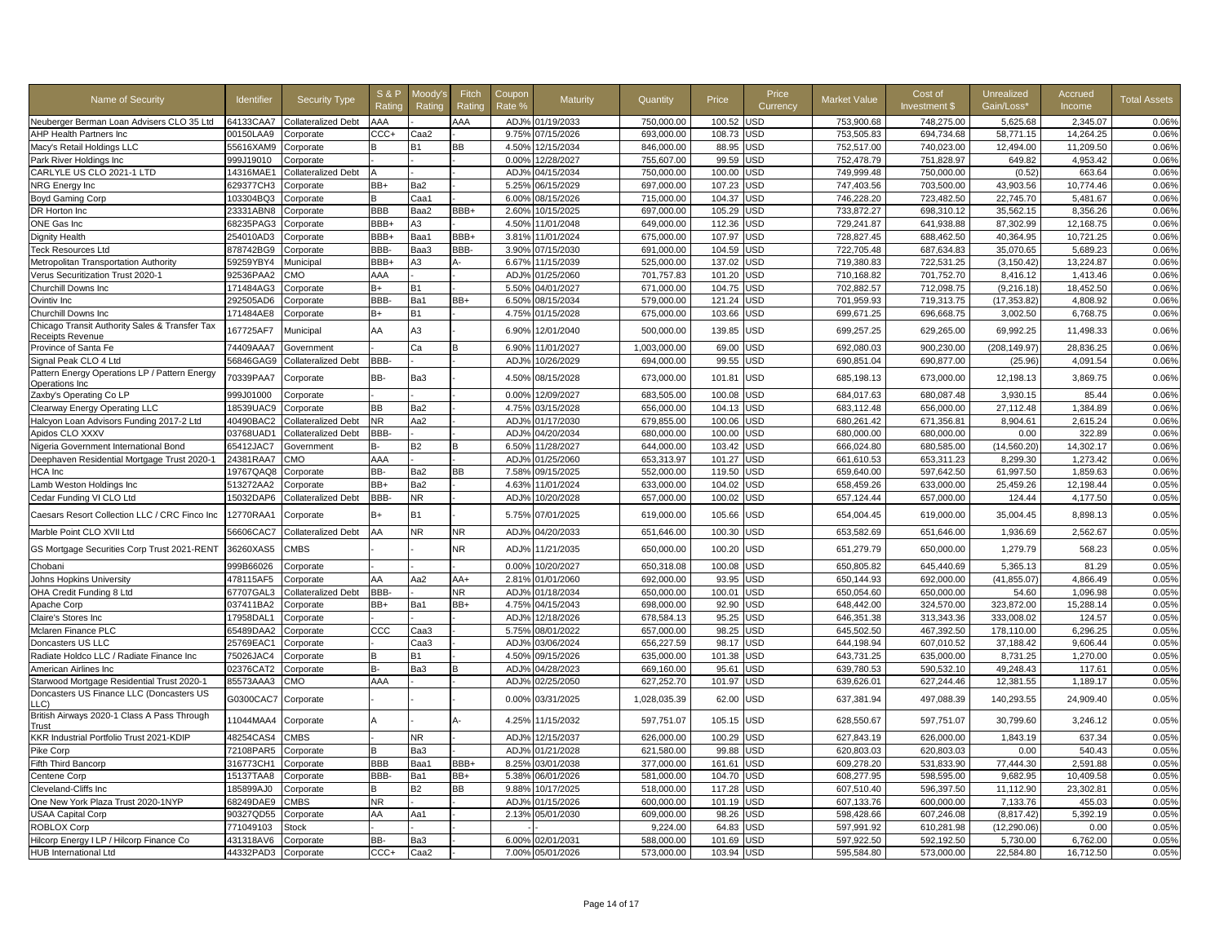| Name of Security                                                | Identifier          | <b>Security Type</b>       | <b>S&amp;P</b><br>Ratino | Moodv's<br>Rating | Fitch<br>Rating | Coupor<br>Rate % | Maturity         | Quantity     | Price  | Price<br>Currency | Market Value | Cost of<br><b>Investment \$</b> | Unrealized<br>Gain/Loss' | Accrued<br>Income | <b>Total Assets</b> |
|-----------------------------------------------------------------|---------------------|----------------------------|--------------------------|-------------------|-----------------|------------------|------------------|--------------|--------|-------------------|--------------|---------------------------------|--------------------------|-------------------|---------------------|
| Neuberger Berman Loan Advisers CLO 35 Ltd                       | 64133CAA7           | <b>Collateralized Debt</b> | AAA                      |                   | AAA             |                  | ADJ% 01/19/2033  | 750,000.00   | 100.52 | JSD               | 753,900.68   | 748,275.00                      | 5,625.68                 | 2,345.07          | 0.06%               |
| AHP Health Partners Inc                                         | 00150LAA9           | Corporate                  | CCC+                     | Caa2              |                 | 9.75%            | 07/15/2026       | 693,000.00   | 108.73 | <b>JSD</b>        | 753,505.83   | 694,734.68                      | 58,771.15                | 14,264.25         | 0.06%               |
| Macy's Retail Holdings LLC                                      | 55616XAM9           | Corporate                  | в                        | В1                | BВ              | 4.50%            | 12/15/2034       | 846.000.00   | 88.95  | JSD               | 752,517.00   | 740.023.00                      | 12.494.00                | 11,209.50         | 0.06%               |
| Park River Holdings Inc                                         | 999J19010           | Corporate                  |                          |                   |                 | 0.00%            | 12/28/2027       | 755,607.00   | 99.59  | <b>JSD</b>        | 752,478.79   | 751,828.97                      | 649.82                   | 4,953.42          | 0.06%               |
| CARLYLE US CLO 2021-1 LTD                                       | 14316MAE1           | Collateralized Debt        |                          |                   |                 | ADJ%             | 04/15/2034       | 750,000.00   | 100.00 | JSD               | 749,999.48   | 750,000.00                      | (0.52)                   | 663.64            | 0.06%               |
| NRG Energy Inc                                                  | 629377CH3           | Corporate                  | BB+                      | Ba2               |                 | 5.25%            | 06/15/2029       | 697,000.00   | 107.23 | JSD               | 747,403.56   | 703,500.00                      | 43,903.56                | 10,774.46         | 0.06%               |
| Boyd Gaming Corp                                                | 103304BQ3           | Corporate                  | в                        | Caa1              |                 | 6.00%            | 08/15/2026       | 715,000.00   | 104.37 | <b>JSD</b>        | 746,228.20   | 723,482.50                      | 22,745.70                | 5,481.67          | 0.06%               |
| DR Horton Inc                                                   | 23331ABN8           | Corporate                  | <b>BBB</b>               | Baa2              | BBB+            | 2.60%            | 10/15/2025       | 697,000.00   | 105.29 | JSD               | 733,872.27   | 698.310.12                      | 35,562.15                | 8,356.26          | 0.06%               |
| ONE Gas Inc                                                     | 68235PAG3           | Corporate                  | BBB+                     | A3                |                 | 4.50%            | 11/01/2048       | 649,000.00   | 112.36 | <b>JSD</b>        | 729,241.87   | 641,938.88                      | 87,302.99                | 12,168.75         | 0.06%               |
| <b>Dignity Health</b>                                           | 254010AD3           | Corporate                  | BBB+                     | Baa1              | BBB+            | 3.81%            | 11/01/2024       | 675,000.00   | 107.97 | <b>JSD</b>        | 728,827.45   | 688,462.50                      | 40,364.95                | 10,721.25         | 0.06%               |
| <b>Teck Resources Ltd</b>                                       | 878742BG9           | Corporate                  | BBB-                     | Baa3              | BBB-            | 3.90%            | 07/15/2030       | 691,000.00   | 104.59 | JSD               | 722.705.48   | 687,634.83                      | 35,070.65                | 5,689.23          | 0.06%               |
| Metropolitan Transportation Authority                           | 59259YBY4           | Municipal                  | BBB+                     | A3                | А-              | 6.67%            | 11/15/2039       | 525,000.00   | 137.02 | <b>JSD</b>        | 719,380.83   | 722,531.25                      | (3, 150.42)              | 13,224.87         | 0.06%               |
| Verus Securitization Trust 2020-1                               | 92536PAA2           | <b>CMC</b>                 | AAA                      |                   |                 | ADJ%             | 01/25/2060       | 701.757.83   | 101.20 | <b>JSD</b>        | 710.168.82   | 701.752.70                      | 8.416.12                 | 1.413.46          | 0.06%               |
| Churchill Downs Inc                                             | 171484AG3           | Corporate                  | $B+$                     | <b>B1</b>         |                 | 5.50%            | 04/01/2027       | 671,000.00   | 104.75 | <b>JSD</b>        | 702,882.57   | 712,098.75                      | (9, 216.18)              | 18,452.50         | 0.06%               |
| Ovintiv Inc                                                     | 292505AD6           | Corporate                  | BBB-                     | Ba1               | BB+             | 6.50%            | 08/15/2034       | 579,000.00   | 121.24 | JSD               | 701,959.93   | 719,313.75                      | (17, 353.82)             | 4,808.92          | 0.06%               |
| Churchill Downs Inc                                             | 171484AE8           | Corporate                  | B+                       | <b>B1</b>         |                 | 4.75%            | 01/15/2028       | 675,000.00   | 103.66 | JSD               | 699,671.25   | 696,668.75                      | 3,002.50                 | 6,768.75          | 0.06%               |
| Chicago Transit Authority Sales & Transfer Tax                  | 167725AF7           | Municipal                  | AA                       | A3                |                 | 6.90%            | 12/01/2040       | 500,000.00   | 139.85 | JSD               | 699,257.25   | 629,265.00                      | 69,992.25                | 11,498.33         | 0.06%               |
| Receipts Revenue                                                | 74409AAA7           |                            |                          |                   |                 |                  |                  |              |        |                   |              |                                 |                          |                   |                     |
| Province of Santa Fe                                            |                     | Government                 |                          | Сa                |                 | 6.90%            | 11/01/2027       | 1,003,000.00 | 69.00  | <b>JSD</b>        | 692,080.03   | 900,230.00                      | (208,149.97)             | 28,836.25         | 0.06%               |
| Signal Peak CLO 4 Ltd                                           | 56846GAG9           | Collateralized Debt        | BBB-                     |                   |                 | ADJ <sub>9</sub> | 10/26/2029       | 694.000.00   | 99.55  | <b>JSD</b>        | 690,851.04   | 690.877.00                      | (25.96)                  | 4.091.54          | 0.06%               |
| Pattern Energy Operations LP / Pattern Energy<br>Operations Inc | 70339PAA7           | Corporate                  | BB-                      | Ba3               |                 | 4.50%            | 08/15/2028       | 673,000.00   | 101.81 | JSD               | 685,198.13   | 673,000.00                      | 12,198.13                | 3,869.75          | 0.06%               |
| Zaxby's Operating Co LP                                         | 999J01000           | Corporate                  |                          |                   |                 | 0.00%            | 12/09/2027       | 683,505.00   | 100.08 | <b>JSD</b>        | 684,017.63   | 680,087.48                      | 3,930.15                 | 85.44             | 0.06%               |
| Clearway Energy Operating LLC                                   | 18539UAC9           | Corporate                  | <b>BB</b>                | Ba2               |                 | 4.75%            | 03/15/2028       | 656,000.00   | 104.13 | <b>JSD</b>        | 683,112.48   | 656,000,00                      | 27,112.48                | 1,384.89          | 0.06%               |
| Halcyon Loan Advisors Funding 2017-2 Ltd                        | 40490BAC2           | Collateralized Debt        | NR.                      | Aa2               |                 | ADJ%             | 01/17/2030       | 679.855.00   | 100.06 | <b>JSD</b>        | 680.261.42   | 671.356.81                      | 8.904.61                 | 2.615.24          | 0.06%               |
| Apidos CLO XXXV                                                 | 03768UAD1           | Collateralized Debt        | BBB-                     |                   |                 | ADJ <sub>9</sub> | 04/20/2034       | 680,000.00   | 100.00 | JSD               | 680,000.00   | 680,000.00                      | 0.00                     | 322.89            | 0.06%               |
| Nigeria Government International Bond                           | 65412JAC7           | <b>Government</b>          | в-                       | <b>B2</b>         |                 | 6.50%            | 11/28/2027       | 644,000.00   | 103.42 | JSD               | 666,024.80   | 680,585.00                      | (14, 560.20)             | 14,302.17         | 0.06%               |
| Deephaven Residential Mortgage Trust 2020-1                     | 24381RAA7           | <b>OMC</b>                 | AAA                      |                   |                 | ADJ <sub>9</sub> | 01/25/2060       | 653,313.97   | 101.27 | <b>JSD</b>        | 661,610.53   | 653,311.23                      | 8,299.30                 | 1,273.42          | 0.06%               |
| HCA Inc                                                         | 19767QAQ8           | Corporate                  | BB-                      | Ba2               | BВ              | 7.58%            | 09/15/2025       | 552,000.00   | 119.50 | <b>JSD</b>        | 659,640.00   | 597,642.50                      | 61,997.50                | 1,859.63          | 0.06%               |
| Lamb Weston Holdings Inc                                        | 513272AA2           | Corporate                  | BB+                      | Ba2               |                 | 4.63%            | 11/01/2024       | 633,000.00   | 104.02 | JSD               | 658,459.26   | 633,000.00                      | 25,459.26                | 12,198.44         | 0.05%               |
| Cedar Funding VI CLO Ltd                                        | 15032DAP6           | Collateralized Debt        | BBB-                     | <b>NR</b>         |                 | ADJ%             | 10/20/2028       | 657,000.00   | 100.02 | <b>JSD</b>        | 657,124.44   | 657,000.00                      | 124.44                   | 4,177.50          | 0.05%               |
| Caesars Resort Collection LLC / CRC Finco Inc                   | 12770RAA1           | Corporate                  | B+                       | <b>B1</b>         |                 | 5.75%            | 07/01/2025       | 619,000.00   | 105.66 | <b>JSD</b>        | 654,004.45   | 619,000.00                      | 35,004.45                | 8,898.13          | 0.05%               |
| Marble Point CLO XVII Ltd                                       | 56606CAC7           | Collateralized Debt        | AA                       | N <sub>R</sub>    | ΝR              | ADJ%             | 04/20/2033       | 651,646.00   | 100.30 | USD               | 653,582.69   | 651,646.00                      | 1,936.69                 | 2,562.67          | 0.05%               |
| GS Mortgage Securities Corp Trust 2021-RENT                     | 36260XAS5           | CMBS                       |                          |                   | ΝR              | ADJ%             | 11/21/2035       | 650,000.00   | 100.20 | JSD               | 651,279.79   | 650,000.00                      | 1,279.79                 | 568.23            | 0.05%               |
| Chobani                                                         | 999B66026           | Corporate                  |                          |                   |                 | 0.00%            | 10/20/2027       | 650,318.08   | 100.08 | <b>JSD</b>        | 650,805.82   | 645.440.69                      | 5,365.13                 | 81.29             | 0.05%               |
| Johns Hopkins University                                        | 478115AF5           | Corporate                  | AA                       | Aa2               | AA+             | 2.81%            | 01/01/2060       | 692.000.00   | 93.95  | <b>JSD</b>        | 650.144.93   | 692.000.00                      | (41, 855.07)             | 4.866.49          | 0.05%               |
| OHA Credit Funding 8 Ltd                                        | 67707GAL3           | Collateralized Debt        | BBB-                     |                   | ΝR              | ADJ%             | 01/18/2034       | 650,000.00   | 100.01 | <b>JSD</b>        | 650,054.60   | 650,000.00                      | 54.60                    | 1,096.98          | 0.05%               |
| Apache Corp                                                     | 037411BA2           | Corporate                  | BB+                      | Ba1               | BB+             | 4.75%            | 04/15/2043       | 698,000.00   | 92.90  | <b>JSD</b>        | 648,442.00   | 324,570.00                      | 323,872.00               | 15,288.14         | 0.05%               |
| Claire's Stores Inc                                             | 17958DAL1           | Corporate                  |                          |                   |                 | ADJ%             | 12/18/2026       | 678.584.13   | 95.25  | <b>JSD</b>        | 646,351.38   | 313.343.36                      | 333.008.02               | 124.57            | 0.05%               |
| Mclaren Finance PLC                                             | 65489DAA2           | Corporate                  | ccc                      | Caa3              |                 | 5.75%            | 08/01/2022       | 657,000.00   | 98.25  | <b>JSD</b>        | 645,502.50   | 467,392.50                      | 178,110.00               | 6,296.25          | 0.05%               |
| Doncasters US LLC                                               | 25769EAC1           | Corporate                  |                          | Caa3              |                 | ADJ <sub>9</sub> | 03/06/2024       | 656,227.59   | 98.17  | <b>JSD</b>        | 644,198.94   | 607,010.52                      | 37,188.42                | 9,606.44          | 0.05%               |
| Radiate Holdco LLC / Radiate Finance Inc                        | 75026JAC4           | Corporate                  | B                        | B1                |                 | 4.50%            | 09/15/2026       | 635,000.00   | 101.38 | JSD               | 643,731.25   | 635,000.00                      | 8,731.25                 | 1,270.00          | 0.05%               |
| American Airlines Inc                                           | 02376CAT2           | Corporate                  | <b>B-</b>                | Ba3               |                 | ADJ <sup>o</sup> | 04/28/2023       | 669,160.00   | 95.61  | JSD               | 639,780.53   | 590,532.10                      | 49,248.43                | 117.61            | 0.05%               |
| Starwood Mortgage Residential Trust 2020-1                      | 85573AAA3           | <b>OMC</b>                 | AAA                      |                   |                 | ADJ%             | 02/25/2050       | 627,252.70   | 101.97 | JSD               | 639,626.01   | 627,244.46                      | 12,381.55                | 1,189.17          | 0.05%               |
| Doncasters US Finance LLC (Doncasters US<br>LLC)                | G0300CAC7           | Corporate                  |                          |                   |                 | 0.00%            | 03/31/2025       | 1,028,035.39 | 62.00  | <b>JSD</b>        | 637,381.94   | 497,088.39                      | 140,293.55               | 24,909.40         | 0.05%               |
| British Airways 2020-1 Class A Pass Through<br>Trust            | 11044MAA4           | Corporate                  |                          |                   |                 | 4.25%            | 11/15/2032       | 597,751.07   | 105.15 | <b>USD</b>        | 628,550.67   | 597,751.07                      | 30,799.60                | 3,246.12          | 0.05%               |
| KKR Industrial Portfolio Trust 2021-KDIP                        | 48254CAS4           | <b>CMBS</b>                |                          | NR.               |                 | ADJ%             | 12/15/2037       | 626.000.00   | 100.29 | <b>JSD</b>        | 627.843.19   | 626,000,00                      | 1,843.19                 | 637.34            | 0.05%               |
| Pike Corp                                                       | 72108PAR5           | Corporate                  | B                        | Ba3               |                 | ADJ <sub>9</sub> | 01/21/2028       | 621,580.00   | 99.88  | <b>JSD</b>        | 620.803.03   | 620.803.03                      | 0.00                     | 540.43            | 0.05%               |
| Fifth Third Bancorp                                             | 316773CH1           | Corporate                  | <b>BBB</b>               | Baa1              | BBB+            | 8.25%            | 03/01/2038       | 377,000.00   | 161.61 | <b>JSD</b>        | 609,278.20   | 531,833.90                      | 77,444.30                | 2,591.88          | 0.05%               |
| Centene Corp                                                    | 15137TAA8           | Corporate                  | BBB-                     | Ba1               | BB+             | 5.38%            | 06/01/2026       | 581,000.00   | 104.70 | JSD               | 608,277.95   | 598,595.00                      | 9,682.95                 | 10,409.58         | 0.05%               |
| Cleveland-Cliffs Inc                                            | 185899AJ0           | Corporate                  | B                        | <b>B2</b>         | BВ              | 9.88%            | 10/17/2025       | 518,000.00   | 117.28 | <b>JSD</b>        | 607,510.40   | 596.397.50                      | 11,112.90                | 23.302.81         | 0.05%               |
| One New York Plaza Trust 2020-1NYP                              | 68249DAE9           | <b>CMBS</b>                | <b>NR</b>                |                   |                 | ADJ%             | 01/15/2026       | 600,000.00   | 101.19 | <b>JSD</b>        | 607,133.76   | 600,000.00                      | 7,133.76                 | 455.03            | 0.05%               |
| <b>USAA Capital Corp</b>                                        | 90327QD55           | Corporate                  | AA                       | Aa1               |                 | 2.13%            | 05/01/2030       | 609,000.00   | 98.26  | JSD               | 598,428.66   | 607,246.08                      | (8, 817.42)              | 5,392.19          | 0.05%               |
| ROBLOX Corp                                                     | 771049103           | <b>Stock</b>               |                          |                   |                 |                  |                  | 9,224.00     | 64.83  | JSD               | 597,991.92   | 610,281.98                      | (12, 290.06)             | 0.00              | 0.05%               |
| Hilcorp Energy I LP / Hilcorp Finance Co                        | 431318AV6           | Corporate                  | BB-                      | Ba3               |                 | 6.00%            | 02/01/2031       | 588,000.00   | 101.69 | JSD               | 597,922.50   | 592,192.50                      | 5,730.00                 | 6,762.00          | 0.05%               |
| <b>HUB International Ltd</b>                                    | 44332PAD3 Corporate |                            | CCC+                     | Caa2              |                 |                  | 7.00% 05/01/2026 | 573,000.00   | 103.94 | USD               | 595,584.80   | 573,000.00                      | 22,584.80                | 16,712.50         | 0.05%               |
|                                                                 |                     |                            |                          |                   |                 |                  |                  |              |        |                   |              |                                 |                          |                   |                     |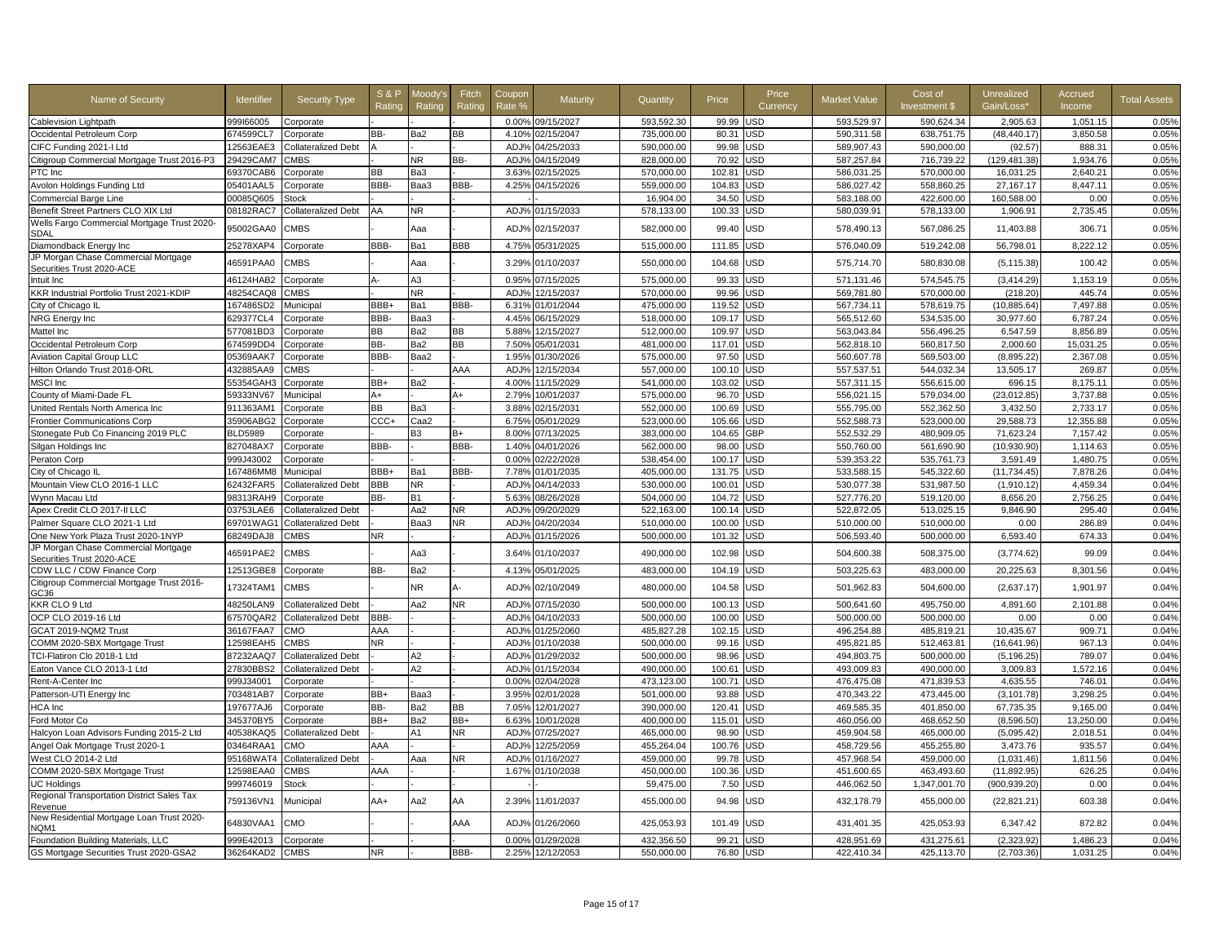| Name of Security                                                 | <b>Identifier</b>     | <b>Security Type</b>       | <b>S&amp;F</b><br>Rating | 1oodv'<br>Rating | Fitch<br>Rating | Coupor<br>Rate %  | Maturity         | Quantity   | Price           | Price<br>Currency | Market Value | Cost of<br>Investment \$ | Unrealized<br>Gain/Loss* | Accrued<br>Income | <b>Total Assets</b> |
|------------------------------------------------------------------|-----------------------|----------------------------|--------------------------|------------------|-----------------|-------------------|------------------|------------|-----------------|-------------------|--------------|--------------------------|--------------------------|-------------------|---------------------|
| <b>Cablevision Lightpath</b>                                     | 999166005             | Corporate                  |                          |                  |                 | 0.00%             | 09/15/2027       | 593.592.30 | 99.99           | <b>JSD</b>        | 593.529.97   | 590,624.34               | 2,905.63                 | 1,051.15          | 0.05%               |
| Occidental Petroleum Corp                                        | 674599CL7             | Corporate                  | BB-                      | Ba2              | ВB              | 4.10%             | 02/15/2047       | 735,000.00 | 80.3'           | JSD               | 590,311.58   | 638,751.75               | (48, 440.17)             | 3,850.58          | 0.05%               |
| CIFC Funding 2021-I Ltd                                          | 12563EAE3             | <b>Collateralized Debt</b> |                          |                  |                 | ADJ%              | 04/25/2033       | 590,000.00 | 99.98           | JSD               | 589,907.43   | 590,000.00               | (92.57)                  | 888.31            | 0.05%               |
| Citigroup Commercial Mortgage Trust 2016-P3                      | 29429CAM7             | <b>CMBS</b>                |                          | NR               | BB-             | ADJ%              | 04/15/2049       | 828,000.00 | 70.92           | JSD               | 587,257.84   | 716,739.22               | (129,481.38)             | 1,934.76          | 0.05%               |
| PTC Inc                                                          | 69370CAB6             | Corporate                  | BВ                       | Ba3              |                 | 3.63%             | 02/15/2025       | 570,000.00 | 102.81          | <b>JSD</b>        | 586,031.25   | 570.000.00               | 16,031.25                | 2,640.21          | 0.05%               |
| Avolon Holdings Funding Ltd                                      | 05401AAL5             | Corporate                  | BBB-                     | Baa3             | BBB-            | 4.25%             | 04/15/2026       | 559,000.00 | 104.83          | JSD               | 586,027.42   | 558,860.25               | 27,167.17                | 8,447.11          | 0.05%               |
| <b>Commercial Barge Line</b>                                     | 00085Q605             | <b>Stock</b>               |                          |                  |                 |                   |                  | 16,904.00  | 34.50           | JSD               | 583,188.00   | 422,600.00               | 160,588.00               | 0.00              | 0.05%               |
| Benefit Street Partners CLO XIX Ltd                              | 08182RAC7             | <b>Collateralized Debt</b> | AA                       | <b>NR</b>        |                 | ADJ <sub>9</sub>  | 01/15/2033       | 578,133.00 | 100.33          | JSD               | 580,039.91   | 578,133.00               | 1,906.91                 | 2,735.45          | 0.05%               |
| Wells Fargo Commercial Mortgage Trust 2020-<br><b>SDAL</b>       | 95002GAA0             | <b>CMBS</b>                |                          | Aaa              |                 | ADJ%              | 02/15/2037       | 582,000.00 | 99.40           | JSD               | 578,490.13   | 567,086.25               | 11,403.88                | 306.71            | 0.05%               |
| Diamondback Energy Inc                                           | 25278XAP4             | Corporate                  | BBB-                     | Ba1              | BBB             | 4.75%             | 05/31/2025       | 515,000.00 | 111.85          | JSD               | 576,040.09   | 519,242.08               | 56,798.01                | 8,222.12          | 0.05%               |
| JP Morgan Chase Commercial Mortgage<br>Securities Trust 2020-ACE | 46591PAA0             | <b>CMBS</b>                |                          | Aaa              |                 | 3.29%             | 01/10/2037       | 550,000.00 | 104.68          | USD               | 575,714.70   | 580,830.08               | (5, 115.38)              | 100.42            | 0.05%               |
| Intuit Inc                                                       | 46124HAB2             | Corporate                  |                          | AЗ               |                 | 0.95%             | 07/15/2025       | 575,000.00 | 99.33           | JSD               | 571,131.46   | 574,545.75               | (3,414.29)               | 1,153.19          | 0.05%               |
| KKR Industrial Portfolio Trust 2021-KDIP                         | 48254CAQ8             | CMBS                       |                          | NR.              |                 | ADJ%              | 12/15/2037       | 570,000.00 | 99.96           | JSD               | 569,781.80   | 570,000.00               | (218.20)                 | 445.74            | 0.05%               |
| City of Chicago II                                               | 167486SD2             | Municipal                  | BBB+                     | Ba1              | BBB-            | 6.319             | 01/01/2044       | 475,000.00 | 119.52          | JSD               | 567,734.11   | 578,619.75               | (10, 885.64)             | 7,497.88          | 0.05%               |
| NRG Energy Inc                                                   | 629377CL4             | Corporate                  | BBB-                     | Baa3             |                 | 4.45%             | 06/15/2029       | 518,000.00 | 109.17          | JSD               | 565,512.60   | 534,535.00               | 30,977.60                | 6,787.24          | 0.05%               |
| Mattel Inc                                                       | 577081BD3             | Corporate                  | ВB                       | Ba2              | ВB              | 5.88%             | 12/15/2027       | 512,000.00 | 109.97          | JSD               | 563,043.84   | 556,496.25               | 6,547.59                 | 8,856.89          | 0.05%               |
| Occidental Petroleum Corp                                        | 674599DD4             | Corporate                  | BB-                      | Ba2              | ВB              | 7.50%             | 05/01/2031       | 481,000.00 | 117.01          | JSD               | 562,818.10   | 560,817.50               | 2.000.60                 | 15,031.25         | 0.05%               |
| <b>Aviation Capital Group LLC</b>                                | 05369AAK7             | Corporate                  | BBB-                     | Baa2             |                 | 1.95%             | 01/30/2026       | 575,000.00 | 97.50           | JSD               | 560,607.78   | 569,503.00               | (8,895.22)               | 2,367.08          | 0.05%               |
| Hilton Orlando Trust 2018-ORL                                    | 432885AA9             | <b>CMBS</b>                |                          |                  | AAA             | ADJ%              | 12/15/2034       | 557,000.00 | 100.10          | <b>JSD</b>        | 557,537.51   | 544,032.34               | 13,505.17                | 269.87            | 0.05%               |
| <b>MSCI</b> Inc                                                  | 55354GAH3             | Corporate                  | BB+                      | Ba2              |                 | 4.00%             | 11/15/2029       | 541,000.00 | 103.02          | JSD               | 557,311.15   | 556.615.00               | 696.15                   | 8.175.11          | 0.05%               |
| County of Miami-Dade FL                                          | 59333NV67             | Municipal                  | A+                       |                  | A+              | 2.79%             | 10/01/2037       | 575,000.00 | 96.70           | <b>JSD</b>        | 556,021.15   | 579,034.00               | (23,012.85)              | 3,737.88          | 0.05%               |
| United Rentals North America Inc                                 | 911363AM1             | Corporate                  | ВB                       | Ba3              |                 | 3.88%             | 02/15/2031       | 552,000.00 | 100.69          | JSD               | 555,795.00   | 552,362.50               | 3,432.50                 | 2,733.17          | 0.05%               |
| <b>Frontier Communications Corp</b>                              | 35906ABG2             | Corporate                  | CCC+                     | Caa2             |                 | 6.75%             | 05/01/2029       | 523.000.00 | 105.66          | <b>JSD</b>        | 552,588.73   | 523.000.00               | 29.588.73                | 12.355.88         | 0.05%               |
| Stonegate Pub Co Financing 2019 PLC                              | <b>BLD5989</b>        | Corporate                  |                          | B <sub>3</sub>   | B+              | 8.00%             | 07/13/2025       | 383,000.00 | 104.65          | <b>GBP</b>        | 552,532.29   | 480,909.05               | 71,623.24                | 7,157.42          | 0.05%               |
| Silgan Holdings Inc                                              | 827048AX7             | Corporate                  | BBB-                     |                  | BBB-            | 1.40%             | 04/01/2026       | 562,000.00 | 98.00           | JSD               | 550,760.00   | 561,690.90               | (10,930.90)              | 1,114.63          | 0.05%               |
| Peraton Corp                                                     | 999J43002             | Corporate                  |                          |                  |                 | 0.00%             | 02/22/2028       | 538,454.00 | 100.17          | JSD               | 539,353.22   | 535,761.73               | 3,591.49                 | 1,480.75          | 0.05%               |
| City of Chicago IL                                               | 167486MM8             | Municipal                  | BBB+                     | Ba1              | BBB-            | 7.78%             | 01/01/2035       | 405,000.00 | 131.75          | JSD               | 533,588.15   | 545,322.60               | (11, 734.45)             | 7,878.26          | 0.04%               |
| Mountain View CLO 2016-1 LLC                                     | 62432FAR5             | Collateralized Debt        | BBB                      | NR.              |                 | ADJ%              | 04/14/2033       | 530,000.00 | 100.01          | JSD               | 530,077.38   | 531,987.50               | (1,910.12)               | 4.459.34          | 0.04%               |
| Wynn Macau Ltd                                                   | 98313RAH9             | Corporate                  | BB-                      | <b>B1</b>        |                 | 5.63%             | 08/26/2028       | 504,000.00 | 104.72          | JSD               | 527,776.20   | 519,120.00               | 8,656.20                 | 2,756.25          | 0.04%               |
| Apex Credit CLO 2017-II LLC                                      | 03753LAE6             | <b>Collateralized Debt</b> |                          | Aa2              | NR.             | ADJ%              | 09/20/2029       | 522,163.00 | 100.14          | JSD               | 522,872.05   | 513,025.15               | 9,846.90                 | 295.40            | 0.04%               |
| Palmer Square CLO 2021-1 Ltd                                     | 69701WAG <sup>*</sup> | <b>Collateralized Debt</b> |                          | Baa3             | NR              | ADJ <sub>9</sub>  | 04/20/2034       | 510,000.00 | 100.00          | JSD               | 510,000.00   | 510,000.00               | 0.00                     | 286.89            | 0.04%               |
| One New York Plaza Trust 2020-1NYP                               | 68249DAJ8             | <b>CMBS</b>                | ΝR                       |                  |                 | ADJ%              | 01/15/2026       | 500,000.00 | 101.32          | JSD               | 506,593.40   | 500,000.00               | 6,593.40                 | 674.33            | 0.04%               |
| JP Morgan Chase Commercial Mortgage<br>Securities Trust 2020-ACE | 46591PAE2             | CMBS                       |                          | Aa3              |                 | 3.64%             | 01/10/2037       | 490,000.00 | 102.98          | JSD               | 504,600.38   | 508,375.00               | (3,774.62)               | 99.09             | 0.04%               |
| CDW LLC / CDW Finance Corp                                       | 12513GBE8             | Corporate                  | BB-                      | Ba2              |                 | 4.13 <sup>o</sup> | 05/01/2025       | 483,000.00 | 104.1           | <b>JSD</b>        | 503,225.63   | 483,000.00               | 20,225.63                | 8,301.56          | 0.04%               |
| Citigroup Commercial Mortgage Trust 2016-<br>GC36                | 17324TAM1             | <b>CMBS</b>                |                          | NR.              |                 | ADJ%              | 02/10/2049       | 480,000.00 | 104.58          | <b>JSD</b>        | 501,962.83   | 504,600.00               | (2,637.17)               | 1,901.97          | 0.04%               |
| KKR CLO 9 Ltd                                                    | 48250LAN9             | Collateralized Debt        |                          | Aa2              | NR              | ADJ%              | 07/15/2030       | 500,000.00 | 100.13          | JSD               | 500,641.60   | 495,750.00               | 4,891.60                 | 2,101.88          | 0.04%               |
| OCP CLO 2019-16 Ltd                                              | 67570QAR2             | Collateralized Debt        | BBB-                     |                  |                 | ADJ%              | 04/10/2033       | 500,000.00 | 100.00          | JSD               | 500,000.00   | 500,000.00               | 0.00                     | 0.00              | 0.04%               |
| GCAT 2019-NQM2 Trust                                             | 36167FAA7             | CMO                        | AAA                      |                  |                 | ADJ%              | 01/25/2060       | 485,827.28 | 102.15          | JSD               | 496,254.88   | 485,819.21               | 10,435.67                | 909.71            | 0.04%               |
| COMM 2020-SBX Mortgage Trust                                     | 12598EAH5             | <b>CMBS</b>                | NR.                      |                  |                 | ADJ <sup>o</sup>  | 01/10/2038       | 500,000.00 | 99.1            | JSD               | 495,821.85   | 512,463.81               | (16,641.96)              | 967.13            | 0.04%               |
| TCI-Flatiron Clo 2018-1 Ltd                                      | 87232AAQ7             | <b>Collateralized Debt</b> |                          | A2               |                 | ADJ%              | 01/29/2032       | 500.000.00 | 98.96           | <b>JSD</b>        | 494.803.75   | 500.000.00               | (5, 196.25)              | 789.07            | 0.04%               |
| Eaton Vance CLO 2013-1 Ltd                                       | 27830BBS2             | <b>Collateralized Debt</b> |                          | A2               |                 | ADJ <sub>9</sub>  | 01/15/2034       | 490,000.00 | $100.6^{\circ}$ | <b>JSD</b>        | 493,009.83   | 490,000.00               | 3,009.83                 | 1,572.16          | 0.04%               |
| Rent-A-Center Inc                                                | 999J34001             | Corporate                  |                          |                  |                 | 0.00%             | 02/04/2028       | 473,123.00 | 100.71          | JSD               | 476,475.08   | 471,839.53               | 4,635.55                 | 746.01            | 0.04%               |
| Patterson-UTI Energy Inc                                         | 703481AB7             | Corporate                  | BB+                      | Baa3             |                 | 3.95%             | 02/01/2028       | 501,000.00 | 93.88           | JSD               | 470,343.22   | 473,445.00               | (3, 101.78)              | 3,298.25          | 0.04%               |
| HCA Inc                                                          | 197677AJ6             | Corporate                  | BB-                      | Ba2              | BВ              | 7.05%             | 12/01/2027       | 390.000.00 | 120.41          | JSD               | 469,585.35   | 401,850.00               | 67,735.35                | 9.165.00          | 0.04%               |
| Ford Motor Co                                                    | 345370BY5             | Corporate                  | BB+                      | Ba2              | BB+             | 6.63%             | 10/01/2028       | 400.000.00 | 115.01          | JSD               | 460.056.00   | 468.652.50               | (8.596.50)               | 13.250.00         | 0.04%               |
| Halcyon Loan Advisors Funding 2015-2 Ltd                         | 40538KAQ5             | <b>Collateralized Debt</b> |                          | A1               | NR              | ADJ%              | 07/25/2027       | 465,000.00 | 98.90           | JSD               | 459,904.58   | 465,000.00               | (5,095.42)               | 2,018.51          | 0.04%               |
| Angel Oak Mortgage Trust 2020-1                                  | 03464RAA1             | CMO                        | AAA                      |                  |                 | ADJ%              | 12/25/2059       | 455,264.04 | 100.76          | <b>JSD</b>        | 458,729.56   | 455,255.80               | 3,473.76                 | 935.57            | 0.04%               |
| West CLO 2014-2 Ltd                                              | 95168WAT4             | Collateralized Debt        |                          | Ааа              | NR              | ADJ <sup>9</sup>  | 01/16/2027       | 459,000.00 | 99.78           | JSD               | 457,968.54   | 459,000.00               | (1,031.46)               | 1,811.56          | 0.04%               |
| COMM 2020-SBX Mortgage Trust                                     | 12598EAA0             | CMBS                       | AAA                      |                  |                 | 1.67%             | 01/10/2038       | 450,000.00 | 100.36          | JSD               | 451,600.65   | 463,493.60               | (11, 892.95)             | 626.25            | 0.04%               |
| <b>UC Holdings</b>                                               | 999746019             | Stock                      |                          |                  |                 |                   |                  | 59,475.00  | 7.50            | <b>JSD</b>        | 446,062.50   | 1,347,001.70             | (900,939.20              | 0.00              | 0.04%               |
| Regional Transportation District Sales Tax<br>Revenue            | 759136VN1             | Municipal                  | AA+                      | Aa2              | AA              | 2.39%             | 11/01/2037       | 455,000.00 | 94.98           | JSD               | 432,178.79   | 455,000.00               | (22, 821.21)             | 603.38            | 0.04%               |
| New Residential Mortgage Loan Trust 2020-<br>NQM1                | 64830VAA1             | CMO                        |                          |                  | AAA             | ADJ%              | 01/26/2060       | 425,053.93 | 101.49          | USD               | 431,401.35   | 425,053.93               | 6,347.42                 | 872.82            | 0.04%               |
| Foundation Building Materials, LLC                               | 999E42013             | Corporate                  |                          |                  |                 | 0.00%             | 01/29/2028       | 432,356.50 | 99.21           | <b>JSD</b>        | 428,951.69   | 431,275.61               | (2,323.92)               | 1.486.23          | 0.04%               |
| GS Mortgage Securities Trust 2020-GSA2                           | 36264KAD2             | <b>CMBS</b>                | <b>NR</b>                |                  | BBB-            |                   | 2.25% 12/12/2053 | 550,000.00 | 76.80 USD       |                   | 422,410.34   | 425,113.70               | (2,703.36)               | 1.031.25          | 0.04%               |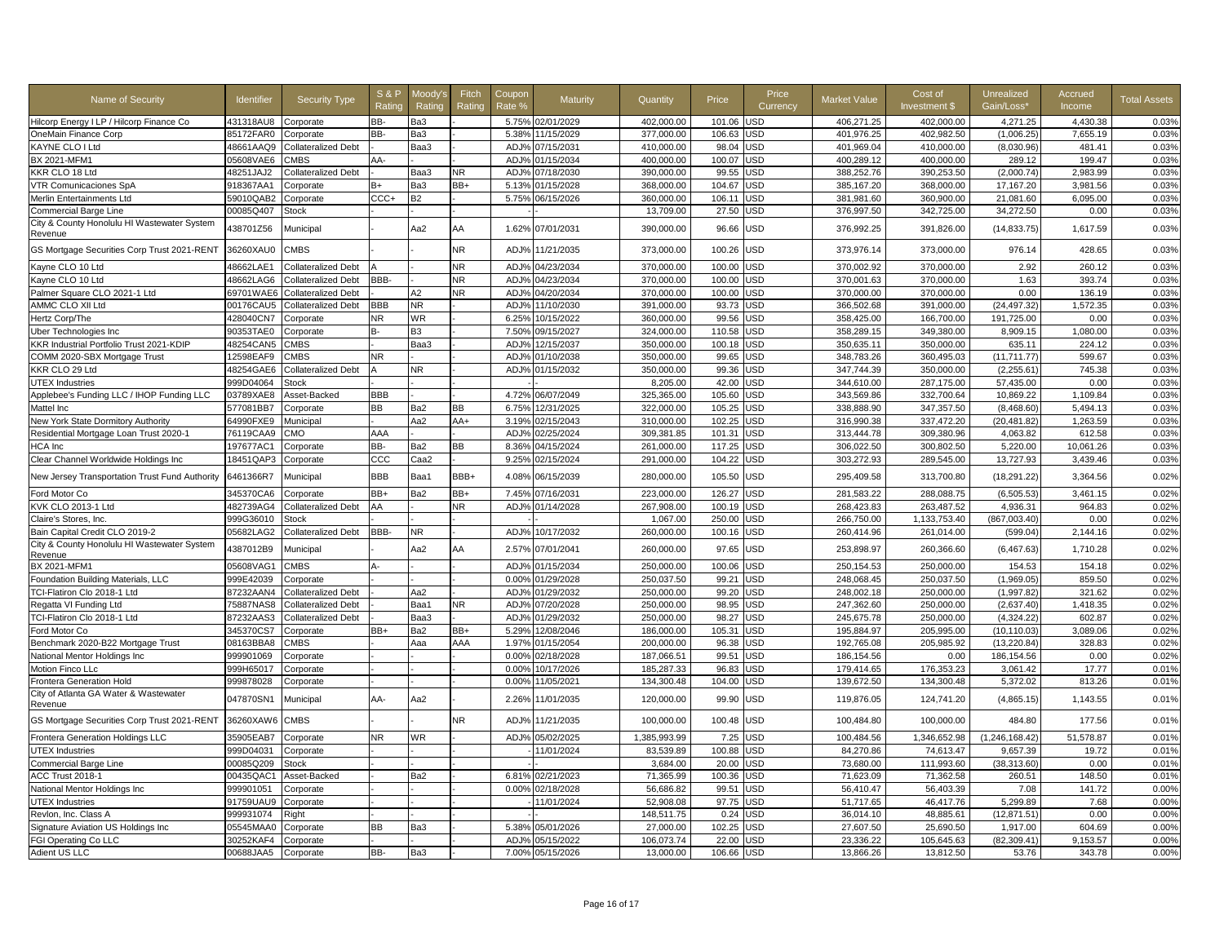| Name of Security                                                              | <b>Identifier</b>      | <b>Security Type</b>       | <b>S&amp;P</b><br>Ratino | Moodv':<br>Rating | Fitch<br>Rating | Coupon<br>Rate % | Maturity                 | Quantity                 | Price            | Price<br>Currency | Market Value             | Cost of<br><b>Investment \$</b> | Unrealized<br>Gain/Loss'   | Accrued<br>Income    | <b>Total Assets</b> |
|-------------------------------------------------------------------------------|------------------------|----------------------------|--------------------------|-------------------|-----------------|------------------|--------------------------|--------------------------|------------------|-------------------|--------------------------|---------------------------------|----------------------------|----------------------|---------------------|
| Hilcorp Energy I LP / Hilcorp Finance Co                                      | 431318AU8              | Corporate                  | BB-                      | Ba3               |                 |                  | 5.75% 02/01/2029         | 402,000.00               | 101.06           | JSD               | 406,271.25               | 402,000.00                      | 4,271.25                   | 4,430.38             | 0.03%               |
| OneMain Finance Corp                                                          | 85172FAR0              | Corporate                  | BB-                      | Ba3               |                 | 5.38%            | 11/15/2029               | 377,000.00               | 106.63           | JSD               | 401,976.25               | 402,982.50                      | (1,006.25)                 | 7,655.19             | 0.03%               |
| KAYNE CLO I Ltd                                                               | 48661AAQ9              | <b>Collateralized Debt</b> |                          | Baa3              |                 | ADJ%             | 07/15/2031               | 410.000.00               | 98.04            | <b>JSD</b>        | 401,969.04               | 410.000.00                      | (8.030.96)                 | 481.41               | 0.03%               |
| <b>BX 2021-MFM1</b>                                                           | 05608VAE6              | CMBS                       | AA-                      |                   |                 | ADJ <sub>9</sub> | 01/15/2034               | 400,000.00               | 100.07           | JSD               | 400,289.12               | 400,000.00                      | 289.12                     | 199.47               | 0.03%               |
| KKR CLO 18 Ltd                                                                | 48251JAJ2              | <b>Collateralized Debt</b> |                          | Baa3              | NR              | ADJ%             | 07/18/2030               | 390,000.00               | 99.55            | JSD               | 388,252.76               | 390,253.50                      | (2,000.74)                 | 2.983.99             | 0.03%               |
| VTR Comunicaciones SpA                                                        | 918367AA1              | Corporate                  | B+                       | Ba3               | BB+             | 5.13%            | 01/15/2028               | 368,000.00               | 104.67           | JSD               | 385,167.20               | 368,000.00                      | 17,167.20                  | 3,981.56             | 0.03%               |
| Merlin Entertainments Ltd                                                     | 59010QAB2              | Corporate                  | $CCC +$                  | <b>B2</b>         |                 | 5.75%            | 06/15/2026               | 360,000.00               | 106.11           | JSD               | 381,981.60               | 360,900.00                      | 21,081.60                  | 6,095.00             | 0.03%               |
| <b>Commercial Barge Line</b>                                                  | 00085Q407              | Stock                      |                          |                   |                 |                  |                          | 13,709.00                | 27.50            | <b>JSD</b>        | 376,997.50               | 342,725.00                      | 34,272.50                  | 0.00                 | 0.03%               |
| City & County Honolulu HI Wastewater System<br>Revenue                        | 438701Z56              | Municipal                  |                          | Aa2               | AA              | 1.62%            | 07/01/2031               | 390,000.00               | 96.66            | <b>JSD</b>        | 376,992.25               | 391,826.00                      | (14, 833.75)               | 1,617.59             | 0.03%               |
| GS Mortgage Securities Corp Trust 2021-RENT                                   | 36260XAU0              | <b>CMBS</b>                |                          |                   | NR.             | ADJ%             | 11/21/2035               | 373,000.00               | 100.26           | USD               | 373,976.14               | 373,000.00                      | 976.14                     | 428.65               | 0.03%               |
| Kayne CLO 10 Ltd                                                              | 48662LAE1              | <b>Collateralized Debt</b> |                          |                   | NR              | ADJ%             | 04/23/2034               | 370,000.00               | 100.00           | <b>JSD</b>        | 370,002.92               | 370,000.00                      | 2.92                       | 260.12               | 0.03%               |
| Kayne CLO 10 Ltd                                                              | 48662LAG6              | <b>Collateralized Debt</b> | BBB-                     |                   | NR.             | ADJ%             | 04/23/2034               | 370,000.00               | 100.00           | <b>JSD</b>        | 370,001.63               | 370,000.00                      | 1.63                       | 393.74               | 0.03%               |
| Palmer Square CLO 2021-1 Ltd                                                  | 69701WAE6              | <b>Collateralized Debt</b> |                          | А2                | NR              | ADJ%             | 04/20/2034               | 370,000.00               | 100.00           | JSD               | 370,000.00               | 370,000.00                      | 0.00                       | 136.19               | 0.03%               |
| AMMC CLO XII Ltd                                                              | 00176CAU5              | <b>Collateralized Debt</b> | BBB                      | NR.               |                 | ADJ%             | 11/10/2030               | 391,000.00               | 93.73            | <b>JSD</b>        | 366,502.68               | 391,000.00                      | (24, 497.32)               | 1,572.35             | 0.03%               |
| Hertz Corp/The                                                                | 428040CN7              | Corporate                  | NR                       | <b>WR</b>         |                 | 6.25%            | 10/15/2022               | 360,000.00               | 99.56            | JSD               | 358,425.00               | 166,700.00                      | 191,725.00                 | 0.00                 | 0.03%               |
| Uber Technologies Inc                                                         | 90353TAE0              | Corporate                  |                          | B <sub>3</sub>    |                 | 7.50%            | 09/15/2027               | 324,000.00               | 110.58           | JSD               | 358,289.15               | 349,380.00                      | 8,909.15                   | 1,080.00             | 0.03%               |
| KKR Industrial Portfolio Trust 2021-KDIP                                      | 48254CAN5              | <b>CMBS</b>                |                          | Baa3              |                 | ADJ%             | 12/15/2037               | 350.000.00               | 100.18           | <b>JSD</b>        | 350,635.11               | 350.000.00                      | 635.11                     | 224.12               | 0.03%               |
| COMM 2020-SBX Mortgage Trust                                                  | 12598EAF9              | <b>CMBS</b>                | <b>NR</b>                |                   |                 | ADJ%             | 01/10/2038               | 350,000.00               | 99.65            | JSD               | 348,783.26               | 360,495.03                      | (11, 711.77                | 599.67               | 0.03%               |
| KKR CLO 29 Ltd                                                                | 48254GAE6              | <b>Collateralized Debt</b> |                          | NR.               |                 |                  | ADJ% 01/15/2032          | 350,000.00               | 99.36            | <b>JSD</b>        | 347.744.39               | 350,000.00                      | (2,255.61)                 | 745.38               | 0.03%               |
| <b>UTEX Industries</b>                                                        | 999D04064              | <b>Stock</b>               |                          |                   |                 |                  |                          | 8,205.00                 | 42.00            | JSD               | 344,610.00               | 287,175.00                      | 57,435.00                  | 0.00                 | 0.03%               |
| Applebee's Funding LLC / IHOP Funding LLC                                     | 03789XAE8              | Asset-Backed               | BBB                      |                   |                 | 4.72%            | 06/07/2049               | 325,365.00               | 105.60           | JSD               | 343,569.86               | 332.700.64                      | 10.869.22                  | 1.109.84             | 0.03%               |
| Mattel Inc                                                                    | 577081BB7              | Corporate                  | BВ                       | Ba2               | ВB              | 6.75%            | 12/31/2025               | 322.000.00               | 105.25           | <b>JSD</b>        | 338,888,90               | 347,357.50                      | (8.468.60)                 | 5.494.13             | 0.03%               |
| New York State Dormitory Authority                                            | 64990FXE9              | Municipal                  |                          | Aa2               | AA+             | 3.19%            | 02/15/2043               | 310,000.00               | 102.25           | <b>JSD</b>        | 316,990.38               | 337,472.20                      | (20, 481.82)               | 1,263.59             | 0.03%               |
| Residential Mortgage Loan Trust 2020-1                                        | 76119CAA9              | CMO                        | AAA                      |                   |                 | ADJ%             | 02/25/2024               | 309,381.85               | 101.31           | JSD               | 313,444.78               | 309,380.96                      | 4,063.82                   | 612.58               | 0.03%               |
| HCA Inc                                                                       | 197677AC1              | Corporate                  | BB-                      | Ba2               | BB              | 8.36%            | 04/15/2024               | 261,000.00               | 117.25           | JSD               | 306,022.50               | 300,802.50                      | 5,220.00                   | 10,061.26            | 0.03%               |
| Clear Channel Worldwide Holdings Inc                                          | 18451QAP3              | Corporate                  | CCC                      | Caa2              |                 | 9.25%            | 02/15/2024               | 291,000.00               | 104.22           | JSD               | 303,272.93               | 289,545.00                      | 13,727.93                  | 3.439.46             | 0.03%               |
|                                                                               |                        |                            |                          |                   |                 |                  |                          |                          |                  |                   |                          |                                 |                            |                      |                     |
| New Jersey Transportation Trust Fund Authority<br>Ford Motor Co               | 6461366R7<br>345370CA6 | Municipal<br>Corporate     | BBB<br>BB+               | Baa1<br>Ba2       | BBB+<br>BB+     | 4.08%<br>7.45%   | 06/15/2039<br>07/16/2031 | 280,000.00<br>223,000.00 | 105.50<br>126.27 | <b>JSD</b><br>JSD | 295,409.58<br>281,583.22 | 313,700.80<br>288,088.75        | (18, 291.22)<br>(6,505.53) | 3,364.56<br>3,461.15 | 0.02%<br>0.02%      |
| KVK CLO 2013-1 Ltd                                                            | 482739AG4              | <b>Collateralized Debt</b> | AA                       |                   | NR              | ADJ%             | 01/14/2028               | 267,908.00               | 100.19           | JSD               | 268,423.83               | 263,487.52                      | 4,936.31                   | 964.83               | 0.02%               |
| Claire's Stores, Inc.                                                         | 999G36010              | Stock                      |                          |                   |                 |                  |                          | 1,067.00                 | 250.00           | <b>JSD</b>        | 266,750.00               | 1,133,753.40                    | (867,003.40                | 0.00                 | 0.02%               |
|                                                                               |                        |                            | BBB-                     | NR                |                 |                  |                          | 260,000.00               | 100.16           | JSD               | 260,414.96               |                                 |                            | 2,144.16             | 0.02%               |
| Bain Capital Credit CLO 2019-2<br>City & County Honolulu HI Wastewater System | 05682LAG2              | <b>Collateralized Debt</b> |                          |                   |                 |                  | ADJ% 10/17/2032          |                          |                  |                   |                          | 261,014.00                      | (599.04)                   |                      |                     |
| Revenue                                                                       | 4387012B9              | Municipal                  |                          | Aa2               | AA              | 2.57%            | 07/01/2041               | 260,000.00               | 97.65            | JSD               | 253,898.97               | 260,366.60                      | (6, 467.63)                | 1,710.28             | 0.02%               |
| BX 2021-MFM1                                                                  | 05608VAG1              | <b>CMBS</b>                |                          |                   |                 | ADJ%             | 01/15/2034               | 250.000.00               | 100.06           | <b>JSD</b>        | 250.154.53               | 250,000,00                      | 154.53                     | 154.18               | 0.02%               |
| Foundation Building Materials, LLC                                            | 999E42039              | Corporate                  |                          |                   |                 | 0.00%            | 01/29/2028               | 250,037.50               | 99.21            | JSD               | 248,068.45               | 250,037.50                      | (1,969.05)                 | 859.50               | 0.02%               |
| TCI-Flatiron Clo 2018-1 Ltd                                                   | 87232AAN4              | Collateralized Debt        |                          | Aa2               |                 | ADJ%             | 01/29/2032               | 250,000.00               | 99.20            | <b>JSD</b>        | 248,002.18               | 250,000.00                      | (1,997.82)                 | 321.62               | 0.02%               |
| Regatta VI Funding Ltd                                                        | 75887NAS8              | <b>Collateralized Debt</b> |                          | Baa1              | NR              | ADJ%             | 07/20/2028               | 250,000.00               | 98.95            | JSD               | 247,362.60               | 250,000.00                      | (2,637.40)                 | 1,418.35             | 0.02%               |
| TCI-Flatiron Clo 2018-1 Ltd                                                   | 87232AAS3              | Collateralized Debt        |                          | Baa3              |                 | ADJ%             | 01/29/2032               | 250,000.00               | 98.27            | <b>JSD</b>        | 245,675.78               | 250,000.00                      | (4,324.22)                 | 602.87               | 0.02%               |
| Ford Motor Co                                                                 | 345370CS7              | Corporate                  | BB+                      | Ba2               | BB+             | 5.29%            | 12/08/2046               | 186,000.00               | 105.31           | JSD               | 195,884.97               | 205,995.00                      | (10, 110.03)               | 3,089.06             | 0.02%               |
| Benchmark 2020-B22 Mortgage Trust                                             | 08163BBA8              | <b>CMBS</b>                |                          | Aaa               | AAA             | 1.97%            | 01/15/2054               | 200,000.00               | 96.38            | JSD               | 192,765.08               | 205,985.92                      | (13, 220.84)               | 328.83               | 0.02%               |
| National Mentor Holdings Inc                                                  | 999901069              | Corporate                  |                          |                   |                 | 0.00%            | 02/18/2028               | 187,066.51               | 99.51            | <b>JSD</b>        | 186,154.56               | 0.00                            | 186,154.56                 | 0.00                 | 0.02%               |
| Motion Finco LLc                                                              | 999H65017              | Corporate                  |                          |                   |                 | 0.00%            | 10/17/2026               | 185,287.33               | 96.83            | JSD               | 179,414.65               | 176,353.23                      | 3,061.42                   | 17.77                | 0.01%               |
| Frontera Generation Hold                                                      | 999878028              | Corporate                  |                          |                   |                 | 0.00%            | 11/05/2021               | 134,300.48               | 104.00           | JSD               | 139,672.50               | 134,300.48                      | 5,372.02                   | 813.26               | 0.01%               |
| City of Atlanta GA Water & Wastewater<br>Revenue                              | 047870SN1              | Municipal                  | AA-                      | Aa2               |                 | $2.26^{\circ}$   | 11/01/2035               | 120,000.00               | 99.90            | JSD               | 119,876.05               | 124,741.20                      | (4,865.15)                 | 1,143.55             | 0.01%               |
| GS Mortgage Securities Corp Trust 2021-RENT                                   | 36260XAW6              | <b>CMBS</b>                |                          |                   | NR.             | ADJ%             | 11/21/2035               | 100,000.00               | 100.48           | USD               | 100,484.80               | 100,000.00                      | 484.80                     | 177.56               | 0.01%               |
| Frontera Generation Holdings LLC                                              | 35905EAB7              | Corporate                  | NR.                      | <b>WR</b>         |                 | ADJ%             | 05/02/2025               | 1,385,993.99             | 7.25             | JSD               | 100,484.56               | 1,346,652.98                    | (1, 246, 168.42)           | 51,578.87            | 0.01%               |
| <b>UTEX Industries</b>                                                        | 999D04031              | Corporate                  |                          |                   |                 |                  | 11/01/2024               | 83,539.89                | 100.88           | JSD               | 84,270.86                | 74,613.47                       | 9,657.39                   | 19.72                | 0.01%               |
| Commercial Barge Line                                                         | 00085Q209              | Stock                      |                          |                   |                 |                  |                          | 3.684.00                 | 20.00            | <b>JSD</b>        | 73,680.00                | 111.993.60                      | (38.313.60)                | 0.00                 | 0.01%               |
| ACC Trust 2018-1                                                              | 00435QAC1              | Asset-Backed               |                          | Ba2               |                 | 6.81%            | 02/21/2023               | 71,365.99                | 100.36           | JSD               | 71,623.09                | 71,362.58                       | 260.51                     | 148.50               | 0.01%               |
| National Mentor Holdings Inc                                                  | 999901051              | Corporate                  |                          |                   |                 | 0.00%            | 02/18/2028               | 56,686.82                | 99.51            | JSD               | 56,410.47                | 56,403.39                       | 7.08                       | 141.72               | 0.00%               |
| <b>UTEX Industries</b>                                                        | 91759UAU9              | Corporate                  |                          |                   |                 |                  | 11/01/2024               | 52,908.08                | 97.75            | JSD               | 51,717.65                | 46,417.76                       | 5,299.89                   | 7.68                 | 0.00%               |
| Revlon, Inc. Class A                                                          | 999931074              | Right                      |                          |                   |                 |                  |                          | 148,511.75               | 0.24             | JSD               | 36,014.10                | 48,885.61                       | (12, 871.51)               | 0.00                 | 0.00%               |
| Signature Aviation US Holdings Inc                                            | 05545MAA0              | Corporate                  | BB.                      | Ba3               |                 | 5.38%            | 05/01/2026               | 27.000.00                | 102.25           | JSD               | 27,607.50                | 25,690.50                       | 1,917.00                   | 604.69               | 0.00%               |
| FGI Operating Co LLC                                                          | 30252KAF4              | Corporate                  |                          |                   |                 | ADJ%             | 05/15/2022               | 106,073.74               | 22.00            | JSD               | 23,336.22                | 105,645.63                      | (82, 309.41)               | 9,153.57             | 0.00%               |
| Adient US LLC                                                                 | 00688JAA5              | Corporate                  | BB-                      | Ba3               |                 |                  | 7.00% 05/15/2026         | 13,000.00                | 106.66 USD       |                   | 13,866.26                | 13,812.50                       | 53.76                      | 343.78               | 0.00%               |